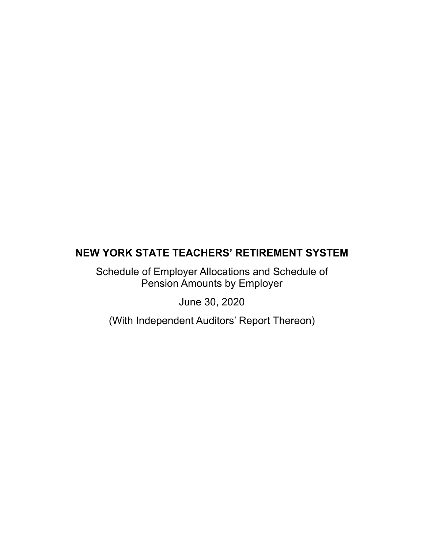Schedule of Employer Allocations and Schedule of Pension Amounts by Employer

June 30, 2020

(With Independent Auditors' Report Thereon)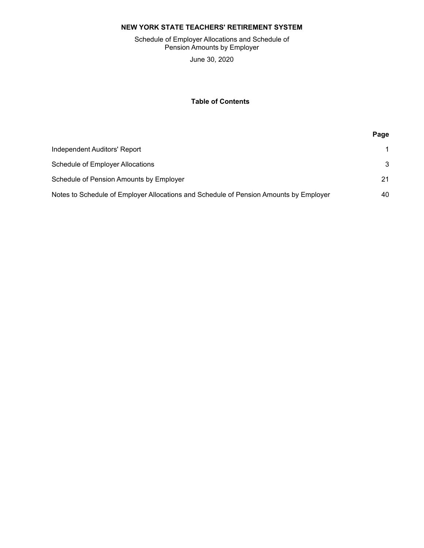Schedule of Employer Allocations and Schedule of Pension Amounts by Employer June 30, 2020

## **Table of Contents**

| Independent Auditors' Report                                                          |    |
|---------------------------------------------------------------------------------------|----|
| Schedule of Employer Allocations                                                      | 3  |
| Schedule of Pension Amounts by Employer                                               | 21 |
| Notes to Schedule of Employer Allocations and Schedule of Pension Amounts by Employer | 40 |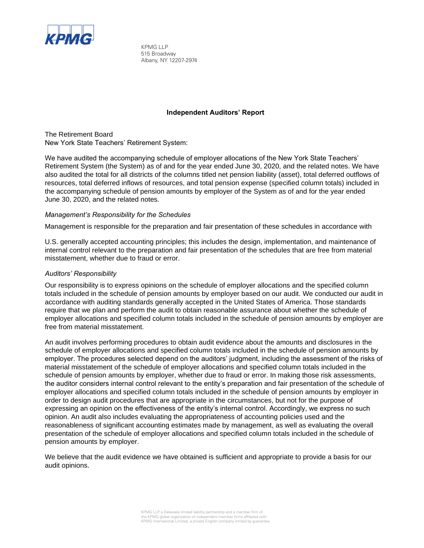

KPMG LLP 515 Broadway Albany, NY 12207-2974

### **Independent Auditors' Report**

The Retirement Board New York State Teachers' Retirement System:

We have audited the accompanying schedule of employer allocations of the New York State Teachers' Retirement System (the System) as of and for the year ended June 30, 2020, and the related notes. We have also audited the total for all districts of the columns titled net pension liability (asset), total deferred outflows of resources, total deferred inflows of resources, and total pension expense (specified column totals) included in the accompanying schedule of pension amounts by employer of the System as of and for the year ended June 30, 2020, and the related notes.

### *Management's Responsibility for the Schedules*

Management is responsible for the preparation and fair presentation of these schedules in accordance with

U.S. generally accepted accounting principles; this includes the design, implementation, and maintenance of internal control relevant to the preparation and fair presentation of the schedules that are free from material misstatement, whether due to fraud or error.

### *Auditors' Responsibility*

Our responsibility is to express opinions on the schedule of employer allocations and the specified column totals included in the schedule of pension amounts by employer based on our audit. We conducted our audit in accordance with auditing standards generally accepted in the United States of America. Those standards require that we plan and perform the audit to obtain reasonable assurance about whether the schedule of employer allocations and specified column totals included in the schedule of pension amounts by employer are free from material misstatement.

An audit involves performing procedures to obtain audit evidence about the amounts and disclosures in the schedule of employer allocations and specified column totals included in the schedule of pension amounts by employer. The procedures selected depend on the auditors' judgment, including the assessment of the risks of material misstatement of the schedule of employer allocations and specified column totals included in the schedule of pension amounts by employer, whether due to fraud or error. In making those risk assessments, the auditor considers internal control relevant to the entity's preparation and fair presentation of the schedule of employer allocations and specified column totals included in the schedule of pension amounts by employer in order to design audit procedures that are appropriate in the circumstances, but not for the purpose of expressing an opinion on the effectiveness of the entity's internal control. Accordingly, we express no such opinion. An audit also includes evaluating the appropriateness of accounting policies used and the reasonableness of significant accounting estimates made by management, as well as evaluating the overall presentation of the schedule of employer allocations and specified column totals included in the schedule of pension amounts by employer.

We believe that the audit evidence we have obtained is sufficient and appropriate to provide a basis for our audit opinions.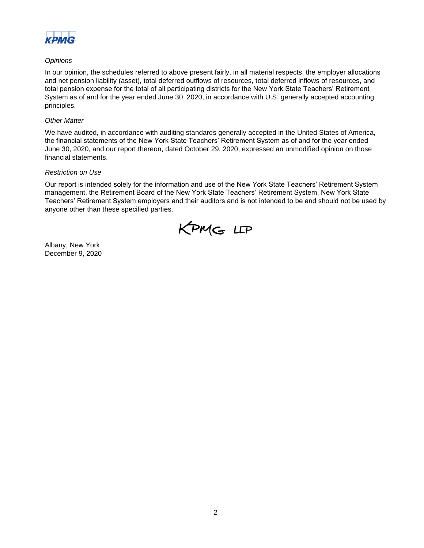

## *Opinions*

In our opinion, the schedules referred to above present fairly, in all material respects, the employer allocations and net pension liability (asset), total deferred outflows of resources, total deferred inflows of resources, and total pension expense for the total of all participating districts for the New York State Teachers' Retirement System as of and for the year ended June 30, 2020, in accordance with U.S. generally accepted accounting principles.

### *Other Matter*

We have audited, in accordance with auditing standards generally accepted in the United States of America, the financial statements of the New York State Teachers' Retirement System as of and for the year ended June 30, 2020, and our report thereon, dated October 29, 2020, expressed an unmodified opinion on those financial statements.

### *Restriction on Use*

Our report is intended solely for the information and use of the New York State Teachers' Retirement System management, the Retirement Board of the New York State Teachers' Retirement System, New York State Teachers' Retirement System employers and their auditors and is not intended to be and should not be used by anyone other than these specified parties.



Albany, New York December 9, 2020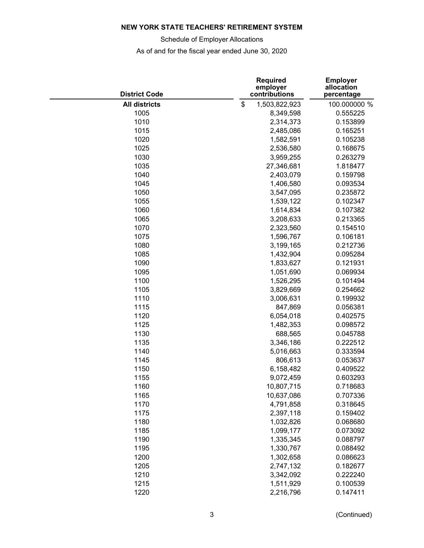Schedule of Employer Allocations

<span id="page-4-0"></span>

| <b>District Code</b> | <b>Required</b><br>employer<br>contributions | <b>Employer</b><br>allocation<br>percentage |
|----------------------|----------------------------------------------|---------------------------------------------|
| <b>All districts</b> | \$<br>1,503,822,923                          | 100.000000 %                                |
| 1005                 | 8,349,598                                    | 0.555225                                    |
| 1010                 | 2,314,373                                    | 0.153899                                    |
| 1015                 | 2,485,086                                    | 0.165251                                    |
| 1020                 | 1,582,591                                    | 0.105238                                    |
| 1025                 | 2,536,580                                    | 0.168675                                    |
| 1030                 | 3,959,255                                    | 0.263279                                    |
| 1035                 | 27,346,681                                   | 1.818477                                    |
| 1040                 | 2,403,079                                    | 0.159798                                    |
| 1045                 | 1,406,580                                    | 0.093534                                    |
| 1050                 | 3,547,095                                    | 0.235872                                    |
| 1055                 | 1,539,122                                    | 0.102347                                    |
| 1060                 | 1,614,834                                    | 0.107382                                    |
| 1065                 | 3,208,633                                    | 0.213365                                    |
| 1070                 | 2,323,560                                    | 0.154510                                    |
| 1075                 | 1,596,767                                    | 0.106181                                    |
| 1080                 | 3,199,165                                    | 0.212736                                    |
| 1085                 | 1,432,904                                    | 0.095284                                    |
| 1090                 | 1,833,627                                    | 0.121931                                    |
| 1095                 | 1,051,690                                    | 0.069934                                    |
| 1100                 | 1,526,295                                    | 0.101494                                    |
| 1105                 | 3,829,669                                    | 0.254662                                    |
| 1110                 | 3,006,631                                    | 0.199932                                    |
| 1115                 | 847,869                                      | 0.056381                                    |
| 1120                 | 6,054,018                                    | 0.402575                                    |
| 1125                 | 1,482,353                                    | 0.098572                                    |
| 1130                 | 688,565                                      | 0.045788                                    |
| 1135                 | 3,346,186                                    | 0.222512                                    |
| 1140                 | 5,016,663                                    | 0.333594                                    |
| 1145                 | 806,613                                      | 0.053637                                    |
| 1150                 | 6,158,482                                    | 0.409522                                    |
| 1155                 | 9,072,459                                    | 0.603293                                    |
| 1160                 | 10,807,715                                   | 0.718683                                    |
| 1165                 | 10,637,086                                   | 0.707336                                    |
| 1170                 | 4,791,858                                    | 0.318645                                    |
| 1175                 | 2,397,118                                    | 0.159402                                    |
| 1180                 | 1,032,826                                    | 0.068680                                    |
| 1185                 | 1,099,177                                    | 0.073092                                    |
| 1190                 | 1,335,345                                    | 0.088797                                    |
| 1195                 | 1,330,767                                    | 0.088492                                    |
| 1200                 | 1,302,658                                    | 0.086623                                    |
| 1205                 | 2,747,132                                    | 0.182677                                    |
| 1210                 | 3,342,092                                    | 0.222240                                    |
| 1215                 | 1,511,929                                    | 0.100539                                    |
| 1220                 | 2,216,796                                    | 0.147411                                    |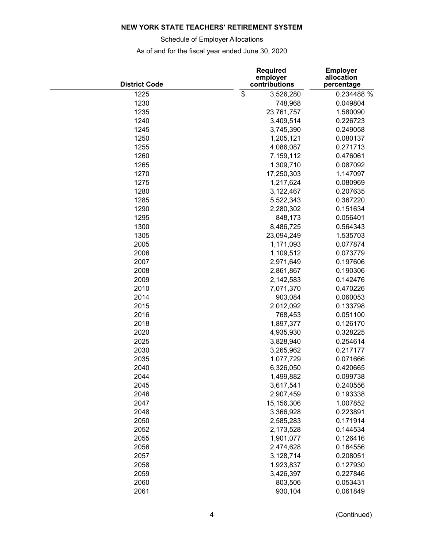Schedule of Employer Allocations

| <b>District Code</b> | <b>Required</b><br>employer<br>contributions | <b>Employer</b><br>allocation<br>percentage |
|----------------------|----------------------------------------------|---------------------------------------------|
| 1225                 | \$<br>3,526,280                              | 0.234488 %                                  |
| 1230                 | 748,968                                      | 0.049804                                    |
| 1235                 | 23,761,757                                   | 1.580090                                    |
| 1240                 | 3,409,514                                    | 0.226723                                    |
| 1245                 | 3,745,390                                    | 0.249058                                    |
| 1250                 | 1,205,121                                    | 0.080137                                    |
| 1255                 | 4,086,087                                    | 0.271713                                    |
| 1260                 | 7,159,112                                    | 0.476061                                    |
| 1265                 | 1,309,710                                    | 0.087092                                    |
| 1270                 | 17,250,303                                   | 1.147097                                    |
| 1275                 | 1,217,624                                    | 0.080969                                    |
| 1280                 | 3,122,467                                    | 0.207635                                    |
| 1285                 | 5,522,343                                    | 0.367220                                    |
| 1290                 | 2,280,302                                    | 0.151634                                    |
| 1295                 | 848,173                                      | 0.056401                                    |
| 1300                 | 8,486,725                                    | 0.564343                                    |
| 1305                 | 23,094,249                                   | 1.535703                                    |
| 2005                 | 1,171,093                                    | 0.077874                                    |
| 2006                 | 1,109,512                                    | 0.073779                                    |
| 2007                 | 2,971,649                                    | 0.197606                                    |
| 2008                 | 2,861,867                                    | 0.190306                                    |
| 2009                 | 2,142,583                                    | 0.142476                                    |
| 2010                 | 7,071,370                                    | 0.470226                                    |
| 2014                 | 903,084                                      | 0.060053                                    |
| 2015                 | 2,012,092                                    | 0.133798                                    |
| 2016                 | 768,453                                      | 0.051100                                    |
| 2018                 | 1,897,377                                    | 0.126170                                    |
| 2020                 | 4,935,930                                    | 0.328225                                    |
| 2025                 | 3,828,940                                    | 0.254614                                    |
| 2030                 | 3,265,962                                    | 0.217177                                    |
| 2035                 | 1,077,729                                    | 0.071666                                    |
| 2040                 | 6,326,050                                    | 0.420665                                    |
| 2044                 | 1,499,882                                    | 0.099738                                    |
| 2045                 | 3,617,541                                    | 0.240556                                    |
| 2046                 | 2,907,459                                    | 0.193338                                    |
| 2047                 | 15,156,306                                   | 1.007852                                    |
| 2048                 | 3,366,928                                    | 0.223891                                    |
| 2050                 | 2,585,283                                    | 0.171914                                    |
| 2052                 | 2,173,528                                    | 0.144534                                    |
| 2055                 | 1,901,077                                    | 0.126416                                    |
| 2056                 | 2,474,628                                    | 0.164556                                    |
| 2057                 | 3,128,714                                    | 0.208051                                    |
| 2058                 | 1,923,837                                    | 0.127930                                    |
| 2059                 | 3,426,397                                    | 0.227846                                    |
| 2060                 | 803,506                                      | 0.053431                                    |
| 2061                 | 930,104                                      | 0.061849                                    |
|                      |                                              |                                             |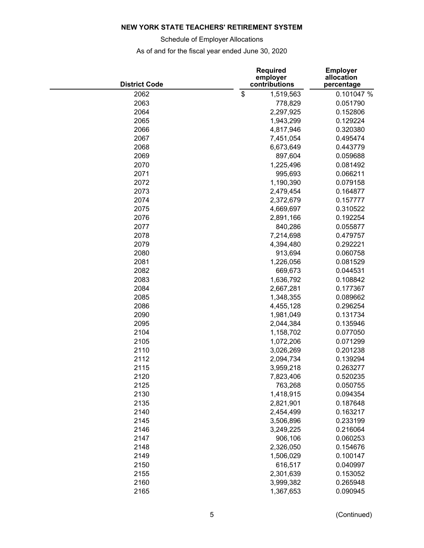Schedule of Employer Allocations

| <b>District Code</b> | <b>Required</b><br>employer<br>contributions | <b>Employer</b><br>allocation<br>percentage |
|----------------------|----------------------------------------------|---------------------------------------------|
| 2062                 | \$<br>1,519,563                              | 0.101047 %                                  |
| 2063                 | 778,829                                      | 0.051790                                    |
| 2064                 | 2,297,925                                    | 0.152806                                    |
| 2065                 | 1,943,299                                    | 0.129224                                    |
| 2066                 | 4,817,946                                    | 0.320380                                    |
| 2067                 | 7,451,054                                    | 0.495474                                    |
| 2068                 | 6,673,649                                    | 0.443779                                    |
| 2069                 | 897,604                                      | 0.059688                                    |
| 2070                 | 1,225,496                                    | 0.081492                                    |
| 2071                 | 995,693                                      | 0.066211                                    |
| 2072                 | 1,190,390                                    | 0.079158                                    |
| 2073                 | 2,479,454                                    | 0.164877                                    |
| 2074                 | 2,372,679                                    | 0.157777                                    |
| 2075                 | 4,669,697                                    | 0.310522                                    |
| 2076                 | 2,891,166                                    | 0.192254                                    |
| 2077                 | 840,286                                      | 0.055877                                    |
| 2078                 | 7,214,698                                    | 0.479757                                    |
| 2079                 | 4,394,480                                    | 0.292221                                    |
| 2080                 | 913,694                                      | 0.060758                                    |
| 2081                 | 1,226,056                                    | 0.081529                                    |
| 2082                 | 669,673                                      | 0.044531                                    |
| 2083                 | 1,636,792                                    | 0.108842                                    |
| 2084                 | 2,667,281                                    | 0.177367                                    |
| 2085                 | 1,348,355                                    | 0.089662                                    |
| 2086                 | 4,455,128                                    | 0.296254                                    |
| 2090                 | 1,981,049                                    | 0.131734                                    |
| 2095                 | 2,044,384                                    | 0.135946                                    |
| 2104                 | 1,158,702                                    | 0.077050                                    |
| 2105                 | 1,072,206                                    | 0.071299                                    |
| 2110                 | 3,026,269                                    | 0.201238                                    |
| 2112                 | 2,094,734                                    | 0.139294                                    |
| 2115                 | 3,959,218                                    | 0.263277                                    |
| 2120                 | 7,823,406                                    | 0.520235                                    |
| 2125                 | 763,268                                      | 0.050755                                    |
| 2130                 | 1,418,915                                    | 0.094354                                    |
| 2135                 | 2,821,901                                    | 0.187648                                    |
| 2140                 | 2,454,499                                    | 0.163217                                    |
| 2145                 | 3,506,896                                    | 0.233199                                    |
| 2146                 | 3,249,225                                    | 0.216064                                    |
| 2147                 | 906,106                                      | 0.060253                                    |
| 2148                 | 2,326,050                                    | 0.154676                                    |
| 2149                 | 1,506,029                                    | 0.100147                                    |
| 2150                 | 616,517                                      | 0.040997                                    |
| 2155                 | 2,301,639                                    | 0.153052                                    |
| 2160                 | 3,999,382                                    | 0.265948                                    |
| 2165                 | 1,367,653                                    | 0.090945                                    |
|                      |                                              |                                             |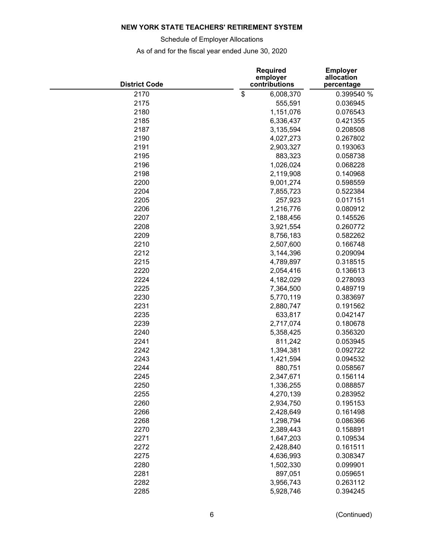Schedule of Employer Allocations

| <b>District Code</b> | <b>Required</b><br>employer<br>contributions | <b>Employer</b><br>allocation<br>percentage |
|----------------------|----------------------------------------------|---------------------------------------------|
| 2170                 | \$<br>6,008,370                              | 0.399540 %                                  |
| 2175                 | 555,591                                      | 0.036945                                    |
| 2180                 | 1,151,076                                    | 0.076543                                    |
| 2185                 | 6,336,437                                    | 0.421355                                    |
| 2187                 | 3,135,594                                    | 0.208508                                    |
| 2190                 | 4,027,273                                    | 0.267802                                    |
| 2191                 | 2,903,327                                    | 0.193063                                    |
| 2195                 | 883,323                                      | 0.058738                                    |
| 2196                 | 1,026,024                                    | 0.068228                                    |
| 2198                 | 2,119,908                                    | 0.140968                                    |
| 2200                 | 9,001,274                                    | 0.598559                                    |
| 2204                 | 7,855,723                                    | 0.522384                                    |
| 2205                 | 257,923                                      | 0.017151                                    |
| 2206                 | 1,216,776                                    | 0.080912                                    |
| 2207                 | 2,188,456                                    | 0.145526                                    |
| 2208                 | 3,921,554                                    | 0.260772                                    |
| 2209                 | 8,756,183                                    | 0.582262                                    |
| 2210                 | 2,507,600                                    | 0.166748                                    |
| 2212                 | 3,144,396                                    | 0.209094                                    |
| 2215                 | 4,789,897                                    | 0.318515                                    |
| 2220                 | 2,054,416                                    | 0.136613                                    |
| 2224                 | 4,182,029                                    | 0.278093                                    |
| 2225                 | 7,364,500                                    | 0.489719                                    |
| 2230                 | 5,770,119                                    | 0.383697                                    |
| 2231                 | 2,880,747                                    | 0.191562                                    |
| 2235                 | 633,817                                      | 0.042147                                    |
| 2239                 | 2,717,074                                    | 0.180678                                    |
| 2240                 | 5,358,425                                    | 0.356320                                    |
| 2241                 | 811,242                                      | 0.053945                                    |
| 2242                 | 1,394,381                                    | 0.092722                                    |
| 2243                 | 1,421,594                                    | 0.094532                                    |
| 2244                 | 880,751                                      | 0.058567                                    |
| 2245                 | 2,347,671                                    | 0.156114                                    |
| 2250                 | 1,336,255                                    | 0.088857                                    |
| 2255                 | 4,270,139                                    | 0.283952                                    |
| 2260                 | 2,934,750                                    | 0.195153                                    |
| 2266                 | 2,428,649                                    | 0.161498                                    |
| 2268                 | 1,298,794                                    | 0.086366                                    |
| 2270                 | 2,389,443                                    | 0.158891                                    |
| 2271                 |                                              |                                             |
| 2272                 | 1,647,203                                    | 0.109534                                    |
|                      | 2,428,840                                    | 0.161511                                    |
| 2275                 | 4,636,993                                    | 0.308347                                    |
| 2280                 | 1,502,330                                    | 0.099901                                    |
| 2281                 | 897,051                                      | 0.059651                                    |
| 2282                 | 3,956,743                                    | 0.263112                                    |
| 2285                 | 5,928,746                                    | 0.394245                                    |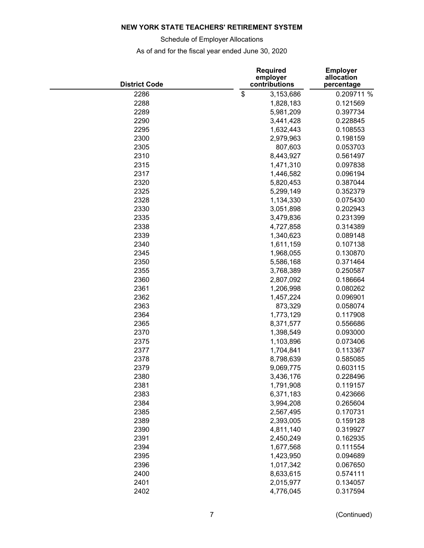Schedule of Employer Allocations

| <b>District Code</b> | <b>Required</b><br>employer<br>contributions | <b>Employer</b><br>allocation<br>percentage |
|----------------------|----------------------------------------------|---------------------------------------------|
| 2286                 | \$<br>3,153,686                              | 0.209711 %                                  |
| 2288                 | 1,828,183                                    | 0.121569                                    |
| 2289                 | 5,981,209                                    | 0.397734                                    |
| 2290                 | 3,441,428                                    | 0.228845                                    |
| 2295                 | 1,632,443                                    | 0.108553                                    |
| 2300                 | 2,979,963                                    | 0.198159                                    |
| 2305                 | 807,603                                      | 0.053703                                    |
| 2310                 | 8,443,927                                    | 0.561497                                    |
| 2315                 | 1,471,310                                    | 0.097838                                    |
| 2317                 | 1,446,582                                    | 0.096194                                    |
| 2320                 | 5,820,453                                    | 0.387044                                    |
| 2325                 | 5,299,149                                    | 0.352379                                    |
| 2328                 | 1,134,330                                    | 0.075430                                    |
| 2330                 | 3,051,898                                    | 0.202943                                    |
| 2335                 | 3,479,836                                    | 0.231399                                    |
| 2338                 | 4,727,858                                    | 0.314389                                    |
| 2339                 | 1,340,623                                    | 0.089148                                    |
| 2340                 | 1,611,159                                    | 0.107138                                    |
| 2345                 | 1,968,055                                    | 0.130870                                    |
| 2350                 | 5,586,168                                    | 0.371464                                    |
| 2355                 | 3,768,389                                    | 0.250587                                    |
| 2360                 | 2,807,092                                    | 0.186664                                    |
| 2361                 | 1,206,998                                    | 0.080262                                    |
| 2362                 | 1,457,224                                    | 0.096901                                    |
| 2363                 | 873,329                                      | 0.058074                                    |
| 2364                 | 1,773,129                                    | 0.117908                                    |
| 2365                 | 8,371,577                                    | 0.556686                                    |
| 2370                 | 1,398,549                                    | 0.093000                                    |
| 2375                 | 1,103,896                                    | 0.073406                                    |
| 2377                 | 1,704,841                                    | 0.113367                                    |
| 2378                 |                                              |                                             |
| 2379                 | 8,798,639                                    | 0.585085                                    |
|                      | 9,069,775                                    | 0.603115                                    |
| 2380                 | 3,436,176                                    | 0.228496                                    |
| 2381                 | 1,791,908                                    | 0.119157                                    |
| 2383                 | 6,371,183                                    | 0.423666                                    |
| 2384                 | 3,994,208                                    | 0.265604                                    |
| 2385                 | 2,567,495                                    | 0.170731                                    |
| 2389                 | 2,393,005                                    | 0.159128                                    |
| 2390                 | 4,811,140                                    | 0.319927                                    |
| 2391                 | 2,450,249                                    | 0.162935                                    |
| 2394                 | 1,677,568                                    | 0.111554                                    |
| 2395                 | 1,423,950                                    | 0.094689                                    |
| 2396                 | 1,017,342                                    | 0.067650                                    |
| 2400                 | 8,633,615                                    | 0.574111                                    |
| 2401                 | 2,015,977                                    | 0.134057                                    |
| 2402                 | 4,776,045                                    | 0.317594                                    |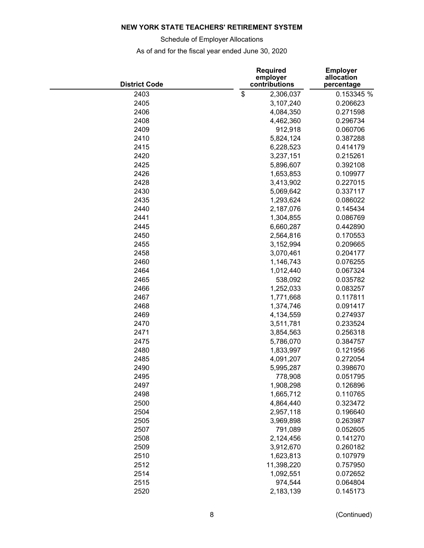Schedule of Employer Allocations

| <b>District Code</b> | <b>Required</b><br>employer<br>contributions | <b>Employer</b><br>allocation<br>percentage |
|----------------------|----------------------------------------------|---------------------------------------------|
| 2403                 | \$<br>2,306,037                              | 0.153345 %                                  |
| 2405                 | 3,107,240                                    | 0.206623                                    |
| 2406                 | 4,084,350                                    | 0.271598                                    |
| 2408                 | 4,462,360                                    | 0.296734                                    |
| 2409                 | 912,918                                      | 0.060706                                    |
| 2410                 | 5,824,124                                    | 0.387288                                    |
| 2415                 | 6,228,523                                    | 0.414179                                    |
| 2420                 | 3,237,151                                    | 0.215261                                    |
| 2425                 | 5,896,607                                    | 0.392108                                    |
| 2426                 | 1,653,853                                    | 0.109977                                    |
| 2428                 | 3,413,902                                    | 0.227015                                    |
| 2430                 | 5,069,642                                    | 0.337117                                    |
| 2435                 | 1,293,624                                    | 0.086022                                    |
| 2440                 | 2,187,076                                    | 0.145434                                    |
| 2441                 | 1,304,855                                    | 0.086769                                    |
| 2445                 | 6,660,287                                    | 0.442890                                    |
| 2450                 | 2,564,816                                    | 0.170553                                    |
| 2455                 | 3,152,994                                    | 0.209665                                    |
| 2458                 | 3,070,461                                    | 0.204177                                    |
| 2460                 | 1,146,743                                    | 0.076255                                    |
| 2464                 | 1,012,440                                    | 0.067324                                    |
| 2465                 | 538,092                                      | 0.035782                                    |
| 2466                 | 1,252,033                                    | 0.083257                                    |
| 2467                 | 1,771,668                                    | 0.117811                                    |
| 2468                 | 1,374,746                                    | 0.091417                                    |
| 2469                 | 4,134,559                                    | 0.274937                                    |
| 2470                 | 3,511,781                                    | 0.233524                                    |
| 2471                 | 3,854,563                                    | 0.256318                                    |
| 2475                 | 5,786,070                                    | 0.384757                                    |
| 2480                 | 1,833,997                                    | 0.121956                                    |
| 2485                 | 4,091,207                                    | 0.272054                                    |
| 2490                 | 5,995,287                                    | 0.398670                                    |
| 2495                 | 778,908                                      | 0.051795                                    |
| 2497                 |                                              | 0.126896                                    |
| 2498                 | 1,908,298                                    |                                             |
|                      | 1,665,712                                    | 0.110765                                    |
| 2500                 | 4,864,440                                    | 0.323472                                    |
| 2504                 | 2,957,118                                    | 0.196640                                    |
| 2505                 | 3,969,898                                    | 0.263987                                    |
| 2507                 | 791,089                                      | 0.052605                                    |
| 2508                 | 2,124,456                                    | 0.141270                                    |
| 2509                 | 3,912,670                                    | 0.260182                                    |
| 2510                 | 1,623,813                                    | 0.107979                                    |
| 2512                 | 11,398,220                                   | 0.757950                                    |
| 2514                 | 1,092,551                                    | 0.072652                                    |
| 2515                 | 974,544                                      | 0.064804                                    |
| 2520                 | 2,183,139                                    | 0.145173                                    |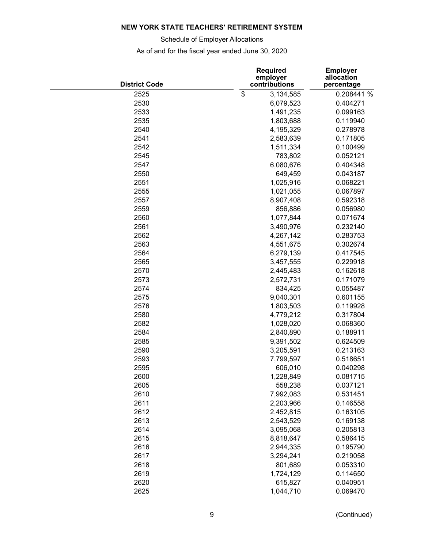Schedule of Employer Allocations

| <b>District Code</b> | <b>Required</b><br>employer<br>contributions | <b>Employer</b><br>allocation<br>percentage |
|----------------------|----------------------------------------------|---------------------------------------------|
| 2525                 | \$<br>3,134,585                              | 0.208441 %                                  |
| 2530                 | 6,079,523                                    | 0.404271                                    |
| 2533                 | 1,491,235                                    | 0.099163                                    |
| 2535                 | 1,803,688                                    | 0.119940                                    |
| 2540                 | 4,195,329                                    | 0.278978                                    |
| 2541                 | 2,583,639                                    | 0.171805                                    |
| 2542                 | 1,511,334                                    | 0.100499                                    |
| 2545                 | 783,802                                      | 0.052121                                    |
| 2547                 | 6,080,676                                    | 0.404348                                    |
| 2550                 | 649,459                                      | 0.043187                                    |
| 2551                 | 1,025,916                                    | 0.068221                                    |
| 2555                 | 1,021,055                                    | 0.067897                                    |
| 2557                 | 8,907,408                                    | 0.592318                                    |
| 2559                 | 856,886                                      | 0.056980                                    |
| 2560                 | 1,077,844                                    | 0.071674                                    |
| 2561                 | 3,490,976                                    | 0.232140                                    |
| 2562                 | 4,267,142                                    | 0.283753                                    |
| 2563                 | 4,551,675                                    | 0.302674                                    |
| 2564                 | 6,279,139                                    | 0.417545                                    |
| 2565                 | 3,457,555                                    | 0.229918                                    |
| 2570                 | 2,445,483                                    | 0.162618                                    |
| 2573                 | 2,572,731                                    | 0.171079                                    |
| 2574                 | 834,425                                      | 0.055487                                    |
| 2575                 | 9,040,301                                    | 0.601155                                    |
| 2576                 | 1,803,503                                    | 0.119928                                    |
| 2580                 | 4,779,212                                    | 0.317804                                    |
| 2582                 |                                              |                                             |
|                      | 1,028,020                                    | 0.068360                                    |
| 2584                 | 2,840,890                                    | 0.188911                                    |
| 2585                 | 9,391,502                                    | 0.624509                                    |
| 2590                 | 3,205,591                                    | 0.213163                                    |
| 2593                 | 7,799,597                                    | 0.518651                                    |
| 2595                 | 606,010                                      | 0.040298                                    |
| 2600                 | 1,228,849                                    | 0.081715                                    |
| 2605                 | 558,238                                      | 0.037121                                    |
| 2610                 | 7,992,083                                    | 0.531451                                    |
| 2611                 | 2,203,966                                    | 0.146558                                    |
| 2612                 | 2,452,815                                    | 0.163105                                    |
| 2613                 | 2,543,529                                    | 0.169138                                    |
| 2614                 | 3,095,068                                    | 0.205813                                    |
| 2615                 | 8,818,647                                    | 0.586415                                    |
| 2616                 | 2,944,335                                    | 0.195790                                    |
| 2617                 | 3,294,241                                    | 0.219058                                    |
| 2618                 | 801,689                                      | 0.053310                                    |
| 2619                 | 1,724,129                                    | 0.114650                                    |
| 2620                 | 615,827                                      | 0.040951                                    |
| 2625                 | 1,044,710                                    | 0.069470                                    |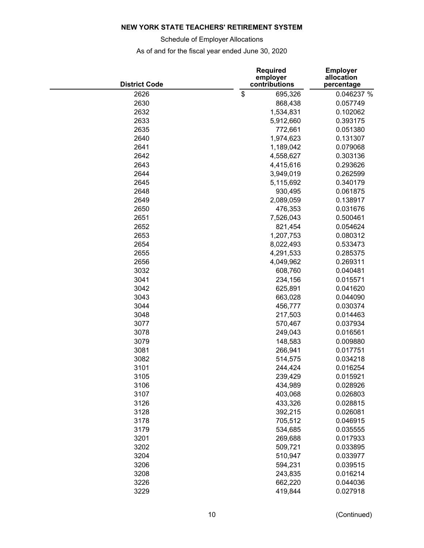Schedule of Employer Allocations

| <b>District Code</b> | <b>Required</b><br>employer<br>contributions | <b>Employer</b><br>allocation<br>percentage |
|----------------------|----------------------------------------------|---------------------------------------------|
| 2626                 | \$<br>695,326                                | 0.046237 %                                  |
| 2630                 | 868,438                                      | 0.057749                                    |
| 2632                 | 1,534,831                                    | 0.102062                                    |
| 2633                 | 5,912,660                                    | 0.393175                                    |
| 2635                 | 772,661                                      | 0.051380                                    |
| 2640                 | 1,974,623                                    | 0.131307                                    |
| 2641                 | 1,189,042                                    | 0.079068                                    |
| 2642                 | 4,558,627                                    | 0.303136                                    |
| 2643                 | 4,415,616                                    | 0.293626                                    |
| 2644                 | 3,949,019                                    | 0.262599                                    |
| 2645                 | 5,115,692                                    | 0.340179                                    |
| 2648                 | 930,495                                      | 0.061875                                    |
| 2649                 | 2,089,059                                    | 0.138917                                    |
| 2650                 | 476,353                                      | 0.031676                                    |
| 2651                 | 7,526,043                                    | 0.500461                                    |
| 2652                 | 821,454                                      | 0.054624                                    |
| 2653                 | 1,207,753                                    | 0.080312                                    |
| 2654                 | 8,022,493                                    | 0.533473                                    |
| 2655                 | 4,291,533                                    | 0.285375                                    |
| 2656                 | 4,049,962                                    | 0.269311                                    |
| 3032                 | 608,760                                      | 0.040481                                    |
| 3041                 | 234,156                                      | 0.015571                                    |
| 3042                 | 625,891                                      | 0.041620                                    |
| 3043                 | 663,028                                      | 0.044090                                    |
| 3044                 | 456,777                                      | 0.030374                                    |
| 3048                 | 217,503                                      | 0.014463                                    |
| 3077                 | 570,467                                      | 0.037934                                    |
| 3078                 | 249,043                                      | 0.016561                                    |
| 3079                 | 148,583                                      | 0.009880                                    |
| 3081                 | 266,941                                      | 0.017751                                    |
| 3082                 | 514,575                                      | 0.034218                                    |
| 3101                 |                                              |                                             |
|                      | 244,424                                      | 0.016254                                    |
| 3105                 | 239,429                                      | 0.015921                                    |
| 3106                 | 434,989                                      | 0.028926                                    |
| 3107                 | 403,068                                      | 0.026803                                    |
| 3126                 | 433,326                                      | 0.028815                                    |
| 3128                 | 392,215                                      | 0.026081                                    |
| 3178                 | 705,512                                      | 0.046915                                    |
| 3179                 | 534,685                                      | 0.035555                                    |
| 3201                 | 269,688                                      | 0.017933                                    |
| 3202                 | 509,721                                      | 0.033895                                    |
| 3204                 | 510,947                                      | 0.033977                                    |
| 3206                 | 594,231                                      | 0.039515                                    |
| 3208                 | 243,835                                      | 0.016214                                    |
| 3226                 | 662,220                                      | 0.044036                                    |
| 3229                 | 419,844                                      | 0.027918                                    |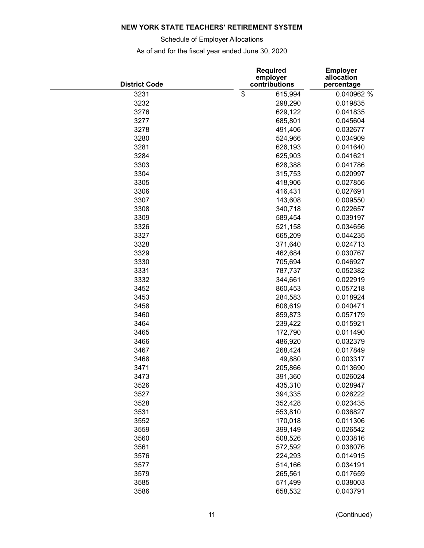Schedule of Employer Allocations

| <b>District Code</b> | <b>Required</b><br>employer<br>contributions | <b>Employer</b><br>allocation<br>percentage |
|----------------------|----------------------------------------------|---------------------------------------------|
| 3231                 | \$<br>615,994                                | 0.040962 %                                  |
| 3232                 | 298,290                                      | 0.019835                                    |
| 3276                 | 629,122                                      | 0.041835                                    |
| 3277                 | 685,801                                      | 0.045604                                    |
| 3278                 | 491,406                                      | 0.032677                                    |
| 3280                 | 524,966                                      | 0.034909                                    |
| 3281                 | 626,193                                      | 0.041640                                    |
| 3284                 | 625,903                                      | 0.041621                                    |
| 3303                 | 628,388                                      | 0.041786                                    |
| 3304                 | 315,753                                      | 0.020997                                    |
| 3305                 | 418,906                                      | 0.027856                                    |
| 3306                 | 416,431                                      | 0.027691                                    |
| 3307                 | 143,608                                      | 0.009550                                    |
| 3308                 | 340,718                                      | 0.022657                                    |
| 3309                 | 589,454                                      | 0.039197                                    |
| 3326                 | 521,158                                      | 0.034656                                    |
| 3327                 | 665,209                                      | 0.044235                                    |
| 3328                 | 371,640                                      | 0.024713                                    |
| 3329                 | 462,684                                      | 0.030767                                    |
| 3330                 | 705,694                                      | 0.046927                                    |
| 3331                 | 787,737                                      | 0.052382                                    |
| 3332                 | 344,661                                      | 0.022919                                    |
| 3452                 | 860,453                                      | 0.057218                                    |
| 3453                 | 284,583                                      | 0.018924                                    |
| 3458                 | 608,619                                      | 0.040471                                    |
| 3460                 | 859,873                                      | 0.057179                                    |
| 3464                 | 239,422                                      | 0.015921                                    |
| 3465                 | 172,790                                      | 0.011490                                    |
| 3466                 | 486,920                                      | 0.032379                                    |
| 3467                 | 268,424                                      | 0.017849                                    |
| 3468                 | 49,880                                       | 0.003317                                    |
| 3471                 | 205,866                                      | 0.013690                                    |
| 3473                 | 391,360                                      | 0.026024                                    |
| 3526                 | 435,310                                      | 0.028947                                    |
| 3527                 | 394,335                                      | 0.026222                                    |
| 3528                 | 352,428                                      | 0.023435                                    |
| 3531                 | 553,810                                      | 0.036827                                    |
| 3552                 | 170,018                                      | 0.011306                                    |
| 3559                 | 399,149                                      | 0.026542                                    |
| 3560                 | 508,526                                      | 0.033816                                    |
|                      |                                              | 0.038076                                    |
| 3561                 | 572,592                                      |                                             |
| 3576                 | 224,293                                      | 0.014915                                    |
| 3577                 | 514,166                                      | 0.034191                                    |
| 3579                 | 265,561                                      | 0.017659                                    |
| 3585                 | 571,499                                      | 0.038003                                    |
| 3586                 | 658,532                                      | 0.043791                                    |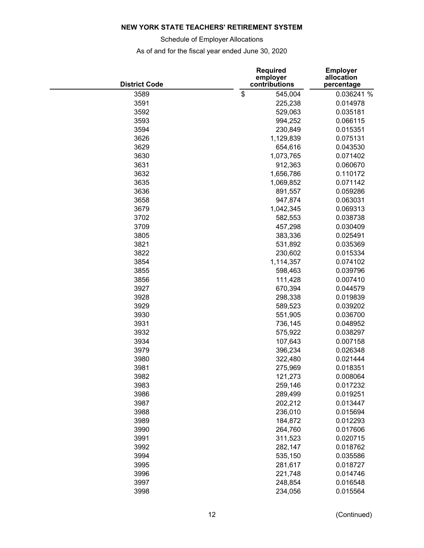Schedule of Employer Allocations

| <b>District Code</b> | <b>Required</b><br>employer<br>contributions | <b>Employer</b><br>allocation<br>percentage |
|----------------------|----------------------------------------------|---------------------------------------------|
| 3589                 | \$<br>545,004                                | 0.036241 %                                  |
| 3591                 | 225,238                                      | 0.014978                                    |
| 3592                 | 529,063                                      | 0.035181                                    |
| 3593                 | 994,252                                      | 0.066115                                    |
| 3594                 | 230,849                                      | 0.015351                                    |
| 3626                 | 1,129,839                                    | 0.075131                                    |
| 3629                 | 654,616                                      | 0.043530                                    |
| 3630                 | 1,073,765                                    | 0.071402                                    |
| 3631                 | 912,363                                      | 0.060670                                    |
| 3632                 | 1,656,786                                    | 0.110172                                    |
| 3635                 | 1,069,852                                    | 0.071142                                    |
| 3636                 | 891,557                                      | 0.059286                                    |
| 3658                 | 947,874                                      | 0.063031                                    |
| 3679                 | 1,042,345                                    | 0.069313                                    |
| 3702                 | 582,553                                      | 0.038738                                    |
| 3709                 | 457,298                                      | 0.030409                                    |
| 3805                 | 383,336                                      | 0.025491                                    |
| 3821                 | 531,892                                      | 0.035369                                    |
| 3822                 | 230,602                                      | 0.015334                                    |
| 3854                 | 1,114,357                                    | 0.074102                                    |
| 3855                 | 598,463                                      | 0.039796                                    |
| 3856                 | 111,428                                      | 0.007410                                    |
| 3927                 | 670,394                                      | 0.044579                                    |
| 3928                 | 298,338                                      | 0.019839                                    |
| 3929                 | 589,523                                      | 0.039202                                    |
| 3930                 | 551,905                                      | 0.036700                                    |
| 3931                 | 736,145                                      | 0.048952                                    |
| 3932                 | 575,922                                      | 0.038297                                    |
| 3934                 | 107,643                                      | 0.007158                                    |
| 3979                 | 396,234                                      | 0.026348                                    |
| 3980                 | 322,480                                      | 0.021444                                    |
| 3981                 | 275,969                                      | 0.018351                                    |
| 3982                 | 121,273                                      | 0.008064                                    |
| 3983                 | 259,146                                      | 0.017232                                    |
| 3986                 | 289,499                                      | 0.019251                                    |
| 3987                 | 202,212                                      | 0.013447                                    |
| 3988                 | 236,010                                      | 0.015694                                    |
| 3989                 | 184,872                                      | 0.012293                                    |
| 3990                 | 264,760                                      | 0.017606                                    |
| 3991                 | 311,523                                      | 0.020715                                    |
| 3992                 | 282,147                                      | 0.018762                                    |
| 3994                 | 535,150                                      | 0.035586                                    |
| 3995                 | 281,617                                      | 0.018727                                    |
| 3996                 | 221,748                                      | 0.014746                                    |
| 3997                 | 248,854                                      | 0.016548                                    |
| 3998                 | 234,056                                      | 0.015564                                    |
|                      |                                              |                                             |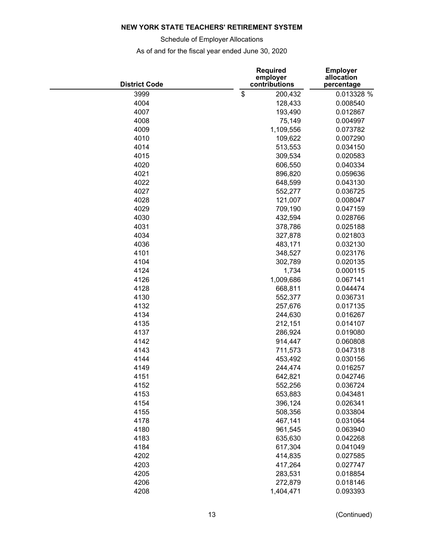Schedule of Employer Allocations

| <b>District Code</b> | <b>Required</b><br>employer<br>contributions | <b>Employer</b><br>allocation<br>percentage |  |  |
|----------------------|----------------------------------------------|---------------------------------------------|--|--|
| 3999                 | \$<br>200,432                                | 0.013328 %                                  |  |  |
| 4004                 | 128,433                                      | 0.008540                                    |  |  |
| 4007                 | 193,490                                      | 0.012867                                    |  |  |
| 4008                 | 75,149                                       | 0.004997                                    |  |  |
| 4009                 | 1,109,556                                    | 0.073782                                    |  |  |
| 4010                 | 109,622                                      | 0.007290                                    |  |  |
| 4014                 | 513,553                                      | 0.034150                                    |  |  |
| 4015                 | 309,534                                      | 0.020583                                    |  |  |
| 4020                 | 606,550                                      | 0.040334                                    |  |  |
| 4021                 | 896,820                                      | 0.059636                                    |  |  |
| 4022                 | 648,599                                      | 0.043130                                    |  |  |
| 4027                 | 552,277                                      | 0.036725                                    |  |  |
| 4028                 | 121,007                                      | 0.008047                                    |  |  |
| 4029                 | 709,190                                      | 0.047159                                    |  |  |
| 4030                 | 432,594                                      | 0.028766                                    |  |  |
| 4031                 | 378,786                                      | 0.025188                                    |  |  |
| 4034                 | 327,878                                      | 0.021803                                    |  |  |
| 4036                 | 483,171                                      | 0.032130                                    |  |  |
| 4101                 | 348,527                                      | 0.023176                                    |  |  |
| 4104                 | 302,789                                      | 0.020135                                    |  |  |
| 4124                 | 1,734                                        | 0.000115                                    |  |  |
| 4126                 | 1,009,686                                    | 0.067141                                    |  |  |
| 4128                 | 668,811                                      | 0.044474                                    |  |  |
| 4130                 | 552,377                                      | 0.036731                                    |  |  |
| 4132                 | 257,676                                      | 0.017135                                    |  |  |
| 4134                 | 244,630                                      | 0.016267                                    |  |  |
| 4135                 | 212,151                                      | 0.014107                                    |  |  |
| 4137                 | 286,924                                      | 0.019080                                    |  |  |
| 4142                 | 914,447                                      | 0.060808                                    |  |  |
| 4143                 | 711,573                                      | 0.047318                                    |  |  |
| 4144                 | 453,492                                      | 0.030156                                    |  |  |
| 4149                 | 244,474                                      | 0.016257                                    |  |  |
| 4151                 | 642,821                                      | 0.042746                                    |  |  |
| 4152                 | 552,256                                      | 0.036724                                    |  |  |
| 4153                 | 653,883                                      | 0.043481                                    |  |  |
| 4154                 | 396,124                                      | 0.026341                                    |  |  |
| 4155                 | 508,356                                      | 0.033804                                    |  |  |
| 4178                 | 467,141                                      | 0.031064                                    |  |  |
| 4180                 | 961,545                                      | 0.063940                                    |  |  |
|                      | 635,630                                      |                                             |  |  |
| 4183<br>4184         | 617,304                                      | 0.042268                                    |  |  |
|                      |                                              | 0.041049                                    |  |  |
| 4202                 | 414,835                                      | 0.027585                                    |  |  |
| 4203                 | 417,264                                      | 0.027747                                    |  |  |
| 4205                 | 283,531                                      | 0.018854                                    |  |  |
| 4206                 | 272,879                                      | 0.018146                                    |  |  |
| 4208                 | 1,404,471                                    | 0.093393                                    |  |  |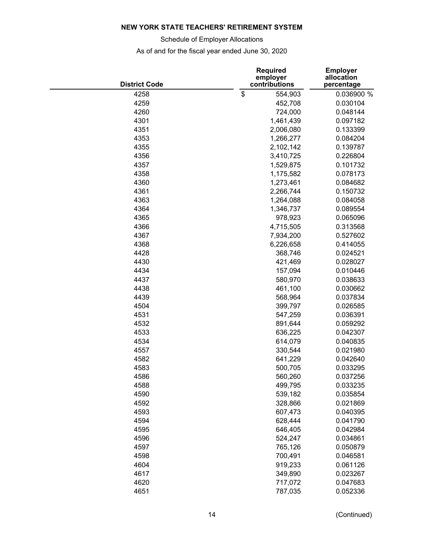Schedule of Employer Allocations

| <b>District Code</b> | <b>Required</b><br>employer<br>contributions | <b>Employer</b><br>allocation<br>percentage |  |  |
|----------------------|----------------------------------------------|---------------------------------------------|--|--|
| 4258                 | \$<br>554,903                                | 0.036900 %                                  |  |  |
| 4259                 | 452,708                                      | 0.030104                                    |  |  |
| 4260                 | 724,000                                      | 0.048144                                    |  |  |
| 4301                 | 1,461,439                                    | 0.097182                                    |  |  |
| 4351                 | 2,006,080                                    | 0.133399                                    |  |  |
| 4353                 | 1,266,277                                    | 0.084204                                    |  |  |
| 4355                 | 2,102,142                                    | 0.139787                                    |  |  |
| 4356                 | 3,410,725                                    | 0.226804                                    |  |  |
| 4357                 | 1,529,875                                    | 0.101732                                    |  |  |
| 4358                 | 1,175,582                                    | 0.078173                                    |  |  |
| 4360                 | 1,273,461                                    | 0.084682                                    |  |  |
| 4361                 | 2,266,744                                    | 0.150732                                    |  |  |
| 4363                 | 1,264,088                                    | 0.084058                                    |  |  |
| 4364                 | 1,346,737                                    | 0.089554                                    |  |  |
| 4365                 | 978,923                                      | 0.065096                                    |  |  |
| 4366                 | 4,715,505                                    | 0.313568                                    |  |  |
| 4367                 | 7,934,200                                    | 0.527602                                    |  |  |
| 4368                 | 6,226,658                                    | 0.414055                                    |  |  |
| 4428                 | 368,746                                      | 0.024521                                    |  |  |
| 4430                 | 421,469                                      | 0.028027                                    |  |  |
| 4434                 | 157,094                                      | 0.010446                                    |  |  |
| 4437                 | 580,970                                      | 0.038633                                    |  |  |
| 4438                 | 461,100                                      | 0.030662                                    |  |  |
| 4439                 | 568,964                                      | 0.037834                                    |  |  |
| 4504                 | 399,797                                      | 0.026585                                    |  |  |
| 4531                 | 547,259                                      | 0.036391                                    |  |  |
| 4532                 | 891,644                                      | 0.059292                                    |  |  |
| 4533                 | 636,225                                      | 0.042307                                    |  |  |
| 4534                 | 614,079                                      | 0.040835                                    |  |  |
| 4557                 | 330,544                                      | 0.021980                                    |  |  |
| 4582                 | 641,229                                      | 0.042640                                    |  |  |
| 4583                 | 500,705                                      | 0.033295                                    |  |  |
| 4586                 | 560,260                                      | 0.037256                                    |  |  |
| 4588                 | 499,795                                      | 0.033235                                    |  |  |
| 4590                 | 539,182                                      | 0.035854                                    |  |  |
| 4592                 | 328,866                                      | 0.021869                                    |  |  |
| 4593                 | 607,473                                      | 0.040395                                    |  |  |
| 4594                 | 628,444                                      | 0.041790                                    |  |  |
| 4595                 | 646,405                                      |                                             |  |  |
|                      | 524,247                                      | 0.042984                                    |  |  |
| 4596                 |                                              | 0.034861                                    |  |  |
| 4597                 | 765,126                                      | 0.050879                                    |  |  |
| 4598                 | 700,491                                      | 0.046581                                    |  |  |
| 4604                 | 919,233                                      | 0.061126                                    |  |  |
| 4617                 | 349,890                                      | 0.023267                                    |  |  |
| 4620                 | 717,072                                      | 0.047683                                    |  |  |
| 4651                 | 787,035                                      | 0.052336                                    |  |  |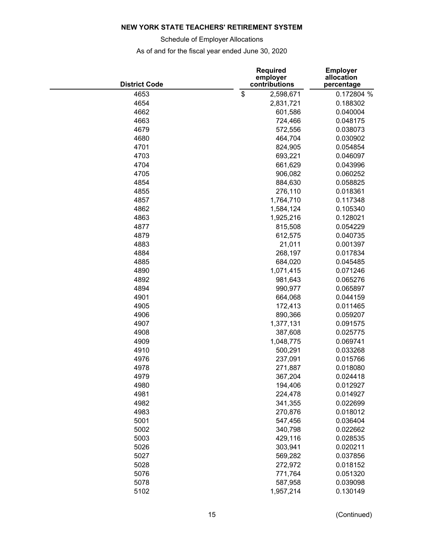Schedule of Employer Allocations

| <b>District Code</b> | <b>Required</b><br>employer<br>contributions | <b>Employer</b><br>allocation<br>percentage |  |  |
|----------------------|----------------------------------------------|---------------------------------------------|--|--|
| 4653                 | \$<br>2,598,671                              | 0.172804 %                                  |  |  |
| 4654                 | 2,831,721                                    | 0.188302                                    |  |  |
| 4662                 | 601,586                                      | 0.040004                                    |  |  |
| 4663                 | 724,466                                      | 0.048175                                    |  |  |
| 4679                 | 572,556                                      | 0.038073                                    |  |  |
| 4680                 | 464,704                                      | 0.030902                                    |  |  |
| 4701                 | 824,905                                      | 0.054854                                    |  |  |
| 4703                 | 693,221                                      | 0.046097                                    |  |  |
| 4704                 | 661,629                                      | 0.043996                                    |  |  |
| 4705                 | 906,082                                      | 0.060252                                    |  |  |
| 4854                 | 884,630                                      | 0.058825                                    |  |  |
| 4855                 | 276,110                                      | 0.018361                                    |  |  |
| 4857                 | 1,764,710                                    | 0.117348                                    |  |  |
| 4862                 | 1,584,124                                    | 0.105340                                    |  |  |
| 4863                 | 1,925,216                                    | 0.128021                                    |  |  |
| 4877                 | 815,508                                      | 0.054229                                    |  |  |
| 4879                 | 612,575                                      | 0.040735                                    |  |  |
| 4883                 | 21,011                                       | 0.001397                                    |  |  |
| 4884                 | 268,197                                      | 0.017834                                    |  |  |
| 4885                 | 684,020                                      | 0.045485                                    |  |  |
| 4890                 | 1,071,415                                    | 0.071246                                    |  |  |
| 4892                 | 981,643                                      | 0.065276                                    |  |  |
| 4894                 | 990,977                                      | 0.065897                                    |  |  |
| 4901                 | 664,068                                      | 0.044159                                    |  |  |
| 4905                 | 172,413                                      | 0.011465                                    |  |  |
| 4906                 | 890,366                                      | 0.059207                                    |  |  |
| 4907                 | 1,377,131                                    | 0.091575                                    |  |  |
| 4908                 | 387,608                                      | 0.025775                                    |  |  |
| 4909                 | 1,048,775                                    | 0.069741                                    |  |  |
| 4910                 | 500,291                                      | 0.033268                                    |  |  |
| 4976                 | 237,091                                      | 0.015766                                    |  |  |
| 4978                 | 271,887                                      | 0.018080                                    |  |  |
| 4979                 | 367,204                                      | 0.024418                                    |  |  |
| 4980                 | 194,406                                      | 0.012927                                    |  |  |
| 4981                 | 224,478                                      | 0.014927                                    |  |  |
| 4982                 | 341,355                                      | 0.022699                                    |  |  |
| 4983                 | 270,876                                      | 0.018012                                    |  |  |
| 5001                 | 547,456                                      | 0.036404                                    |  |  |
| 5002                 | 340,798                                      | 0.022662                                    |  |  |
| 5003                 | 429,116                                      | 0.028535                                    |  |  |
| 5026                 | 303,941                                      | 0.020211                                    |  |  |
| 5027                 | 569,282                                      | 0.037856                                    |  |  |
| 5028                 | 272,972                                      | 0.018152                                    |  |  |
| 5076                 | 771,764                                      | 0.051320                                    |  |  |
| 5078                 | 587,958                                      | 0.039098                                    |  |  |
| 5102                 | 1,957,214                                    | 0.130149                                    |  |  |
|                      |                                              |                                             |  |  |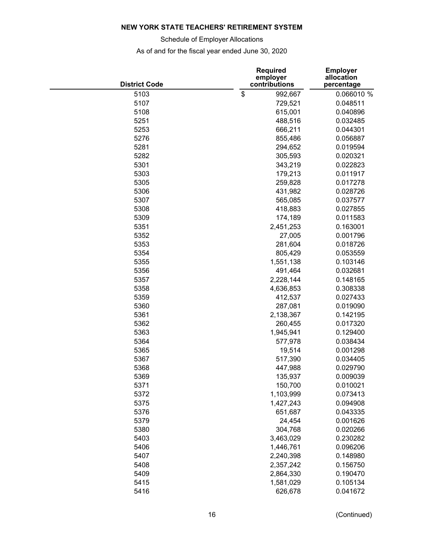Schedule of Employer Allocations

| <b>District Code</b> | <b>Required</b><br>employer<br>contributions | <b>Employer</b><br>allocation<br>percentage |  |  |
|----------------------|----------------------------------------------|---------------------------------------------|--|--|
| 5103                 | \$<br>992,667                                | 0.066010 %                                  |  |  |
| 5107                 | 729,521                                      | 0.048511                                    |  |  |
| 5108                 | 615,001                                      | 0.040896                                    |  |  |
| 5251                 | 488,516                                      | 0.032485                                    |  |  |
| 5253                 | 666,211                                      | 0.044301                                    |  |  |
| 5276                 | 855,486                                      | 0.056887                                    |  |  |
| 5281                 | 294,652                                      | 0.019594                                    |  |  |
| 5282                 | 305,593                                      | 0.020321                                    |  |  |
| 5301                 | 343,219                                      | 0.022823                                    |  |  |
| 5303                 | 179,213                                      | 0.011917                                    |  |  |
| 5305                 | 259,828                                      | 0.017278                                    |  |  |
| 5306                 | 431,982                                      | 0.028726                                    |  |  |
| 5307                 | 565,085                                      | 0.037577                                    |  |  |
| 5308                 | 418,883                                      | 0.027855                                    |  |  |
| 5309                 | 174,189                                      | 0.011583                                    |  |  |
| 5351                 | 2,451,253                                    | 0.163001                                    |  |  |
| 5352                 | 27,005                                       | 0.001796                                    |  |  |
| 5353                 | 281,604                                      | 0.018726                                    |  |  |
| 5354                 | 805,429                                      | 0.053559                                    |  |  |
| 5355                 | 1,551,138                                    | 0.103146                                    |  |  |
| 5356                 | 491,464                                      | 0.032681                                    |  |  |
| 5357                 | 2,228,144                                    | 0.148165                                    |  |  |
| 5358                 | 4,636,853                                    | 0.308338                                    |  |  |
| 5359                 | 412,537                                      | 0.027433                                    |  |  |
| 5360                 | 287,081                                      | 0.019090                                    |  |  |
| 5361                 | 2,138,367                                    | 0.142195                                    |  |  |
| 5362                 | 260,455                                      | 0.017320                                    |  |  |
| 5363                 | 1,945,941                                    | 0.129400                                    |  |  |
| 5364                 | 577,978                                      | 0.038434                                    |  |  |
| 5365                 | 19,514                                       | 0.001298                                    |  |  |
| 5367                 | 517,390                                      | 0.034405                                    |  |  |
| 5368                 | 447,988                                      | 0.029790                                    |  |  |
| 5369                 | 135,937                                      | 0.009039                                    |  |  |
| 5371                 | 150,700                                      | 0.010021                                    |  |  |
| 5372                 | 1,103,999                                    | 0.073413                                    |  |  |
| 5375                 | 1,427,243                                    | 0.094908                                    |  |  |
| 5376                 | 651,687                                      | 0.043335                                    |  |  |
| 5379                 | 24,454                                       | 0.001626                                    |  |  |
| 5380                 | 304,768                                      | 0.020266                                    |  |  |
|                      | 3,463,029                                    |                                             |  |  |
| 5403                 |                                              | 0.230282                                    |  |  |
| 5406<br>5407         | 1,446,761                                    | 0.096206                                    |  |  |
|                      | 2,240,398                                    | 0.148980                                    |  |  |
| 5408                 | 2,357,242                                    | 0.156750                                    |  |  |
| 5409                 | 2,864,330                                    | 0.190470                                    |  |  |
| 5415                 | 1,581,029                                    | 0.105134                                    |  |  |
| 5416                 | 626,678                                      | 0.041672                                    |  |  |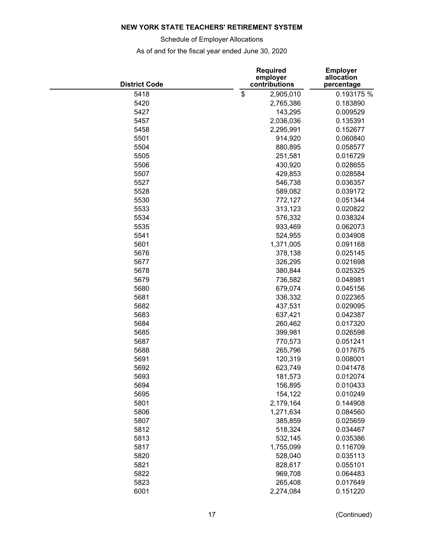Schedule of Employer Allocations

| <b>District Code</b> | <b>Required</b><br>employer<br>contributions | <b>Employer</b><br>allocation<br>percentage |  |  |
|----------------------|----------------------------------------------|---------------------------------------------|--|--|
| 5418                 | \$<br>2,905,010                              | 0.193175 %                                  |  |  |
| 5420                 | 2,765,386                                    | 0.183890                                    |  |  |
| 5427                 | 143,295                                      | 0.009529                                    |  |  |
| 5457                 | 2,036,036                                    | 0.135391                                    |  |  |
| 5458                 | 2,295,991                                    | 0.152677                                    |  |  |
| 5501                 | 914,920                                      | 0.060840                                    |  |  |
| 5504                 | 880,895                                      | 0.058577                                    |  |  |
| 5505                 | 251,581                                      | 0.016729                                    |  |  |
| 5506                 | 430,920                                      | 0.028655                                    |  |  |
| 5507                 | 429,853                                      | 0.028584                                    |  |  |
| 5527                 | 546,738                                      | 0.036357                                    |  |  |
| 5528                 | 589,082                                      | 0.039172                                    |  |  |
| 5530                 | 772,127                                      | 0.051344                                    |  |  |
| 5533                 | 313,123                                      | 0.020822                                    |  |  |
| 5534                 | 576,332                                      | 0.038324                                    |  |  |
| 5535                 | 933,469                                      | 0.062073                                    |  |  |
| 5541                 | 524,955                                      | 0.034908                                    |  |  |
| 5601                 | 1,371,005                                    | 0.091168                                    |  |  |
| 5676                 | 378,138                                      | 0.025145                                    |  |  |
| 5677                 | 326,295                                      | 0.021698                                    |  |  |
| 5678                 | 380,844                                      | 0.025325                                    |  |  |
| 5679                 | 736,582                                      | 0.048981                                    |  |  |
| 5680                 | 679,074                                      | 0.045156                                    |  |  |
| 5681                 | 336,332                                      | 0.022365                                    |  |  |
| 5682                 | 437,531                                      | 0.029095                                    |  |  |
| 5683                 | 637,421                                      | 0.042387                                    |  |  |
| 5684                 | 260,462                                      | 0.017320                                    |  |  |
| 5685                 | 399,981                                      | 0.026598                                    |  |  |
| 5687                 | 770,573                                      | 0.051241                                    |  |  |
| 5688                 | 265,796                                      | 0.017675                                    |  |  |
| 5691                 | 120,319                                      | 0.008001                                    |  |  |
| 5692                 | 623,749                                      | 0.041478                                    |  |  |
| 5693                 | 181,573                                      | 0.012074                                    |  |  |
| 5694                 | 156,895                                      | 0.010433                                    |  |  |
| 5695                 | 154,122                                      | 0.010249                                    |  |  |
| 5801                 | 2,179,164                                    | 0.144908                                    |  |  |
| 5806                 | 1,271,634                                    | 0.084560                                    |  |  |
| 5807                 | 385,859                                      | 0.025659                                    |  |  |
| 5812                 | 518,324                                      | 0.034467                                    |  |  |
| 5813                 | 532,145                                      | 0.035386                                    |  |  |
| 5817                 | 1,755,099                                    | 0.116709                                    |  |  |
| 5820                 | 528,040                                      | 0.035113                                    |  |  |
| 5821                 | 828,617                                      | 0.055101                                    |  |  |
| 5822                 | 969,708                                      | 0.064483                                    |  |  |
| 5823                 | 265,408                                      | 0.017649                                    |  |  |
| 6001                 | 2,274,084                                    | 0.151220                                    |  |  |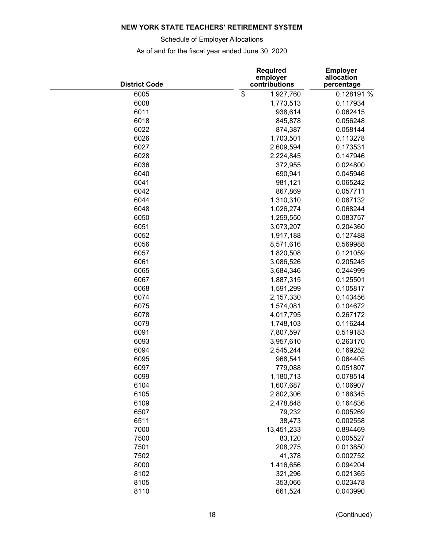Schedule of Employer Allocations

| <b>District Code</b> | <b>Required</b><br>employer<br>contributions | <b>Employer</b><br>allocation<br>percentage |  |  |
|----------------------|----------------------------------------------|---------------------------------------------|--|--|
| 6005                 | \$<br>1,927,760                              | 0.128191 %                                  |  |  |
| 6008                 | 1,773,513                                    | 0.117934                                    |  |  |
| 6011                 | 938,614                                      | 0.062415                                    |  |  |
| 6018                 | 845,878                                      | 0.056248                                    |  |  |
| 6022                 | 874,387                                      | 0.058144                                    |  |  |
| 6026                 | 1,703,501                                    | 0.113278                                    |  |  |
| 6027                 | 2,609,594                                    | 0.173531                                    |  |  |
| 6028                 | 2,224,845                                    | 0.147946                                    |  |  |
| 6036                 | 372,955                                      | 0.024800                                    |  |  |
| 6040                 | 690,941                                      | 0.045946                                    |  |  |
| 6041                 | 981,121                                      | 0.065242                                    |  |  |
| 6042                 | 867,869                                      | 0.057711                                    |  |  |
| 6044                 | 1,310,310                                    | 0.087132                                    |  |  |
| 6048                 | 1,026,274                                    | 0.068244                                    |  |  |
| 6050                 | 1,259,550                                    | 0.083757                                    |  |  |
| 6051                 | 3,073,207                                    | 0.204360                                    |  |  |
| 6052                 | 1,917,188                                    | 0.127488                                    |  |  |
| 6056                 | 8,571,616                                    | 0.569988                                    |  |  |
| 6057                 | 1,820,508                                    | 0.121059                                    |  |  |
| 6061                 | 3,086,526                                    | 0.205245                                    |  |  |
| 6065                 | 3,684,346                                    | 0.244999                                    |  |  |
| 6067                 | 1,887,315                                    | 0.125501                                    |  |  |
| 6068                 | 1,591,299                                    | 0.105817                                    |  |  |
| 6074                 | 2,157,330                                    | 0.143456                                    |  |  |
| 6075                 | 1,574,081                                    | 0.104672                                    |  |  |
| 6078                 | 4,017,795                                    | 0.267172                                    |  |  |
| 6079                 | 1,748,103                                    | 0.116244                                    |  |  |
| 6091                 | 7,807,597                                    | 0.519183                                    |  |  |
| 6093                 | 3,957,610                                    | 0.263170                                    |  |  |
| 6094                 | 2,545,244                                    | 0.169252                                    |  |  |
| 6095                 | 968,541                                      | 0.064405                                    |  |  |
| 6097                 | 779,088                                      | 0.051807                                    |  |  |
| 6099                 | 1,180,713                                    | 0.078514                                    |  |  |
| 6104                 | 1,607,687                                    | 0.106907                                    |  |  |
| 6105                 | 2,802,306                                    | 0.186345                                    |  |  |
| 6109                 | 2,478,848                                    | 0.164836                                    |  |  |
| 6507                 | 79,232                                       | 0.005269                                    |  |  |
| 6511                 | 38,473                                       | 0.002558                                    |  |  |
| 7000                 | 13,451,233                                   | 0.894469                                    |  |  |
|                      | 83,120                                       | 0.005527                                    |  |  |
| 7500                 |                                              |                                             |  |  |
| 7501<br>7502         | 208,275                                      | 0.013850                                    |  |  |
|                      | 41,378                                       | 0.002752                                    |  |  |
| 8000                 | 1,416,656                                    | 0.094204                                    |  |  |
| 8102                 | 321,296                                      | 0.021365                                    |  |  |
| 8105                 | 353,066                                      | 0.023478                                    |  |  |
| 8110                 | 661,524                                      | 0.043990                                    |  |  |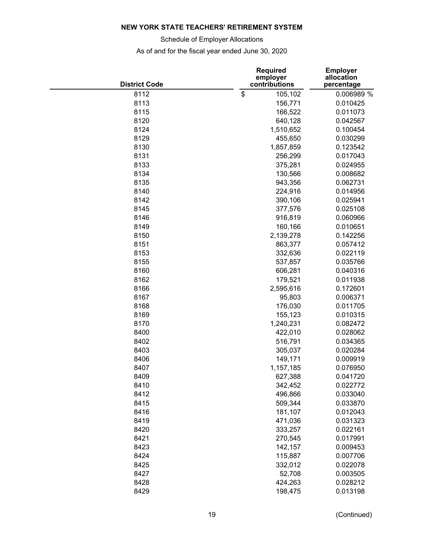Schedule of Employer Allocations

| <b>District Code</b> | <b>Required</b><br>employer<br>contributions | <b>Employer</b><br>allocation<br>percentage |  |  |
|----------------------|----------------------------------------------|---------------------------------------------|--|--|
| 8112                 | \$<br>105,102                                | 0.006989 %                                  |  |  |
| 8113                 | 156,771                                      | 0.010425                                    |  |  |
| 8115                 | 166,522                                      | 0.011073                                    |  |  |
| 8120                 | 640,128                                      | 0.042567                                    |  |  |
| 8124                 | 1,510,652                                    | 0.100454                                    |  |  |
| 8129                 | 455,650                                      | 0.030299                                    |  |  |
| 8130                 | 1,857,859                                    | 0.123542                                    |  |  |
| 8131                 | 256,299                                      | 0.017043                                    |  |  |
| 8133                 | 375,281                                      | 0.024955                                    |  |  |
| 8134                 | 130,566                                      | 0.008682                                    |  |  |
| 8135                 | 943,356                                      | 0.062731                                    |  |  |
| 8140                 | 224,916                                      | 0.014956                                    |  |  |
| 8142                 | 390,106                                      | 0.025941                                    |  |  |
| 8145                 | 377,576                                      | 0.025108                                    |  |  |
| 8146                 | 916,819                                      | 0.060966                                    |  |  |
| 8149                 | 160,166                                      | 0.010651                                    |  |  |
| 8150                 | 2,139,278                                    | 0.142256                                    |  |  |
| 8151                 | 863,377                                      | 0.057412                                    |  |  |
| 8153                 | 332,636                                      | 0.022119                                    |  |  |
| 8155                 | 537,857                                      | 0.035766                                    |  |  |
| 8160                 | 606,281                                      | 0.040316                                    |  |  |
| 8162                 | 179,521                                      | 0.011938                                    |  |  |
| 8166                 | 2,595,616                                    | 0.172601                                    |  |  |
| 8167                 | 95,803                                       | 0.006371                                    |  |  |
| 8168                 | 176,030                                      | 0.011705                                    |  |  |
| 8169                 | 155,123                                      | 0.010315                                    |  |  |
| 8170                 | 1,240,231                                    | 0.082472                                    |  |  |
| 8400                 | 422,010                                      | 0.028062                                    |  |  |
| 8402                 | 516,791                                      | 0.034365                                    |  |  |
| 8403                 | 305,037                                      | 0.020284                                    |  |  |
| 8406                 | 149,171                                      | 0.009919                                    |  |  |
| 8407                 | 1,157,185                                    | 0.076950                                    |  |  |
| 8409                 | 627,388                                      | 0.041720                                    |  |  |
| 8410                 | 342,452                                      | 0.022772                                    |  |  |
| 8412                 | 496,866                                      | 0.033040                                    |  |  |
| 8415                 | 509,344                                      | 0.033870                                    |  |  |
| 8416                 | 181,107                                      | 0.012043                                    |  |  |
| 8419                 | 471,036                                      | 0.031323                                    |  |  |
| 8420                 | 333,257                                      | 0.022161                                    |  |  |
| 8421                 | 270,545                                      | 0.017991                                    |  |  |
| 8423                 | 142,157                                      | 0.009453                                    |  |  |
| 8424                 | 115,887                                      | 0.007706                                    |  |  |
| 8425                 | 332,012                                      | 0.022078                                    |  |  |
| 8427                 | 52,708                                       | 0.003505                                    |  |  |
| 8428                 | 424,263                                      | 0.028212                                    |  |  |
| 8429                 | 198,475                                      | 0.013198                                    |  |  |
|                      |                                              |                                             |  |  |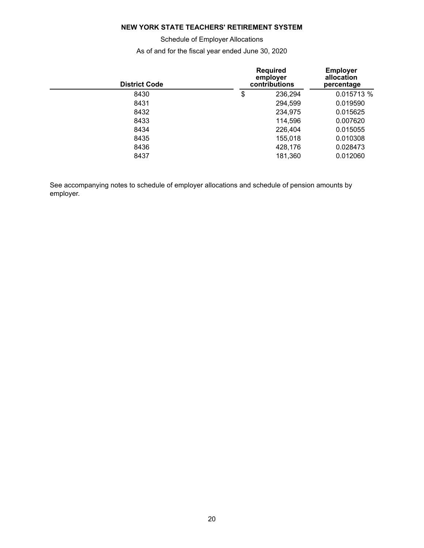Schedule of Employer Allocations

As of and for the fiscal year ended June 30, 2020

| <b>District Code</b> | <b>Required</b><br>employer<br>contributions | <b>Employer</b><br>allocation<br>percentage |            |  |
|----------------------|----------------------------------------------|---------------------------------------------|------------|--|
| 8430                 | \$                                           | 236,294                                     | 0.015713 % |  |
| 8431                 |                                              | 294,599                                     | 0.019590   |  |
| 8432                 |                                              | 234,975                                     | 0.015625   |  |
| 8433                 |                                              | 114,596                                     | 0.007620   |  |
| 8434                 |                                              | 226,404                                     | 0.015055   |  |
| 8435                 |                                              | 155,018                                     | 0.010308   |  |
| 8436                 |                                              | 428,176                                     | 0.028473   |  |
| 8437                 |                                              | 181,360                                     | 0.012060   |  |

See accompanying notes to schedule of employer allocations and schedule of pension amounts by employer.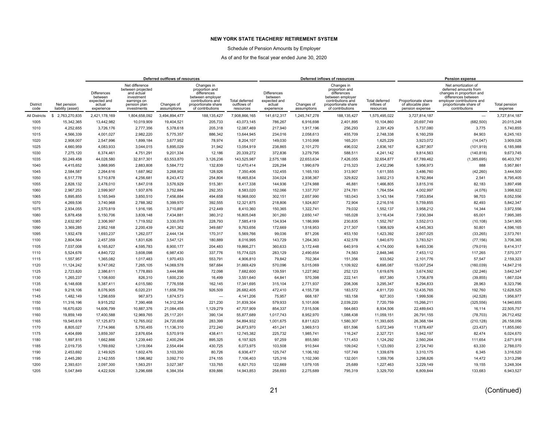#### Schedule of Pension Amounts by Employer

<span id="page-22-0"></span>

|                         |                                  |                                                                       |                                                                                                               | Deferred outflows of resources |                                                                                                                                 |                                            |                                                                       |                           | Deferred inflows of resources                                                                                                   |                                                  |                                                             | <b>Pension expense</b>                                                                                                                                                    |                          |  |
|-------------------------|----------------------------------|-----------------------------------------------------------------------|---------------------------------------------------------------------------------------------------------------|--------------------------------|---------------------------------------------------------------------------------------------------------------------------------|--------------------------------------------|-----------------------------------------------------------------------|---------------------------|---------------------------------------------------------------------------------------------------------------------------------|--------------------------------------------------|-------------------------------------------------------------|---------------------------------------------------------------------------------------------------------------------------------------------------------------------------|--------------------------|--|
| <b>District</b><br>code | Net pension<br>liability (asset) | <b>Differences</b><br>between<br>expected and<br>actual<br>experience | Net difference<br>between projected<br>and actual<br>investment<br>earnings on<br>pension plan<br>investments | Changes of<br>assumptions      | Changes in<br>proportion and<br>differences<br>between employer<br>contributions and<br>proportionate share<br>of contributions | Total deferred<br>outflows of<br>resources | <b>Differences</b><br>between<br>expected and<br>actual<br>experience | Changes of<br>assumptions | Changes in<br>proportion and<br>differences<br>between employer<br>contributions and<br>proportionate share<br>of contributions | <b>Total deferred</b><br>inflows of<br>resources | Proportionate share<br>of allocable plan<br>pension expense | Net amortization of<br>deferred amounts from<br>changes in proportion and<br>differences between<br>employer contributions and<br>proportionate share of<br>contributions | Total pension<br>expense |  |
| <b>All Districts</b>    | \$2,763,270,835                  | 2,421,178,169                                                         | 1,804,658,092                                                                                                 | 3,494,894,477                  | 188, 135, 427                                                                                                                   | 7,908,866,165                              | 141,612,317                                                           | 1,245,747,278             | 188, 135, 427                                                                                                                   | 1,575,495,022                                    | 3,727,814,187                                               | $\overbrace{\phantom{123221111}}$                                                                                                                                         | 3,727,814,187            |  |
| 1005                    | 15,342,365                       | 13,442,982                                                            | 10,019,909                                                                                                    | 19,404,521                     | 205,733                                                                                                                         | 43,073,145                                 | 786,267                                                               | 6,916,698                 | 2,401,895                                                                                                                       | 10,104,860                                       | 20,697,749                                                  | (682, 500)                                                                                                                                                                | 20,015,248               |  |
| 1010                    | 4,252,655                        | 3,726,176                                                             | 2,777,356                                                                                                     | 5,378,618                      | 205,318                                                                                                                         | 12,087,469                                 | 217.940                                                               | 1,917,196                 | 256.293                                                                                                                         | 2,391,429                                        | 5,737,080                                                   | 3.775                                                                                                                                                                     | 5,740,855                |  |
| 1015                    | 4.566.339                        | 4,001,027                                                             | 2.982.220                                                                                                     | 5,775,357                      | 886.342                                                                                                                         | 13.644.945                                 | 234.016                                                               | 2.058.613                 | 455.709                                                                                                                         | 2.748.338                                        | 6,160,259                                                   | 84.903                                                                                                                                                                    | 6,245,163                |  |
| 1020                    | 2,908,007                        | 2,547,996                                                             | 1,899,184                                                                                                     | 3,677,952                      | 78,974                                                                                                                          | 8,204,107                                  | 149,030                                                               | 1,310,998                 | 165,201                                                                                                                         | 1,625,229                                        | 3,923,072                                                   | (14, 047)                                                                                                                                                                 | 3,909,026                |  |
| 1025                    | 4,660,959                        | 4,083,933                                                             | 3,044,015                                                                                                     | 5,895,029                      | 31,942                                                                                                                          | 13,054,919                                 | 238,865                                                               | 2,101,270                 | 496,032                                                                                                                         | 2,836,167                                        | 6,287,907                                                   | (101, 919)                                                                                                                                                                | 6,185,988                |  |
| 1030                    | 7,275,120                        | 6,374,461                                                             | 4,751,291                                                                                                     | 9,201,334                      | 12,186                                                                                                                          | 20,339,272                                 | 372,836                                                               | 3,279,795                 | 588,511                                                                                                                         | 4,241,142                                        | 9,814,563                                                   | (140, 818)                                                                                                                                                                | 9,673,745                |  |
| 1035                    | 50,249,458                       | 44,028,580                                                            | 32,817,301                                                                                                    | 63,553,870                     | 3,126,236                                                                                                                       | 143,525,987                                | 2,575,188                                                             | 22,653,634                | 7,426,055                                                                                                                       | 32,654,877                                       | 67,789,462                                                  | (1,385,695)                                                                                                                                                               | 66,403,767               |  |
| 1040                    | 4,415,652                        | 3,868,995                                                             | 2,883,808                                                                                                     | 5,584,772                      | 132,839                                                                                                                         | 12,470,414                                 | 226,294                                                               | 1,990,679                 | 215,323                                                                                                                         | 2,432,296                                        | 5,956,973                                                   | 888                                                                                                                                                                       | 5,957,861                |  |
| 1045                    | 2,584,587                        | 2,264,616                                                             | 1,687,962                                                                                                     | 3,268,902                      | 128,926                                                                                                                         | 7,350,406                                  | 132,455                                                               | 1,165,193                 | 313,907                                                                                                                         | 1,611,555                                        | 3,486,760                                                   | (42, 260)                                                                                                                                                                 | 3,444,500                |  |
| 1050                    | 6,517,778                        | 5,710,878                                                             | 4,256,681                                                                                                     | 8,243,472                      | 254,804                                                                                                                         | 18,465,834                                 | 334.024                                                               | 2,938,367                 | 329.822                                                                                                                         | 3,602,213                                        | 8,792,864                                                   | 2,541                                                                                                                                                                     | 8,795,405                |  |
| 1055                    | 2,828,132                        | 2,478,010                                                             | 1,847,018                                                                                                     | 3,576,929                      | 515,381                                                                                                                         | 8,417,338                                  | 144,936                                                               | 1,274,988                 | 46,881                                                                                                                          | 1,466,805                                        | 3,815,316                                                   | 82,183                                                                                                                                                                    | 3,897,498                |  |
| 1060                    | 2,967,253                        | 2,599,907                                                             | 1,937,876                                                                                                     | 3,752,884                      | 292,353                                                                                                                         | 8,583,020                                  | 152,066                                                               | 1,337,707                 | 274,781                                                                                                                         | 1,764,554                                        | 4,002,997                                                   | (4,076)                                                                                                                                                                   | 3,998,922                |  |
| 1065                    | 5,895,855                        | 5,165,949                                                             | 3.850.510                                                                                                     | 7,456,884                      | 494,658                                                                                                                         | 16,968,000                                 | 302.151                                                               | 2.657.990                 | 183.043                                                                                                                         | 3,143,184                                        | 7,953,854                                                   | 98.703                                                                                                                                                                    | 8,052,556                |  |
| 1070                    | 4,269,536                        | 3,740,968                                                             | 2,788,382                                                                                                     | 5,399,970                      | 392,555                                                                                                                         | 12,321,875                                 | 218,806                                                               | 1,924,807                 | 72,904                                                                                                                          | 2,216,516                                        | 5,759,855                                                   | 82,493                                                                                                                                                                    | 5,842,347                |  |
| 1075                    | 2,934,055                        | 2,570,819                                                             | 1,916,195                                                                                                     | 3,710,897                      | 212,449                                                                                                                         | 8,410,360                                  | 150,365                                                               | 1,322,741                 | 79,032                                                                                                                          | 1,552,137                                        | 3,958,212                                                   | 14,344                                                                                                                                                                    | 3,972,556                |  |
| 1080                    | 5,878,458                        | 5,150,706                                                             | 3,839,148                                                                                                     | 7,434,881                      | 380,312                                                                                                                         | 16,805,048                                 | 301,260                                                               | 2,650,147                 | 165,028                                                                                                                         | 3,116,434                                        | 7,930,384                                                   | 65,001                                                                                                                                                                    | 7,995,385                |  |
| 1085                    | 2,632,957                        | 2,306,997                                                             | 1,719,552                                                                                                     | 3,330,078                      | 228,793                                                                                                                         | 7,585,419                                  | 134,934                                                               | 1,186,999                 | 230,835                                                                                                                         | 1,552,767                                        | 3,552,013                                                   | (10, 108)                                                                                                                                                                 | 3,541,905                |  |
| 1090                    | 3,369,285                        | 2,952,168                                                             | 2,200,439                                                                                                     | 4,261,362                      | 349,687                                                                                                                         | 9,763,656                                  | 172,669                                                               | 1,518,953                 | 217,307                                                                                                                         | 1,908,929                                        | 4,545,363                                                   | 50,801                                                                                                                                                                    | 4,596,165                |  |
| 1095                    | 1,932,478                        | 1,693,237                                                             | 1,262,077                                                                                                     | 2.444.134                      | 170,317                                                                                                                         | 5,569,766                                  | 99,036                                                                | 871,206                   | 453,150                                                                                                                         | 1,423,392                                        | 2,607,025                                                   | (33, 265)                                                                                                                                                                 | 2,573,761                |  |
| 1100                    | 2,804,564                        | 2,457,359                                                             | 1.831.626                                                                                                     | 3,547,121                      | 180,889                                                                                                                         | 8,016,995                                  | 143,729                                                               | 1,264,363                 | 432,578                                                                                                                         | 1,840,670                                        | 3,783,521                                                   | (77, 156)                                                                                                                                                                 | 3,706,365                |  |
| 1105                    | 7,037,008                        | 6,165,827                                                             | 4,595,783                                                                                                     | 8,900,177                      | 204,483                                                                                                                         | 19,866,271                                 | 360,633                                                               | 3,172,448                 | 640,919                                                                                                                         | 4,174,000                                        | 9,493,336                                                   | (79, 019)                                                                                                                                                                 | 9,414,317                |  |
| 1110                    | 5,524,676                        | 4,840,722                                                             | 3,608,098                                                                                                     | 6,987,430                      | 337,776                                                                                                                         | 15,774,025                                 | 283,129                                                               | 2,490,654                 | 74,563                                                                                                                          | 2,848,346                                        | 7,453,112                                                   | 117,265                                                                                                                                                                   | 7,570,377                |  |
| 1115                    | 1,557,957                        | 1,365,082                                                             | 1,017,483                                                                                                     | 1,970,453                      | 553,791                                                                                                                         | 4,906,810                                  | 79,842                                                                | 702,364                   | 151,356                                                                                                                         | 933,562                                          | 2,101,776                                                   | 57,547                                                                                                                                                                    | 2,159,323                |  |
| 1120                    | 11,124,242                       | 9,747,062                                                             | 7,265,105                                                                                                     | 14,069,578                     | 587,684                                                                                                                         | 31,669,429                                 | 570,096                                                               | 5,015,069                 | 1,109,922                                                                                                                       | 6,695,087                                        | 15,007,254                                                  | (160, 039)                                                                                                                                                                | 14,847,216               |  |
| 1125                    | 2,723,820                        | 2,386,611                                                             | 1,778,893                                                                                                     | 3,444,998                      | 72,098                                                                                                                          | 7,682,600                                  | 139,591                                                               | 1,227,962                 | 252,123                                                                                                                         | 1,619,676                                        | 3,674,592                                                   | (32, 246)                                                                                                                                                                 | 3,642,347                |  |
| 1130                    | 1,265,237                        | 1,108,600                                                             | 826,310                                                                                                       | 1,600,230                      | 16,499                                                                                                                          | 3,551,640                                  | 64,841                                                                | 570,398                   | 222,141                                                                                                                         | 857,380                                          | 1,706,878                                                   | (39, 855)                                                                                                                                                                 | 1,667,024                |  |
| 1135                    | 6,148,608                        | 5,387,411                                                             | 4,015,580                                                                                                     | 7,776,558                      | 162,145                                                                                                                         | 17,341,695                                 | 315,104                                                               | 2,771,937                 | 208,306                                                                                                                         | 3,295,347                                        | 8,294,833                                                   | 28,963                                                                                                                                                                    | 8,323,796                |  |
| 1140                    | 9,218,106                        | 8,076,905                                                             | 6,020,231                                                                                                     | 11,658,759                     | 926,509                                                                                                                         | 26,682,405                                 | 472,410                                                               | 4,155,738                 | 183,572                                                                                                                         | 4,811,720                                        | 12,435,765                                                  | 192,760                                                                                                                                                                   | 12,628,525               |  |
| 1145                    | 1,482,149                        | 1,298,659                                                             | 967,973                                                                                                       | 1,874,573                      |                                                                                                                                 | 4,141,206                                  | 75,957                                                                | 668,187                   | 183,158                                                                                                                         | 927,303                                          | 1,999,506                                                   | (42, 528)                                                                                                                                                                 | 1,956,977                |  |
| 1150                    | 11.316.196                       | 9.915.252                                                             | 7.390.468                                                                                                     | 14.312.354                     | 221.230                                                                                                                         | 31.839.304                                 | 579.933                                                               | 5.101.606                 | 2.039.220                                                                                                                       | 7,720,759                                        | 15,266,211                                                  | (325, 556)                                                                                                                                                                | 14,940,655               |  |
| 1155                    | 16,670,620                       | 14,606,799                                                            | 10,887,376                                                                                                    | 21,084,455                     | 1,129,279                                                                                                                       | 47,707,909                                 | 854,337                                                               | 7,515,506                 | 564,663                                                                                                                         | 8,934,506                                        | 22,489,643                                                  | 16,114                                                                                                                                                                    | 22,505,757               |  |
| 1160                    | 19,859,149                       | 17,400,588                                                            | 12,969,765                                                                                                    | 25, 117, 201                   | 390,134                                                                                                                         | 55,877,689                                 | 1,017,743                                                             | 8,952,970                 | 1,088,438                                                                                                                       | 11,059,151                                       | 26,791,155                                                  | (78, 703)                                                                                                                                                                 | 26,712,452               |  |
| 1165                    | 19,545,618                       | 17, 125, 873                                                          | 12,765,002                                                                                                    | 24,720,658                     | 283,399                                                                                                                         | 54,894,932                                 | 1,001,675                                                             | 8,811,623                 | 1,580,307                                                                                                                       | 11,393,605                                       | 26,368,184                                                  | (210, 128)                                                                                                                                                                | 26,158,056               |  |
| 1170                    | 8,805,027                        | 7,714,966                                                             | 5,750,455                                                                                                     | 11,136,310                     | 272,240                                                                                                                         | 24,873,970                                 | 451,241                                                               | 3,969,513                 | 651,596                                                                                                                         | 5,072,349                                        | 11,878,497                                                  | (23, 437)                                                                                                                                                                 | 11,855,060               |  |
| 1175                    | 4,404,699                        | 3,859,397                                                             | 2,876,654                                                                                                     | 5,570,919                      | 438,411                                                                                                                         | 12,745,382                                 | 225,732                                                               | 1,985,741                 | 116,247                                                                                                                         | 2,327,721                                        | 5,942,197                                                   | 82,474                                                                                                                                                                    | 6,024,670                |  |
| 1180                    | 1.897.815                        | 1,662,866                                                             | 1.239.440                                                                                                     | 2,400,294                      | 895,325                                                                                                                         | 6,197,925                                  | 97,259                                                                | 855.580                   | 171.453                                                                                                                         | 1,124,292                                        | 2,560,264                                                   | 111,654                                                                                                                                                                   | 2,671,918                |  |
| 1185                    | 2,019,735                        | 1,769,692                                                             | 1.319.064                                                                                                     | 2,554,494                      | 430,725                                                                                                                         | 6,073,975                                  | 103.508                                                               | 910.544                   | 109.042                                                                                                                         | 1,123,093                                        | 2,724,740                                                   | 63,330                                                                                                                                                                    | 2,788,070                |  |
| 1190                    | 2,453,692                        | 2,149,925                                                             | 1,602,476                                                                                                     | 3,103,350                      | 80,726                                                                                                                          | 6,936,477                                  | 125,747                                                               | 1,106,182                 | 107,749                                                                                                                         | 1,339,678                                        | 3,310,175                                                   | 6,345                                                                                                                                                                     | 3,316,520                |  |
| 1195                    | 2,445,280                        | 2,142,555                                                             | 1,596,982                                                                                                     | 3,092,710                      | 274,155                                                                                                                         | 7,106,403                                  | 125,316                                                               | 1,102,390                 | 132,001                                                                                                                         | 1,359,706                                        | 3,298,826                                                   | 14,472                                                                                                                                                                    | 3,313,298                |  |
| 1200                    | 2,393,631                        | 2,097,300                                                             | 1,563,251                                                                                                     | 3,027,387                      | 133,765                                                                                                                         | 6,821,703                                  | 122,669                                                               | 1,079,105                 | 25,689                                                                                                                          | 1,227,463                                        | 3,229,149                                                   | 19,155                                                                                                                                                                    | 3,248,304                |  |
| 1205                    | 5,047,849                        | 4,422,926                                                             | 3,296,688                                                                                                     | 6,384,354                      | 839.886                                                                                                                         | 14.943.853                                 | 258,693                                                               | 2,275,689                 | 795,319                                                                                                                         | 3,329,700                                        | 6,809,844                                                   | 133,683                                                                                                                                                                   | 6,943,527                |  |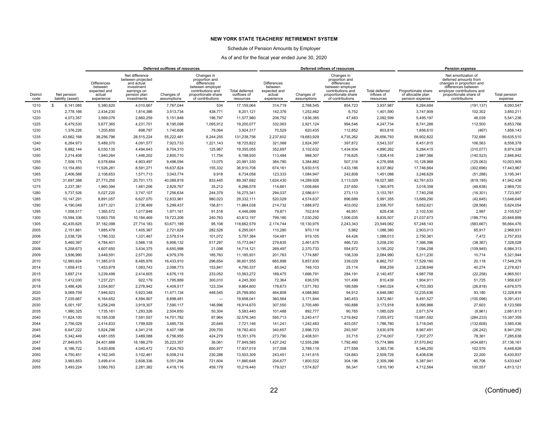#### Schedule of Pension Amounts by Employer

|                         |                                  |                                                                       |                                                                                                               | Deferred outflows of resources |                                                                                                                                 |                                                   | Deferred inflows of resources                                         |                           |                                                                                                                                 |                                                  | <b>Pension expense</b>                                      |                                                                                                                                                                           |                          |
|-------------------------|----------------------------------|-----------------------------------------------------------------------|---------------------------------------------------------------------------------------------------------------|--------------------------------|---------------------------------------------------------------------------------------------------------------------------------|---------------------------------------------------|-----------------------------------------------------------------------|---------------------------|---------------------------------------------------------------------------------------------------------------------------------|--------------------------------------------------|-------------------------------------------------------------|---------------------------------------------------------------------------------------------------------------------------------------------------------------------------|--------------------------|
| <b>District</b><br>code | Net pension<br>liability (asset) | <b>Differences</b><br>between<br>expected and<br>actual<br>experience | Net difference<br>between projected<br>and actual<br>investment<br>earnings on<br>pension plan<br>investments | Changes of<br>assumptions      | Changes in<br>proportion and<br>differences<br>between employer<br>contributions and<br>proportionate share<br>of contributions | <b>Total deferred</b><br>outflows of<br>resources | <b>Differences</b><br>between<br>expected and<br>actual<br>experience | Changes of<br>assumptions | Changes in<br>proportion and<br>differences<br>between employer<br>contributions and<br>proportionate share<br>of contributions | <b>Total deferred</b><br>inflows of<br>resources | Proportionate share<br>of allocable plan<br>pension expense | Net amortization of<br>deferred amounts from<br>changes in proportion and<br>differences between<br>employer contributions and<br>proportionate share of<br>contributions | Total pension<br>expense |
| 1210                    | <b>S</b><br>6,141,085            | 5,380,820                                                             | 4,010,667                                                                                                     | 7,767,044                      | 534                                                                                                                             | 17,159,064                                        | 314,719                                                               | 2,768,545                 | 854,723                                                                                                                         | 3,937,987                                        | 8,284,684                                                   | (191, 137)                                                                                                                                                                | 8,093,547                |
| 1215                    | 2,778,166                        | 2,434,230                                                             | 1,814,386                                                                                                     | 3,513,734                      | 438.771                                                                                                                         | 8.201.121                                         | 142,376                                                               | 1.252.462                 | 6.752                                                                                                                           | 1,401,590                                        | 3,747,909                                                   | 102,302                                                                                                                                                                   | 3,850,211                |
| 1220                    | 4,073,357                        | 3,569,076                                                             | 2,660,259                                                                                                     | 5,151,848                      | 196,797                                                                                                                         | 11,577,980                                        | 208,752                                                               | 1,836,365                 | 47,483                                                                                                                          | 2,092,599                                        | 5,495,197                                                   | 46,039                                                                                                                                                                    | 5,541,236                |
| 1225                    | 6,479,530                        | 5.677.365                                                             | 4.231.701                                                                                                     | 8.195.098                      | 1.095.912                                                                                                                       | 19.200.077                                        | 332.063                                                               | 2,921,124                 | 994.546                                                                                                                         | 4,247,734                                        | 8,741,266                                                   | 112.500                                                                                                                                                                   | 8,853,766                |
| 1230                    | 1,376,226                        | 1,205,850                                                             | 898,797                                                                                                       | 1,740,606                      | 79,064                                                                                                                          | 3,924,317                                         | 70,529                                                                | 620,435                   | 112,852                                                                                                                         | 803,816                                          | 1,856,610                                                   | (467)                                                                                                                                                                     | 1,856,143                |
| 1235                    | 43.662.168                       | 38,256,796                                                            | 28,515,224                                                                                                    | 55.222.481                     | 9.244.255                                                                                                                       | 131.238.756                                       | 2,237,602                                                             | 19.683.929                | 4,735,262                                                                                                                       | 26,656,793                                       | 58,902,822                                                  | 732.688                                                                                                                                                                   | 59,635,510               |
| 1240                    | 6,264,973                        | 5,489,370                                                             | 4,091,577                                                                                                     | 7,923,733                      | 1,221,143                                                                                                                       | 18,725,822                                        | 321,068                                                               | 2,824,397                 | 397,872                                                                                                                         | 3,543,337                                        | 8,451,815                                                   | 106,563                                                                                                                                                                   | 8,558,378                |
| 1245                    | 6,882,144                        | 6,030,135                                                             | 4,494,643                                                                                                     | 8,704,310                      | 125,967                                                                                                                         | 19,355,055                                        | 352,697                                                               | 3,102,632                 | 1,434,934                                                                                                                       | 4,890,262                                        | 9,284,415                                                   | (310, 077)                                                                                                                                                                | 8,974,338                |
| 1250                    | 2,214,408                        | 1,940,264                                                             | 1,446,202                                                                                                     | 2,800,710                      | 11,754                                                                                                                          | 6,198,930                                         | 113,484                                                               | 998,307                   | 716,625                                                                                                                         | 1,828,416                                        | 2,987,366                                                   | (140, 523)                                                                                                                                                                | 2,846,842                |
| 1255                    | 7,508,175                        | 6,578,664                                                             | 4,903,497                                                                                                     | 9,496,094                      | 13,075                                                                                                                          | 20,991,330                                        | 384,780                                                               | 3,384,862                 | 507,316                                                                                                                         | 4,276,958                                        | 10,128,968                                                  | (125,063)                                                                                                                                                                 | 10,003,905               |
| 1260                    | 13, 154, 850                     | 11,526,281                                                            | 8,591,271                                                                                                     | 16,637,824                     | 155,332                                                                                                                         | 36,910,708                                        | 674,161                                                               | 5,930,515                 | 1,433,186                                                                                                                       | 8,037,862                                        | 17,746,664                                                  | (302, 696)                                                                                                                                                                | 17,443,967               |
| 1265                    | 2,406,588                        | 2,108,653                                                             | 1,571,713                                                                                                     | 3,043,774                      | 9.918                                                                                                                           | 6,734,058                                         | 123.333                                                               | 1,084,947                 | 242,808                                                                                                                         | 1,451,088                                        | 3,246,629                                                   | (51, 288)                                                                                                                                                                 | 3,195,341                |
| 1270                    | 31,697,388                       | 27,773,255                                                            | 20,701,173                                                                                                    | 40,089,819                     | 833,445                                                                                                                         | 89,397,692                                        | 1,624,430                                                             | 14,289,926                | 3,113,029                                                                                                                       | 19,027,385                                       | 42,761,633                                                  | (819, 195)                                                                                                                                                                | 41,942,438               |
| 1275                    | 2,237,381                        | 1,960,394                                                             | 1,461,206                                                                                                     | 2,829,767                      | 35,212                                                                                                                          | 6,286,578                                         | 114,661                                                               | 1,008,664                 | 237,650                                                                                                                         | 1,360,975                                        | 3,018,358                                                   | (48, 638)                                                                                                                                                                 | 2,969,720                |
| 1280                    | 5,737,526                        | 5,027,220                                                             | 3,747,107                                                                                                     | 7,256,634                      | 244,379                                                                                                                         | 16,275,341                                        | 294,037                                                               | 2,586,611                 | 273,113                                                                                                                         | 3,153,761                                        | 7,740,258                                                   | (16, 301)                                                                                                                                                                 | 7,723,957                |
| 1285                    | 10,147,291                       | 8,891,057                                                             | 6,627,070                                                                                                     | 12,833,961                     | 980,023                                                                                                                         | 29,332,111                                        | 520,029                                                               | 4,574,637                 | 896,689                                                                                                                         | 5,991,355                                        | 13,689,290                                                  | (42, 645)                                                                                                                                                                 | 13,646,645               |
| 1290                    | 4,190,049                        | 3,671,321                                                             | 2,736,469                                                                                                     | 5,299,437                      | 156,811                                                                                                                         | 11,864,038                                        | 214,732                                                               | 1,888,972                 | 403,002                                                                                                                         | 2,506,707                                        | 5,652,621                                                   | (28, 568)                                                                                                                                                                 | 5,624,054                |
| 1295                    | 1,558,517                        | 1,365,572                                                             | 1,017,848                                                                                                     | 1,971,161                      | 91,518                                                                                                                          | 4,446,099                                         | 79,871                                                                | 702,616                   | 46,951                                                                                                                          | 829,438                                          | 2,102,530                                                   | 2,997                                                                                                                                                                     | 2,105,527                |
| 1300                    | 15,594,336                       | 13,663,759                                                            | 10,184,469                                                                                                    | 19,723,206                     | 240,763                                                                                                                         | 43,812,197                                        | 799,180                                                               | 7,030,292                 | 1,006,035                                                                                                                       | 8,835,507                                        | 21,037,673                                                  | (188, 774)                                                                                                                                                                | 20,848,899               |
| 1305                    | 42,435,625                       | 37,182,098                                                            | 27,714,183                                                                                                    | 53,671,189                     | 95,108                                                                                                                          | 118,662,579                                       | 2,174,744                                                             | 19,130,975                | 2,243,343                                                                                                                       | 23,549,062                                       | 57,248,143                                                  | (583, 667)                                                                                                                                                                | 56,664,476               |
| 2005                    | 2,151,881                        | 1,885,478                                                             | 1,405,367                                                                                                     | 2,721,629                      | 282,528                                                                                                                         | 6,295,001                                         | 110,280                                                               | 970,118                   | 5,982                                                                                                                           | 1,086,380                                        | 2,903,013                                                   | 65,917                                                                                                                                                                    | 2,968,931                |
| 2006                    | 2,038,726                        | 1,786,332                                                             | 1,331,467                                                                                                     | 2,578,514                      | 101,072                                                                                                                         | 5,797,384                                         | 104,481                                                               | 919,105                   | 64,426                                                                                                                          | 1,088,013                                        | 2,750,361                                                   | 7,472                                                                                                                                                                     | 2,757,833                |
| 2007                    | 5,460,397                        | 4,784,401                                                             | 3,566,118                                                                                                     | 6,906,132                      | 517,297                                                                                                                         | 15,773,947                                        | 279,835                                                               | 2,461,675                 | 466,720                                                                                                                         | 3,208,230                                        | 7,366,396                                                   | (38, 367)                                                                                                                                                                 | 7,328,028                |
| 2008                    | 5,258,673                        | 4,607,650                                                             | 3,434,375                                                                                                     | 6,650,998                      | 21,098                                                                                                                          | 14,714,121                                        | 269,497                                                               | 2,370,733                 | 554,972                                                                                                                         | 3,195,202                                        | 7,094,258                                                   | (109, 945)                                                                                                                                                                | 6,984,313                |
| 2009                    | 3,936,990                        | 3,449,591                                                             | 2,571,200                                                                                                     | 4,979,376                      | 185,763                                                                                                                         | 11,185,931                                        | 201,763                                                               | 1,774,887                 | 108,339                                                                                                                         | 2,084,990                                        | 5,311,230                                                   | 10,714                                                                                                                                                                    | 5,321,944                |
| 2010                    | 12,993,624                       | 11,385,015                                                            | 8,485,976                                                                                                     | 16,433,910                     | 296,654                                                                                                                         | 36,601,555                                        | 665,898                                                               | 5,857,830                 | 339,029                                                                                                                         | 6,862,757                                        | 17,529,160                                                  | 20,118                                                                                                                                                                    | 17,549,278               |
| 2014                    | 1,659,415                        | 1,453,979                                                             | 1,083,743                                                                                                     | 2,098,773                      | 153,841                                                                                                                         | 4,790,337                                         | 85,042                                                                | 748,103                   | 25,114                                                                                                                          | 858,259                                          | 2,238,648                                                   | 40,274                                                                                                                                                                    | 2,278,921                |
| 2015                    | 3,697,214                        | 3,239,499                                                             | 2,414,605                                                                                                     | 4,676,115                      | 233,052                                                                                                                         | 10,563,272                                        | 189,475                                                               | 1,666,791                 | 284,191                                                                                                                         | 2,140,457                                        | 4,987,758                                                   | (22, 258)                                                                                                                                                                 | 4,965,501                |
| 2016                    | 1,412,030                        | 1,237,221                                                             | 922,179                                                                                                       | 1,785,889                      | 300,010                                                                                                                         | 4,245,300                                         | 72,364                                                                | 636,576                   | 101,499                                                                                                                         | 810,439                                          | 1,904,911                                                   | 51,725                                                                                                                                                                    | 1,956,637                |
| 2018                    | 3,486,426                        | 3,054,807                                                             | 2,276,942                                                                                                     | 4,409,517                      | 123,334                                                                                                                         | 9,864,600                                         | 178,673                                                               | 1,571,763                 | 189,589                                                                                                                         | 1,940,024                                        | 4,703,393                                                   | (26, 818)                                                                                                                                                                 | 4,676,575                |
| 2020                    | 9,069,759                        | 7,946,923                                                             | 5,923,348                                                                                                     | 11,471,134                     | 448,545                                                                                                                         | 25,789,950                                        | 464,808                                                               | 4,088,860                 | 94,912                                                                                                                          | 4,648,580                                        | 12,235,636                                                  | 93,180                                                                                                                                                                    | 12,328,816               |
| 2025                    | 7,035,667                        | 6,164,652                                                             | 4,594,907                                                                                                     | 8,898,481                      | $\overline{\phantom{0}}$                                                                                                        | 19,658,041                                        | 360,564                                                               | 3,171,844                 | 340,453                                                                                                                         | 3,872,861                                        | 9,491,527                                                   | (100, 096)                                                                                                                                                                | 9,391,431                |
| 2030                    | 6,001,197                        | 5,258,249                                                             | 3,919,307                                                                                                     | 7,590,117                      | 146,996                                                                                                                         | 16,914,670                                        | 307,550                                                               | 2,705,480                 | 160,888                                                                                                                         | 3,173,918                                        | 8,095,966                                                   | 27,603                                                                                                                                                                    | 8,123,569                |
| 2035                    | 1,980,325                        | 1,735,161                                                             | 1,293,326                                                                                                     | 2,504,650                      | 50,304                                                                                                                          | 5,583,440                                         | 101,488                                                               | 892,777                   | 90,765                                                                                                                          | 1,085,029                                        | 2,671,574                                                   | (9,961)                                                                                                                                                                   | 2,661,613                |
| 2040                    | 11,624,100                       | 10,185,038                                                            | 7,591,557                                                                                                     | 14,701,782                     | 97,964                                                                                                                          | 32,576,340                                        | 595,713                                                               | 5,240,417                 | 1,219,842                                                                                                                       | 7,055,972                                        | 15,681,592                                                  | (284, 233)                                                                                                                                                                | 15,397,359               |
| 2044                    | 2,756,029                        | 2,414,833                                                             | 1,799,929                                                                                                     | 3,485,735                      | 20,649                                                                                                                          | 7,721,146                                         | 141,241                                                               | 1,242,483                 | 403,057                                                                                                                         | 1,786,780                                        | 3,718,045                                                   | (132, 608)                                                                                                                                                                | 3,585,436                |
| 2045                    | 6,647,222                        | 5,824,296                                                             | 4,341,218                                                                                                     | 8,407,188                      | 209,700                                                                                                                         | 18,782,403                                        | 340,657                                                               | 2,996,723                 | 293,597                                                                                                                         | 3,630,978                                        | 8,967,491                                                   | (26, 242)                                                                                                                                                                 | 8,941,250                |
| 2046                    | 5,342,449                        | 4,681,055                                                             | 3,489,088                                                                                                     | 6,756,955                      | 424,279                                                                                                                         | 15,351,376                                        | 273,790                                                               | 2,408,501                 | 33,715                                                                                                                          | 2,716,007                                        | 7,207,277                                                   | 78,361                                                                                                                                                                    | 7,285,638                |
| 2047                    | 27,849,675                       | 24,401,888                                                            | 18,188,279                                                                                                    | 35,223,357                     | 36,061                                                                                                                          | 77,849,585                                        | 1,427,242                                                             | 12,555,286                | 1,792,460                                                                                                                       | 15,774,989                                       | 37,570,842                                                  | (434, 681)                                                                                                                                                                | 37, 136, 161             |
| 2048                    | 6,186,722                        | 5,420,806                                                             | 4,040,472                                                                                                     | 7,824,763                      | 650,977                                                                                                                         | 17,937,019                                        | 317,058                                                               | 2,789,119                 | 277,559                                                                                                                         | 3,383,736                                        | 8,346,250                                                   | 102,576                                                                                                                                                                   | 8,448,826                |
| 2050                    | 4,750,451                        | 4,162,345                                                             | 3,102,461                                                                                                     | 6,008,214                      | 230,288                                                                                                                         | 13,503,309                                        | 243,451                                                               | 2,141,615                 | 124,663                                                                                                                         | 2,509,729                                        | 6,408,636                                                   | 22,200                                                                                                                                                                    | 6,430,837                |
| 2052                    | 3,993,853                        | 3,499,414                                                             | 2,608,336                                                                                                     | 5,051,294                      | 721,604                                                                                                                         | 11,880,648                                        | 204,677                                                               | 1,800,522                 | 304,196                                                                                                                         | 2,309,396                                        | 5,387,941                                                   | 45,706                                                                                                                                                                    | 5,433,647                |
| 2055                    | 3,493,224                        | 3,060,763                                                             | 2,281,382                                                                                                     | 4,418,116                      | 459,179                                                                                                                         | 10,219,440                                        | 179,021                                                               | 1,574,827                 | 56,341                                                                                                                          | 1,810,190                                        | 4,712,564                                                   | 100,557                                                                                                                                                                   | 4,813,121                |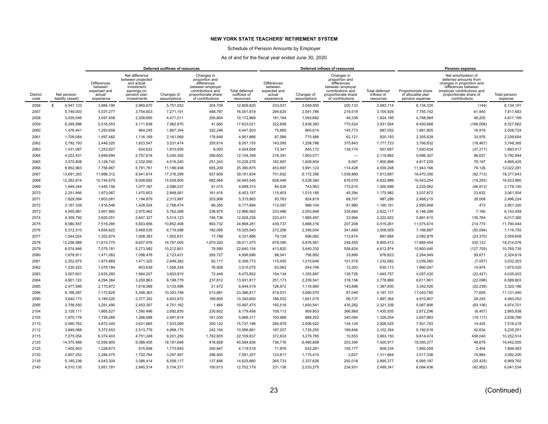#### Schedule of Pension Amounts by Employer

|                         |                                  | Deferred outflows of resources                                 |                                                                                                               |                           |                                                                                                                                 |                                            |                                                                       |                           | Deferred inflows of resources                                                                                                   | <b>Pension expense</b>                    |                                                             |                                                                                                                                                                           |                          |
|-------------------------|----------------------------------|----------------------------------------------------------------|---------------------------------------------------------------------------------------------------------------|---------------------------|---------------------------------------------------------------------------------------------------------------------------------|--------------------------------------------|-----------------------------------------------------------------------|---------------------------|---------------------------------------------------------------------------------------------------------------------------------|-------------------------------------------|-------------------------------------------------------------|---------------------------------------------------------------------------------------------------------------------------------------------------------------------------|--------------------------|
| <b>District</b><br>code | Net pension<br>liability (asset) | Differences<br>between<br>expected and<br>actual<br>experience | Net difference<br>between projected<br>and actual<br>investment<br>earnings on<br>pension plan<br>investments | Changes of<br>assumptions | Changes in<br>proportion and<br>differences<br>between employer<br>contributions and<br>proportionate share<br>of contributions | Total deferred<br>outflows of<br>resources | <b>Differences</b><br>between<br>expected and<br>actual<br>experience | Changes of<br>assumptions | Changes in<br>proportion and<br>differences<br>between employer<br>contributions and<br>proportionate share<br>of contributions | Total deferred<br>inflows of<br>resources | Proportionate share<br>of allocable plan<br>pension expense | Net amortization of<br>deferred amounts from<br>changes in proportion and<br>differences between<br>employer contributions and<br>proportionate share of<br>contributions | Total pension<br>expense |
| 2056                    | 4,547,123<br>-S                  | 3.984.190                                                      | 2,969,670                                                                                                     | 5.751.052                 | 204,709                                                                                                                         | 12,909,620                                 | 233.031                                                               | 2,049,950                 | 200,133                                                                                                                         | 2,483,114                                 | 6,134,335                                                   | (144)                                                                                                                                                                     | 6,134,191                |
| 2057                    | 5,749,003                        | 5,037,277                                                      | 3,754,603                                                                                                     | 7,271,151                 | 488,787                                                                                                                         | 16,551,818                                 | 294,625                                                               | 2,591,786                 | 219,518                                                                                                                         | 3,105,929                                 | 7,755,742                                                   | 61,940                                                                                                                                                                    | 7,817,683                |
| 2058                    | 3,535,046                        | 3,097,408                                                      | 2,308,695                                                                                                     | 4,471,011                 | 295,854                                                                                                                         | 10,172,968                                 | 181,164                                                               | 1,593,682                 | 49,339                                                                                                                          | 1,824,185                                 | 4,768,984                                                   | 48,205                                                                                                                                                                    | 4,817,189                |
| 2059                    | 6,295,996                        | 5,516,553                                                      | 4,111,838                                                                                                     | 7,962,970                 | 41,660                                                                                                                          | 17,633,021                                 | 322,658                                                               | 2,838,383                 | 770,524                                                                                                                         | 3,931,564                                 | 8,493,668                                                   | (166,006)                                                                                                                                                                 | 8,327,662                |
| 2060                    | 1,476,441                        | 1,293,658                                                      | 964,245                                                                                                       | 1,867,354                 | 322,246                                                                                                                         | 4,447,503                                  | 75,665                                                                | 665,614                   | 145,773                                                                                                                         | 887,052                                   | 1,991,805                                                   | 16,919                                                                                                                                                                    | 2,008,724                |
| 2061                    | 1,709,064                        | 1,497,482                                                      | 1,116,169                                                                                                     | 2,161,569                 | 176.646                                                                                                                         | 4.951.866                                  | 87,586                                                                | 770,486                   | 62,121                                                                                                                          | 920,193                                   | 2,305,628                                                   | 33,976                                                                                                                                                                    | 2,339,604                |
| 2062                    | 2,792,193                        | 2,446,520                                                      | 1,823,547                                                                                                     | 3,531,474                 | 255,614                                                                                                                         | 8,057,155                                  | 143,095                                                               | 1,258,786                 | 375,843                                                                                                                         | 1,777,723                                 | 3,766,832                                                   | (18, 467)                                                                                                                                                                 | 3,748,365                |
| 2063                    | 1.431.097                        | 1.253.927                                                      | 934.632                                                                                                       | 1,810,005                 | 6,093                                                                                                                           | 4.004.658                                  | 73,341                                                                | 645.172                   | 139.174                                                                                                                         | 857.687                                   | 1,930,634                                                   | (37, 217)                                                                                                                                                                 | 1,893,417                |
| 2064                    | 4,222,431                        | 3,699,694                                                      | 2,757,618                                                                                                     | 5,340,392                 | 356,653                                                                                                                         | 12, 154, 358                               | 216,391                                                               | 1,903,571                 | $\overline{\phantom{a}}$                                                                                                        | 2,119,962                                 | 5,696,307                                                   | 96,637                                                                                                                                                                    | 5,792,944                |
| 2065                    | 3,570,808                        | 3,128,742                                                      | 2,332,050                                                                                                     | 4,516,240                 | 251,243                                                                                                                         | 10,228,276                                 | 182,997                                                               | 1,609,804                 | 8,097                                                                                                                           | 1,800,898                                 | 4,817,229                                                   | 78,197                                                                                                                                                                    | 4,895,425                |
| 2066                    | 8,852,963                        | 7,756,967                                                      | 5,781,761                                                                                                     | 11,196,938                | 655,209                                                                                                                         | 25,390,875                                 | 453,697                                                               | 3,991,123                 | 114,428                                                                                                                         | 4,559,248                                 | 11,943,166                                                  | 79,126                                                                                                                                                                    | 12,022,291               |
| 2067                    | 13,691,293                       | 11,996,312                                                     | 8,941,614                                                                                                     | 17,316,299                | 937,609                                                                                                                         | 39,191,834                                 | 701,652                                                               | 6,172,356                 | 1,039,889                                                                                                                       | 7,913,897                                 | 18,470,356                                                  | (92, 713)                                                                                                                                                                 | 18,377,643               |
| 2068                    | 12,262,814                       | 10,744,679                                                     | 8,008,692                                                                                                     | 15,509,605                | 682,569                                                                                                                         | 34,945,546                                 | 628,446                                                               | 5,528,364                 | 676,079                                                                                                                         | 6,832,889                                 | 16,543,254                                                  | (19, 293)                                                                                                                                                                 | 16,523,960               |
| 2069                    | 1,649,344                        | 1,445,156                                                      | 1,077,167                                                                                                     | 2,086,037                 | 91,015                                                                                                                          | 4,699,374                                  | 84,526                                                                | 743,563                   | 172,610                                                                                                                         | 1,000,699                                 | 2,225,062                                                   | (46, 913)                                                                                                                                                                 | 2,178,150                |
| 2070                    | 2,251,846                        | 1,973,067                                                      | 1,470,653                                                                                                     | 2,848,061                 | 161,416                                                                                                                         | 6,453,197                                  | 115,403                                                               | 1,015,185                 | 45,394                                                                                                                          | 1,175,982                                 | 3,037,872                                                   | 23,632                                                                                                                                                                    | 3,061,504                |
| 2071                    | 1,829,584                        | 1,603,081                                                      | 1.194.879                                                                                                     | 2,313,997                 | 203,908                                                                                                                         | 5,315,865                                  | 93.763                                                                | 824,819                   | 68.707                                                                                                                          | 987.289                                   | 2,468,215                                                   | 28,008                                                                                                                                                                    | 2,496,224                |
| 2072                    | 2,187,339                        | 1,916,546                                                      | 1,428,524                                                                                                     | 2,766,474                 | 66,350                                                                                                                          | 6,177,894                                  | 112,097                                                               | 986,104                   | 91,980                                                                                                                          | 1,190,181                                 | 2,950,848                                                   | 473                                                                                                                                                                       | 2,951,320                |
| 2073                    | 4,555,991                        | 3,991,960                                                      | 2.975.462                                                                                                     | 5,762,268                 | 236,875                                                                                                                         | 12.966.565                                 | 233,486                                                               | 2,053,948                 | 334,684                                                                                                                         | 2,622,117                                 | 6,146,299                                                   | 7,160                                                                                                                                                                     | 6,153,459                |
| 2074                    | 4,359,792                        | 3,820,051                                                      | 2,847,327                                                                                                     | 5,514,123                 | 746,736                                                                                                                         | 12,928,236                                 | 223,431                                                               | 1,965,497                 | 33,994                                                                                                                          | 2,222,922                                 | 5,881,615                                                   | 135,764                                                                                                                                                                   | 6,017,380                |
| 2075                    | 8,580,557                        | 7,518,285                                                      | 5,603,856                                                                                                     | 10,852,408                | 893,732                                                                                                                         | 24,868,281                                 | 439,737                                                               | 3,868,316                 | 207,208                                                                                                                         | 4,515,261                                 | 11,575,674                                                  | 214,770                                                                                                                                                                   | 11,790,444               |
| 2076                    | 5,312,510                        | 4,654,822                                                      | 3,469,535                                                                                                     | 6,719,088                 | 182,095                                                                                                                         | 15,025,540                                 | 272,256                                                               | 2,395,004                 | 341,669                                                                                                                         | 3,008,929                                 | 7,166,887                                                   | (50,094)                                                                                                                                                                  | 7,116,793                |
| 2077                    | 1,544,024                        | 1,352,874                                                      | 1,008,383                                                                                                     | 1,952,831                 | 17,798                                                                                                                          | 4,331,886                                  | 79,128                                                                | 696,082                   | 112,674                                                                                                                         | 887,884                                   | 2,082,979                                                   | (23, 370)                                                                                                                                                                 | 2,059,608                |
| 2078                    | 13,256,989                       | 11,615,775                                                     | 8,657,976                                                                                                     | 16,767,005                | 1,970,320                                                                                                                       | 39,011,075                                 | 679,395                                                               | 5,976,561                 | 249,455                                                                                                                         | 6,905,412                                 | 17,884,454                                                  | 330,122                                                                                                                                                                   | 18,214,576               |
| 2079                    | 8,074,846                        | 7,075,181                                                      | 5.273.582                                                                                                     | 10,212,801                | 78,590                                                                                                                          | 22,640,154                                 | 413,820                                                               | 3,640,330                 | 558,824                                                                                                                         | 4,612,974                                 | 10,893,440                                                  | (127, 705)                                                                                                                                                                | 10,765,735               |
| 2080                    | 1,678,911                        | 1,471,062                                                      | 1,096,476                                                                                                     | 2,123,431                 | 265,727                                                                                                                         | 4,956,696                                  | 86,041                                                                | 756,892                   | 33,889                                                                                                                          | 876,823                                   | 2,264,949                                                   | 59,671                                                                                                                                                                    | 2,324,619                |
| 2081<br>2082            | 2,252,875                        | 1,973,969                                                      | 1,471,325                                                                                                     | 2,849,362                 | 62,117                                                                                                                          | 6,356,772                                  | 115,455                                                               | 1,015,649                 | 101,578                                                                                                                         | 1,232,682                                 | 3,039,260                                                   | (7,057)                                                                                                                                                                   | 3,032,203                |
| 2083                    | 1,230,522<br>3,007,601           | 1,078,184<br>2,635,260                                         | 803,639<br>1,964,227                                                                                          | 1,556,324<br>3,803,915    | 76,928<br>72,449                                                                                                                | 3,515,075<br>8,475,852                     | 63,062<br>154,134                                                     | 554,748                   | 12,303<br>135,726                                                                                                               | 630,113                                   | 1,660,047<br>4,057,430                                      | 14,974                                                                                                                                                                    | 1,675,020<br>4,035,003   |
| 2084                    | 4,901,122                        | 4,294,364                                                      | 3,200,863                                                                                                     | 6,198,779                 | 237,812                                                                                                                         | 13,931,817                                 | 251,173                                                               | 1,355,897<br>2,209,541    | 318,156                                                                                                                         | 1,645,757<br>2,778,869                    | 6,611,901                                                   | (22, 427)<br>(22,098)                                                                                                                                                     | 6,589,803                |
| 2085                    | 2,477,599                        | 2,170,872                                                      | 1,618,089                                                                                                     | 3,133,586                 | 21,472                                                                                                                          | 6,944,019                                  | 126,972                                                               | 1,116,960                 | 143,898                                                                                                                         | 1,387,830                                 | 3,342,426                                                   | (22, 239)                                                                                                                                                                 | 3,320,186                |
| 2086                    | 8,186,287                        | 7,172,825                                                      | 5,346,363                                                                                                     | 10,353,748                | 513,881                                                                                                                         | 23,386,817                                 | 419,531                                                               | 3,690,570                 | 87,049                                                                                                                          | 4,197,151                                 | 11,043,780                                                  | 77,659                                                                                                                                                                    | 11,121,440               |
| 2090                    | 3,640,173                        | 3,189,520                                                      | 2,377,352                                                                                                     | 4,603,972                 | 169,805                                                                                                                         | 10,340,650                                 | 186,552                                                               | 1,641,075                 | 69,737                                                                                                                          | 1,897,364                                 | 4,910,807                                                   | 29,245                                                                                                                                                                    | 4,940,052                |
| 2095                    | 3,756,550                        | 3,291,490                                                      | 2,453,357                                                                                                     | 4,751,162                 | 1,466                                                                                                                           | 10,497,475                                 | 192,516                                                               | 1,693,541                 | 435,282                                                                                                                         | 2,321,339                                 | 5,067,806                                                   | (93, 106)                                                                                                                                                                 | 4,974,701                |
| 2104                    | 2,129,111                        | 1,865,527                                                      | 1,390,496                                                                                                     | 2,692,830                 | 230,602                                                                                                                         | 6,179,456                                  | 109,113                                                               | 959,853                   | 366,969                                                                                                                         | 1,435,935                                 | 2,872,296                                                   | (6, 457)                                                                                                                                                                  | 2,865,838                |
| 2105                    | 1,970,176                        | 1,726,269                                                      | 1,286,698                                                                                                     | 2,491,814                 | 161,530                                                                                                                         | 5,666,311                                  | 100,968                                                               | 888,202                   | 340,084                                                                                                                         | 1,329,254                                 | 2,657,883                                                   | (19, 117)                                                                                                                                                                 | 2,638,766                |
| 2110                    | 5,560,762                        | 4,872,340                                                      | 3,631,665                                                                                                     | 7,033,069                 | 200,122                                                                                                                         | 15,737,196                                 | 284,978                                                               | 2,506,922                 | 134,124                                                                                                                         | 2,926,025                                 | 7,501,793                                                   | 14,425                                                                                                                                                                    | 7,516,218                |
| 2112                    | 3,849,068                        | 3,372,553                                                      | 2,513,779                                                                                                     | 4,868,175                 | 242,154                                                                                                                         | 10,996,661                                 | 197,257                                                               | 1,735,250                 | 169,846                                                                                                                         | 2,102,354                                 | 5,192,618                                                   | 42,634                                                                                                                                                                    | 5,235,251                |
| 2115                    | 7,275,054                        | 6,374,403                                                      | 4,751,248                                                                                                     | 9,201,250                 | 1,782,935                                                                                                                       | 22,109,837                                 | 372,833                                                               | 3,279,765                 | 10,553                                                                                                                          | 3,663,150                                 | 9,814,474                                                   | 438,040                                                                                                                                                                   | 10,252,514               |
| 2120                    | 14,375,489                       | 12,595,805                                                     | 9,388,455                                                                                                     | 18,181,648                | 418,928                                                                                                                         | 40,584,836                                 | 736,716                                                               | 6,480,808                 | 203,394                                                                                                                         | 7,420,917                                 | 19,393,377                                                  | 48,678                                                                                                                                                                    | 19,442,055               |
| 2125                    | 1,402,503                        | 1,228,873                                                      | 915,958                                                                                                       | 1,773,840                 | 200,847                                                                                                                         | 4,119,518                                  | 71,876                                                                | 632,281                   | 105.177                                                                                                                         | 809,334                                   | 1,892,059                                                   | 2,404                                                                                                                                                                     | 1,894,463                |
| 2130                    | 2,607,252                        | 2,284,475                                                      | 1,702,764                                                                                                     | 3,297,567                 | 296,400                                                                                                                         | 7,581,207                                  | 133,617                                                               | 1,175,410                 | 2,637                                                                                                                           | 1,311,664                                 | 3,517,336                                                   | 74,864                                                                                                                                                                    | 3,592,200                |
| 2135                    | 5,185,236                        | 4,543,304                                                      | 3.386.414                                                                                                     | 6,558,117                 | 137,846                                                                                                                         | 14,625,680                                 | 265,733                                                               | 2,337,626                 | 292.018                                                                                                                         | 2,895,377                                 | 6,995,187                                                   | (25, 425)                                                                                                                                                                 | 6,969,762                |
| 2140                    | 4,510,135                        | 3,951,781                                                      | 2,945,514                                                                                                     | 5,704,271                 | 100,613                                                                                                                         | 12,702,179                                 | 231,136                                                               | 2,033,275                 | 234,931                                                                                                                         | 2,499,341                                 | 6,084,436                                                   | (42, 902)                                                                                                                                                                 | 6,041,534                |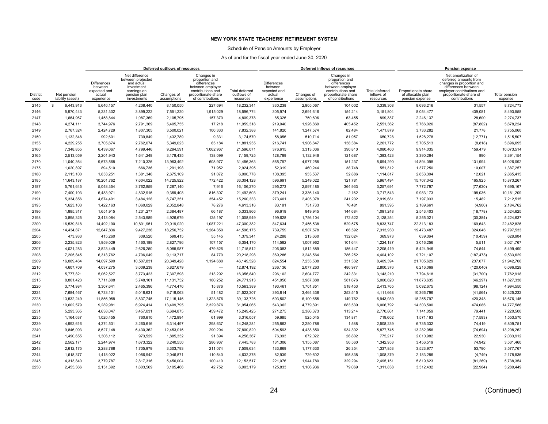#### Schedule of Pension Amounts by Employer

|                         |                                  | Deferred outflows of resources                                        |                                                                                                               |                           |                                                                                                                                 |                                            | Deferred inflows of resources                                         |                           |                                                                                                                                 |                                                  | <b>Pension expense</b>                                      |                                                                                                                                                                           |                          |
|-------------------------|----------------------------------|-----------------------------------------------------------------------|---------------------------------------------------------------------------------------------------------------|---------------------------|---------------------------------------------------------------------------------------------------------------------------------|--------------------------------------------|-----------------------------------------------------------------------|---------------------------|---------------------------------------------------------------------------------------------------------------------------------|--------------------------------------------------|-------------------------------------------------------------|---------------------------------------------------------------------------------------------------------------------------------------------------------------------------|--------------------------|
| <b>District</b><br>code | Net pension<br>liability (asset) | <b>Differences</b><br>between<br>expected and<br>actual<br>experience | Net difference<br>between projected<br>and actual<br>investment<br>earnings on<br>pension plan<br>investments | Changes of<br>assumptions | Changes in<br>proportion and<br>differences<br>between emplover<br>contributions and<br>proportionate share<br>of contributions | Total deferred<br>outflows of<br>resources | <b>Differences</b><br>between<br>expected and<br>actual<br>experience | Changes of<br>assumptions | Changes in<br>proportion and<br>differences<br>between employer<br>contributions and<br>proportionate share<br>of contributions | <b>Total deferred</b><br>inflows of<br>resources | Proportionate share<br>of allocable plan<br>pension expense | Net amortization of<br>deferred amounts from<br>changes in proportion and<br>differences between<br>employer contributions and<br>proportionate share of<br>contributions | Total pension<br>expense |
| 2145                    | 6,443,913<br>s.                  | 5,646,157                                                             | 4,208,440                                                                                                     | 8,150,050                 | 227,694                                                                                                                         | 18,232,341                                 | 330,238                                                               | 2,905,067                 | 104,002                                                                                                                         | 3,339,308                                        | 8,693,216                                                   | 31,557                                                                                                                                                                    | 8,724,773                |
| 2146                    | 5,970,443                        | 5,231,302                                                             | 3,899,222                                                                                                     | 7,551,220                 | 1,915,029                                                                                                                       | 18,596,774                                 | 305,974                                                               | 2,691,616                 | 154,214                                                                                                                         | 3,151,804                                        | 8,054,477                                                   | 439,081                                                                                                                                                                   | 8,493,558                |
| 2147                    | 1,664,967                        | 1,458,844                                                             | 1,087,369                                                                                                     | 2,105,795                 | 157,370                                                                                                                         | 4,809,378                                  | 85,326                                                                | 750,606                   | 63,455                                                                                                                          | 899,387                                          | 2,246,137                                                   | 28,600                                                                                                                                                                    | 2,274,737                |
| 2148                    | 4,274,111                        | 3,744,976                                                             | 2,791,369                                                                                                     | 5,405,755                 | 17,218                                                                                                                          | 11,959,318                                 | 219,040                                                               | 1,926,869                 | 405,452                                                                                                                         | 2,551,362                                        | 5,766,026                                                   | (87, 802)                                                                                                                                                                 | 5,678,224                |
| 2149                    | 2,767,324                        | 2,424,729                                                             | 1,807,305                                                                                                     | 3,500,021                 | 100,333                                                                                                                         | 7,832,388                                  | 141,820                                                               | 1,247,574                 | 82,484                                                                                                                          | 1,471,879                                        | 3,733,282                                                   | 21,778                                                                                                                                                                    | 3,755,060                |
| 2150                    | 1,132,848                        | 992,601                                                               | 739,849                                                                                                       | 1,432,789                 | 9,331                                                                                                                           | 3,174,570                                  | 58,056                                                                | 510,714                   | 81,957                                                                                                                          | 650,728                                          | 1,528,278                                                   | (12, 771)                                                                                                                                                                 | 1,515,507                |
| 2155                    | 4.229.255                        | 3,705,674                                                             | 2.762.074                                                                                                     | 5,349,023                 | 65.184                                                                                                                          | 11.881.955                                 | 216,741                                                               | 1,906,647                 | 138.384                                                                                                                         | 2,261,772                                        | 5,705,513                                                   | (8, 818)                                                                                                                                                                  | 5,696,695                |
| 2160                    | 7,348,855                        | 6,439,067                                                             | 4,799,446                                                                                                     | 9,294,591                 | 1,062,967                                                                                                                       | 21,596,071                                 | 376,615                                                               | 3,313,036                 | 390,810                                                                                                                         | 4,080,460                                        | 9,914,035                                                   | 159,479                                                                                                                                                                   | 10,073,514               |
| 2165                    | 2,513,059                        | 2,201,943                                                             | 1,641,248                                                                                                     | 3,178,435                 | 138,099                                                                                                                         | 7,159,725                                  | 128,789                                                               | 1,132,946                 | 121,687                                                                                                                         | 1,383,423                                        | 3,390,264                                                   | 890                                                                                                                                                                       | 3,391,154                |
| 2170                    | 11,040,364                       | 9,673,568                                                             | 7,210,326                                                                                                     | 13,963,492                | 608,977                                                                                                                         | 31,456,363                                 | 565,797                                                               | 4,977,255                 | 151,237                                                                                                                         | 5,694,290                                        | 14,894,098                                                  | 131,994                                                                                                                                                                   | 15,026,092               |
| 2175                    | 1,020,897                        | 894,510                                                               | 666,736                                                                                                       | 1,291,198                 | 71,952                                                                                                                          | 2,924,395                                  | 52,319                                                                | 460,244                   | 38,748                                                                                                                          | 551,312                                          | 1,377,250                                                   | 10,007                                                                                                                                                                    | 1,387,257                |
| 2180                    | 2,115,100                        | 1,853,251                                                             | 1,381,346                                                                                                     | 2,675,109                 | 91,072                                                                                                                          | 6,000,778                                  | 108,395                                                               | 953,537                   | 52,886                                                                                                                          | 1,114,817                                        | 2,853,394                                                   | 12,021                                                                                                                                                                    | 2,865,415                |
| 2185                    | 11,643,187                       | 10,201,762                                                            | 7,604,022                                                                                                     | 14,725,922                | 772,422                                                                                                                         | 33,304,128                                 | 596,691                                                               | 5,249,022                 | 121,781                                                                                                                         | 5,967,494                                        | 15,707,342                                                  | 165,925                                                                                                                                                                   | 15,873,267               |
| 2187                    | 5,761,645                        | 5,048,354                                                             | 3,762,859                                                                                                     | 7,287,140                 | 7,916                                                                                                                           | 16,106,270                                 | 295,273                                                               | 2,597,485                 | 364,933                                                                                                                         | 3,257,691                                        | 7,772,797                                                   | (77, 630)                                                                                                                                                                 | 7,695,167                |
| 2190                    | 7,400,103                        | 6,483,971                                                             | 4,832,916                                                                                                     | 9,359,408                 | 816,307                                                                                                                         | 21,492,603                                 | 379,241                                                               | 3,336,140                 | 2,162                                                                                                                           | 3,717,543                                        | 9,983,173                                                   | 198,036                                                                                                                                                                   | 10,181,209               |
| 2191                    | 5,334,856                        | 4,674,401                                                             | 3,484,128                                                                                                     | 6,747,351                 | 354,452                                                                                                                         | 15.260.333                                 | 273,401                                                               | 2,405,078                 | 241,202                                                                                                                         | 2,919,681                                        | 7,197,033                                                   | 15,482                                                                                                                                                                    | 7,212,515                |
| 2195                    | 1,623,103                        | 1,422,163                                                             | 1,060,029                                                                                                     | 2,052,848                 | 78,276                                                                                                                          | 4,613,316                                  | 83,181                                                                | 731,733                   | 76,481                                                                                                                          | 891,395                                          | 2,189,661                                                   | (4,900)                                                                                                                                                                   | 2,184,762                |
| 2196                    | 1,885,317                        | 1,651,915                                                             | 1,231,277                                                                                                     | 2,384,487                 | 66,187                                                                                                                          | 5,333,866                                  | 96,619                                                                | 849,945                   | 144,684                                                                                                                         | 1,091,248                                        | 2,543,403                                                   | (18, 778)                                                                                                                                                                 | 2,524,625                |
| 2198                    | 3,895,325                        | 3,413,084                                                             | 2,543,989                                                                                                     | 4,926,679                 | 125,197                                                                                                                         | 11,008,949                                 | 199,628                                                               | 1,756,104                 | 172,522                                                                                                                         | 2,128,254                                        | 5,255,021                                                   | (30, 384)                                                                                                                                                                 | 5,224,637                |
| 2200                    | 16,539,818                       | 14,492,190                                                            | 10,801,951                                                                                                    | 20,919,020                | 1,087,221                                                                                                                       | 47,300,382                                 | 847,634                                                               | 7,456,538                 | 529,575                                                                                                                         | 8,833,747                                        | 22,313,183                                                  | 169,643                                                                                                                                                                   | 22,482,826               |
| 2204                    | 14,434,871                       | 12,647,836                                                            | 9,427,236                                                                                                     | 18,256,752                | 1,264,350                                                                                                                       | 41,596,175                                 | 739,759                                                               | 6,507,578                 | 66,592                                                                                                                          | 7,313,930                                        | 19,473,487                                                  | 324,046                                                                                                                                                                   | 19,797,533               |
| 2205                    | 473,933                          | 415,260                                                               | 309,520                                                                                                       | 599,415                   | 55,145                                                                                                                          | 1,379,341                                  | 24,288                                                                | 213,660                   | 132,024                                                                                                                         | 369,973                                          | 639,364                                                     | (10, 459)                                                                                                                                                                 | 628,904                  |
| 2206                    | 2,235,823                        | 1,959,029                                                             | 1,460,189                                                                                                     | 2,827,796                 | 107,157                                                                                                                         | 6,354,170                                  | 114,582                                                               | 1,007,962                 | 101,644                                                                                                                         | 1,224,187                                        | 3,016,256                                                   | 5,511                                                                                                                                                                     | 3,021,767                |
| 2207<br>2208            | 4,021,283<br>7,205,845           | 3,523,449<br>6,313,762                                                | 2,626,250                                                                                                     | 5,085,987                 | 479,826<br>84,770                                                                                                               | 11,715,512<br>20,218,298                   | 206,083                                                               | 1,812,889<br>3,248,564    | 186,447<br>786,252                                                                                                              | 2,205,419                                        | 5,424,946                                                   | 74,544                                                                                                                                                                    | 5,499,490<br>9,533,629   |
| 2209                    | 16,089,464                       | 14,097,590                                                            | 4,706,049<br>10,507,831                                                                                       | 9,113,717<br>20,349,428   | 1,194,680                                                                                                                       | 46,149,528                                 | 369,286<br>824,554                                                    | 7,253,508                 | 331,332                                                                                                                         | 4,404,102<br>8,409,394                           | 9,721,107<br>21,705,629                                     | (187, 478)<br>237,077                                                                                                                                                     | 21,942,706               |
| 2210                    | 4,607,709                        | 4,037,275                                                             | 3,009,238                                                                                                     | 5,827,679                 | $\overline{\phantom{0}}$                                                                                                        | 12,874,192                                 | 236,136                                                               | 2,077,263                 | 486,977                                                                                                                         | 2,800,376                                        | 6,216,069                                                   | (120, 040)                                                                                                                                                                | 6,096,029                |
| 2212                    | 5,777,821                        | 5,062,527                                                             | 3,773,423                                                                                                     | 7,307,598                 | 213,292                                                                                                                         | 16,356,840                                 | 296,102                                                               | 2,604,777                 | 242,331                                                                                                                         | 3,143,210                                        | 7,794,618                                                   | (31,700)                                                                                                                                                                  | 7,762,918                |
| 2215                    | 8,801,423                        | 7,711,808                                                             | 5.748.101                                                                                                     | 11,131,752                | 180,252                                                                                                                         | 24,771,913                                 | 451,056                                                               | 3,967,888                 | 581,676                                                                                                                         | 5,000,620                                        | 11,873,635                                                  | (46, 297)                                                                                                                                                                 | 11,827,338               |
| 2220                    | 3,774,984                        | 3,307,641                                                             | 2,465,396                                                                                                     | 4,774,476                 | 15,876                                                                                                                          | 10,563,389                                 | 193,461                                                               | 1,701,851                 | 518,453                                                                                                                         | 2,413,765                                        | 5,092,675                                                   | (98, 124)                                                                                                                                                                 | 4,994,550                |
| 2224                    | 7,684,467                        | 6,733,131                                                             | 5,018,631                                                                                                     | 9,719,063                 | 51,482                                                                                                                          | 21,522,307                                 | 393,814                                                               | 3,464,338                 | 253,515                                                                                                                         | 4,111,668                                        | 10,366,796                                                  | (41, 564)                                                                                                                                                                 | 10,325,232               |
| 2225                    | 13,532,249                       | 11,856,958                                                            | 8,837,745                                                                                                     | 17,115,146                | 1,323,876                                                                                                                       | 39, 133, 726                               | 693,502                                                               | 6,100,655                 | 149,782                                                                                                                         | 6,943,939                                        | 18,255,797                                                  | 420,348                                                                                                                                                                   | 18,676,145               |
| 2230                    | 10,602,579                       | 9,289,981                                                             | 6,924,414                                                                                                     | 13,409,795                | 2,329,876                                                                                                                       | 31,954,065                                 | 543,362                                                               | 4,779,891                 | 683,539                                                                                                                         | 6,006,792                                        | 14,303,500                                                  | 474,086                                                                                                                                                                   | 14,777,586               |
| 2231                    | 5,293,365                        | 4,638,047                                                             | 3,457,031                                                                                                     | 6,694,875                 | 459,472                                                                                                                         | 15,249,425                                 | 271,275                                                               | 2,386,373                 | 113,214                                                                                                                         | 2,770,861                                        | 7,141,059                                                   | 79,441                                                                                                                                                                    | 7,220,500                |
| 2235                    | 1,164,637                        | 1,020,455                                                             | 760,610                                                                                                       | 1,472,994                 | 61,999                                                                                                                          | 3,316,057                                  | 59,685                                                                | 525,045                   | 134,871                                                                                                                         | 719,602                                          | 1,571,163                                                   | (17, 593)                                                                                                                                                                 | 1,553,570                |
| 2239                    | 4.992.616                        | 4,374,531                                                             | 3.260.616                                                                                                     | 6.314.497                 | 298.637                                                                                                                         | 14.248.281                                 | 255.862                                                               | 2,250,788                 | 1.588                                                                                                                           | 2.508.239                                        | 6,735,332                                                   | 74.419                                                                                                                                                                    | 6,809,751                |
| 2240                    | 9,846,093                        | 8,627,148                                                             | 6,430,362                                                                                                     | 12,453,016                | 290,294                                                                                                                         | 27,800,820                                 | 504,593                                                               | 4,438,850                 | 934,302                                                                                                                         | 5,877,745                                        | 13,282,956                                                  | (74, 694)                                                                                                                                                                 | 13,208,262               |
| 2241                    | 1,490,655                        | 1,306,112                                                             | 973,529                                                                                                       | 1,885,332                 | 91,394                                                                                                                          | 4,256,367                                  | 76,393                                                                | 672,022                   | 26,802                                                                                                                          | 775,217                                          | 2,010,982                                                   | 22,930                                                                                                                                                                    | 2,033,912                |
| 2242                    | 2,562,171                        | 2,244,974                                                             | 1,673,322                                                                                                     | 3,240,550                 | 286,937                                                                                                                         | 7,445,783                                  | 131,306                                                               | 1,155,087                 | 56,560                                                                                                                          | 1,342,953                                        | 3,456,519                                                   | 74,942                                                                                                                                                                    | 3,531,460                |
| 2243                    | 2,612,175                        | 2,288,788                                                             | 1,705,979                                                                                                     | 3,303,793                 | 211,074                                                                                                                         | 7,509,634                                  | 133,869                                                               | 1,177,630                 | 26,354                                                                                                                          | 1,337,853                                        | 3,523,977                                                   | 53,790                                                                                                                                                                    | 3,577,767                |
| 2244                    | 1,618,377                        | 1,418,022                                                             | 1,056,942                                                                                                     | 2,046,871                 | 110,540                                                                                                                         | 4,632,375                                  | 82,939                                                                | 729,602                   | 195,838                                                                                                                         | 1,008,379                                        | 2,183,286                                                   | (4, 749)                                                                                                                                                                  | 2,178,536                |
| 2245                    | 4,313,840                        | 3,779,787                                                             | 2,817,316                                                                                                     | 5,456,004                 | 100,410                                                                                                                         | 12, 153, 517                               | 221,076                                                               | 1,944,780                 | 329,294                                                                                                                         | 2,495,151                                        | 5,819,623                                                   | (81, 269)                                                                                                                                                                 | 5,738,354                |
| 2250                    | 2,455,366                        | 2,151,392                                                             | 1,603,569                                                                                                     | 3,105,466                 | 42,752                                                                                                                          | 6,903,179                                  | 125,833                                                               | 1,106,936                 | 79,069                                                                                                                          | 1,311,838                                        | 3,312,432                                                   | (22, 984)                                                                                                                                                                 | 3,289,449                |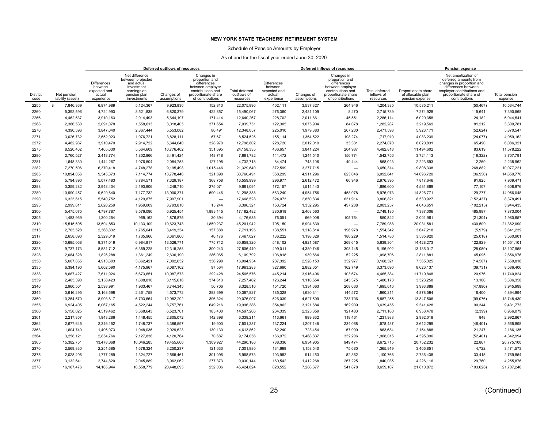#### Schedule of Pension Amounts by Employer

|                         |                                  |                                                                       |                                                                                                               | Deferred outflows of resources |                                                                                                                                 |                                            |                                                                |                           | Deferred inflows of resources                                                                                                   |                                                  |                                                             | <b>Pension expense</b>                                                                                                                                                    |                          |
|-------------------------|----------------------------------|-----------------------------------------------------------------------|---------------------------------------------------------------------------------------------------------------|--------------------------------|---------------------------------------------------------------------------------------------------------------------------------|--------------------------------------------|----------------------------------------------------------------|---------------------------|---------------------------------------------------------------------------------------------------------------------------------|--------------------------------------------------|-------------------------------------------------------------|---------------------------------------------------------------------------------------------------------------------------------------------------------------------------|--------------------------|
| <b>District</b><br>code | Net pension<br>liability (asset) | <b>Differences</b><br>between<br>expected and<br>actual<br>experience | Net difference<br>between projected<br>and actual<br>investment<br>earnings on<br>pension plan<br>investments | Changes of<br>assumptions      | Changes in<br>proportion and<br>differences<br>between employer<br>contributions and<br>proportionate share<br>of contributions | Total deferred<br>outflows of<br>resources | Differences<br>between<br>expected and<br>actual<br>experience | Changes of<br>assumptions | Changes in<br>proportion and<br>differences<br>between employer<br>contributions and<br>proportionate share<br>of contributions | <b>Total deferred</b><br>inflows of<br>resources | Proportionate share<br>of allocable plan<br>pension expense | Net amortization of<br>deferred amounts from<br>changes in proportion and<br>differences between<br>emplover contributions and<br>proportionate share of<br>contributions | Total pension<br>expense |
| 2255                    | \$<br>7,846,369                  | 6,874,989                                                             | 5,124,367                                                                                                     | 9,923,830                      | 152,810                                                                                                                         | 22,075,996                                 | 402,111                                                        | 3,537,327                 | 264,946                                                                                                                         | 4,204,385                                        | 10,585,211                                                  | (50, 467)                                                                                                                                                                 | 10,534,744               |
| 2260                    | 5,392,596                        | 4,724,993                                                             | 3,521,838                                                                                                     | 6.820.379                      | 422,857                                                                                                                         | 15,490,067                                 | 276,360                                                        | 2,431,109                 | 8.270                                                                                                                           | 2,715,739                                        | 7,274,928                                                   | 115,641                                                                                                                                                                   | 7,390,568                |
| 2266                    | 4,462,637                        | 3,910,163                                                             | 2,914,493                                                                                                     | 5,644,197                      | 171,414                                                                                                                         | 12,640,267                                 | 228,702                                                        | 2,011,861                 | 45,551                                                                                                                          | 2,286,114                                        | 6,020,358                                                   | 24,182                                                                                                                                                                    | 6,044,541                |
| 2268                    | 2,386,530                        | 2.091.078                                                             | 1.558.613                                                                                                     | 3,018,405                      | 371.654                                                                                                                         | 7.039.751                                  | 122,305                                                        | 1,075,904                 | 84.078                                                                                                                          | 1.282.287                                        | 3,219,569                                                   | 81,212                                                                                                                                                                    | 3,300,781                |
| 2270                    | 4,390,596                        | 3,847,040                                                             | 2,867,444                                                                                                     | 5,553,082                      | 80,491                                                                                                                          | 12,348,057                                 | 225,010                                                        | 1,979,383                 | 267,200                                                                                                                         | 2,471,593                                        | 5,923,171                                                   | (52, 624)                                                                                                                                                                 | 5,870,547                |
| 2271                    | 3,026,732                        | 2.652.023                                                             | 1.976.721                                                                                                     | 3,828,111                      | 67,671                                                                                                                          | 8,524,526                                  | 155,114                                                        | 1,364,522                 | 198,274                                                                                                                         | 1,717,910                                        | 4,083,239                                                   | (24, 077)                                                                                                                                                                 | 4,059,162                |
| 2272                    | 4,462,987                        | 3,910,470                                                             | 2,914,722                                                                                                     | 5,644,640                      | 328,970                                                                                                                         | 12,798,802                                 | 228,720                                                        | 2,012,019                 | 33,331                                                                                                                          | 2,274,070                                        | 6,020,831                                                   | 65,490                                                                                                                                                                    | 6,086,321                |
| 2275                    | 8,520,462                        | 7,465,630                                                             | 5,564,609                                                                                                     | 10,776,402                     | 351,695                                                                                                                         | 24, 158, 335                               | 436,657                                                        | 3,841,224                 | 204,937                                                                                                                         | 4,482,818                                        | 11,494,602                                                  | 83,619                                                                                                                                                                    | 11,578,222               |
| 2280                    | 2,760,527                        | 2,418,774                                                             | 1,802,866                                                                                                     | 3,491,424                      | 148,718                                                                                                                         | 7,861,782                                  | 141,472                                                        | 1,244,510                 | 156,774                                                                                                                         | 1,542,756                                        | 3,724,113                                                   | (16, 322)                                                                                                                                                                 | 3,707,791                |
| 2281                    | 1,648,330                        | 1,444,267                                                             | 1,076,504                                                                                                     | 2,084,753                      | 127,195                                                                                                                         | 4,732,718                                  | 84,474                                                         | 743,106                   | 40,444                                                                                                                          | 868,023                                          | 2,223,693                                                   | 12,269                                                                                                                                                                    | 2,235,962                |
| 2282                    | 7,270,506                        | 6,370,418                                                             | 4,748,278                                                                                                     | 9,195,498                      | 1,015,446                                                                                                                       | 21,329,640                                 | 372,599                                                        | 3,277,715                 | $\overline{\phantom{0}}$                                                                                                        | 3,650,314                                        | 9,808,338                                                   | 268,882                                                                                                                                                                   | 10,077,221               |
| 2285                    | 10,894,056                       | 9,545,373                                                             | 7,114,774                                                                                                     | 13,778,446                     | 321,898                                                                                                                         | 30,760,491                                 | 558.299                                                        | 4,911,296                 | 623.046                                                                                                                         | 6,092,641                                        | 14,696,720                                                  | (36,950)                                                                                                                                                                  | 14,659,770               |
| 2286                    | 5,794,890                        | 5,077,483                                                             | 3,784,571                                                                                                     | 7,329,187                      | 368,758                                                                                                                         | 16,559,999                                 | 296,977                                                        | 2,612,472                 | 66,946                                                                                                                          | 2,976,395                                        | 7,817,646                                                   | 91,825                                                                                                                                                                    | 7,909,471                |
| 2288                    | 3,359,282                        | 2,943,404                                                             | 2,193,906                                                                                                     | 4,248,710                      | 275,071                                                                                                                         | 9.661.091                                  | 172,157                                                        | 1,514,443                 |                                                                                                                                 | 1,686,600                                        | 4,531,869                                                   | 77,107                                                                                                                                                                    | 4,608,976                |
| 2289                    | 10,990,457                       | 9,629,840                                                             | 7,177,732                                                                                                     | 13,900,371                     | 590,446                                                                                                                         | 31,298,388                                 | 563,240                                                        | 4,954,756                 | 458,078                                                                                                                         | 5,976,073                                        | 14,826,771                                                  | 129,277                                                                                                                                                                   | 14,956,048               |
| 2290                    | 6,323,615                        | 5,540,752                                                             | 4,129,875                                                                                                     | 7,997,901                      |                                                                                                                                 | 17,668,528                                 | 324,073                                                        | 2,850,834                 | 631,914                                                                                                                         | 3,806,821                                        | 8,530,927                                                   | (152, 437)                                                                                                                                                                | 8,378,491                |
| 2295                    | 2,999,611                        | 2,628,259                                                             | 1,959,009                                                                                                     | 3,793,810                      | 15,244                                                                                                                          | 8,396,321                                  | 153,724                                                        | 1,352,295                 | 497,238                                                                                                                         | 2,003,257                                        | 4,046,651                                                   | (102, 215)                                                                                                                                                                | 3,944,435                |
| 2300                    | 5,475,675                        | 4,797,787                                                             | 3,576,096                                                                                                     | 6,925,454                      | 1,883,145                                                                                                                       | 17, 182, 482                               | 280,618                                                        | 2,468,563                 | $\overline{\phantom{a}}$                                                                                                        | 2,749,180                                        | 7,387,006                                                   | 485,997                                                                                                                                                                   | 7,873,004                |
| 2305                    | 1,483,969                        | 1,300,254                                                             | 969,162                                                                                                       | 1,876,875                      | 30,394                                                                                                                          | 4,176,685                                  | 76,051                                                         | 669,008                   | 105,764                                                                                                                         | 850,822                                          | 2,001,961                                                   | (21, 304)                                                                                                                                                                 | 1,980,657                |
| 2310                    | 15,515,695                       | 13,594,853                                                            | 10.133.109                                                                                                    | 19,623,743                     | 1,850,237                                                                                                                       | 45,201,942                                 | 795,150                                                        | 6,994,839                 |                                                                                                                                 | 7,789,988                                        | 20,931,581                                                  | 430,509                                                                                                                                                                   | 21,362,090               |
| 2315                    | 2,703,528                        | 2,368,832                                                             | 1,765,641                                                                                                     | 3,419,334                      | 157,388                                                                                                                         | 7,711,195                                  | 138,551                                                        | 1,218,814                 | 196,978                                                                                                                         | 1,554,342                                        | 3,647,218                                                   | (5,979)                                                                                                                                                                   | 3,641,239                |
| 2317                    | 2,658,090                        | 2,329,019                                                             | 1,735,966                                                                                                     | 3,361,866                      | 40,176                                                                                                                          | 7,467,027                                  | 136,222                                                        | 1,198,329                 | 180,229                                                                                                                         | 1,514,780                                        | 3,585,920                                                   | (25, 018)                                                                                                                                                                 | 3,560,901                |
| 2320                    | 10,695,068                       | 9,371,019                                                             | 6,984,817                                                                                                     | 13,526,771                     | 775,712                                                                                                                         | 30,658,320                                 | 548,102                                                        | 4,821,587                 | 269,615                                                                                                                         | 5,639,304                                        | 14,428,273                                                  | 122,829                                                                                                                                                                   | 14,551,101               |
| 2325                    | 9,737,173                        | 8,531,712                                                             | 6,359,228                                                                                                     | 12,315,258                     | 300,243                                                                                                                         | 27,506,440                                 | 499,011                                                        | 4,389,746                 | 308,145                                                                                                                         | 5,196,902                                        | 13,136,017                                                  | (28, 059)                                                                                                                                                                 | 13, 107, 958             |
| 2328                    | 2,084,328                        | 1,826,288                                                             | 1,361,249                                                                                                     | 2,636,190                      | 286,065                                                                                                                         | 6,109,792                                  | 106,818                                                        | 939,664                   | 52,225                                                                                                                          | 1,098,706                                        | 2,811,881                                                   | 45,095                                                                                                                                                                    | 2,856,976                |
| 2330                    | 5,607,855                        | 4,913,603                                                             | 3,662,421                                                                                                     | 7,092,632                      | 336,298                                                                                                                         | 16,004,954                                 | 287,392                                                        | 2,528,153                 | 352,977                                                                                                                         | 3,168,521                                        | 7,565,325                                                   | (14, 507)                                                                                                                                                                 | 7,550,818                |
| 2335                    | 6,394,190                        | 5,602,590                                                             | 4,175,967                                                                                                     | 8,087,162                      | 97,564                                                                                                                          | 17,963,283                                 | 327,690                                                        | 2,882,651                 | 162,749                                                                                                                         | 3,373,090                                        | 8,626,137                                                   | (39, 731)                                                                                                                                                                 | 8,586,406                |
| 2338                    | 8,687,427                        | 7,611,924                                                             | 5,673,651                                                                                                     | 10,987,573                     | 292,428                                                                                                                         | 24,565,576                                 | 445,214                                                        | 3,916,496                 | 103,674                                                                                                                         | 4,465,384                                        | 11,719,848                                                  | 20,976                                                                                                                                                                    | 11,740,824               |
| 2339                    | 2,463,390                        | 2,158,423                                                             | 1,608,810                                                                                                     | 3,115,616                      | 374,613                                                                                                                         | 7,257,462                                  | 126,244                                                        | 1,110,554                 | 243,375                                                                                                                         | 1,480,173                                        | 3,323,258                                                   | 13,100                                                                                                                                                                    | 3,336,358                |
| 2340                    | 2,960,501                        | 2,593,991                                                             | 1,933,467                                                                                                     | 3,744,345                      | 56,706                                                                                                                          | 8,328,510                                  | 151,720                                                        | 1,334,663                 | 208,633                                                                                                                         | 1,695,016                                        | 3,993,889                                                   | (47, 890)                                                                                                                                                                 | 3,945,999                |
| 2345                    | 3,616,295                        | 3,168,598                                                             | 2,361,758                                                                                                     | 4,573,772                      | 283,699                                                                                                                         | 10,387,827                                 | 185,328                                                        | 1,630,311                 | 144,572                                                                                                                         | 1,960,211                                        | 4,878,594                                                   | 16,400                                                                                                                                                                    | 4,894,994                |
| 2350                    | 10,264,570                       | 8,993,817                                                             | 6,703,664                                                                                                     | 12,982,292                     | 396,324                                                                                                                         | 29,076,097                                 | 526,039                                                        | 4,627,509                 | 733,706                                                                                                                         | 5,887,255                                        | 13,847,506                                                  | (99,076)                                                                                                                                                                  | 13,748,430               |
| 2355                    | 6,924,405                        | 6,067,165                                                             | 4,522,244                                                                                                     | 8,757,761                      | 649,216                                                                                                                         | 19,996,386                                 | 354,862                                                        | 3,121,684                 | 162,909                                                                                                                         | 3,639,455                                        | 9,341,428                                                   | 90,344                                                                                                                                                                    | 9,431,773                |
| 2360                    | 5,158,025                        | 4,519,462                                                             | 3,368,643                                                                                                     | 6,523,701                      | 185,400                                                                                                                         | 14,597,206                                 | 264,339                                                        | 2,325,359                 | 121,483                                                                                                                         | 2,711,180                                        | 6,958,478                                                   | (2, 399)                                                                                                                                                                  | 6,956,079                |
| 2361                    | 2,217,857                        | 1,943,286                                                             | 1,448,455                                                                                                     | 2,805,072                      | 142,398                                                                                                                         | 6,339,211                                  | 113,661                                                        | 999,862                   | 118,461                                                                                                                         | 1,231,983                                        | 2,992,018                                                   | 848                                                                                                                                                                       | 2,992,867                |
| 2362                    | 2,677,645                        | 2,346,152                                                             | 1,748,737                                                                                                     | 3,386,597                      | 19,900                                                                                                                          | 7,501,387                                  | 137,224                                                        | 1,207,145                 | 234,068                                                                                                                         | 1,578,437                                        | 3,612,299                                                   | (46, 401)                                                                                                                                                                 | 3,565,898                |
| 2363                    | 1,604,740                        | 1,406,073                                                             | 1,048,036                                                                                                     | 2,029,623                      | 130,130                                                                                                                         | 4,613,862                                  | 82,240                                                         | 723,454                   | 57,990                                                                                                                          | 863,684                                          | 2,164,888                                                   | 21,247                                                                                                                                                                    | 2,186,135                |
| 2364                    | 3,258,121                        | 2,854,766                                                             | 2,127,838                                                                                                     | 4,120,764                      | 70,687                                                                                                                          | 9,174,056                                  | 166,972                                                        | 1,468,837                 | 332,206                                                                                                                         | 1,968,015                                        | 4,395,396                                                   | (52, 401)                                                                                                                                                                 | 4,342,994                |
| 2365                    | 15,382,751                       | 13,478,368                                                            | 10,046,285                                                                                                    | 19,455,600                     | 1,309,927                                                                                                                       | 44,290,180                                 | 788,336                                                        | 6,934,905                 | 949,474                                                                                                                         | 8,672,715                                        | 20,752,232                                                  | 22,867                                                                                                                                                                    | 20,775,100               |
| 2370                    | 2,569,830                        | 2,251,685                                                             | 1,678,324                                                                                                     | 3,250,237                      | 121,633                                                                                                                         | 7,301,880                                  | 131,699                                                        | 1,158,540                 | 75,680                                                                                                                          | 1,365,919                                        | 3,466,851                                                   | 4,722                                                                                                                                                                     | 3,471,573                |
| 2375                    | 2,028,406                        | 1,777,289                                                             | 1,324,727                                                                                                     | 2,565,461                      | 301,096                                                                                                                         | 5,968,573                                  | 103,952                                                        | 914,453                   | 82,362                                                                                                                          | 1,100,766                                        | 2,736,438                                                   | 33,415                                                                                                                                                                    | 2,769,854                |
| 2377                    | 3,132,641                        | 2,744,820                                                             | 2,045,889                                                                                                     | 3,962,062                      | 277,373                                                                                                                         | 9,030,144                                  | 160,542                                                        | 1,412,268                 | 267,225                                                                                                                         | 1,840,035                                        | 4,226,116                                                   | 29,760                                                                                                                                                                    | 4,255,876                |
| 2378                    | 16, 167, 476                     | 14, 165, 944                                                          | 10,558,779                                                                                                    | 20,448,095                     | 252,006                                                                                                                         | 45,424,824                                 | 828,552                                                        | 7,288,677                 | 541,878                                                                                                                         | 8,659,107                                        | 21,810,872                                                  | (103, 626)                                                                                                                                                                | 21,707,246               |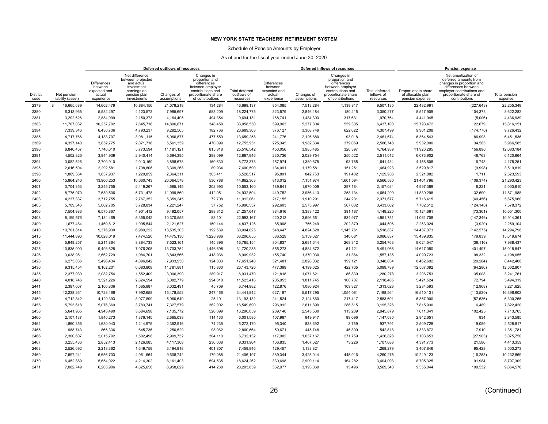#### Schedule of Pension Amounts by Employer

|                         |                                  |                                                                |                                                                                                               | Deferred outflows of resources |                                                                                                                                 |                                                   |                                                                       |                           | Deferred inflows of resources                                                                                                   |                                           |                                                             | <b>Pension expense</b>                                                                                                                                                    |                          |
|-------------------------|----------------------------------|----------------------------------------------------------------|---------------------------------------------------------------------------------------------------------------|--------------------------------|---------------------------------------------------------------------------------------------------------------------------------|---------------------------------------------------|-----------------------------------------------------------------------|---------------------------|---------------------------------------------------------------------------------------------------------------------------------|-------------------------------------------|-------------------------------------------------------------|---------------------------------------------------------------------------------------------------------------------------------------------------------------------------|--------------------------|
| <b>District</b><br>code | Net pension<br>liability (asset) | Differences<br>between<br>expected and<br>actual<br>experience | Net difference<br>between projected<br>and actual<br>investment<br>earnings on<br>pension plan<br>investments | Changes of<br>assumptions      | Changes in<br>proportion and<br>differences<br>between emplover<br>contributions and<br>proportionate share<br>of contributions | <b>Total deferred</b><br>outflows of<br>resources | <b>Differences</b><br>between<br>expected and<br>actual<br>experience | Changes of<br>assumptions | Changes in<br>proportion and<br>differences<br>between employer<br>contributions and<br>proportionate share<br>of contributions | Total deferred<br>inflows of<br>resources | Proportionate share<br>of allocable plan<br>pension expense | Net amortization of<br>deferred amounts from<br>changes in proportion and<br>differences between<br>employer contributions and<br>proportionate share of<br>contributions | Total pension<br>expense |
| 2379                    | 16,665,689<br>S.                 | 14,602,479                                                     | 10,884,156                                                                                                    | 21,078,218                     | 134,284                                                                                                                         | 46,699,137                                        | 854,085                                                               | 7,513,284                 | 1,139,817                                                                                                                       | 9,507,185                                 | 22,482,991                                                  | (227, 643)                                                                                                                                                                | 22,255,348               |
| 2380                    | 6,313,965                        | 5,532,297                                                      | 4,123,573                                                                                                     | 7,985,697                      | 583,209                                                                                                                         | 18,224,775                                        | 323,579                                                               | 2,846,484                 | 180,215                                                                                                                         | 3,350,277                                 | 8,517,909                                                   | 104,373                                                                                                                                                                   | 8,622,282                |
| 2381                    | 3,292,626                        | 2,884,999                                                      | 2,150,373                                                                                                     | 4,164,405                      | 494,354                                                                                                                         | 9,694,131                                         | 168,741                                                               | 1,484,393                 | 317,631                                                                                                                         | 1,970,764                                 | 4,441,945                                                   | (5,006)                                                                                                                                                                   | 4,436,939                |
| 2383                    | 11,707,032                       | 10,257,702                                                     | 7,645,718                                                                                                     | 14,806,671                     | 348,458                                                                                                                         | 33,058,550                                        | 599,963                                                               | 5,277,804                 | 559,335                                                                                                                         | 6,437,103                                 | 15,793,472                                                  | 22,679                                                                                                                                                                    | 15,816,151               |
| 2384                    | 7,339,346                        | 6,430,736                                                      | 4,793,237                                                                                                     | 9,282,565                      | 182,766                                                                                                                         | 20,689,303                                        | 376,127                                                               | 3,308,749                 | 622,622                                                                                                                         | 4,307,499                                 | 9,901,208                                                   | (174, 776)                                                                                                                                                                | 9,726,432                |
| 2385                    | 4,717,766                        | 4,133,707                                                      | 3,081,115                                                                                                     | 5,966,877                      | 477,559                                                                                                                         | 13,659,258                                        | 241,776                                                               | 2,126,880                 | 93,018                                                                                                                          | 2,461,674                                 | 6,364,543                                                   | 86,993                                                                                                                                                                    | 6,451,536                |
| 2389                    | 4.397.140                        | 3,852,775                                                      | 2.871.718                                                                                                     | 5.561.359                      | 470.099                                                                                                                         | 12.755.951                                        | 225.345                                                               | 1,982,334                 | 379.069                                                                                                                         | 2.586.748                                 | 5,932,000                                                   | 34,585                                                                                                                                                                    | 5,966,585                |
| 2390                    | 8,840,457                        | 7,746,010                                                      | 5,773,594                                                                                                     | 11,181,121                     | 815,818                                                                                                                         | 25,516,542                                        | 453,056                                                               | 3,985,485                 | 326,397                                                                                                                         | 4,764,939                                 | 11,926,295                                                  | 156,890                                                                                                                                                                   | 12,083,184               |
| 2391                    | 4,502,326                        | 3,944,939                                                      | 2,940,414                                                                                                     | 5,694,395                      | 288,099                                                                                                                         | 12,867,846                                        | 230,736                                                               | 2,029,754                 | 250,522                                                                                                                         | 2,511,012                                 | 6,073,902                                                   | 46,763                                                                                                                                                                    | 6,120,664                |
| 2394                    | 3,082,526                        | 2,700,910                                                      | 2,013,160                                                                                                     | 3,898,678                      | 160,630                                                                                                                         | 8,773,378                                         | 157,974                                                               | 1,389,675                 | 93,785                                                                                                                          | 1,641,434                                 | 4,158,508                                                   | 16,743                                                                                                                                                                    | 4,175,251                |
| 2395                    | 2,616,504                        | 2,292,581                                                      | 1,708,806                                                                                                     | 3,309,268                      | 89,934                                                                                                                          | 7,400,590                                         | 134,091                                                               | 1,179,581                 | 151,251                                                                                                                         | 1,464,923                                 | 3,529,817                                                   | (9,998)                                                                                                                                                                   | 3,519,819                |
| 2396                    | 1,869,364                        | 1,637,937                                                      | 1,220,859                                                                                                     | 2,364,311                      | 305,411                                                                                                                         | 5,528,517                                         | 95,801                                                                | 842,753                   | 191,402                                                                                                                         | 1,129,956                                 | 2,521,882                                                   | 1,711                                                                                                                                                                     | 2,523,593                |
| 2400                    | 15,864,246                       | 13,900,253                                                     | 10,360,743                                                                                                    | 20,064,578                     | 536,788                                                                                                                         | 44,862,363                                        | 813,012                                                               | 7,151,974                 | 1,601,594                                                                                                                       | 9,566,580                                 | 21,401,796                                                  | (108, 374)                                                                                                                                                                | 21,293,423               |
| 2401                    | 3,704,353                        | 3,245,755                                                      | 2,419,267                                                                                                     | 4,685,145                      | 202,993                                                                                                                         | 10,553,160                                        | 189,841                                                               | 1,670,009                 | 297,184                                                                                                                         | 2,157,034                                 | 4,997,389                                                   | 6,221                                                                                                                                                                     | 5,003,610                |
| 2402                    | 8,775,970                        | 7,689,506                                                      | 5,731,478                                                                                                     | 11,099,560                     | 412,051                                                                                                                         | 24,932,594                                        | 449,752                                                               | 3,956,413                 | 258,134                                                                                                                         | 4,664,299                                 | 11,839,298                                                  | 32,690                                                                                                                                                                    | 11,871,988               |
| 2403                    | 4,237,337                        | 3,712,755                                                      | 2,767,352                                                                                                     | 5,359,245                      | 72,708                                                                                                                          | 11,912,061                                        | 217,155                                                               | 1,910,291                 | 244,231                                                                                                                         | 2,371,677                                 | 5,716,415                                                   | (40, 456)                                                                                                                                                                 | 5,675,960                |
| 2405                    | 5,709,546                        | 5,002,705                                                      | 3,728,834                                                                                                     | 7,221,247                      | 37,752                                                                                                                          | 15,990,537                                        | 292,603                                                               | 2,573,997                 | 567,002                                                                                                                         | 3,433,602                                 | 7,702,512                                                   | (124, 140)                                                                                                                                                                | 7,578,372                |
| 2406                    | 7,504,983                        | 6,575,867                                                      | 4,901,412                                                                                                     | 9,492,057                      | 288,312                                                                                                                         | 21,257,647                                        | 384,616                                                               | 3,383,422                 | 381,187                                                                                                                         | 4,149,226                                 | 10,124,661                                                  | (73, 361)                                                                                                                                                                 | 10,051,300               |
| 2408                    | 8,199,576                        | 7,184,469                                                      | 5,355,042                                                                                                     | 10,370,555                     | 83,101                                                                                                                          | 22,993,167                                        | 420,212                                                               | 3,696,561                 | 834,977                                                                                                                         | 4,951,751                                 | 11,061,708                                                  | (147, 346)                                                                                                                                                                | 10,914,361               |
| 2409                    | 1,677,484                        | 1,469,812                                                      | 1,095,544                                                                                                     | 2,121,627                      | 150,144                                                                                                                         | 4,837,126                                         | 85,968                                                                | 756,249                   | 202,379                                                                                                                         | 1,044,596                                 | 2,263,024                                                   | (3,920)                                                                                                                                                                   | 2,259,104                |
| 2410                    | 10,701,814                       | 9,376,930                                                      | 6,989,222                                                                                                     | 13,535,303                     | 192,569                                                                                                                         | 30,094,025                                        | 548,447                                                               | 4,824,628                 | 1,145,761                                                                                                                       | 6,518,837                                 | 14,437,373                                                  | (142, 575)                                                                                                                                                                | 14,294,798               |
| 2415                    | 11,444,896                       | 10,028,019                                                     | 7,474,520                                                                                                     | 14,475,130                     | 1,228,986                                                                                                                       | 33,206,655                                        | 586,529                                                               | 5,159,627                 | 340,681                                                                                                                         | 6,086,837                                 | 15,439,835                                                  | 179,839                                                                                                                                                                   | 15,619,674               |
| 2420                    | 5,948,257                        | 5,211,864                                                      | 3,884,733                                                                                                     | 7,523,161                      | 145,396                                                                                                                         | 16,765,154                                        | 304,837                                                               | 2,681,614                 | 268,312                                                                                                                         | 3,254,763                                 | 8,024,547                                                   | (36, 110)                                                                                                                                                                 | 7,988,437                |
| 2425                    | 10,835,000                       | 9,493,628                                                      | 7,076,205                                                                                                     | 13,703,754                     | 1,446,698                                                                                                                       | 31,720,285                                        | 555,273                                                               | 4,884,672                 | 51,121                                                                                                                          | 5,491,066                                 | 14,617,050                                                  | 401,497                                                                                                                                                                   | 15,018,547               |
| 2426                    | 3,038,951                        | 2,662,729                                                      | 1,984,701                                                                                                     | 3,843,566                      | 418,936                                                                                                                         | 8.909.932                                         | 155,740                                                               | 1,370,030                 | 31,364                                                                                                                          | 1,557,135                                 | 4,099,723                                                   | 98,332                                                                                                                                                                    | 4,198,055                |
| 2428                    | 6,273,036                        | 5,496,434                                                      | 4,096,842                                                                                                     | 7,933,930                      | 124,033                                                                                                                         | 17,651,240                                        | 321,481                                                               | 2,828,032                 | 199,121                                                                                                                         | 3,348,634                                 | 8,462,692                                                   | (20, 284)                                                                                                                                                                 | 8,442,408                |
| 2430                    | 9,315,454                        | 8,162,201                                                      | 6,083,808                                                                                                     | 11,781,881                     | 115,830                                                                                                                         | 26, 143, 720                                      | 477,399                                                               | 4,199,625                 | 422,765                                                                                                                         | 5,099,789                                 | 12,567,092                                                  | (64, 286)                                                                                                                                                                 | 12,502,807               |
| 2435                    | 2,377,030                        | 2,082,754                                                      | 1,552,409                                                                                                     | 3,006,390                      | 289,917                                                                                                                         | 6,931,470                                         | 121,818                                                               | 1,071,621                 | 86,839                                                                                                                          | 1,280,278                                 | 3,206,753                                                   | 35,008                                                                                                                                                                    | 3,241,761                |
| 2440                    | 4,018,746                        | 3,521,226                                                      | 2.624.594                                                                                                     | 5,082,779                      | 294,818                                                                                                                         | 11,523,416                                        | 205.953                                                               | 1,811,745                 | 100,707                                                                                                                         | 2,118,405                                 | 5,421,524                                                   | 72,794                                                                                                                                                                    | 5,494,319                |
| 2441                    | 2,397,667                        | 2,100,836                                                      | 1,565,887                                                                                                     | 3,032,491                      | 45,769                                                                                                                          | 6,744,982                                         | 122,876                                                               | 1,080,924                 | 109,827                                                                                                                         | 1,313,628                                 | 3,234,593                                                   | (12,968)                                                                                                                                                                  | 3,221,625                |
| 2445                    | 12,238,261                       | 10,723,166                                                     | 7,992,658                                                                                                     | 15,478,552                     | 247,466                                                                                                                         | 34,441,842                                        | 627,187                                                               | 5,517,295                 | 1,054,081                                                                                                                       | 7,198,564                                 | 16,510,131                                                  | (113, 530)                                                                                                                                                                | 16,396,602               |
| 2450                    | 4,712,842                        | 4,129,393                                                      | 3,077,899                                                                                                     | 5,960,649                      | 25,191                                                                                                                          | 13, 193, 132                                      | 241,524                                                               | 2,124,660                 | 217,417                                                                                                                         | 2,583,601                                 | 6,357,900                                                   | (57, 636)                                                                                                                                                                 | 6,300,265                |
| 2455                    | 5,793,618                        | 5,076,369                                                      | 3,783,741                                                                                                     | 7,327,579                      | 362,002                                                                                                                         | 16,549,690                                        | 296,912                                                               | 2,611,899                 | 286,515                                                                                                                         | 3,195,326                                 | 7,815,930                                                   | 6,489                                                                                                                                                                     | 7,822,420                |
| 2458                    | 5,641,965                        | 4,943,490                                                      | 3,684,698                                                                                                     | 7,135,772                      | 526,099                                                                                                                         | 16,290,059                                        | 289,140                                                               | 2,543,530                 | 113,209                                                                                                                         | 2,945,879                                 | 7,611,341                                                   | 102,425                                                                                                                                                                   | 7,713,765                |
| 2460                    | 2,107,137                        | 1,846,273                                                      | 1,376,145                                                                                                     | 2,665,038                      | 114,130                                                                                                                         | 6,001,586                                         | 107,987                                                               | 949,947                   | 89,096                                                                                                                          | 1,147,030                                 | 2,842,651                                                   | 934                                                                                                                                                                       | 2,843,585                |
| 2464                    | 1.860.355                        | 1,630,043                                                      | 1.214.975                                                                                                     | 2.352.916                      | 74,235                                                                                                                          | 5.272.170                                         | 95.340                                                                | 838,692                   | 3.759                                                                                                                           | 937.791                                   | 2,509,728                                                   | 19.089                                                                                                                                                                    | 2,528,817                |
| 2465                    | 988,743                          | 866,336                                                        | 645,736                                                                                                       | 1,250,529                      | 98,062                                                                                                                          | 2,860,664                                         | 50,671                                                                | 445,748                   | 46,399                                                                                                                          | 542,818                                   | 1,333,872                                                   | 17,910                                                                                                                                                                    | 1,351,781                |
| 2466                    | 2,300,607                        | 2,015,792                                                      | 1,502,498                                                                                                     | 2,909,732                      | 304,110                                                                                                                         | 6,732,132                                         | 117,902                                                               | 1,037,167                 | 271,759                                                                                                                         | 1,426,828                                 | 3,103,653                                                   | (27, 903)                                                                                                                                                                 | 3,075,750                |
| 2467                    | 3,255,436                        | 2,852,413                                                      | 2,126,085                                                                                                     | 4,117,368                      | 236,038                                                                                                                         | 9,331,904                                         | 166,835                                                               | 1,467,627                 | 73,226                                                                                                                          | 1,707,688                                 | 4,391,773                                                   | 21,586                                                                                                                                                                    | 4,413,359                |
| 2468                    | 2,526,092                        | 2,213,362                                                      | 1,649,759                                                                                                     | 3,194,918                      | 401,807                                                                                                                         | 7,459,846                                         | 129,457                                                               | 1,138,821                 | $\overbrace{\phantom{123221111}}$                                                                                               | 1,268,279                                 | 3,407,846                                                   | 95,428                                                                                                                                                                    | 3,503,273                |
| 2469<br>2470            | 7,597,241<br>6,452,889           | 6,656,703<br>5,654,022                                         | 4,961,664<br>4,214,302                                                                                        | 9,608,742                      | 179,088<br>594,535                                                                                                              | 21,406,197                                        | 389,344<br>330,698                                                    | 3,425,014<br>2,909,114    | 445,916<br>164,282                                                                                                              | 4,260,275<br>3,404,093                    | 10,249,123<br>8,705,325                                     | (16, 253)                                                                                                                                                                 | 10,232,869<br>8,797,309  |
|                         | 7,082,749                        |                                                                |                                                                                                               | 8,161,403                      |                                                                                                                                 | 18,624,262                                        |                                                                       |                           |                                                                                                                                 |                                           |                                                             | 91,984                                                                                                                                                                    | 9,664,576                |
| 2471                    |                                  | 6,205,906                                                      | 4,625,656                                                                                                     | 8,958,029                      | 414,268                                                                                                                         | 20,203,859                                        | 362,977                                                               | 3,193,069                 | 13,496                                                                                                                          | 3,569,543                                 | 9,555,044                                                   | 109,532                                                                                                                                                                   |                          |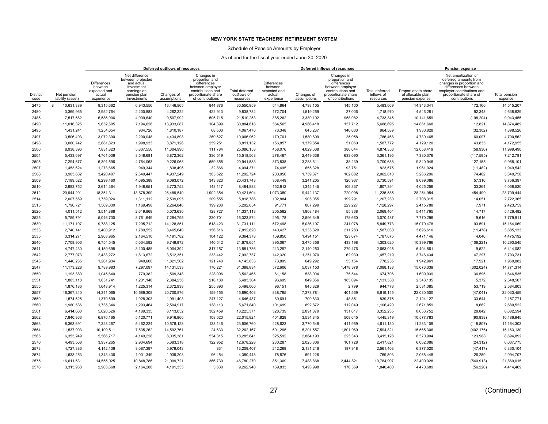#### Schedule of Pension Amounts by Employer

|                         |                                  |                                                                |                                                                                                               | Deferred outflows of resources |                                                                                                                                 |                                                   |                                                                       |                           | Deferred inflows of resources                                                                                                   |                                           |                                                             | <b>Pension expense</b>                                                                                                                                                    |                          |
|-------------------------|----------------------------------|----------------------------------------------------------------|---------------------------------------------------------------------------------------------------------------|--------------------------------|---------------------------------------------------------------------------------------------------------------------------------|---------------------------------------------------|-----------------------------------------------------------------------|---------------------------|---------------------------------------------------------------------------------------------------------------------------------|-------------------------------------------|-------------------------------------------------------------|---------------------------------------------------------------------------------------------------------------------------------------------------------------------------|--------------------------|
| <b>District</b><br>code | Net pension<br>liability (asset) | Differences<br>between<br>expected and<br>actual<br>experience | Net difference<br>between projected<br>and actual<br>investment<br>earnings on<br>pension plan<br>investments | Changes of<br>assumptions      | Changes in<br>proportion and<br>differences<br>between emplover<br>contributions and<br>proportionate share<br>of contributions | <b>Total deferred</b><br>outflows of<br>resources | <b>Differences</b><br>between<br>expected and<br>actual<br>experience | Changes of<br>assumptions | Changes in<br>proportion and<br>differences<br>between employer<br>contributions and<br>proportionate share<br>of contributions | Total deferred<br>inflows of<br>resources | Proportionate share<br>of allocable plan<br>pension expense | Net amortization of<br>deferred amounts from<br>changes in proportion and<br>differences between<br>employer contributions and<br>proportionate share of<br>contributions | Total pension<br>expense |
| 2475                    | 10,631,889<br>S.                 | 9,315,662                                                      | 6,943,556                                                                                                     | 13,446,865                     | 844,876                                                                                                                         | 30,550,959                                        | 544,864                                                               | 4,793,105                 | 145,100                                                                                                                         | 5,483,069                                 | 14,343,041                                                  | 172,166                                                                                                                                                                   | 14,515,207               |
| 2480                    | 3,369,965                        | 2,952,764                                                      | 2,200,883                                                                                                     | 4,262,222                      | 422,913                                                                                                                         | 9,838,782                                         | 172,704                                                               | 1,519,259                 | 27,006                                                                                                                          | 1,718,970                                 | 4,546,281                                                   | 92.348                                                                                                                                                                    | 4,638,629                |
| 2485                    | 7,517,582                        | 6,586,906                                                      | 4,909,640                                                                                                     | 9,507,992                      | 505,715                                                                                                                         | 21,510,253                                        | 385,262                                                               | 3,389,102                 | 958,982                                                                                                                         | 4,733,345                                 | 10,141,659                                                  | (198, 204)                                                                                                                                                                | 9,943,455                |
| 2490                    | 11,016,325                       | 9,652,505                                                      | 7,194,626                                                                                                     | 13,933,087                     | 104,399                                                                                                                         | 30,884,618                                        | 564,565                                                               | 4,966,418                 | 157,712                                                                                                                         | 5,688,695                                 | 14,861,668                                                  | 12,821                                                                                                                                                                    | 14,874,489               |
| 2495                    | 1,431,241                        | 1,254,054                                                      | 934,726                                                                                                       | 1,810,187                      | 68,503                                                                                                                          | 4,067,470                                         | 73,348                                                                | 645,237                   | 146,003                                                                                                                         | 864,589                                   | 1,930,828                                                   | (32, 302)                                                                                                                                                                 | 1,898,526                |
| 2497                    | 3,506,493                        | 3,072,390                                                      | 2,290,048                                                                                                     | 4,434,898                      | 269,627                                                                                                                         | 10,066,962                                        | 179,701                                                               | 1,580,809                 | 25,958                                                                                                                          | 1,786,468                                 | 4,730,465                                                   | 60,097                                                                                                                                                                    | 4,790,562                |
| 2498                    | 3,060,742                        | 2.681.823                                                      | 1.998.933                                                                                                     | 3,871,126                      | 259,251                                                                                                                         | 8.811.132                                         | 156,857                                                               | 1,379,854                 | 51.060                                                                                                                          | 1,587,772                                 | 4,129,120                                                   | 43,835                                                                                                                                                                    | 4,172,955                |
| 2500                    | 8,938,396                        | 7,831,823                                                      | 5,837,556                                                                                                     | 11,304,990                     | 111,784                                                                                                                         | 25,086,153                                        | 458,076                                                               | 4,029,638                 | 386,644                                                                                                                         | 4,874,358                                 | 12,058,419                                                  | (58,930)                                                                                                                                                                  | 11,999,490               |
| 2504                    | 5,433,697                        | 4,761,006                                                      | 3,548,681                                                                                                     | 6,872,362                      | 336,519                                                                                                                         | 15,518,568                                        | 278,467                                                               | 2,449,638                 | 633,090                                                                                                                         | 3,361,195                                 | 7,330,376                                                   | (117, 595)                                                                                                                                                                | 7,212,781                |
| 2505                    | 7,294,677                        | 6,391,596                                                      | 4,764,063                                                                                                     | 9,226,068                      | 559,855                                                                                                                         | 20,941,583                                        | 373,838                                                               | 3,288,611                 | 38,239                                                                                                                          | 3,700,688                                 | 9,840,946                                                   | 127,155                                                                                                                                                                   | 9,968,101                |
| 2507                    | 1,453,624                        | 1,273,665                                                      | 949,344                                                                                                       | 1,838,496                      | 32,866                                                                                                                          | 4,094,371                                         | 74,495                                                                | 655,328                   | 93,751                                                                                                                          | 823,575                                   | 1,961,024                                                   | (11, 482)                                                                                                                                                                 | 1,949,542                |
| 2508                    | 3,903,682                        | 3,420,407                                                      | 2,549,447                                                                                                     | 4,937,249                      | 385,622                                                                                                                         | 11,292,724                                        | 200,056                                                               | 1,759,871                 | 102,082                                                                                                                         | 2,062,010                                 | 5,266,296                                                   | 74,462                                                                                                                                                                    | 5,340,758                |
| 2509                    | 7,189,522                        | 6,299,460                                                      | 4,695,388                                                                                                     | 9,093,072                      | 343,823                                                                                                                         | 20,431,743                                        | 368,449                                                               | 3,241,205                 | 120,937                                                                                                                         | 3,730,591                                 | 9,699,086                                                   | 57,310                                                                                                                                                                    | 9,756,397                |
| 2510                    | 2,983,752                        | 2,614,364                                                      | 1,948,651                                                                                                     | 3,773,752                      | 148,117                                                                                                                         | 8,484,883                                         | 152,912                                                               | 1,345,145                 | 109,337                                                                                                                         | 1,607,394                                 | 4,025,256                                                   | 33,264                                                                                                                                                                    | 4,058,520                |
| 2512                    | 20,944,201                       | 18,351,311                                                     | 13,678,399                                                                                                    | 26,489,540                     | 1,902,354                                                                                                                       | 60,421,604                                        | 1,073,350                                                             | 9,442,137                 | 720,098                                                                                                                         | 11,235,585                                | 28,254,954                                                  | 454,490                                                                                                                                                                   | 28,709,444               |
| 2514                    | 2,007,559                        | 1,759,024                                                      | 1,311,112                                                                                                     | 2,539,095                      | 209,555                                                                                                                         | 5,818,786                                         | 102,884                                                               | 905,055                   | 199,291                                                                                                                         | 1,207,230                                 | 2,708,315                                                   | 14,051                                                                                                                                                                    | 2,722,365                |
| 2515                    | 1,790,721                        | 1,569,030                                                      | 1,169,498                                                                                                     | 2,264,846                      | 199,280                                                                                                                         | 5,202,654                                         | 91,771                                                                | 807,299                   | 229,227                                                                                                                         | 1,128,297                                 | 2,415,788                                                   | 7,971                                                                                                                                                                     | 2,423,759                |
| 2520                    | 4,011,512                        | 3,514,888                                                      | 2,619,869                                                                                                     | 5,073,630                      | 128,727                                                                                                                         | 11,337,113                                        | 205,582                                                               | 1,808,484                 | 55,338                                                                                                                          | 2,069,404                                 | 5,411,765                                                   | 14,717                                                                                                                                                                    | 5,426,482                |
| 2525                    | 5,759,791                        | 5,046,730                                                      | 3,761,649                                                                                                     | 7,284,795                      | 230,701                                                                                                                         | 16,323,874                                        | 295,178                                                               | 2,596,649                 | 178,660                                                                                                                         | 3,070,487                                 | 7,770,296                                                   | 9,616                                                                                                                                                                     | 7,779,911                |
| 2530                    | 11,171,107                       | 9,788,125                                                      | 7,295,712                                                                                                     | 14,128,851                     | 518,423                                                                                                                         | 31,731,111                                        | 572,498                                                               | 5,036,197                 | 241,078                                                                                                                         | 5,849,773                                 | 15,070,478                                                  | 93,591                                                                                                                                                                    | 15, 164, 069             |
| 2533                    | 2,740,141                        | 2,400,912                                                      | 1,789,552                                                                                                     | 3,465,640                      | 156,516                                                                                                                         | 7,812,620                                         | 140,427                                                               | 1,235,320                 | 211,283                                                                                                                         | 1,587,030                                 | 3,696,610                                                   | (11, 478)                                                                                                                                                                 | 3,685,133                |
| 2535                    | 3,314,271                        | 2,903,965                                                      | 2,164,510                                                                                                     | 4,191,782                      | 104,122                                                                                                                         | 9.364.378                                         | 169,850                                                               | 1,494,151                 | 123,674                                                                                                                         | 1,787,675                                 | 4,471,146                                                   | 4,046                                                                                                                                                                     | 4,475,192                |
| 2540                    | 7,708,906                        | 6,754,545                                                      | 5,034,592                                                                                                     | 9,749,972                      | 140,542                                                                                                                         | 21,679,651                                        | 395,067                                                               | 3,475,356                 | 433,198                                                                                                                         | 4,303,620                                 | 10,399,766                                                  | (106, 221)                                                                                                                                                                | 10,293,545               |
| 2541                    | 4,747,430                        | 4,159,698                                                      | 3,100,488                                                                                                     | 6,004,394                      | 317,157                                                                                                                         | 13,581,736                                        | 243,297                                                               | 2,140,253                 | 279,476                                                                                                                         | 2,663,025                                 | 6,404,561                                                   | 9,522                                                                                                                                                                     | 6,414,082                |
| 2542                    | 2,777,073                        | 2,433,272                                                      | 1,813,672                                                                                                     | 3,512,351                      | 233,442                                                                                                                         | 7,992,737                                         | 142,320                                                               | 1,251,970                 | 62,930                                                                                                                          | 1,457,219                                 | 3,746,434                                                   | 47,297                                                                                                                                                                    | 3,793,731                |
| 2545                    | 1,440,235                        | 1,261,934                                                      | 940,600                                                                                                       | 1,821,562                      | 121,740                                                                                                                         | 4,145,835                                         | 73,809                                                                | 649,292                   | 55,154                                                                                                                          | 778,255                                   | 1,942,961                                                   | 17,921                                                                                                                                                                    | 1,960,882                |
| 2547                    | 11,173,228                       | 9,789,983                                                      | 7,297,097                                                                                                     | 14, 131, 533                   | 170,221                                                                                                                         | 31,388,834                                        | 572,606                                                               | 5,037,153                 | 1,478,378                                                                                                                       | 7,088,138                                 | 15,073,339                                                  | (302, 024)                                                                                                                                                                | 14,771,314               |
| 2550                    | 1,193,380                        | 1,045,640                                                      | 779,382                                                                                                       | 1,509,348                      | 228,096                                                                                                                         | 3,562,465                                         | 61,158                                                                | 538,004                   | 75,544                                                                                                                          | 674,706                                   | 1,609,939                                                   | 36,595                                                                                                                                                                    | 1,646,535                |
| 2551                    | 1,885,118                        | 1,651,741                                                      | 1,231,148                                                                                                     | 2,384,236                      | 216,180                                                                                                                         | 5,483,304                                         | 96,609                                                                | 849,856                   | 185,094                                                                                                                         | 1,131,558                                 | 2,543,135                                                   | 5,372                                                                                                                                                                     | 2,548,507                |
| 2555<br>2557            | 1,876,186                        | 1,643,914                                                      | 1,225,314                                                                                                     | 2,372,938                      | 255,893                                                                                                                         | 5,498,060                                         | 96,151                                                                | 845,829                   | 2,799                                                                                                                           | 944,778                                   | 2,531,085                                                   | 53,719                                                                                                                                                                    | 2,584,803<br>22,033,459  |
|                         | 16,367,340                       | 14,341,065                                                     | 10,689,308                                                                                                    | 20,700,876                     | 159,155                                                                                                                         | 45,890,403                                        | 838,795                                                               | 7,378,781                 | 401,569                                                                                                                         | 8,619,145                                 | 22,080,500                                                  | (47, 041)                                                                                                                                                                 |                          |
| 2559                    | 1,574,525                        | 1,379,599                                                      | 1,028,303                                                                                                     | 1,991,408                      | 247,127                                                                                                                         | 4,646,437                                         | 80,691                                                                | 709,833<br>892,872        | 48,851                                                                                                                          | 839,375                                   | 2,124,127                                                   | 33,644                                                                                                                                                                    | 2,157,771                |
| 2560                    | 1,980,536                        | 1,735,346                                                      | 1,293,464                                                                                                     | 2,504,917                      | 138,113                                                                                                                         | 5,671,840                                         | 101,499                                                               |                           | 112,049                                                                                                                         | 1,106,420                                 | 2,671,859                                                   | 8,662                                                                                                                                                                     | 2,680,522                |
| 2561<br>2562            | 6,414,660                        | 5,620,526                                                      | 4,189,335                                                                                                     | 8,113,052                      | 302,459                                                                                                                         | 18,225,371                                        | 328,739                                                               | 2,891,879                 | 131,617                                                                                                                         | 3,352,235                                 | 8,653,752                                                   | 28,842                                                                                                                                                                    | 8,682,594<br>10,486,945  |
| 2563                    | 7,840,863                        | 6,870,165                                                      | 5,120,771                                                                                                     | 9,916,866                      | 108,020                                                                                                                         | 22,015,821                                        | 401,829                                                               | 3,534,845                 | 508,645                                                                                                                         | 4,445,319                                 | 10,577,783                                                  | (90, 838)                                                                                                                                                                 |                          |
|                         | 8.363.691                        | 7,328,267                                                      | 5.462.224                                                                                                     | 10,578,123                     | 138,146                                                                                                                         | 23,506,760                                        | 428.623                                                               | 3,770,548                 | 411.959                                                                                                                         | 4.611.130                                 | 11,283,109                                                  | (118, 807)                                                                                                                                                                | 11,164,303               |
| 2564                    | 11,537,903                       | 10,109,511                                                     | 7,535,262                                                                                                     | 14,592,761                     | 24,633                                                                                                                          | 32,262,167                                        | 591,295                                                               | 5,201,557                 | 1,801,969                                                                                                                       | 7,594,821                                 | 15,565,306                                                  | (402, 176)                                                                                                                                                                | 15, 163, 130             |
| 2565<br>2570            | 6,353,249                        | 5,566,717                                                      | 4,149,228                                                                                                     | 8,035,381                      | 534,315                                                                                                                         | 18,285,641                                        | 325,592                                                               | 2,864,193                 | 225,343                                                                                                                         | 3,415,128                                 | 8,570,904                                                   | 123,988                                                                                                                                                                   | 8,694,892<br>6,037,775   |
|                         | 4,493,568<br>4,727,386           | 3,937,265                                                      | 2,934,694                                                                                                     | 5,683,318                      | 122,952<br>831                                                                                                                  | 12,678,228<br>13,209,407                          | 230,287<br>242,269                                                    | 2,025,806                 | 161,728<br>187,918                                                                                                              | 2,417,821                                 | 6,062,086                                                   | (24, 312)                                                                                                                                                                 | 6,330,104                |
| 2573<br>2574            | 1,533,253                        | 4,142,136<br>1,343,436                                         | 3,087,397<br>1,001,349                                                                                        | 5,979,043<br>1,939,208         | 96,454                                                                                                                          | 4,380,448                                         | 78,576                                                                | 2,131,216<br>691,226      | $\overline{\phantom{0}}$                                                                                                        | 2,561,403<br>769,803                      | 6,377,520<br>2,068,448                                      | (47, 417)<br>26,259                                                                                                                                                       | 2,094,707                |
| 2575                    | 16,611,531                       | 14,555,025                                                     | 10,848,786                                                                                                    | 21,009,721                     | 366,739                                                                                                                         | 46,780,270                                        | 851,309                                                               | 7,488,868                 | 2,444,821                                                                                                                       | 10,784,997                                | 22,409,928                                                  | (540.913)                                                                                                                                                                 | 21,869,015               |
| 2576                    | 3,313,933                        | 2,903,668                                                      | 2,164,288                                                                                                     | 4,191,353                      | 3,630                                                                                                                           | 9,262,940                                         | 169,833                                                               | 1,493,998                 | 176,569                                                                                                                         | 1,840,400                                 | 4,470,689                                                   | (56, 220)                                                                                                                                                                 | 4,414,469                |
|                         |                                  |                                                                |                                                                                                               |                                |                                                                                                                                 |                                                   |                                                                       |                           |                                                                                                                                 |                                           |                                                             |                                                                                                                                                                           |                          |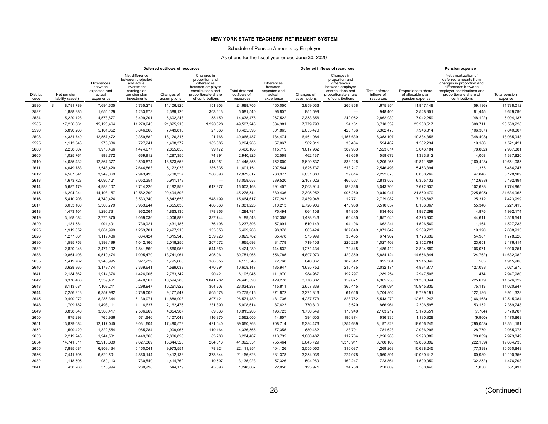#### Schedule of Pension Amounts by Employer

|                         |                                  |                                                                       |                                                                                                               | Deferred outflows of resources |                                                                                                                                 |                                            |                                                                |                           | Deferred inflows of resources                                                                                                   |                                                  |                                                             | <b>Pension expense</b>                                                                                                                                                    |                          |
|-------------------------|----------------------------------|-----------------------------------------------------------------------|---------------------------------------------------------------------------------------------------------------|--------------------------------|---------------------------------------------------------------------------------------------------------------------------------|--------------------------------------------|----------------------------------------------------------------|---------------------------|---------------------------------------------------------------------------------------------------------------------------------|--------------------------------------------------|-------------------------------------------------------------|---------------------------------------------------------------------------------------------------------------------------------------------------------------------------|--------------------------|
| <b>District</b><br>code | Net pension<br>liability (asset) | <b>Differences</b><br>between<br>expected and<br>actual<br>experience | Net difference<br>between projected<br>and actual<br>investment<br>earnings on<br>pension plan<br>investments | Changes of<br>assumptions      | Changes in<br>proportion and<br>differences<br>between employer<br>contributions and<br>proportionate share<br>of contributions | Total deferred<br>outflows of<br>resources | Differences<br>between<br>expected and<br>actual<br>experience | Changes of<br>assumptions | Changes in<br>proportion and<br>differences<br>between employer<br>contributions and<br>proportionate share<br>of contributions | <b>Total deferred</b><br>inflows of<br>resources | Proportionate share<br>of allocable plan<br>pension expense | Net amortization of<br>deferred amounts from<br>changes in proportion and<br>differences between<br>emplover contributions and<br>proportionate share of<br>contributions | Total pension<br>expense |
| 2580                    | \$<br>8,781,789                  | 7,694,605                                                             | 5,735,278                                                                                                     | 11,106,920                     | 151,903                                                                                                                         | 24,688,705                                 | 450,050                                                        | 3,959,036                 | 266,868                                                                                                                         | 4,675,954                                        | 11,847,148                                                  | (59, 136)                                                                                                                                                                 | 11,788,012               |
| 2582                    | 1,888,985                        | 1,655,129                                                             | 1,233,673                                                                                                     | 2.389.126                      | 303,613                                                                                                                         | 5,581,540                                  | 96,807                                                         | 851,599                   | $\overline{\phantom{0}}$                                                                                                        | 948,405                                          | 2,548,351                                                   | 81,445                                                                                                                                                                    | 2,629,796                |
| 2584                    | 5,220,128                        | 4,573,877                                                             | 3,409,201                                                                                                     | 6,602,248                      | 53,150                                                                                                                          | 14,638,476                                 | 267,522                                                        | 2,353,356                 | 242,052                                                                                                                         | 2,862,930                                        | 7,042,259                                                   | (48, 122)                                                                                                                                                                 | 6,994,137                |
| 2585                    | 17,256,861                       | 15,120,464                                                            | 11.270.243                                                                                                    | 21.825.913                     | 1.290.628                                                                                                                       | 49.507.248                                 | 884,381                                                        | 7,779,798                 | 54.161                                                                                                                          | 8,718,339                                        | 23,280,517                                                  | 308.711                                                                                                                                                                   | 23,589,228               |
| 2590                    | 5,890,266                        | 5,161,052                                                             | 3,846,860                                                                                                     | 7,449,816                      | 27,666                                                                                                                          | 16,485,393                                 | 301,865                                                        | 2,655,470                 | 425,136                                                                                                                         | 3,382,470                                        | 7,946,314                                                   | (106, 307)                                                                                                                                                                | 7,840,007                |
| 2593                    | 14.331.740                       | 12,557,472                                                            | 9.359.882                                                                                                     | 18,126,315                     | 21,768                                                                                                                          | 40,065,437                                 | 734,474                                                        | 6,461,084                 | 1,157,639                                                                                                                       | 8,353,197                                        | 19,334,356                                                  | (348, 408)                                                                                                                                                                | 18,985,948               |
| 2595                    | 1,113,543                        | 975,686                                                               | 727,241                                                                                                       | 1,408,372                      | 183,685                                                                                                                         | 3,294,985                                  | 57,067                                                         | 502,011                   | 35,404                                                                                                                          | 594,482                                          | 1,502,234                                                   | 19,186                                                                                                                                                                    | 1,521,421                |
| 2600                    | 2,258,007                        | 1,978,466                                                             | 1,474,677                                                                                                     | 2,855,853                      | 99,172                                                                                                                          | 6,408,168                                  | 115,719                                                        | 1,017,962                 | 389,933                                                                                                                         | 1,523,614                                        | 3,046,184                                                   | (78, 802)                                                                                                                                                                 | 2,967,381                |
| 2605                    | 1,025,761                        | 898,772                                                               | 669,912                                                                                                       | 1,297,350                      | 74,891                                                                                                                          | 2,940,925                                  | 52,568                                                         | 462,437                   | 43,666                                                                                                                          | 558,672                                          | 1,383,812                                                   | 4,008                                                                                                                                                                     | 1,387,820                |
| 2610                    | 14,685,432                       | 12,867,377                                                            | 9,590,874                                                                                                     | 18,573,653                     | 413,951                                                                                                                         | 41,445,856                                 | 752,600                                                        | 6,620,537                 | 833,128                                                                                                                         | 8,206,265                                        | 19,811,508                                                  | (160, 423)                                                                                                                                                                | 19,651,085               |
| 2611                    | 4,049,783                        | 3,548,420                                                             | 2,644,863                                                                                                     | 5,122,033                      | 285,835                                                                                                                         | 11,601,151                                 | 207,544                                                        | 1,825,737                 | 513,217                                                                                                                         | 2,546,498                                        | 5,463,394                                                   | 1,353                                                                                                                                                                     | 5,464,747                |
| 2612                    | 4,507,041                        | 3.949.069                                                             | 2.943.493                                                                                                     | 5,700,357                      | 286.898                                                                                                                         | 12,879,817                                 | 230.977                                                        | 2,031,880                 | 29.814                                                                                                                          | 2.292.670                                        | 6,080,262                                                   | 47,848                                                                                                                                                                    | 6,128,109                |
| 2613                    | 4,673,728                        | 4,095,121                                                             | 3,052,354                                                                                                     | 5,911,178                      | $\overline{\phantom{m}}$                                                                                                        | 13,058,653                                 | 239,520                                                        | 2,107,026                 | 466,507                                                                                                                         | 2,813,052                                        | 6,305,133                                                   | (112, 638)                                                                                                                                                                | 6,192,494                |
| 2614                    | 5,687,179                        | 4,983,107                                                             | 3,714,226                                                                                                     | 7,192,958                      | 612,877                                                                                                                         | 16,503,168                                 | 291,457                                                        | 2,563,914                 | 188,336                                                                                                                         | 3,043,706                                        | 7,672,337                                                   | 102,628                                                                                                                                                                   | 7,774,965                |
| 2615                    | 16,204,241                       | 14, 198, 157                                                          | 10,582,790                                                                                                    | 20,494,593                     |                                                                                                                                 | 45,275,541                                 | 830,436                                                        | 7,305,252                 | 905,260                                                                                                                         | 9,040,947                                        | 21,860,470                                                  | (225, 505)                                                                                                                                                                | 21,634,965               |
| 2616                    | 5,410,208                        | 4,740,424                                                             | 3,533,340                                                                                                     | 6,842,653                      | 548,199                                                                                                                         | 15,664,617                                 | 277,263                                                        | 2,439,048                 | 12,771                                                                                                                          | 2,729,082                                        | 7,298,687                                                   | 125,312                                                                                                                                                                   | 7,423,999                |
| 2617                    | 6,053,160                        | 5,303,779                                                             | 3,953,244                                                                                                     | 7,655,838                      | 468,368                                                                                                                         | 17,381,228                                 | 310,213                                                        | 2,728,906                 | 470,938                                                                                                                         | 3,510,057                                        | 8,166,067                                                   | 55,346                                                                                                                                                                    | 8,221,413                |
| 2618                    | 1,473,101                        | 1,290,731                                                             | 962.064                                                                                                       | 1,863,130                      | 178,856                                                                                                                         | 4,294,781                                  | 75,494                                                         | 664,108                   | 94,800                                                                                                                          | 834,402                                          | 1,987,299                                                   | 4,875                                                                                                                                                                     | 1,992,174                |
| 2619                    | 3,168,084                        | 2,775,875                                                             | 2,069,036                                                                                                     | 4,006,888                      | 337,744                                                                                                                         | 9,189,543                                  | 162,358                                                        | 1,428,246                 | 66,435                                                                                                                          | 1,657,040                                        | 4,273,930                                                   | 44,611                                                                                                                                                                    | 4,318,541                |
| 2620                    | 1,131,581                        | 991.491                                                               | 739.021                                                                                                       | 1,431,186                      | 76,198                                                                                                                          | 3,237,898                                  | 57,991                                                         | 510,143                   | 94.106                                                                                                                          | 662.241                                          | 1,526,569                                                   | 1,164                                                                                                                                                                     | 1,527,733                |
| 2625                    | 1,919,652                        | 1,681,999                                                             | 1,253,701                                                                                                     | 2,427,913                      | 135,653                                                                                                                         | 5,499,266                                  | 98,378                                                         | 865,424                   | 107,840                                                                                                                         | 1,071,642                                        | 2,589,723                                                   | 19,190                                                                                                                                                                    | 2,608,913                |
| 2626                    | 1,277,661                        | 1,119,486                                                             | 834,424                                                                                                       | 1,615,943                      | 259,928                                                                                                                         | 3,829,782                                  | 65,478                                                         | 575,999                   | 33,485                                                                                                                          | 674,962                                          | 1,723,639                                                   | 54,987                                                                                                                                                                    | 1,778,626                |
| 2630                    | 1,595,753                        | 1,398,199                                                             | 1,042,166                                                                                                     | 2,018,256                      | 207,072                                                                                                                         | 4,665,693                                  | 81,779                                                         | 719,403                   | 226,226                                                                                                                         | 1,027,408                                        | 2,152,764                                                   | 23,651                                                                                                                                                                    | 2,176,414                |
| 2632                    | 2,820,248                        | 2,471,102                                                             | 1,841,869                                                                                                     | 3,566,958                      | 544,360                                                                                                                         | 8,424,289                                  | 144,532                                                        | 1,271,434                 | 70,445                                                                                                                          | 1,486,412                                        | 3,804,680                                                   | 106,071                                                                                                                                                                   | 3,910,751                |
| 2633                    | 10,864,498                       | 9,519,474                                                             | 7,095,470                                                                                                     | 13,741,061                     | 395,061                                                                                                                         | 30,751,066                                 | 556,785                                                        | 4,897,970                 | 429,369                                                                                                                         | 5,884,124                                        | 14,656,844                                                  | (24, 762)                                                                                                                                                                 | 14,632,082               |
| 2635                    | 1,419,762                        | 1,243,995                                                             | 927,229                                                                                                       | 1,795,668                      | 188,655                                                                                                                         | 4,155,548                                  | 72,760                                                         | 640,062                   | 182,542                                                                                                                         | 895,364                                          | 1,915,342                                                   | 565                                                                                                                                                                       | 1,915,906                |
| 2640                    | 3,628,365                        | 3,179,174                                                             | 2,369,641                                                                                                     | 4,589,038                      | 470,294                                                                                                                         | 10,608,147                                 | 185,947                                                        | 1,635,752                 | 210,475                                                                                                                         | 2,032,174                                        | 4,894,877                                                   | 127,098                                                                                                                                                                   | 5,021,975                |
| 2641                    | 2,184,862                        | 1,914,376                                                             | 1,426,906                                                                                                     | 2,763,342                      | 90,421                                                                                                                          | 6,195,045                                  | 111,970                                                        | 984,987                   | 192,297                                                                                                                         | 1,289,254                                        | 2,947,506                                                   | 474                                                                                                                                                                       | 2,947,980                |
| 2642                    | 8,376,466                        | 7,339,461                                                             | 5,470,567                                                                                                     | 10,594,280                     | 1,041,282                                                                                                                       | 24,445,590                                 | 429,278                                                        | 3,776,307                 | 159,671                                                                                                                         | 4,365,256                                        | 11,300,344                                                  | 225,679                                                                                                                                                                   | 11,526,022               |
| 2643                    | 8,113,684                        | 7,109,211                                                             | 5,298,947                                                                                                     | 10,261,922                     | 364,207                                                                                                                         | 23,034,287                                 | 415,811                                                        | 3,657,839                 | 365,445                                                                                                                         | 4,439,094                                        | 10,945,835                                                  | 75,113                                                                                                                                                                    | 11,020,947               |
| 2644                    | 7,256,313                        | 6,357,982                                                             | 4,739,009                                                                                                     | 9,177,547                      | 505,078                                                                                                                         | 20,779,616                                 | 371,872                                                        | 3,271,316                 | 61,616                                                                                                                          | 3,704,804                                        | 9,789,191                                                   | 122,136                                                                                                                                                                   | 9,911,328                |
| 2645                    | 9,400,072                        | 8,236,344                                                             | 6,139,071                                                                                                     | 11,888,903                     | 307,121                                                                                                                         | 26,571,439                                 | 481,736                                                        | 4,237,773                 | 823,762                                                                                                                         | 5,543,270                                        | 12,681,247                                                  | (166, 163)                                                                                                                                                                | 12,515,084               |
| 2648                    | 1,709,782                        | 1,498,111                                                             | 1,116,637                                                                                                     | 2,162,476                      | 231,390                                                                                                                         | 5,008,614                                  | 87,623                                                         | 770,810                   | 8,529                                                                                                                           | 866,961                                          | 2,306,595                                                   | 53,152                                                                                                                                                                    | 2,359,748                |
| 2649                    | 3,838,640                        | 3,363,417                                                             | 2,506,969                                                                                                     | 4,854,987                      | 89,836                                                                                                                          | 10,815,208                                 | 196,723                                                        | 1,730,549                 | 175,940                                                                                                                         | 2,103,212                                        | 5,178,551                                                   | (7, 764)                                                                                                                                                                  | 5,170,787                |
| 2650                    | 875,298                          | 766,936                                                               | 571,646                                                                                                       | 1,107,048                      | 116,370                                                                                                                         | 2,562,000                                  | 44,857                                                         | 394,605                   | 196,874                                                                                                                         | 636,336                                          | 1,180,828                                                   | (9,960)                                                                                                                                                                   | 1,170,868                |
| 2651                    | 13,829,084                       | 12,117,045                                                            | 9.031.604                                                                                                     | 17,490,573                     | 421,040                                                                                                                         | 39,060,263                                 | 708,714                                                        | 6,234,476                 | 1,254,639                                                                                                                       | 8,197,828                                        | 18,656,245                                                  | (295, 053)                                                                                                                                                                | 18,361,191               |
| 2652                    | 1,509,420                        | 1,322,554                                                             | 985,784                                                                                                       | 1,909,065                      | 119,164                                                                                                                         | 4,336,566                                  | 77,355                                                         | 680,482                   | 23,791                                                                                                                          | 781,628                                          | 2,036,296                                                   | 28,779                                                                                                                                                                    | 2,065,075                |
| 2653                    | 2,219,243                        | 1,944,501                                                             | 1,449,360                                                                                                     | 2,806,826                      | 83,780                                                                                                                          | 6,284,467                                  | 113,732                                                        | 1,000,487                 | 112,764                                                                                                                         | 1,226,983                                        | 2,993,889                                                   | (20, 039)                                                                                                                                                                 | 2,973,849                |
| 2654                    | 14,741,311                       | 12,916,339                                                            | 9,627,369                                                                                                     | 18,644,328                     | 204,316                                                                                                                         | 41,392,351                                 | 755,464                                                        | 6,645,729                 | 1,378,911                                                                                                                       | 8,780,103                                        | 19,886,892                                                  | (222, 159)                                                                                                                                                                | 19,664,733               |
| 2655                    | 7,885,681                        | 6,909,434                                                             | 5,150,041                                                                                                     | 9,973,551                      | 78,924                                                                                                                          | 22,111,951                                 | 404,126                                                        | 3,555,050                 | 310,087                                                                                                                         | 4,269,263                                        | 10,638,245                                                  | (77, 398)                                                                                                                                                                 | 10,560,848               |
| 2656                    | 7,441,795                        | 6,520,501                                                             | 4,860,144                                                                                                     | 9,412,138                      | 373,844                                                                                                                         | 21,166,628                                 | 381,378                                                        | 3,354,936                 | 224,078                                                                                                                         | 3,960,391                                        | 10,039,417                                                  | 60,939                                                                                                                                                                    | 10,100,356               |
| 3032                    | 1,118,595                        | 980,113                                                               | 730,540                                                                                                       | 1,414,762                      | 10,507                                                                                                                          | 3,135,923                                  | 57,326                                                         | 504,289                   | 162,247                                                                                                                         | 723,861                                          | 1,509,050                                                   | (32, 252)                                                                                                                                                                 | 1,476,798                |
| 3041                    | 430,260                          | 376,994                                                               | 280.998                                                                                                       | 544,179                        | 45,896                                                                                                                          | 1,248,067                                  | 22,050                                                         | 193,971                   | 34,788                                                                                                                          | 250,809                                          | 580,446                                                     | 1,050                                                                                                                                                                     | 581,497                  |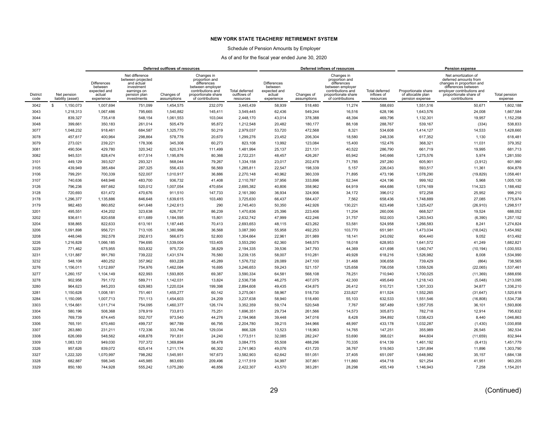#### Schedule of Pension Amounts by Employer

|                         |                                  |                                                                       |                                                                                                               | Deferred outflows of resources |                                                                                                                                 |                                            |                                                                       |                           | Deferred inflows of resources                                                                                                   |                                                  |                                                             | <b>Pension expense</b>                                                                                                                                                    |                          |
|-------------------------|----------------------------------|-----------------------------------------------------------------------|---------------------------------------------------------------------------------------------------------------|--------------------------------|---------------------------------------------------------------------------------------------------------------------------------|--------------------------------------------|-----------------------------------------------------------------------|---------------------------|---------------------------------------------------------------------------------------------------------------------------------|--------------------------------------------------|-------------------------------------------------------------|---------------------------------------------------------------------------------------------------------------------------------------------------------------------------|--------------------------|
| <b>District</b><br>code | Net pension<br>liability (asset) | <b>Differences</b><br>between<br>expected and<br>actual<br>experience | Net difference<br>between projected<br>and actual<br>investment<br>earnings on<br>pension plan<br>investments | Changes of<br>assumptions      | Changes in<br>proportion and<br>differences<br>between employer<br>contributions and<br>proportionate share<br>of contributions | Total deferred<br>outflows of<br>resources | <b>Differences</b><br>between<br>expected and<br>actual<br>experience | Changes of<br>assumptions | Changes in<br>proportion and<br>differences<br>between employer<br>contributions and<br>proportionate share<br>of contributions | <b>Total deferred</b><br>inflows of<br>resources | Proportionate share<br>of allocable plan<br>pension expense | Net amortization of<br>deferred amounts from<br>changes in proportion and<br>differences between<br>employer contributions and<br>proportionate share of<br>contributions | Total pension<br>expense |
| 3042                    | \$.<br>1,150,073                 | 1,007,694                                                             | 751,099                                                                                                       | 1,454,575                      | 232,070                                                                                                                         | 3,445,439                                  | 58,939                                                                | 518,480                   | 11,274                                                                                                                          | 588,693                                          | 1,551,516                                                   | 50,671                                                                                                                                                                    | 1,602,188                |
| 3043                    | 1,218,313                        | 1,067,486                                                             | 795,665                                                                                                       | 1,540,882                      | 145,411                                                                                                                         | 3,549,445                                  | 62,436                                                                | 549,244                   | 16,516                                                                                                                          | 628,196                                          | 1,643,576                                                   | 24,008                                                                                                                                                                    | 1,667,584                |
| 3044                    | 839,327                          | 735,418                                                               | 548,154                                                                                                       | 1,061,553                      | 103,044                                                                                                                         | 2,448,170                                  | 43,014                                                                | 378,388                   | 48,394                                                                                                                          | 469,796                                          | 1,132,301                                                   | 19,957                                                                                                                                                                    | 1,152,258                |
| 3048                    | 399.661                          | 350.183                                                               | 261,014                                                                                                       | 505,479                        | 95,872                                                                                                                          | 1.212.548                                  | 20,482                                                                | 180.177                   | 88.108                                                                                                                          | 288,767                                          | 539,167                                                     | (334)                                                                                                                                                                     | 538,833                  |
| 3077                    | 1,048,232                        | 918,461                                                               | 684,587                                                                                                       | 1,325,770                      | 50,219                                                                                                                          | 2,979,037                                  | 53,720                                                                | 472,568                   | 8,321                                                                                                                           | 534,608                                          | 1,414,127                                                   | 14,533                                                                                                                                                                    | 1,428,660                |
| 3078                    | 457.617                          | 400.964                                                               | 298.864                                                                                                       | 578.778                        | 20,670                                                                                                                          | 1.299.276                                  | 23,452                                                                | 206,304                   | 18.580                                                                                                                          | 248.336                                          | 617,352                                                     | 1,130                                                                                                                                                                     | 618,481                  |
| 3079                    | 273,021                          | 239,221                                                               | 178,306                                                                                                       | 345,308                        | 60,273                                                                                                                          | 823,108                                    | 13,992                                                                | 123,084                   | 15,400                                                                                                                          | 152,476                                          | 368,321                                                     | 11,031                                                                                                                                                                    | 379,352                  |
| 3081                    | 490.504                          | 429.780                                                               | 320,342                                                                                                       | 620.374                        | 111.499                                                                                                                         | 1,481,994                                  | 25,137                                                                | 221,131                   | 40,522                                                                                                                          | 286,790                                          | 661,719                                                     | 19,995                                                                                                                                                                    | 681,713                  |
| 3082                    | 945,531                          | 828,474                                                               | 617,514                                                                                                       | 1,195,876                      | 80,366                                                                                                                          | 2,722,231                                  | 48,457                                                                | 426,267                   | 65,942                                                                                                                          | 540,666                                          | 1,275,576                                                   | 5,974                                                                                                                                                                     | 1,281,550                |
| 3101                    | 449,129                          | 393,527                                                               | 293,321                                                                                                       | 568,044                        | 79,267                                                                                                                          | 1,334,158                                  | 23,017                                                                | 202,478                   | 71,785                                                                                                                          | 297,280                                          | 605,901                                                     | (3,912)                                                                                                                                                                   | 601,990                  |
| 3105                    | 439,949                          | 385,484                                                               | 287,325                                                                                                       | 556,433                        | 56,569                                                                                                                          | 1,285,811                                  | 22,547                                                                | 198,339                   | 5,157                                                                                                                           | 226,043                                          | 593,517                                                     | 11,361                                                                                                                                                                    | 604,878                  |
| 3106                    | 799.291                          | 700,339                                                               | 522,007                                                                                                       | 1,010,917                      | 36,886                                                                                                                          | 2,270,148                                  | 40,962                                                                | 360,339                   | 71.895                                                                                                                          | 473,196                                          | 1,078,290                                                   | (19, 829)                                                                                                                                                                 | 1,058,461                |
| 3107                    | 740,636                          | 648,946                                                               | 483,700                                                                                                       | 936,732                        | 41,408                                                                                                                          | 2,110,787                                  | 37,956                                                                | 333,896                   | 52,344                                                                                                                          | 424,196                                          | 999,162                                                     | 5,968                                                                                                                                                                     | 1,005,130                |
| 3126                    | 796.236                          | 697.662                                                               | 520.012                                                                                                       | 1.007.054                      | 470.654                                                                                                                         | 2.695.382                                  | 40.806                                                                | 358,962                   | 64.919                                                                                                                          | 464,686                                          | 1,074,169                                                   | 114,323                                                                                                                                                                   | 1,188,492                |
| 3128                    | 720,693                          | 631,472                                                               | 470,676                                                                                                       | 911,510                        | 147,733                                                                                                                         | 2,161,390                                  | 36,934                                                                | 324,906                   | 34,172                                                                                                                          | 396,012                                          | 972,258                                                     | 25,952                                                                                                                                                                    | 998,210                  |
| 3178                    | 1,296,377                        | 1,135,886                                                             | 846.648                                                                                                       | 1,639,615                      | 103,480                                                                                                                         | 3,725,630                                  | 66,437                                                                | 584,437                   | 7.562                                                                                                                           | 658,436                                          | 1,748,889                                                   | 27,085                                                                                                                                                                    | 1,775,974                |
| 3179                    | 982,483                          | 860,852                                                               | 641,648                                                                                                       | 1,242,613                      | 290                                                                                                                             | 2,745,403                                  | 50,350                                                                | 442,926                   | 130,221                                                                                                                         | 623,498                                          | 1,325,427                                                   | (26, 910)                                                                                                                                                                 | 1,298,517                |
| 3201                    | 495,551                          | 434,202                                                               | 323,638                                                                                                       | 626,757                        | 86,239                                                                                                                          | 1.470.836                                  | 25,396                                                                | 223,406                   | 11,204                                                                                                                          | 260,006                                          | 668,527                                                     | 19,524                                                                                                                                                                    | 688,052                  |
| 3202                    | 936,611                          | 820,658                                                               | 611,689                                                                                                       | 1,184,595                      | 15,801                                                                                                                          | 2,632,742                                  | 47,999                                                                | 422,246                   | 31,757                                                                                                                          | 502,003                                          | 1,263,543                                                   | (6, 390)                                                                                                                                                                  | 1,257,152                |
| 3204                    | 938.865                          | 822,633                                                               | 613,161                                                                                                       | 1,187,445                      | 70,413                                                                                                                          | 2,693,653                                  | 48,115                                                                | 423,262                   | 53,581                                                                                                                          | 524,958                                          | 1,266,583                                                   | 8,241                                                                                                                                                                     | 1,274,824                |
| 3206                    | 1,091,898                        | 956,721                                                               | 713,105                                                                                                       | 1,380,996                      | 36,568                                                                                                                          | 3,087,390                                  | 55,958                                                                | 492,253                   | 103,770                                                                                                                         | 651,981                                          | 1,473,034                                                   | (18,042)                                                                                                                                                                  | 1,454,992                |
| 3208                    | 448.046                          | 392.578                                                               | 292.613                                                                                                       | 566,673                        | 52,800                                                                                                                          | 1,304,664                                  | 22,961                                                                | 201,989                   | 18,141                                                                                                                          | 243,092                                          | 604,440                                                     | 9,052                                                                                                                                                                     | 613,492                  |
| 3226                    | 1,216,828                        | 1,066,185                                                             | 794,695                                                                                                       | 1,539,004                      | 153,405                                                                                                                         | 3,553,290                                  | 62,360                                                                | 548,575                   | 18,018                                                                                                                          | 628,953                                          | 1,641,572                                                   | 41,249                                                                                                                                                                    | 1,682,821                |
| 3229                    | 771,462                          | 675,955                                                               | 503,832                                                                                                       | 975,720                        | 38,829                                                                                                                          | 2,194,335                                  | 39,536                                                                | 347,793                   | 44,369                                                                                                                          | 431,698                                          | 1,040,747                                                   | (10, 194)                                                                                                                                                                 | 1,030,553                |
| 3231                    | 1,131,887                        | 991,760                                                               | 739,222                                                                                                       | 1,431,574                      | 76,580                                                                                                                          | 3,239,135                                  | 58,007                                                                | 510,281                   | 49,928                                                                                                                          | 618,216                                          | 1,526,982                                                   | 8,008                                                                                                                                                                     | 1,534,990                |
| 3232                    | 548,108                          | 480,252                                                               | 357,962                                                                                                       | 693,228                        | 45,289                                                                                                                          | 1,576,732                                  | 28,089                                                                | 247,100                   | 31,468                                                                                                                          | 306,658                                          | 739,429                                                     | (864)                                                                                                                                                                     | 738,565                  |
| 3276                    | 1,156,011                        | 1,012,897                                                             | 754,976                                                                                                       | 1,462,084                      | 16,695                                                                                                                          | 3,246,653                                  | 59,243                                                                | 521,157                   | 125,658                                                                                                                         | 706,058                                          | 1,559,526                                                   | (22,065)                                                                                                                                                                  | 1,537,461                |
| 3277                    | 1,260,157                        | 1,104,149                                                             | 822,993                                                                                                       | 1,593,805                      | 69,387                                                                                                                          | 3,590,334                                  | 64,581                                                                | 568,108                   | 78,251                                                                                                                          | 710,940                                          | 1,700,025                                                   | (11, 369)                                                                                                                                                                 | 1,688,656                |
| 3278                    | 902,958                          | 791,172                                                               | 589,711                                                                                                       | 1,142,031                      | 13,824                                                                                                                          | 2,536,738                                  | 46,275                                                                | 407,075                   | 42,300                                                                                                                          | 495,649                                          | 1,218,143                                                   | (5,048)                                                                                                                                                                   | 1,213,095                |
| 3280                    | 964,623                          | 845,203                                                               | 629.983                                                                                                       | 1,220,024                      | 199,398                                                                                                                         | 2,894,608                                  | 49,435                                                                | 434,875                   | 26,412                                                                                                                          | 510,721                                          | 1,301,333                                                   | 34,877                                                                                                                                                                    | 1,336,210                |
| 3281                    | 1,150,628                        | 1,008,181                                                             | 751,461                                                                                                       | 1,455,277                      | 60,142                                                                                                                          | 3,275,061                                  | 58,967                                                                | 518,730                   | 233,827                                                                                                                         | 811,524                                          | 1,552,265                                                   | (31, 647)                                                                                                                                                                 | 1,520,618                |
| 3284                    | 1,150,095                        | 1,007,713                                                             | 751,113                                                                                                       | 1,454,603                      | 24,209                                                                                                                          | 3,237,638                                  | 58,940                                                                | 518,490                   | 55,103                                                                                                                          | 632,533                                          | 1,551,546                                                   | (16, 808)                                                                                                                                                                 | 1,534,738                |
| 3303                    | 1,154,661                        | 1,011,714                                                             | 754,095                                                                                                       | 1,460,377                      | 126,174                                                                                                                         | 3,352,359                                  | 59,174                                                                | 520,548                   | 7,767                                                                                                                           | 587,489                                          | 1,557,705                                                   | 36,101                                                                                                                                                                    | 1,593,806                |
| 3304                    | 580,196                          | 508,368                                                               | 378,919                                                                                                       | 733,813                        | 75,251                                                                                                                          | 1,696,351                                  | 29,734                                                                | 261,566                   | 14,573                                                                                                                          | 305,873                                          | 782,718                                                     | 12,914                                                                                                                                                                    | 795,632                  |
| 3305<br>3306            | 769,739<br>765.191               | 674,445                                                               | 502,707<br>499,737                                                                                            | 973,540<br>967,789             | 44,276<br>66,795                                                                                                                | 2,194,968                                  | 39,448                                                                | 347,016<br>344,966        | 8,428<br>48,997                                                                                                                 | 394,892                                          | 1,038,423                                                   | 8,440                                                                                                                                                                     | 1,046,863<br>1,030,858   |
| 3307                    |                                  | 670,460                                                               | 172,336                                                                                                       | 333,746                        |                                                                                                                                 | 2,204,780<br>866,328                       | 39,215                                                                |                           | 14,765                                                                                                                          | 433,178                                          | 1,032,287<br>355,989                                        | (1,430)                                                                                                                                                                   | 382,534                  |
| 3308                    | 263,880<br>626.069               | 231,211<br>548.562                                                    | 408.878                                                                                                       |                                | 129,034                                                                                                                         |                                            | 13,523                                                                | 118,963<br>282,247        |                                                                                                                                 | 147,251                                          |                                                             | 26,545                                                                                                                                                                    | 832,944                  |
| 3309                    |                                  | 949,030                                                               | 707,372                                                                                                       | 791,831<br>1,369,894           | 24,240<br>58,478                                                                                                                | 1,773,511<br>3,084,775                     | 32,085                                                                | 488,296                   | 53,690<br>70,335                                                                                                                | 368,021                                          | 844,604                                                     | (11,659)                                                                                                                                                                  | 1,451,779                |
| 3326                    | 1,083,120<br>957,626             | 839,072                                                               | 625,414                                                                                                       | 1,211,174                      | 66,302                                                                                                                          | 2,741,963                                  | 55,508<br>49,076                                                      | 431,720                   | 38,767                                                                                                                          | 614,139<br>519,563                               | 1,461,192<br>1,291,894                                      | (9, 413)<br>11,896                                                                                                                                                        | 1,303,790                |
| 3327                    | 1,222,320                        | 1,070,997                                                             | 798,282                                                                                                       | 1,545,951                      | 167,673                                                                                                                         | 3,582,903                                  | 62,642                                                                | 551,051                   | 37,405                                                                                                                          | 651,097                                          | 1,648,982                                                   | 35,157                                                                                                                                                                    | 1,684,138                |
| 3328                    | 682,887                          | 598,345                                                               | 445,985                                                                                                       | 863,693                        | 209,496                                                                                                                         | 2,117,519                                  | 34,997                                                                | 307,861                   | 111,860                                                                                                                         | 454,718                                          | 921,254                                                     | 41,951                                                                                                                                                                    | 963,205                  |
| 3329                    | 850,180                          | 744,928                                                               | 555,242                                                                                                       | 1,075,280                      | 46,856                                                                                                                          | 2,422,307                                  | 43,570                                                                | 383,281                   | 28,298                                                                                                                          | 455,149                                          | 1,146,943                                                   | 7,258                                                                                                                                                                     | 1,154,201                |
|                         |                                  |                                                                       |                                                                                                               |                                |                                                                                                                                 |                                            |                                                                       |                           |                                                                                                                                 |                                                  |                                                             |                                                                                                                                                                           |                          |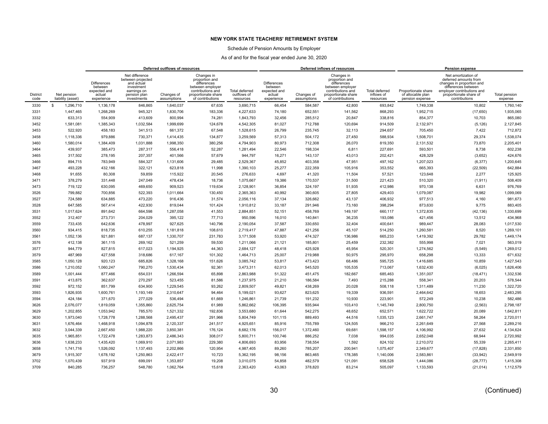#### Schedule of Pension Amounts by Employer

|                         |                                  |                                                                       |                                                                                                               | Deferred outflows of resources |                                                                                                                                 |                                            |                                                                       |                           | Deferred inflows of resources                                                                                                   |                                                  |                                                             | <b>Pension expense</b>                                                                                                                                                    |                          |
|-------------------------|----------------------------------|-----------------------------------------------------------------------|---------------------------------------------------------------------------------------------------------------|--------------------------------|---------------------------------------------------------------------------------------------------------------------------------|--------------------------------------------|-----------------------------------------------------------------------|---------------------------|---------------------------------------------------------------------------------------------------------------------------------|--------------------------------------------------|-------------------------------------------------------------|---------------------------------------------------------------------------------------------------------------------------------------------------------------------------|--------------------------|
| <b>District</b><br>code | Net pension<br>liability (asset) | <b>Differences</b><br>between<br>expected and<br>actual<br>experience | Net difference<br>between projected<br>and actual<br>investment<br>earnings on<br>pension plan<br>investments | Changes of<br>assumptions      | Changes in<br>proportion and<br>differences<br>between employer<br>contributions and<br>proportionate share<br>of contributions | Total deferred<br>outflows of<br>resources | <b>Differences</b><br>between<br>expected and<br>actual<br>experience | Changes of<br>assumptions | Changes in<br>proportion and<br>differences<br>between employer<br>contributions and<br>proportionate share<br>of contributions | <b>Total deferred</b><br>inflows of<br>resources | Proportionate share<br>of allocable plan<br>pension expense | Net amortization of<br>deferred amounts from<br>changes in proportion and<br>differences between<br>employer contributions and<br>proportionate share of<br>contributions | Total pension<br>expense |
| 3330                    | \$.<br>1,296,710                 | 1,136,178                                                             | 846,865                                                                                                       | 1,640,037                      | 67,635                                                                                                                          | 3,690,715                                  | 66,454                                                                | 584,587                   | 42,800                                                                                                                          | 693,842                                          | 1,749,338                                                   | 10,802                                                                                                                                                                    | 1,760,140                |
| 3331                    | 1,447,465                        | 1,268,269                                                             | 945,321                                                                                                       | 1,830,706                      | 183,336                                                                                                                         | 4,227,633                                  | 74,180                                                                | 652,551                   | 141,562                                                                                                                         | 868,293                                          | 1,952,715                                                   | (17,650)                                                                                                                                                                  | 1,935,065                |
| 3332                    | 633,313                          | 554,909                                                               | 413,609                                                                                                       | 800,994                        | 74,281                                                                                                                          | 1,843,793                                  | 32,456                                                                | 285,512                   | 20,847                                                                                                                          | 338,816                                          | 854,377                                                     | 10,703                                                                                                                                                                    | 865,080                  |
| 3452                    | 1,581,081                        | 1,385,343                                                             | 1,032,584                                                                                                     | 1,999,699                      | 124,678                                                                                                                         | 4,542,305                                  | 81,027                                                                | 712,788                   | 120,694                                                                                                                         | 914,509                                          | 2,132,971                                                   | (5, 126)                                                                                                                                                                  | 2,127,845                |
| 3453                    | 522,920                          | 458,183                                                               | 341,513                                                                                                       | 661,372                        | 67,548                                                                                                                          | 1,528,615                                  | 26,799                                                                | 235,745                   | 32,113                                                                                                                          | 294,657                                          | 705,450                                                     | 7,422                                                                                                                                                                     | 712,872                  |
| 3458                    | 1.118.336                        | 979.886                                                               | 730.371                                                                                                       | 1.414.435                      | 134.877                                                                                                                         | 3.259.569                                  | 57,313                                                                | 504,172                   | 27.450                                                                                                                          | 588.934                                          | 1,508,701                                                   | 29.374                                                                                                                                                                    | 1,538,074                |
| 3460                    | 1,580,014                        | 1,384,409                                                             | 1,031,888                                                                                                     | 1,998,350                      | 380,256                                                                                                                         | 4,794,903                                  | 80,973                                                                | 712,308                   | 26,070                                                                                                                          | 819,350                                          | 2,131,532                                                   | 73,870                                                                                                                                                                    | 2,205,401                |
| 3464                    | 439.937                          | 385,473                                                               | 287,317                                                                                                       | 556,418                        | 52,287                                                                                                                          | 1.281.494                                  | 22,546                                                                | 198,334                   | 6.811                                                                                                                           | 227,691                                          | 593,501                                                     | 8,738                                                                                                                                                                     | 602,238                  |
| 3465                    | 317,502                          | 278,195                                                               | 207,357                                                                                                       | 401,566                        | 57,679                                                                                                                          | 944,797                                    | 16,271                                                                | 143,137                   | 43,013                                                                                                                          | 202,421                                          | 428,329                                                     | (3,652)                                                                                                                                                                   | 424,676                  |
| 3466                    | 894,715                          | 783,949                                                               | 584,327                                                                                                       | 1,131,606                      | 29,485                                                                                                                          | 2,529,367                                  | 45,852                                                                | 403,358                   | 47,951                                                                                                                          | 497,162                                          | 1,207,023                                                   | (6, 377)                                                                                                                                                                  | 1,200,645                |
| 3467                    | 493,228                          | 432,166                                                               | 322,121                                                                                                       | 623,818                        | 11,998                                                                                                                          | 1,390,103                                  | 25,277                                                                | 222,359                   | 105,916                                                                                                                         | 353,552                                          | 665,393                                                     | (22, 509)                                                                                                                                                                 | 642,884                  |
| 3468                    | 91.655                           | 80,308                                                                | 59,859                                                                                                        | 115,922                        | 20,545                                                                                                                          | 276.633                                    | 4,697                                                                 | 41,320                    | 11,504                                                                                                                          | 57,521                                           | 123,648                                                     | 2,277                                                                                                                                                                     | 125,925                  |
| 3471                    | 378,279                          | 331,448                                                               | 247,049                                                                                                       | 478,434                        | 18,736                                                                                                                          | 1,075,667                                  | 19,386                                                                | 170,537                   | 31,500                                                                                                                          | 221,423                                          | 510,320                                                     | (1, 911)                                                                                                                                                                  | 508,409                  |
| 3473                    | 719.122                          | 630,095                                                               | 469.650                                                                                                       | 909.523                        | 119.634                                                                                                                         | 2,128,901                                  | 36,854                                                                | 324,197                   | 51.935                                                                                                                          | 412.986                                          | 970.138                                                     | 6,631                                                                                                                                                                     | 976,769                  |
| 3526                    | 799,882                          | 700,856                                                               | 522,393                                                                                                       | 1,011,664                      | 130,450                                                                                                                         | 2,365,363                                  | 40,992                                                                | 360,605                   | 27,805                                                                                                                          | 429,403                                          | 1,079,087                                                   | 19,982                                                                                                                                                                    | 1,099,069                |
| 3527                    | 724,589                          | 634,885                                                               | 473,220                                                                                                       | 916.436                        | 31,574                                                                                                                          | 2,056,116                                  | 37,134                                                                | 326,662                   | 43,137                                                                                                                          | 406,932                                          | 977,513                                                     | 4,160                                                                                                                                                                     | 981,673                  |
| 3528                    | 647,585                          | 567,414                                                               | 422,930                                                                                                       | 819,044                        | 101,424                                                                                                                         | 1,910,812                                  | 33,187                                                                | 291,946                   | 73,160                                                                                                                          | 398,294                                          | 873,630                                                     | 9,775                                                                                                                                                                     | 883,405                  |
| 3531                    | 1,017,624                        | 891,642                                                               | 664,598                                                                                                       | 1,287,058                      | 41,553                                                                                                                          | 2,884,851                                  | 52,151                                                                | 458,769                   | 149,197                                                                                                                         | 660,117                                          | 1,372,835                                                   | (42, 136)                                                                                                                                                                 | 1,330,699                |
| 3552                    | 312,407                          | 273,731                                                               | 204,029                                                                                                       | 395,122                        | 77,713                                                                                                                          | 950,596                                    | 16,010                                                                | 140,841                   | 36,235                                                                                                                          | 193,086                                          | 421,456                                                     | 13,512                                                                                                                                                                    | 434,968                  |
| 3559                    | 733,435                          | 642,636                                                               | 478,997                                                                                                       | 927,625                        | 140,796                                                                                                                         | 2,190,054                                  | 37,587                                                                | 330,650                   | 32,404                                                                                                                          | 400,641                                          | 989,447                                                     | 28,083                                                                                                                                                                    | 1,017,530                |
| 3560                    | 934,415                          | 818,735                                                               | 610,255                                                                                                       | 1,181,818                      | 108,610                                                                                                                         | 2,719,417                                  | 47,887                                                                | 421,256                   | 45,107                                                                                                                          | 514,250                                          | 1,260,581                                                   | 8,520                                                                                                                                                                     | 1,269,101                |
| 3561                    | 1,052,136                        | 921,881                                                               | 687.137                                                                                                       | 1,330,707                      | 231,783                                                                                                                         | 3,171,508                                  | 53,920                                                                | 474,327                   | 136,986                                                                                                                         | 665,233                                          | 1,419,392                                                   | 29,782                                                                                                                                                                    | 1,449,174                |
| 3576                    | 412,138                          | 361,115                                                               | 269,162                                                                                                       | 521,259                        | 59,530                                                                                                                          | 1,211,066                                  | 21,121                                                                | 185,801                   | 25,459                                                                                                                          | 232,382                                          | 555,998                                                     | 7,021                                                                                                                                                                     | 563,019                  |
| 3577                    | 944,779                          | 827,815                                                               | 617,023                                                                                                       | 1,194,925                      | 44,363                                                                                                                          | 2,684,127                                  | 48,418                                                                | 425,928                   | 45,954                                                                                                                          | 520,301                                          | 1,274,562                                                   | (5, 549)                                                                                                                                                                  | 1,269,012                |
| 3579                    | 487,969                          | 427,558                                                               | 318,686                                                                                                       | 617,167                        | 101,302                                                                                                                         | 1,464,713                                  | 25,007                                                                | 219,988                   | 50,975                                                                                                                          | 295,970                                          | 658,298                                                     | 13,333                                                                                                                                                                    | 671,632                  |
| 3585                    | 1,050,128                        | 920,123                                                               | 685,826                                                                                                       | 1,328,168                      | 151,626                                                                                                                         | 3,085,742                                  | 53,817                                                                | 473,423                   | 68,486                                                                                                                          | 595,725                                          | 1,416,685                                                   | 10,859                                                                                                                                                                    | 1,427,543                |
| 3586                    | 1,210,052                        | 1,060,247                                                             | 790,270                                                                                                       | 1,530,434                      | 92,361                                                                                                                          | 3,473,311                                  | 62,013                                                                | 545,520                   | 105,535                                                                                                                         | 713,067                                          | 1,632,430                                                   | (6,025)                                                                                                                                                                   | 1,626,406                |
| 3589                    | 1,001,444                        | 877,466                                                               | 654,031                                                                                                       | 1,266,594                      | 65,898                                                                                                                          | 2,863,988                                  | 51,322                                                                | 451,475                   | 182,667                                                                                                                         | 685,463                                          | 1,351,007                                                   | (18, 471)                                                                                                                                                                 | 1,332,536                |
| 3591                    | 413,875                          | 362,637                                                               | 270,297                                                                                                       | 523,455                        | 81,586                                                                                                                          | 1,237,975                                  | 21,210                                                                | 186,584                   | 7,493                                                                                                                           | 215,288                                          | 558,341                                                     | 20,203                                                                                                                                                                    | 578,544                  |
| 3592                    | 972,152                          | 851,799                                                               | 634,900                                                                                                       | 1,229,545                      | 93,262                                                                                                                          | 2,809,507                                  | 49,821                                                                | 438,269                   | 20,028                                                                                                                          | 508,118                                          | 1,311,489                                                   | 11,230                                                                                                                                                                    | 1,322,720                |
| 3593                    | 1,826,935                        | 1,600,761                                                             | 1,193,149                                                                                                     | 2,310,647                      | 94,464                                                                                                                          | 5,199,021                                  | 93,627                                                                | 823,625                   | 19,339                                                                                                                          | 936,591                                          | 2,464,642                                                   | 18,653                                                                                                                                                                    | 2,483,295                |
| 3594                    | 424,184                          | 371,670                                                               | 277,029                                                                                                       | 536,494                        | 61,669                                                                                                                          | 1,246,861                                  | 21,739                                                                | 191,232                   | 10,930                                                                                                                          | 223,901                                          | 572,249                                                     | 10,238                                                                                                                                                                    | 582,486                  |
| 3626                    | 2,076,077                        | 1,819,059                                                             | 1,355,860                                                                                                     | 2,625,754                      | 61,989                                                                                                                          | 5,862,662                                  | 106,395                                                               | 935,944                   | 103,410                                                                                                                         | 1,145,749                                        | 2,800,750                                                   | (2, 563)                                                                                                                                                                  | 2,798,187                |
| 3629                    | 1,202,855                        | 1,053,942                                                             | 785,570                                                                                                       | 1,521,332                      | 192,836                                                                                                                         | 3,553,680                                  | 61,644                                                                | 542,275                   | 48,652                                                                                                                          | 652,571                                          | 1,622,722                                                   | 20,089                                                                                                                                                                    | 1,642,811                |
| 3630                    | 1,973,040                        | 1,728,778                                                             | 1,288,568                                                                                                     | 2,495,437                      | 291,966                                                                                                                         | 5,804,749                                  | 101,115                                                               | 889,493                   | 44,516                                                                                                                          | 1,035,123                                        | 2,661,747                                                   | 58,264                                                                                                                                                                    | 2,720,011                |
| 3631                    | 1,676,464                        | 1,468,918                                                             | 1,094,878                                                                                                     | 2,120,337                      | 241,517                                                                                                                         | 4,925,651                                  | 85,916                                                                | 755,789                   | 124,505                                                                                                                         | 966,210                                          | 2,261,649                                                   | 27,568                                                                                                                                                                    | 2,289,216                |
| 3632                    | 3,044,339                        | 2,667,450                                                             | 1,988,220                                                                                                     | 3,850,381                      | 176,124                                                                                                                         | 8,682,176                                  | 156,017                                                               | 1,372,460                 | 69,681                                                                                                                          | 1,598,157                                        | 4,106,992                                                   | 27,632                                                                                                                                                                    | 4,134,624                |
| 3635                    | 1,965,851                        | 1,722,478                                                             | 1,283,873                                                                                                     | 2,486,343                      | 308,017                                                                                                                         | 5.800.711                                  | 100,746                                                               | 886,252                   | 7,038                                                                                                                           | 994,035                                          | 2,652,048                                                   | 68,944                                                                                                                                                                    | 2,720,992                |
| 3636                    | 1,638,233                        | 1,435,420                                                             | 1,069,910                                                                                                     | 2,071,983                      | 229,380                                                                                                                         | 4,806,693                                  | 83,956                                                                | 738,554                   | 1,592                                                                                                                           | 824,102                                          | 2,210,072                                                   | 55,339                                                                                                                                                                    | 2,265,411                |
| 3658                    | 1,741,716                        | 1,526,092                                                             | 1,137,493                                                                                                     | 2,202,866                      | 120,954                                                                                                                         | 4,987,405                                  | 89,260                                                                | 785,207                   | 200,941                                                                                                                         | 1,075,407                                        | 2,349,677                                                   | (17, 828)                                                                                                                                                                 | 2,331,850                |
| 3679                    | 1,915,307                        | 1,678,192                                                             | 1,250,863                                                                                                     | 2,422,417                      | 10,723                                                                                                                          | 5,362,195                                  | 98,156                                                                | 863,465                   | 178,385                                                                                                                         | 1,140,006                                        | 2,583,861                                                   | (33, 942)                                                                                                                                                                 | 2,549,919                |
| 3702                    | 1,070,439                        | 937,919                                                               | 699,091                                                                                                       | 1,353,857                      | 19,208                                                                                                                          | 3,010,075                                  | 54,858                                                                | 482,579                   | 121,091                                                                                                                         | 658,528                                          | 1,444,086                                                   | (28, 777)                                                                                                                                                                 | 1,415,308                |
| 3709                    | 840,285                          | 736,257                                                               | 548,780                                                                                                       | 1,062,764                      | 15,618                                                                                                                          | 2,363,420                                  | 43,063                                                                | 378,820                   | 83,214                                                                                                                          | 505,097                                          | 1,133,593                                                   | (21, 014)                                                                                                                                                                 | 1,112,579                |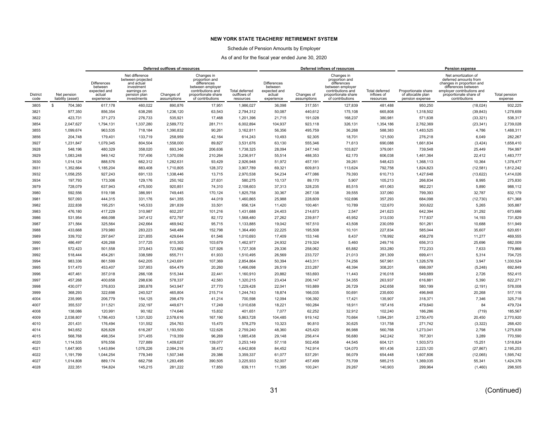#### Schedule of Pension Amounts by Employer

|                         |                                  |                                                                       |                                                                                                               | Deferred outflows of resources |                                                                                                                                 |                                            |                                                                       |                           | Deferred inflows of resources                                                                                                   |                                                  |                                                             | <b>Pension expense</b>                                                                                                                                                    |                          |
|-------------------------|----------------------------------|-----------------------------------------------------------------------|---------------------------------------------------------------------------------------------------------------|--------------------------------|---------------------------------------------------------------------------------------------------------------------------------|--------------------------------------------|-----------------------------------------------------------------------|---------------------------|---------------------------------------------------------------------------------------------------------------------------------|--------------------------------------------------|-------------------------------------------------------------|---------------------------------------------------------------------------------------------------------------------------------------------------------------------------|--------------------------|
| <b>District</b><br>code | Net pension<br>liability (asset) | <b>Differences</b><br>between<br>expected and<br>actual<br>experience | Net difference<br>between projected<br>and actual<br>investment<br>earnings on<br>pension plan<br>investments | Changes of<br>assumptions      | Changes in<br>proportion and<br>differences<br>between emplover<br>contributions and<br>proportionate share<br>of contributions | Total deferred<br>outflows of<br>resources | <b>Differences</b><br>between<br>expected and<br>actual<br>experience | Changes of<br>assumptions | Changes in<br>proportion and<br>differences<br>between emplover<br>contributions and<br>proportionate share<br>of contributions | <b>Total deferred</b><br>inflows of<br>resources | Proportionate share<br>of allocable plan<br>pension expense | Net amortization of<br>deferred amounts from<br>changes in proportion and<br>differences between<br>employer contributions and<br>proportionate share of<br>contributions | Total pension<br>expense |
| 3805                    | 704,380<br>S                     | 617,178                                                               | 460,022                                                                                                       | 890,876                        | 17,951                                                                                                                          | 1,986,027                                  | 36,098                                                                | 317,551                   | 127,839                                                                                                                         | 481,488                                          | 950,250                                                     | (18,024)                                                                                                                                                                  | 932,225                  |
| 3821                    | 977,350                          | 856,354                                                               | 638,295                                                                                                       | 1,236,120                      | 63,543                                                                                                                          | 2,794,312                                  | 50,087                                                                | 440,612                   | 175,108                                                                                                                         | 665,808                                          | 1,318,502                                                   | (39, 843)                                                                                                                                                                 | 1,278,659                |
| 3822                    | 423,731                          | 371,273                                                               | 276,733                                                                                                       | 535,921                        | 17,468                                                                                                                          | 1,201,396                                  | 21,715                                                                | 191,028                   | 168,237                                                                                                                         | 380,981                                          | 571,638                                                     | (33, 321)                                                                                                                                                                 | 538,317                  |
| 3854                    | 2,047,627                        | 1,794,131                                                             | 1,337,280                                                                                                     | 2,589,772                      | 281,711                                                                                                                         | 6,002,894                                  | 104,937                                                               | 923,118                   | 326,131                                                                                                                         | 1,354,186                                        | 2,762,369                                                   | (23, 341)                                                                                                                                                                 | 2,739,028                |
| 3855                    | 1,099,674                        | 963,535                                                               | 718,184                                                                                                       | 1,390,832                      | 90,261                                                                                                                          | 3,162,811                                  | 56,356                                                                | 495,759                   | 36,268                                                                                                                          | 588,383                                          | 1,483,525                                                   | 4,786                                                                                                                                                                     | 1,488,311                |
| 3856                    | 204,748                          | 179,401                                                               | 133,719                                                                                                       | 258,959                        | 42,164                                                                                                                          | 614,243                                    | 10,493                                                                | 92,305                    | 18,701                                                                                                                          | 121,500                                          | 276,218                                                     | 6,049                                                                                                                                                                     | 282,267                  |
| 3927                    | 1,231,847                        | 1,079,345                                                             | 804.504                                                                                                       | 1,558,000                      | 89,827                                                                                                                          | 3.531.676                                  | 63,130                                                                | 555,346                   | 71.613                                                                                                                          | 690,088                                          | 1,661,834                                                   | (3, 424)                                                                                                                                                                  | 1,658,410                |
| 3928                    | 548,196                          | 480,329                                                               | 358,020                                                                                                       | 693,340                        | 206,636                                                                                                                         | 1,738,325                                  | 28,094                                                                | 247,140                   | 103,827                                                                                                                         | 379,061                                          | 739,548                                                     | 25,449                                                                                                                                                                    | 764,997                  |
| 3929                    | 1,083,248                        | 949,142                                                               | 707.456                                                                                                       | 1,370,056                      | 210,264                                                                                                                         | 3,236,917                                  | 55,514                                                                | 488,353                   | 62,170                                                                                                                          | 606,038                                          | 1,461,364                                                   | 22,412                                                                                                                                                                    | 1,483,777                |
| 3930                    | 1,014,124                        | 888,576                                                               | 662,312                                                                                                       | 1,282,631                      | 93,429                                                                                                                          | 2,926,948                                  | 51,972                                                                | 457,191                   | 39,261                                                                                                                          | 548,423                                          | 1,368,113                                                   | 10,364                                                                                                                                                                    | 1,378,477                |
| 3931                    | 1,352,664                        | 1,185,204                                                             | 883,408                                                                                                       | 1,710,805                      | 128,372                                                                                                                         | 3,907,789                                  | 69,321                                                                | 609,813                   | 113,624                                                                                                                         | 792,758                                          | 1,824,823                                                   | (12, 581)                                                                                                                                                                 | 1,812,242                |
| 3932                    | 1,058,255                        | 927,243                                                               | 691,133                                                                                                       | 1,338,446                      | 13,715                                                                                                                          | 2,970,538                                  | 54,234                                                                | 477,086                   | 79,393                                                                                                                          | 610,713                                          | 1,427,648                                                   | (13, 622)                                                                                                                                                                 | 1,414,026                |
| 3934                    | 197,793                          | 173,306                                                               | 129,176                                                                                                       | 250,162                        | 27,631                                                                                                                          | 580.275                                    | 10,137                                                                | 89,170                    | 5,907                                                                                                                           | 105,213                                          | 266,834                                                     | 8,995                                                                                                                                                                     | 275,830                  |
| 3979                    | 728,079                          | 637,943                                                               | 475,500                                                                                                       | 920,851                        | 74,310                                                                                                                          | 2,108,603                                  | 37,313                                                                | 328,235                   | 85,515                                                                                                                          | 451,063                                          | 982,221                                                     | 5,890                                                                                                                                                                     | 988,112                  |
| 3980                    | 592,556                          | 519,198                                                               | 386,991                                                                                                       | 749,445                        | 170,124                                                                                                                         | 1,825,758                                  | 30,367                                                                | 267,138                   | 39,555                                                                                                                          | 337,060                                          | 799,393                                                     | 32,787                                                                                                                                                                    | 832,179                  |
| 3981                    | 507.093                          | 444,315                                                               | 331.176                                                                                                       | 641,355                        | 44.019                                                                                                                          | 1.460.865                                  | 25,988                                                                | 228,609                   | 102,696                                                                                                                         | 357,293                                          | 684,098                                                     | (12, 730)                                                                                                                                                                 | 671,368                  |
| 3982                    | 222,838                          | 195,251                                                               | 145,533                                                                                                       | 281,839                        | 33,501                                                                                                                          | 656,124                                    | 11,420                                                                | 100,461                   | 10,789                                                                                                                          | 122,670                                          | 300,622                                                     | 5,265                                                                                                                                                                     | 305,887                  |
| 3983                    | 476,180                          | 417,229                                                               | 310,987                                                                                                       | 602,257                        | 101,216                                                                                                                         | 1,431,688                                  | 24,403                                                                | 214,673                   | 2,547                                                                                                                           | 241,623                                          | 642,394                                                     | 31,292                                                                                                                                                                    | 673,686                  |
| 3986                    | 531,954                          | 466,098                                                               | 347,412                                                                                                       | 672,797                        | 82,172                                                                                                                          | 1,568,480                                  | 27,262                                                                | 239,817                   | 45,952                                                                                                                          | 313,030                                          | 717,637                                                     | 14,193                                                                                                                                                                    | 731,829                  |
| 3987                    | 371,564                          | 325,564                                                               | 242,664                                                                                                       | 469.942                        | 95,715                                                                                                                          | 1,133,885                                  | 19,042                                                                | 167,510                   | 43,508                                                                                                                          | 230,059                                          | 501,261                                                     | 10,688                                                                                                                                                                    | 511,949                  |
| 3988                    | 433,668                          | 379,980                                                               | 283,223                                                                                                       | 548,489                        | 152,798                                                                                                                         | 1,364,490                                  | 22,225                                                                | 195,508                   | 10,101                                                                                                                          | 227,834                                          | 585,044                                                     | 35,607                                                                                                                                                                    | 620,651                  |
| 3989                    | 339,702                          | 297,647                                                               | 221,855                                                                                                       | 429.644                        | 61,546                                                                                                                          | 1,010,693                                  | 17,409                                                                | 153,146                   | 8,437                                                                                                                           | 178,992                                          | 458,278                                                     | 11,277                                                                                                                                                                    | 469,555                  |
| 3990<br>3991            | 486,497<br>572,423               | 426,268                                                               | 317,725                                                                                                       | 615,305<br>723,982             | 103,679                                                                                                                         | 1,462,977<br>1,727,308                     | 24,932                                                                | 219,324<br>258,062        | 5,460                                                                                                                           | 249,716                                          | 656,313                                                     | 25,696                                                                                                                                                                    | 682,009<br>779,866       |
| 3992                    | 518,444                          | 501,558<br>454,261                                                    | 373,843<br>338,589                                                                                            | 655,711                        | 127,926<br>61,933                                                                                                               | 1,510,495                                  | 29,336<br>26,569                                                      | 233,727                   | 65,882<br>21,013                                                                                                                | 353,280<br>281,309                               | 772,233<br>699,411                                          | 7,633<br>5,314                                                                                                                                                            | 704,725                  |
| 3994                    | 983,336                          | 861,599                                                               | 642,205                                                                                                       | 1,243,691                      | 107,369                                                                                                                         | 2,854,864                                  | 50,394                                                                | 443,311                   | 74,256                                                                                                                          | 567,961                                          | 1,326,578                                                   | 3,947                                                                                                                                                                     | 1,330,524                |
| 3995                    | 517.470                          | 453,407                                                               | 337,953                                                                                                       | 654,479                        | 20,260                                                                                                                          | 1,466,098                                  | 26,519                                                                | 233,287                   | 48.394                                                                                                                          | 308,201                                          | 698,097                                                     | (5, 248)                                                                                                                                                                  | 692,849                  |
| 3996                    | 407,461                          | 357,018                                                               | 266,108                                                                                                       | 515,344                        | 22,441                                                                                                                          | 1,160,910                                  | 20,882                                                                | 183,693                   | 11,443                                                                                                                          | 216,018                                          | 549,689                                                     | 2,726                                                                                                                                                                     | 552,415                  |
| 3997                    | 457.268                          | 400,658                                                               | 298.636                                                                                                       | 578.337                        | 42.583                                                                                                                          | 1.320.215                                  | 23,434                                                                | 206,147                   | 34.355                                                                                                                          | 263.937                                          | 616,881                                                     | 5.390                                                                                                                                                                     | 622.271                  |
| 3998                    | 430,077                          | 376,833                                                               | 280,878                                                                                                       | 543,947                        | 27,770                                                                                                                          | 1,229,428                                  | 22,041                                                                | 193,889                   | 26,729                                                                                                                          | 242,658                                          | 580,199                                                     | (2, 191)                                                                                                                                                                  | 578,008                  |
| 3999                    | 368,293                          | 322,698                                                               | 240,527                                                                                                       | 465.804                        | 215,714                                                                                                                         | 1.244.743                                  | 18,874                                                                | 166,035                   | 50,691                                                                                                                          | 235,600                                          | 496,848                                                     | 20,268                                                                                                                                                                    | 517,116                  |
| 4004                    | 235,995                          | 206,779                                                               | 154,125                                                                                                       | 298,479                        | 41,214                                                                                                                          | 700,598                                    | 12,094                                                                | 106,392                   | 17,421                                                                                                                          | 135,907                                          | 318,371                                                     | 7,346                                                                                                                                                                     | 325,718                  |
| 4007                    | 355,537                          | 311,521                                                               | 232,197                                                                                                       | 449,671                        | 17,249                                                                                                                          | 1,010,638                                  | 18,221                                                                | 160,284                   | 18,911                                                                                                                          | 197,416                                          | 479,640                                                     | 84                                                                                                                                                                        | 479,724                  |
| 4008                    | 138,086                          | 120,991                                                               | 90,182                                                                                                        | 174,646                        | 15,832                                                                                                                          | 401,651                                    | 7,077                                                                 | 62,252                    | 32,912                                                                                                                          | 102,240                                          | 186,286                                                     | (719)                                                                                                                                                                     | 185,567                  |
| 4009                    | 2,038,807                        | 1,786,403                                                             | 1,331,520                                                                                                     | 2,578,616                      | 167,190                                                                                                                         | 5,863,728                                  | 104,485                                                               | 919,142                   | 70,664                                                                                                                          | 1,094,291                                        | 2,750,470                                                   | 20,450                                                                                                                                                                    | 2,770,920                |
| 4010                    | 201.431                          | 176.494                                                               | 131.552                                                                                                       | 254.763                        | 15.470                                                                                                                          | 578.279                                    | 10,323                                                                | 90.810                    | 30.625                                                                                                                          | 131,758                                          | 271.742                                                     | (3,322)                                                                                                                                                                   | 268,420                  |
| 4014                    | 943,652                          | 826,828                                                               | 616,287                                                                                                       | 1,193,500                      | 122,626                                                                                                                         | 2,759,240                                  | 48,360                                                                | 425,420                   | 86,988                                                                                                                          | 560,768                                          | 1,273,041                                                   | 2,798                                                                                                                                                                     | 1,275,839                |
| 4015                    | 568,768                          | 498,354                                                               | 371,455                                                                                                       | 719,359                        | 96,269                                                                                                                          | 1,685,438                                  | 29,148                                                                | 256,414                   | 56,680                                                                                                                          | 342,242                                          | 767,301                                                     | 3,289                                                                                                                                                                     | 770,590                  |
| 4020                    | 1,114,535                        | 976,556                                                               | 727,889                                                                                                       | 1,409,627                      | 139,077                                                                                                                         | 3,253,149                                  | 57,118                                                                | 502,458                   | 44,545                                                                                                                          | 604,121                                          | 1,503,573                                                   | 15,251                                                                                                                                                                    | 1,518,824                |
| 4021                    | 1,647,905                        | 1,443,894                                                             | 1,076,226                                                                                                     | 2,084,216                      | 38,472                                                                                                                          | 4,642,808                                  | 84,452                                                                | 742,914                   | 124,070                                                                                                                         | 951,436                                          | 2,223,120                                                   | (27, 867)                                                                                                                                                                 | 2,195,253                |
| 4022                    | 1,191,799                        | 1,044,254                                                             | 778,349                                                                                                       | 1,507,348                      | 29,386                                                                                                                          | 3,359,337                                  | 61,077                                                                | 537,291                   | 56,079                                                                                                                          | 654,448                                          | 1,607,806                                                   | (12,065)                                                                                                                                                                  | 1,595,742                |
| 4027                    | 1,014,808                        | 889,174                                                               | 662,758                                                                                                       | 1,283,495                      | 390,505                                                                                                                         | 3,225,933                                  | 52,007                                                                | 457,499                   | 75,709                                                                                                                          | 585,215                                          | 1,369,035                                                   | 55,341                                                                                                                                                                    | 1,424,376                |
| 4028                    | 222,351                          | 194,824                                                               | 145,215                                                                                                       | 281,222                        | 17,850                                                                                                                          | 639,111                                    | 11,395                                                                | 100,241                   | 29,267                                                                                                                          | 140,903                                          | 299,964                                                     | (1,460)                                                                                                                                                                   | 298,505                  |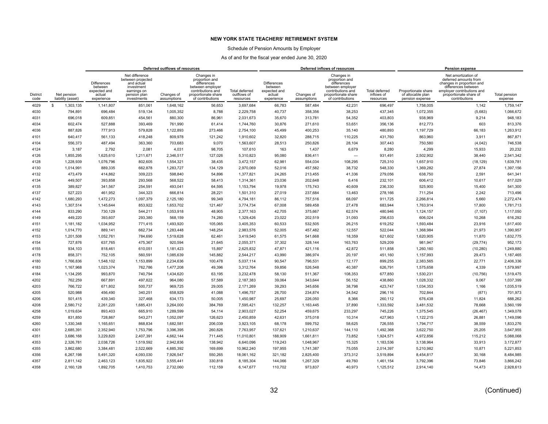#### Schedule of Pension Amounts by Employer

|                         |                                  |                                                                       |                                                                                                               | Deferred outflows of resources |                                                                                                                                 |                                                   |                                                                |                           | Deferred inflows of resources                                                                                                   |                                           |                                                             | <b>Pension expense</b>                                                                                                                                                    |                          |
|-------------------------|----------------------------------|-----------------------------------------------------------------------|---------------------------------------------------------------------------------------------------------------|--------------------------------|---------------------------------------------------------------------------------------------------------------------------------|---------------------------------------------------|----------------------------------------------------------------|---------------------------|---------------------------------------------------------------------------------------------------------------------------------|-------------------------------------------|-------------------------------------------------------------|---------------------------------------------------------------------------------------------------------------------------------------------------------------------------|--------------------------|
| <b>District</b><br>code | Net pension<br>liability (asset) | <b>Differences</b><br>between<br>expected and<br>actual<br>experience | Net difference<br>between projected<br>and actual<br>investment<br>earnings on<br>pension plan<br>investments | Changes of<br>assumptions      | Changes in<br>proportion and<br>differences<br>between employer<br>contributions and<br>proportionate share<br>of contributions | <b>Total deferred</b><br>outflows of<br>resources | Differences<br>between<br>expected and<br>actual<br>experience | Changes of<br>assumptions | Changes in<br>proportion and<br>differences<br>between employer<br>contributions and<br>proportionate share<br>of contributions | Total deferred<br>inflows of<br>resources | Proportionate share<br>of allocable plan<br>pension expense | Net amortization of<br>deferred amounts from<br>changes in proportion and<br>differences between<br>employer contributions and<br>proportionate share of<br>contributions | Total pension<br>expense |
| 4029                    | s<br>1,303,135                   | 1,141,807                                                             | 851,061                                                                                                       | 1,648,162                      | 56,653                                                                                                                          | 3,697,684                                         | 66,783                                                         | 587,484                   | 42,231                                                                                                                          | 696,497                                   | 1,758,005                                                   | 1,142                                                                                                                                                                     | 1,759,147                |
| 4030                    | 794,891                          | 696,484                                                               | 519,134                                                                                                       | 1,005,352                      | 8,788                                                                                                                           | 2,229,758                                         | 40,737                                                         | 358,356                   | 38,253                                                                                                                          | 437,345                                   | 1,072,355                                                   | (5,683)                                                                                                                                                                   | 1,066,672                |
| 4031                    | 696,018                          | 609,851                                                               | 454,561                                                                                                       | 880,300                        | 86,961                                                                                                                          | 2,031,673                                         | 35,670                                                         | 313,781                   | 54,352                                                                                                                          | 403,803                                   | 938,969                                                     | 9,214                                                                                                                                                                     | 948,183                  |
| 4034                    | 602,474                          | 527,888                                                               | 393,469                                                                                                       | 761,990                        | 61,414                                                                                                                          | 1,744,760                                         | 30,876                                                         | 271,610                   | 53,651                                                                                                                          | 356,136                                   | 812,773                                                     | 603                                                                                                                                                                       | 813,376                  |
| 4036                    | 887,826                          | 777,913                                                               | 579,828                                                                                                       | 1,122,893                      | 273,466                                                                                                                         | 2,754,100                                         | 45,499                                                         | 400,253                   | 35,140                                                                                                                          | 480,893                                   | 1,197,729                                                   | 66,183                                                                                                                                                                    | 1,263,912                |
| 4101                    | 640,417                          | 561,133                                                               | 418,248                                                                                                       | 809,978                        | 121,242                                                                                                                         | 1,910,602                                         | 32,820                                                         | 288,715                   | 110,225                                                                                                                         | 431,760                                   | 863,960                                                     | 3,911                                                                                                                                                                     | 867,871                  |
| 4104                    | 556,373                          | 487,494                                                               | 363,360                                                                                                       | 703,683                        | 9,070                                                                                                                           | 1,563,607                                         | 28,513                                                         | 250,826                   | 28,104                                                                                                                          | 307,443                                   | 750,580                                                     | (4,042)                                                                                                                                                                   | 746,538                  |
| 4124                    | 3,187                            | 2,792                                                                 | 2,081                                                                                                         | 4,031                          | 98,705                                                                                                                          | 107,610                                           | 163                                                            | 1,437                     | 6,679                                                                                                                           | 8,280                                     | 4,299                                                       | 15,933                                                                                                                                                                    | 20,232                   |
| 4126                    | 1,855,295                        | 1,625,610                                                             | 1,211,671                                                                                                     | 2,346,517                      | 127,026                                                                                                                         | 5,310,823                                         | 95,080                                                         | 836,411                   | $\overline{\phantom{0}}$                                                                                                        | 931,491                                   | 2,502,902                                                   | 38,440                                                                                                                                                                    | 2,541,342                |
| 4128                    | 1,228,939                        | 1,076,796                                                             | 802,605                                                                                                       | 1,554,321                      | 38,435                                                                                                                          | 3,472,157                                         | 62,981                                                         | 554,034                   | 108,295                                                                                                                         | 725,310                                   | 1,657,910                                                   | (18, 129)                                                                                                                                                                 | 1,639,781                |
| 4130                    | 1,014,991                        | 889,335                                                               | 662,878                                                                                                       | 1,283,727                      | 134,129                                                                                                                         | 2,970,069                                         | 52,016                                                         | 457,582                   | 38,732                                                                                                                          | 548,330                                   | 1,369,282                                                   | 27,874                                                                                                                                                                    | 1,397,156                |
| 4132                    | 473,479                          | 414,862                                                               | 309,223                                                                                                       | 598,840                        | 54,896                                                                                                                          | 1,377,821                                         | 24,265                                                         | 213,455                   | 41,336                                                                                                                          | 279,056                                   | 638,750                                                     | 2,591                                                                                                                                                                     | 641,341                  |
| 4134                    | 449,507                          | 393,858                                                               | 293,568                                                                                                       | 568,522                        | 58,413                                                                                                                          | 1,314,361                                         | 23,036                                                         | 202,648                   | 6,416                                                                                                                           | 232,101                                   | 606,412                                                     | 10,617                                                                                                                                                                    | 617,029                  |
| 4135                    | 389,827                          | 341,567                                                               | 254,591                                                                                                       | 493,041                        | 64,595                                                                                                                          | 1,153,794                                         | 19,978                                                         | 175,743                   | 40,609                                                                                                                          | 236,330                                   | 525,900                                                     | 15,400                                                                                                                                                                    | 541,300                  |
| 4137                    | 527,223                          | 461.952                                                               | 344,323                                                                                                       | 666.814                        | 28,221                                                                                                                          | 1,501,310                                         | 27,019                                                         | 237,684                   | 13,463                                                                                                                          | 278,166                                   | 711,254                                                     | 2,242                                                                                                                                                                     | 713,496                  |
| 4142                    | 1,680,293                        | 1,472,273                                                             | 1,097,379                                                                                                     | 2,125,180                      | 99,349                                                                                                                          | 4,794,181                                         | 86,112                                                         | 757,516                   | 68,097                                                                                                                          | 911,725                                   | 2,266,814                                                   | 5,660                                                                                                                                                                     | 2,272,474                |
| 4143                    | 1,307,514                        | 1,145,644                                                             | 853,922                                                                                                       | 1,653,702                      | 121,467                                                                                                                         | 3,774,734                                         | 67,008                                                         | 589,458                   | 27,478                                                                                                                          | 683,944                                   | 1,763,914                                                   | 17,800                                                                                                                                                                    | 1,781,713                |
| 4144                    | 833,290                          | 730,129                                                               | 544,211                                                                                                       | 1,053,918                      | 48,905                                                                                                                          | 2,377,163                                         | 42,705                                                         | 375,667                   | 62,574                                                                                                                          | 480,946                                   | 1,124,157                                                   | (7, 107)                                                                                                                                                                  | 1,117,050                |
| 4149                    | 449,220                          | 393,607                                                               | 293,380                                                                                                       | 568,159                        | 74,280                                                                                                                          | 1,329,426                                         | 23,022                                                         | 202,519                   | 31,093                                                                                                                          | 256,633                                   | 606,024                                                     | 10,268                                                                                                                                                                    | 616,292                  |
| 4151                    | 1,181,182                        | 1,034,952                                                             | 771,415                                                                                                       | 1,493,920                      | 105,065                                                                                                                         | 3,405,353                                         | 60,533                                                         | 532,505                   | 26,215                                                                                                                          | 619,252                                   | 1,593,484                                                   | 23,916                                                                                                                                                                    | 1,617,400                |
| 4152                    | 1,014,770                        | 889,141                                                               | 662,734                                                                                                       | 1,283,448                      | 148,254                                                                                                                         | 2,983,576                                         | 52,005                                                         | 457,482                   | 12,557                                                                                                                          | 522,044                                   | 1,368,984                                                   | 21,973                                                                                                                                                                    | 1,390,957                |
| 4153                    | 1,201,508                        | 1,052,761                                                             | 784,690                                                                                                       | 1,519,628                      | 62,461                                                                                                                          | 3,419,540                                         | 61,575                                                         | 541,668                   | 18,359                                                                                                                          | 621,602                                   | 1,620,905                                                   | 11,870                                                                                                                                                                    | 1,632,775                |
| 4154                    | 727.876                          | 637.765                                                               | 475.367                                                                                                       | 920.594                        | 21,645                                                                                                                          | 2.055.371                                         | 37,302                                                         | 328.144                   | 163.763                                                                                                                         | 529.209                                   | 981,947                                                     | (29, 774)                                                                                                                                                                 | 952,173                  |
| 4155                    | 934,103                          | 818,461                                                               | 610,051                                                                                                       | 1,181,423                      | 15,897                                                                                                                          | 2,625,832                                         | 47,871                                                         | 421,116                   | 42,872                                                                                                                          | 511,858                                   | 1,260,160                                                   | (10, 280)                                                                                                                                                                 | 1,249,880                |
| 4178                    | 858,371                          | 752,105                                                               | 560.591                                                                                                       | 1,085,639                      | 145,882                                                                                                                         | 2,544,217                                         | 43,990                                                         | 386,974                   | 20,197                                                                                                                          | 451,160                                   | 1,157,993                                                   | 29,473                                                                                                                                                                    | 1,187,465                |
| 4180                    | 1,766,836                        | 1,548,102                                                             | 1,153,899                                                                                                     | 2,234,636                      | 100,478                                                                                                                         | 5,037,114                                         | 90,547                                                         | 796,531                   | 12,177                                                                                                                          | 899,255                                   | 2,383,565                                                   | 22,771                                                                                                                                                                    | 2,406,336                |
| 4183                    | 1,167,968                        | 1,023,374                                                             | 762,786                                                                                                       | 1,477,208                      | 49,396                                                                                                                          | 3,312,764                                         | 59,856                                                         | 526,548                   | 40,387                                                                                                                          | 626,791                                   | 1,575,658                                                   | 4,339                                                                                                                                                                     | 1,579,997                |
| 4184                    | 1,134,295                        | 993,870                                                               | 740,794                                                                                                       | 1,434,620                      | 63,195                                                                                                                          | 3,232,478                                         | 58,130                                                         | 511,367                   | 108,353                                                                                                                         | 677,850                                   | 1,530,231                                                   | (10, 756)                                                                                                                                                                 | 1,519,475                |
| 4202                    | 762,259                          | 667,891                                                               | 497,822                                                                                                       | 964,080                        | 57,589                                                                                                                          | 2,187,383                                         | 39,064                                                         | 343,644                   | 56,152                                                                                                                          | 438,860                                   | 1,028,332                                                   | 9,067                                                                                                                                                                     | 1,037,399                |
| 4203                    | 766,722                          | 671,802                                                               | 500,737                                                                                                       | 969,725                        | 29,005                                                                                                                          | 2,171,269                                         | 39,293                                                         | 345,656                   | 38,798                                                                                                                          | 423,747                                   | 1,034,353                                                   | 1,166                                                                                                                                                                     | 1,035,519                |
| 4205                    | 520.988                          | 456.490                                                               | 340,251                                                                                                       | 658,929                        | 41,088                                                                                                                          | 1,496,757                                         | 26,700                                                         | 234,874                   | 34,542                                                                                                                          | 296,116                                   | 702,844                                                     | (871)                                                                                                                                                                     | 701,973                  |
| 4206                    | 501,415                          | 439,340                                                               | 327,468                                                                                                       | 634,173                        | 50,005                                                                                                                          | 1,450,987                                         | 25,697                                                         | 226,050                   | 8,366                                                                                                                           | 260,112                                   | 676,438                                                     | 11,824                                                                                                                                                                    | 688,262                  |
| 4208                    | 2,580,712                        | 2,261,220                                                             | 1,685,431                                                                                                     | 3,264,000                      | 384,769                                                                                                                         | 7,595,421                                         | 132,257                                                        | 1,163,445                 | 37,890                                                                                                                          | 1,333,592                                 | 3,481,532                                                   | 78,668                                                                                                                                                                    | 3,560,199                |
| 4258                    | 1,019,634                        | 893,403                                                               | 665,910                                                                                                       | 1,289,599                      | 54,114                                                                                                                          | 2,903,027                                         | 52,254                                                         | 459,675                   | 233,297                                                                                                                         | 745,226                                   | 1,375,545                                                   | (26, 467)                                                                                                                                                                 | 1,349,078                |
| 4259                    | 831,850                          | 728,867                                                               | 543,271                                                                                                       | 1,052,097                      | 126,623                                                                                                                         | 2,450,859                                         | 42,631                                                         | 375,018                   | 10,314                                                                                                                          | 427,963                                   | 1,122,215                                                   | 26,881                                                                                                                                                                    | 1,149,096                |
| 4260                    | 1,330,348                        | 1,165,651                                                             | 868,834                                                                                                       | 1,682,581                      | 206,039                                                                                                                         | 3,923,105                                         | 68,178                                                         | 599,752                   | 58,625                                                                                                                          | 726,555                                   | 1,794,717                                                   | 38,559                                                                                                                                                                    | 1,833,276                |
| 4301                    | 2,685,391                        | 2,352,940                                                             | 1,753,796                                                                                                     | 3,396,395                      | 260,826                                                                                                                         | 7,763,957                                         | 137,621                                                        | 1,210,637                 | 144,110                                                                                                                         | 1,492,368                                 | 3,622,750                                                   | 25,205                                                                                                                                                                    | 3,647,955                |
| 4351                    | 3,686,168                        | 3,229,820                                                             | 2,407,391                                                                                                     | 4,662,144                      | 711,445                                                                                                                         | 11,010,801                                        | 188,909                                                        | 1,661,811                 | 73,852                                                                                                                          | 1,924,571                                 | 4,972,856                                                   | 115,212                                                                                                                                                                   | 5,088,068                |
| 4353                    | 2,326,781                        | 2,038,726                                                             | 1,519,592                                                                                                     | 2,942,836                      | 138,942                                                                                                                         | 6,640,096                                         | 119,243                                                        | 1,048,967                 | 15,325                                                                                                                          | 1,183,536                                 | 3,138,964                                                   | 33,913                                                                                                                                                                    | 3,172,877                |
| 4355                    | 3,862,680                        | 3,384,481                                                             | 2,522,669                                                                                                     | 4,885,392                      | 169,699                                                                                                                         | 10,962,240                                        | 197,955                                                        | 1,741,387                 | 75,055                                                                                                                          | 2,014,397                                 | 5,210,982                                                   | 10,871                                                                                                                                                                    | 5,221,853                |
| 4356                    | 6,267,198                        | 5,491,320                                                             | 4,093,030                                                                                                     | 7,926,547                      | 550,265                                                                                                                         | 18,061,162                                        | 321,182                                                        | 2,825,400                 | 373,312                                                                                                                         | 3,519,894                                 | 8,454,817                                                   | 30,168                                                                                                                                                                    | 8,484,985                |
| 4357                    | 2,811,142                        | 2,463,123                                                             | 1,835,922                                                                                                     | 3,555,441                      | 330,818                                                                                                                         | 8,185,304                                         | 144,066                                                        | 1,267,329                 | 49,760                                                                                                                          | 1,461,154                                 | 3,792,396                                                   | 73,846                                                                                                                                                                    | 3,866,242                |
| 4358                    | 2,160,128                        | 1,892,705                                                             | 1,410,753                                                                                                     | 2,732,060                      | 112,159                                                                                                                         | 6,147,677                                         | 110,702                                                        | 973,837                   | 40,973                                                                                                                          | 1,125,512                                 | 2,914,140                                                   | 14,473                                                                                                                                                                    | 2,928,613                |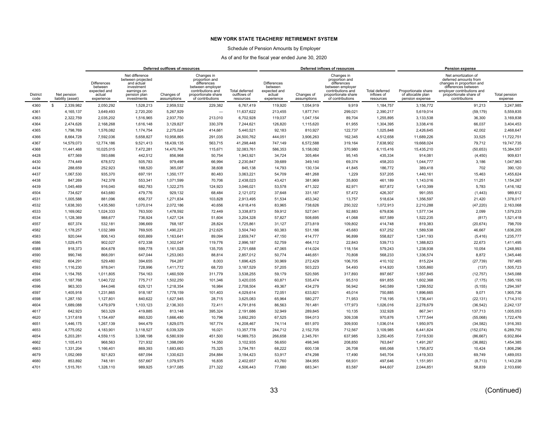#### Schedule of Pension Amounts by Employer

|                         |                                  |                                                                       |                                                                                                               | Deferred outflows of resources |                                                                                                                                 |                                                   |                                                                |                           | Deferred inflows of resources                                                                                                   |                                           |                                                             | <b>Pension expense</b>                                                                                                                                                    |                          |
|-------------------------|----------------------------------|-----------------------------------------------------------------------|---------------------------------------------------------------------------------------------------------------|--------------------------------|---------------------------------------------------------------------------------------------------------------------------------|---------------------------------------------------|----------------------------------------------------------------|---------------------------|---------------------------------------------------------------------------------------------------------------------------------|-------------------------------------------|-------------------------------------------------------------|---------------------------------------------------------------------------------------------------------------------------------------------------------------------------|--------------------------|
| <b>District</b><br>code | Net pension<br>liability (asset) | <b>Differences</b><br>between<br>expected and<br>actual<br>experience | Net difference<br>between projected<br>and actual<br>investment<br>earnings on<br>pension plan<br>investments | Changes of<br>assumptions      | Changes in<br>proportion and<br>differences<br>between employer<br>contributions and<br>proportionate share<br>of contributions | <b>Total deferred</b><br>outflows of<br>resources | Differences<br>between<br>expected and<br>actual<br>experience | Changes of<br>assumptions | Changes in<br>proportion and<br>differences<br>between employer<br>contributions and<br>proportionate share<br>of contributions | Total deferred<br>inflows of<br>resources | Proportionate share<br>of allocable plan<br>pension expense | Net amortization of<br>deferred amounts from<br>changes in proportion and<br>differences between<br>employer contributions and<br>proportionate share of<br>contributions | Total pension<br>expense |
| 4360                    | $\mathbf{s}$<br>2,339,982        | 2,050,292                                                             | 1,528,213                                                                                                     | 2,959,532                      | 229,382                                                                                                                         | 6,767,419                                         | 119,920                                                        | 1,054,919                 | 9,919                                                                                                                           | 1,184,757                                 | 3,156,772                                                   | 91,213                                                                                                                                                                    | 3,247,985                |
| 4361                    | 4,165,137                        | 3,649,493                                                             | 2,720,200                                                                                                     | 5,267,929                      | $\overline{\phantom{0}}$                                                                                                        | 11,637,622                                        | 213,455                                                        | 1,877,741                 | 299,021                                                                                                                         | 2,390,217                                 | 5,619,014                                                   | (59, 179)                                                                                                                                                                 | 5,559,835                |
| 4363                    | 2,322,759                        | 2,035,202                                                             | 1,516,965                                                                                                     | 2,937,750                      | 213,010                                                                                                                         | 6,702,928                                         | 119,037                                                        | 1,047,154                 | 89,704                                                                                                                          | 1,255,895                                 | 3,133,538                                                   | 36,300                                                                                                                                                                    | 3,169,838                |
| 4364                    | 2,474,626                        | 2,168,268                                                             | 1,616,148                                                                                                     | 3,129,827                      | 330,378                                                                                                                         | 7,244,621                                         | 126,820                                                        | 1,115,620                 | 61,955                                                                                                                          | 1,304,395                                 | 3,338,416                                                   | 66,037                                                                                                                                                                    | 3,404,453                |
| 4365                    | 1,798,769                        | 1,576,082                                                             | 1,174,754                                                                                                     | 2,275,024                      | 414,661                                                                                                                         | 5,440,521                                         | 92,183                                                         | 810,927                   | 122,737                                                                                                                         | 1,025,848                                 | 2,426,645                                                   | 42,002                                                                                                                                                                    | 2,468,647                |
| 4366                    | 8,664,728                        | 7,592,036                                                             | 5,658,827                                                                                                     | 10,958,865                     | 291,035                                                                                                                         | 24,500,762                                        | 444,051                                                        | 3,906,263                 | 162,345                                                                                                                         | 4,512,658                                 | 11,689,226                                                  | 33,525                                                                                                                                                                    | 11,722,751               |
| 4367                    | 14,579,073                       | 12,774,186                                                            | 9,521,413                                                                                                     | 18,439,135                     | 563,715                                                                                                                         | 41,298,448                                        | 747,149                                                        | 6,572,588                 | 319,164                                                                                                                         | 7,638,902                                 | 19,668,024                                                  | 79,712                                                                                                                                                                    | 19,747,735               |
| 4368                    | 11,441,468                       | 10,025,015                                                            | 7,472,281                                                                                                     | 14,470,794                     | 115,671                                                                                                                         | 32,083,761                                        | 586,353                                                        | 5,158,082                 | 370,980                                                                                                                         | 6,115,416                                 | 15,435,210                                                  | (50, 653)                                                                                                                                                                 | 15,384,557               |
| 4428                    | 677,569                          | 593,686                                                               | 442,512                                                                                                       | 856,968                        | 50,754                                                                                                                          | 1,943,921                                         | 34,724                                                         | 305,464                   | 95,145                                                                                                                          | 435,334                                   | 914,081                                                     | (4, 450)                                                                                                                                                                  | 909,631                  |
| 4430                    | 774,449                          | 678,572                                                               | 505,783                                                                                                       | 979,498                        | 66,994                                                                                                                          | 2,230,847                                         | 39,689                                                         | 349,140                   | 69,374                                                                                                                          | 458,203                                   | 1,044,777                                                   | 3,186                                                                                                                                                                     | 1,047,963                |
| 4434                    | 288,659                          | 252,923                                                               | 188,520                                                                                                       | 365,087                        | 38,608                                                                                                                          | 845,138                                           | 14,793                                                         | 130,134                   | 41,845                                                                                                                          | 186,772                                   | 389,418                                                     | 702                                                                                                                                                                       | 390,120                  |
| 4437                    | 1,067,530                        | 935,370                                                               | 697,191                                                                                                       | 1,350,177                      | 80,483                                                                                                                          | 3,063,221                                         | 54,709                                                         | 481,268                   | 1,229                                                                                                                           | 537,205                                   | 1,440,161                                                   | 15,463                                                                                                                                                                    | 1,455,624                |
| 4438                    | 847,269                          | 742,378                                                               | 553,341                                                                                                       | 1,071,599                      | 70,706                                                                                                                          | 2,438,023                                         | 43,421                                                         | 381,969                   | 35,800                                                                                                                          | 461,189                                   | 1,143,016                                                   | 11,251                                                                                                                                                                    | 1,154,267                |
| 4439                    | 1,045,469                        | 916,040                                                               | 682,783                                                                                                       | 1,322,275                      | 124,923                                                                                                                         | 3,046,021                                         | 53,578                                                         | 471,322                   | 82,971                                                                                                                          | 607,872                                   | 1,410,399                                                   | 5,783                                                                                                                                                                     | 1,416,182                |
| 4504                    | 734,627                          | 643,680                                                               | 479,776                                                                                                       | 929.132                        | 68.484                                                                                                                          | 2,121,072                                         | 37,648                                                         | 331,187                   | 57,472                                                                                                                          | 426,307                                   | 991,055                                                     | (1, 443)                                                                                                                                                                  | 989,612                  |
| 4531                    | 1,005,588                        | 881,096                                                               | 656,737                                                                                                       | 1,271,834                      | 103,828                                                                                                                         | 2,913,495                                         | 51,534                                                         | 453,342                   | 13,757                                                                                                                          | 518,634                                   | 1,356,597                                                   | 21,420                                                                                                                                                                    | 1,378,017                |
| 4532                    | 1,638,393                        | 1,435,560                                                             | 1,070,014                                                                                                     | 2,072,186                      | 40,656                                                                                                                          | 4,618,416                                         | 83,965                                                         | 738,626                   | 250,322                                                                                                                         | 1,072,913                                 | 2,210,288                                                   | (47, 220)                                                                                                                                                                 | 2,163,068                |
| 4533                    | 1,169,062                        | 1,024,333                                                             | 763,500                                                                                                       | 1,478,592                      | 72,449                                                                                                                          | 3,338,873                                         | 59,912                                                         | 527,041                   | 92,883                                                                                                                          | 679,836                                   | 1,577,134                                                   | 2,099                                                                                                                                                                     | 1,579,233                |
| 4534                    | 1,128,369                        | 988,677                                                               | 736,924                                                                                                       | 1,427,124                      | 51,604                                                                                                                          | 3,204,328                                         | 57,827                                                         | 508,695                   | 41,068                                                                                                                          | 607,589                                   | 1,522,235                                                   | (817)                                                                                                                                                                     | 1,521,418                |
| 4557                    | 607,374                          | 532,181                                                               | 396,669                                                                                                       | 768,187                        | 28,824                                                                                                                          | 1,725,861                                         | 31,127                                                         | 273,819                   | 109,802                                                                                                                         | 414,748                                   | 819,383                                                     | (20, 674)                                                                                                                                                                 | 798,709                  |
| 4582                    | 1,178,257                        | 1,032,389                                                             | 769,505                                                                                                       | 1,490,221                      | 212,625                                                                                                                         | 3,504,740                                         | 60,383                                                         | 531,186                   | 45,683                                                                                                                          | 637,252                                   | 1,589,538                                                   | 46,667                                                                                                                                                                    | 1,636,205                |
| 4583                    | 920,044                          | 806,143                                                               | 600,869                                                                                                       | 1,163,641                      | 89,094                                                                                                                          | 2,659,747                                         | 47,150                                                         | 414,777                   | 96,899                                                                                                                          | 558,827                                   | 1,241,193                                                   | (5, 416)                                                                                                                                                                  | 1,235,777                |
| 4586                    | 1.029.475                        | 902.027                                                               | 672.338                                                                                                       | 1.302.047                      | 119,776                                                                                                                         | 2.996.187                                         | 52.759                                                         | 464,112                   | 22.843                                                                                                                          | 539.713                                   | 1,388,823                                                   | 22,673                                                                                                                                                                    | 1,411,495                |
| 4588                    | 918,373                          | 804,678                                                               | 599,778                                                                                                       | 1,161,528                      | 135,705                                                                                                                         | 2,701,688                                         | 47,065                                                         | 414,024                   | 118,154                                                                                                                         | 579,243                                   | 1,238,938                                                   | 10,054                                                                                                                                                                    | 1,248,993                |
| 4590                    | 990.746                          | 868,091                                                               | 647,044                                                                                                       | 1,253,063                      | 88,814                                                                                                                          | 2,857,012                                         | 50,774                                                         | 446,651                   | 70,808                                                                                                                          | 568,233                                   | 1,336,574                                                   | 8,872                                                                                                                                                                     | 1,345,446                |
| 4592                    | 604,291                          | 529,480                                                               | 394,655                                                                                                       | 764,287                        | 8,003                                                                                                                           | 1,696,425                                         | 30,969                                                         | 272,429                   | 106,705                                                                                                                         | 410,102                                   | 815,224                                                     | (27, 739)                                                                                                                                                                 | 787,485                  |
| 4593                    | 1,116,230                        | 978,041                                                               | 728,996                                                                                                       | 1,411,772                      | 68,720                                                                                                                          | 3,187,529                                         | 57,205                                                         | 503,223                   | 54,493                                                                                                                          | 614,920                                   | 1,505,860                                                   | (137)                                                                                                                                                                     | 1,505,723                |
| 4594                    | 1,154,765                        | 1,011,805                                                             | 754,163                                                                                                       | 1,460,509                      | 311,779                                                                                                                         | 3,538,255                                         | 59,179                                                         | 520,595                   | 317,893                                                                                                                         | 897,667                                   | 1,557,845                                                   | (12, 757)                                                                                                                                                                 | 1,545,088                |
| 4595                    | 1,187,768                        | 1,040,722                                                             | 775,717                                                                                                       | 1,502,250                      | 101,346                                                                                                                         | 3,420,035                                         | 60,871                                                         | 535,474                   | 95,510                                                                                                                          | 691,855                                   | 1,602,368                                                   | (7, 175)                                                                                                                                                                  | 1,595,193                |
| 4596                    | 963,303                          | 844,046                                                               | 629,121                                                                                                       | 1,218,354                      | 16,984                                                                                                                          | 2,708,504                                         | 49,367                                                         | 434,279                   | 56,942                                                                                                                          | 540,589                                   | 1,299,552                                                   | (5, 155)                                                                                                                                                                  | 1,294,397                |
| 4597                    | 1,405,918                        | 1,231,865                                                             | 918.187                                                                                                       | 1,778,159                      | 101,403                                                                                                                         | 4,029,614                                         | 72,051                                                         | 633,821                   | 45.014                                                                                                                          | 750,885                                   | 1,896,665                                                   | 9,071                                                                                                                                                                     | 1,905,736                |
| 4598<br>4604            | 1,287,150<br>1,689,088           | 1,127,801<br>1,479,979                                                | 840,622                                                                                                       | 1,627,945                      | 28,715<br>72,411                                                                                                                | 3,625,083                                         | 65,964                                                         | 580,277<br>761,481        | 71,953<br>177,973                                                                                                               | 718,195                                   | 1,736,441<br>2,278,679                                      | (22, 131)                                                                                                                                                                 | 1,714,310<br>2,242,137   |
| 4617                    | 642,923                          |                                                                       | 1,103,123<br>419,885                                                                                          | 2,136,303<br>813,148           |                                                                                                                                 | 4,791,816<br>2,191,686                            | 86,563<br>32,949                                               | 289,845                   | 10,135                                                                                                                          | 1,026,016                                 |                                                             | (36, 542)                                                                                                                                                                 | 1,005,053                |
| 4620                    | 1,317,618                        | 563,329                                                               | 860,520                                                                                                       |                                | 395,324<br>10,796                                                                                                               | 3,692,293                                         | 67,525                                                         | 594,013                   | 309,338                                                                                                                         | 332,928<br>970,876                        | 867,341<br>1,777,544                                        | 137,713<br>(55,068)                                                                                                                                                       | 1,722,476                |
| 4651                    | 1,446,175                        | 1,154,497<br>1,267,139                                                | 944,479                                                                                                       | 1,666,480<br>1,829,075         | 167,774                                                                                                                         | 4,208,467                                         | 74,114                                                         | 651,970                   | 309,930                                                                                                                         | 1,036,014                                 | 1,950,975                                                   |                                                                                                                                                                           | 1,916,393                |
| 4653                    |                                  |                                                                       |                                                                                                               |                                |                                                                                                                                 |                                                   |                                                                |                           |                                                                                                                                 |                                           |                                                             | (34, 582)                                                                                                                                                                 | 6,289,750                |
| 4654                    | 4,775,052<br>5,203,281           | 4,183,901<br>4,559,115                                                | 3,118,527                                                                                                     | 6,039,329<br>6,580,939         | 16,021<br>451,500                                                                                                               | 13,357,778<br>14,989,753                          | 244,712                                                        | 2,152,705<br>2,345,761    | 712,567<br>637,985                                                                                                              | 3,109,985                                 | 6,441,824                                                   | (152, 074)                                                                                                                                                                | 6,932,864                |
| 4662                    |                                  | 968,563                                                               | 3,398,198<br>721,932                                                                                          |                                | 14,350                                                                                                                          | 3,102,935                                         | 266,658<br>56,650                                              | 498,346                   | 208,850                                                                                                                         | 3,250,405<br>763,847                      | 7,019,530<br>1,491,267                                      | (86, 667)                                                                                                                                                                 | 1,454,385                |
| 4663                    | 1,105,413<br>1,331,204           | 1,166,401                                                             | 869,393                                                                                                       | 1,398,090<br>1,683,663         | 75,325                                                                                                                          | 3,794,781                                         | 68,222                                                         | 600,138                   | 26,708                                                                                                                          | 695,068                                   | 1,795,872                                                   | (36, 882)<br>10,424                                                                                                                                                       | 1,806,296                |
| 4679                    | 1,052,069                        | 921,823                                                               | 687,094                                                                                                       | 1,330,623                      | 254,884                                                                                                                         | 3,194,423                                         | 53,917                                                         | 474,298                   | 17,490                                                                                                                          | 545,704                                   | 1,419,303                                                   | 69,749                                                                                                                                                                    | 1,489,053                |
| 4680                    | 853,892                          | 748,181                                                               | 557,667                                                                                                       | 1,079,975                      | 16,835                                                                                                                          | 2,402,657                                         | 43,760                                                         | 384,955                   | 68.931                                                                                                                          | 497,646                                   | 1,151,951                                                   | (8, 713)                                                                                                                                                                  | 1,143,238                |
| 4701                    | 1,515,761                        | 1,328,110                                                             | 989,925                                                                                                       | 1,917,085                      | 271,322                                                                                                                         | 4,506,443                                         | 77,680                                                         | 683,341                   | 83,587                                                                                                                          | 844,607                                   | 2,044,851                                                   | 58,839                                                                                                                                                                    | 2,103,690                |
|                         |                                  |                                                                       |                                                                                                               |                                |                                                                                                                                 |                                                   |                                                                |                           |                                                                                                                                 |                                           |                                                             |                                                                                                                                                                           |                          |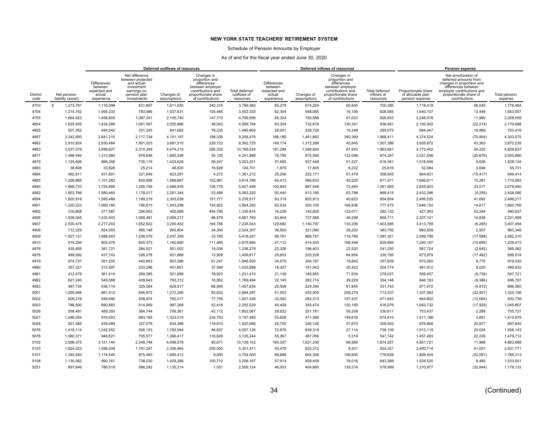#### Schedule of Pension Amounts by Employer

|                         |                                  |                                                                       |                                                                                                               | Deferred outflows of resources |                                                                                                                                 |                                                   |                                                                       |                           | Deferred inflows of resources                                                                                                   |                                                  |                                                             | <b>Pension expense</b>                                                                                                                                                    |                          |
|-------------------------|----------------------------------|-----------------------------------------------------------------------|---------------------------------------------------------------------------------------------------------------|--------------------------------|---------------------------------------------------------------------------------------------------------------------------------|---------------------------------------------------|-----------------------------------------------------------------------|---------------------------|---------------------------------------------------------------------------------------------------------------------------------|--------------------------------------------------|-------------------------------------------------------------|---------------------------------------------------------------------------------------------------------------------------------------------------------------------------|--------------------------|
| <b>District</b><br>code | Net pension<br>liability (asset) | <b>Differences</b><br>between<br>expected and<br>actual<br>experience | Net difference<br>between projected<br>and actual<br>investment<br>earnings on<br>pension plan<br>investments | Changes of<br>assumptions      | Changes in<br>proportion and<br>differences<br>between employer<br>contributions and<br>proportionate share<br>of contributions | <b>Total deferred</b><br>outflows of<br>resources | <b>Differences</b><br>between<br>expected and<br>actual<br>experience | Changes of<br>assumptions | Changes in<br>proportion and<br>differences<br>between employer<br>contributions and<br>proportionate share<br>of contributions | <b>Total deferred</b><br>inflows of<br>resources | Proportionate share<br>of allocable plan<br>pension expense | Net amortization of<br>deferred amounts from<br>changes in proportion and<br>differences between<br>employer contributions and<br>proportionate share of<br>contributions | Total pension<br>expense |
| 4703                    | <b>S</b><br>1,273,791            | 1,116,096                                                             | 831,897                                                                                                       | 1,611,050                      | 240,316                                                                                                                         | 3,799,360                                         | 65,279                                                                | 574,255                   | 60,845                                                                                                                          | 700,380                                          | 1,718,419                                                   | 58,045                                                                                                                                                                    | 1,776,464                |
| 4704                    | 1,215,742                        | 1,065,233                                                             | 793,986                                                                                                       | 1,537,631                      | 105,485                                                                                                                         | 3,502,335                                         | 62,304                                                                | 548,085                   | 16,195                                                                                                                          | 626,585                                          | 1,640,107                                                   | 13,449                                                                                                                                                                    | 1,653,557                |
| 4705                    | 1,664,923                        | 1,458,805                                                             | 1,087,341                                                                                                     | 2,105,740                      | 147,710                                                                                                                         | 4,799,596                                         | 85,324                                                                | 750,586                   | 91,023                                                                                                                          | 926,933                                          | 2,246,078                                                   | 11,980                                                                                                                                                                    | 2,258,058                |
| 4854                    | 1,625,505                        | 1,424,268                                                             | 1,061,597                                                                                                     | 2,055,886                      | 48,042                                                                                                                          | 4,589,794                                         | 83,304                                                                | 732,816                   | 120,341                                                                                                                         | 936,461                                          | 2,192,902                                                   | (22, 214)                                                                                                                                                                 | 2,170,688                |
| 4855                    | 507,352                          | 444,542                                                               | 331,345                                                                                                       | 641,682                        | 78,235                                                                                                                          | 1,495,804                                         | 26,001                                                                | 228,726                   | 10,348                                                                                                                          | 265,075                                          | 684,447                                                     | 18,969                                                                                                                                                                    | 703,416                  |
| 4857                    | 3,242,650                        | 2,841,210                                                             | 2,117,734                                                                                                     | 4,101,197                      | 198,335                                                                                                                         | 9.258.476                                         | 166,180                                                               | 1,461,862                 | 340,369                                                                                                                         | 1,968,411                                        | 4,374,524                                                   | (70, 954)                                                                                                                                                                 | 4,303,570                |
| 4862                    | 2,910,824                        | 2,550,464                                                             | 1,901,023                                                                                                     | 3,681,515                      | 229,723                                                                                                                         | 8,362,725                                         | 149,174                                                               | 1,312,268                 | 45,845                                                                                                                          | 1,507,286                                        | 3,926,872                                                   | 43,363                                                                                                                                                                    | 3,970,235                |
| 4863                    | 3,537,579                        | 3,099,627                                                             | 2,310,349                                                                                                     | 4,474,215                      | 285,332                                                                                                                         | 10,169,524                                        | 181,294                                                               | 1,594,824                 | 87,543                                                                                                                          | 1,863,661                                        | 4,772,402                                                   | 54,225                                                                                                                                                                    | 4,826,627                |
| 4877                    | 1,498,494                        | 1,312,980                                                             | 978,648                                                                                                       | 1,895,246                      | 55,125                                                                                                                          | 4,241,999                                         | 76,795                                                                | 675,556                   | 122,046                                                                                                                         | 874,397                                          | 2,021,556                                                   | (20, 676)                                                                                                                                                                 | 2,000,880                |
| 4879                    | 1,125,606                        | 986,256                                                               | 735,119                                                                                                       | 1,423,629                      | 58,247                                                                                                                          | 3,203,251                                         | 57,685                                                                | 507,449                   | 51,227                                                                                                                          | 616,361                                          | 1,518,508                                                   | 9,626                                                                                                                                                                     | 1,528,134                |
| 4883                    | 38,608                           | 33,828                                                                | 25,214                                                                                                        | 48,830                         | 16,828                                                                                                                          | 124,701                                           | 1,979                                                                 | 17,405                    | 6,232                                                                                                                           | 25,616                                           | 52,084                                                      | 3,646                                                                                                                                                                     | 55,731                   |
| 4884                    | 492,811                          | 431,801                                                               | 321,849                                                                                                       | 623,291                        | 4,272                                                                                                                           | 1,381,212                                         | 25,256                                                                | 222,171                   | 61,479                                                                                                                          | 308,905                                          | 664,831                                                     | (15, 417)                                                                                                                                                                 | 649,414                  |
| 4885                    | 1,256,885                        | 1,101,282                                                             | 820,856                                                                                                       | 1,589,667                      | 102,981                                                                                                                         | 3,614,786                                         | 64,413                                                                | 566,633                   | 40.525                                                                                                                          | 671,571                                          | 1,695,611                                                   | 15,281                                                                                                                                                                    | 1,710,893                |
| 4890                    | 1,968,723                        | 1,724,995                                                             | 1,285,749                                                                                                     | 2,489,976                      | 126,778                                                                                                                         | 5,627,499                                         | 100,893                                                               | 887,546                   | 73,465                                                                                                                          | 1,061,905                                        | 2,655,923                                                   | 23,017                                                                                                                                                                    | 2,678,940                |
| 4892                    | 1,803,766                        | 1,580,460                                                             | 1,178,017                                                                                                     | 2,281,344                      | 53,499                                                                                                                          | 5,093,320                                         | 92,440                                                                | 813,180                   | 63,796                                                                                                                          | 969,415                                          | 2,433,386                                                   | (5, 295)                                                                                                                                                                  | 2,428,090                |
| 4894                    | 1,820,918                        | 1,595,489                                                             | 1,189,219                                                                                                     | 2,303,038                      | 151,771                                                                                                                         | 5,239,517                                         | 93,319                                                                | 820,913                   | 40,623                                                                                                                          | 954,854                                          | 2,456,525                                                   | 41,692                                                                                                                                                                    | 2,498,217                |
| 4901                    | 1,220,223                        | 1,069,160                                                             | 796,913                                                                                                       | 1,543,298                      | 154,922                                                                                                                         | 3,564,292                                         | 62,534                                                                | 550,105                   | 164,836                                                                                                                         | 777,475                                          | 1,646,152                                                   | 14,617                                                                                                                                                                    | 1,660,769                |
| 4905                    | 316,808                          | 277,587                                                               | 206,903                                                                                                       | 400,689                        | 454,795                                                                                                                         | 1,339,974                                         | 16,236                                                                | 142,825                   | 123,071                                                                                                                         | 282,132                                          | 427,393                                                     | 53,244                                                                                                                                                                    | 480,637                  |
| 4906                    | 1,636,045                        | 1,433,503                                                             | 1,068,481                                                                                                     | 2.069.217                      | 96,579                                                                                                                          | 4.667.780                                         | 83,844                                                                | 737,568                   | 48,299                                                                                                                          | 869,711                                          | 2,207,121                                                   | 14,838                                                                                                                                                                    | 2,221,959                |
| 4907                    | 2,530,475                        | 2,217,203                                                             | 1,652,622                                                                                                     | 3,200,462                      | 164,756                                                                                                                         | 7,235,043                                         | 129,682                                                               | 1,140,797                 | 133,206                                                                                                                         | 1,403,685                                        | 3,413,759                                                   | (6, 265)                                                                                                                                                                  | 3,407,494                |
| 4908                    | 712.229                          | 624.055                                                               | 465.148                                                                                                       | 900.804                        | 34,300                                                                                                                          | 2.024.307                                         | 36,500                                                                | 321,090                   | 26,202                                                                                                                          | 383,792                                          | 960,839                                                     | 2,507                                                                                                                                                                     | 963,346                  |
| 4909<br>4910            | 1,927,121<br>919.284             | 1,688,543<br>805,476                                                  | 1,258,579<br>600,373                                                                                          | 2,437,359<br>1,162,680         | 33,765<br>111,465                                                                                                               | 5,418,247<br>2,679,994                            | 98,761<br>47,112                                                      | 868,791<br>414,435        | 119,769<br>168,448                                                                                                              | 1,087,321<br>629,994                             | 2,599,799<br>1,240,167                                      | (17, 589)<br>(10, 695)                                                                                                                                                    | 2,582,210<br>1,229,473   |
| 4976                    | 435,655                          | 381,721                                                               | 284,521                                                                                                       | 551,002                        | 19,036                                                                                                                          | 1,236,279                                         | 22,326                                                                | 196,403                   | 22,520                                                                                                                          | 241,250                                          | 587,724                                                     | (2,642)                                                                                                                                                                   | 585,082                  |
| 4978                    | 499,592                          | 437,743                                                               | 326,278                                                                                                       | 631,868                        | 13,928                                                                                                                          | 1,409,817                                         | 25,603                                                                | 225,228                   | 84,954                                                                                                                          | 335,785                                          | 673,979                                                     | (17, 462)                                                                                                                                                                 | 656,518                  |
| 4979                    | 674,737                          | 591,205                                                               | 440,663                                                                                                       | 853,386                        | 61,247                                                                                                                          | 1,946,500                                         | 34,579                                                                | 304,187                   | 18,842                                                                                                                          | 357,609                                          | 910,260                                                     | 8,775                                                                                                                                                                     | 919,035                  |
| 4980                    | 357,221                          | 312,997                                                               | 233,296                                                                                                       | 451,801                        | 37,594                                                                                                                          | 1,035,688                                         | 18,307                                                                | 161,043                   | 25,423                                                                                                                          | 204,774                                          | 481,912                                                     | 8,020                                                                                                                                                                     | 489,932                  |
| 4981                    | 412,478                          | 361,414                                                               | 269,385                                                                                                       | 521,689                        | 78,923                                                                                                                          | 1,231,410                                         | 21,139                                                                | 185,955                   | 71,934                                                                                                                          | 279,027                                          | 556,457                                                     | (8,736)                                                                                                                                                                   | 547,721                  |
| 4982                    | 627,240                          | 549,588                                                               | 409,643                                                                                                       | 793,312                        | 16,952                                                                                                                          | 1,769,494                                         | 32,145                                                                | 282,774                   | 39,229                                                                                                                          | 354,148                                          | 846,183                                                     | (9, 386)                                                                                                                                                                  | 836,797                  |
| 4983                    | 497,734                          | 436,114                                                               | 325,064                                                                                                       | 629.517                        | 66,940                                                                                                                          | 1,457,635                                         | 25,508                                                                | 224,390                   | 81,845                                                                                                                          | 331,743                                          | 671,472                                                     | (4, 912)                                                                                                                                                                  | 666,560                  |
| 5001                    | 1,005,948                        | 881,412                                                               | 656,972                                                                                                       | 1,272,290                      | 83,622                                                                                                                          | 2,894,297                                         | 51,553                                                                | 453,505                   | 208,279                                                                                                                         | 713,337                                          | 1,357,083                                                   | (32, 927)                                                                                                                                                                 | 1,324,156                |
| 5002                    | 626,216                          | 548,690                                                               | 408,974                                                                                                       | 792,017                        | 77,755                                                                                                                          | 1,827,436                                         | 32,092                                                                | 282,313                   | 157,437                                                                                                                         | 471,842                                          | 844,802                                                     | (12,064)                                                                                                                                                                  | 832,738                  |
| 5003                    | 788,500                          | 690,883                                                               | 514,959                                                                                                       | 997,269                        | 52,418                                                                                                                          | 2,255,529                                         | 40,409                                                                | 355,474                   | 120,195                                                                                                                         | 516,079                                          | 1,063,732                                                   | (17, 925)                                                                                                                                                                 | 1,045,807                |
| 5026                    | 558,491                          | 489,350                                                               | 364,744                                                                                                       | 706,361                        | 42,112                                                                                                                          | 1,602,567                                         | 28,622                                                                | 251,781                   | 50,208                                                                                                                          | 330,611                                          | 753,437                                                     | 2,289                                                                                                                                                                     | 755,727                  |
| 5027                    | 1,046,054                        | 916,553                                                               | 683,165                                                                                                       | 1,323,015                      | 234,753                                                                                                                         | 3,157,485                                         | 53,608                                                                | 471,586                   | 149,616                                                                                                                         | 674,810                                          | 1,411,188                                                   | 3,691                                                                                                                                                                     | 1,414,879                |
| 5028                    | 501.585                          | 439.489                                                               | 327,579                                                                                                       | 634,388                        | 118,610                                                                                                                         | 1.520.066                                         | 25,705                                                                | 226,126                   | 57.670                                                                                                                          | 309,502                                          | 676,668                                                     | 20,977                                                                                                                                                                    | 697,645                  |
| 5076                    | 1,418,114                        | 1,242,552                                                             | 926,153                                                                                                       | 1,793,584                      | 94,837                                                                                                                          | 4,057,126                                         | 72,676                                                                | 639,319                   | 27,114                                                                                                                          | 739,109                                          | 1,913,119                                                   | 25,024                                                                                                                                                                    | 1,938,143                |
| 5078                    | 1,080,371                        | 946,621                                                               | 705,577                                                                                                       | 1,366,417                      | 116,629                                                                                                                         | 3,135,244                                         | 55,367                                                                | 487,056                   | 5,319                                                                                                                           | 547,742                                          | 1,457,483                                                   | 22,229                                                                                                                                                                    | 1,479,712                |
| 5102                    | 3,596,375                        | 3,151,144                                                             | 2,348,748                                                                                                     | 4,548,578                      | 90,671                                                                                                                          | 10,139,142                                        | 184,307                                                               | 1,621,330                 | 68,569                                                                                                                          | 1,874,207                                        | 4,851,721                                                   | 11,968                                                                                                                                                                    | 4,863,689                |
| 5103                    | 1,824,023                        | 1,598,209                                                             | 1,191,247                                                                                                     | 2,306,964                      | 205,050                                                                                                                         | 5,301,471                                         | 93,478                                                                | 822,312                   | 8,531                                                                                                                           | 924,321                                          | 2,460,714                                                   | 41,057                                                                                                                                                                    | 2,501,771                |
| 5107                    | 1,340,493                        | 1,174,540                                                             | 875,460                                                                                                       | 1,695,412                      | 9,093                                                                                                                           | 3,754,505                                         | 68,698                                                                | 604,326                   | 106,605                                                                                                                         | 779,628                                          | 1,808,404                                                   | (22,091)                                                                                                                                                                  | 1,786,313                |
| 5108                    | 1,130,062                        | 990,161                                                               | 738,030                                                                                                       | 1,429,266                      | 100,710                                                                                                                         | 3,258,167                                         | 57,914                                                                | 509,459                   | 76,016                                                                                                                          | 643,389                                          | 1,524,520                                                   | 8,480                                                                                                                                                                     | 1,533,001                |
| 5251                    | 897,646                          | 786,518                                                               | 586,242                                                                                                       | 1,135,314                      | 1,051                                                                                                                           | 2,509,124                                         | 46,003                                                                | 404,680                   | 129,316                                                                                                                         | 579,999                                          | 1,210,977                                                   | (32, 844)                                                                                                                                                                 | 1,178,133                |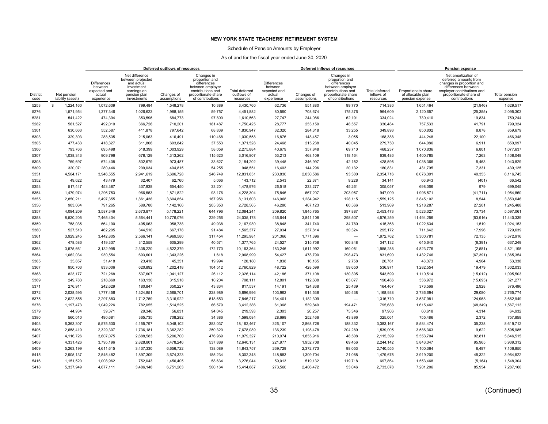#### Schedule of Pension Amounts by Employer

|                         |                                  |                                                                       |                                                                                                               | Deferred outflows of resources |                                                                                                                                 |                                            |                                                                       |                           | Deferred inflows of resources                                                                                                   |                                                  |                                                             | <b>Pension expense</b>                                                                                                                                                    |                          |
|-------------------------|----------------------------------|-----------------------------------------------------------------------|---------------------------------------------------------------------------------------------------------------|--------------------------------|---------------------------------------------------------------------------------------------------------------------------------|--------------------------------------------|-----------------------------------------------------------------------|---------------------------|---------------------------------------------------------------------------------------------------------------------------------|--------------------------------------------------|-------------------------------------------------------------|---------------------------------------------------------------------------------------------------------------------------------------------------------------------------|--------------------------|
| <b>District</b><br>code | Net pension<br>liability (asset) | <b>Differences</b><br>between<br>expected and<br>actual<br>experience | Net difference<br>between projected<br>and actual<br>investment<br>earnings on<br>pension plan<br>investments | Changes of<br>assumptions      | Changes in<br>proportion and<br>differences<br>between emplover<br>contributions and<br>proportionate share<br>of contributions | Total deferred<br>outflows of<br>resources | <b>Differences</b><br>between<br>expected and<br>actual<br>experience | Changes of<br>assumptions | Changes in<br>proportion and<br>differences<br>between emplover<br>contributions and<br>proportionate share<br>of contributions | <b>Total deferred</b><br>inflows of<br>resources | Proportionate share<br>of allocable plan<br>pension expense | Net amortization of<br>deferred amounts from<br>changes in proportion and<br>differences between<br>employer contributions and<br>proportionate share of<br>contributions | Total pension<br>expense |
| 5253                    | 1,224,160<br>S                   | 1,072,609                                                             | 799,484                                                                                                       | 1,548,278                      | 10,389                                                                                                                          | 3,430,760                                  | 62,736                                                                | 551,880                   | 99,770                                                                                                                          | 714,386                                          | 1,651,464                                                   | (21, 946)                                                                                                                                                                 | 1,629,517                |
| 5276                    | 1,571,954                        | 1,377,346                                                             | 1,026,623                                                                                                     | 1,988,155                      | 59,757                                                                                                                          | 4,451,882                                  | 80,560                                                                | 708,674                   | 175,376                                                                                                                         | 964,609                                          | 2,120,657                                                   | (25, 355)                                                                                                                                                                 | 2,095,303                |
| 5281                    | 541,422                          | 474,394                                                               | 353,596                                                                                                       | 684,773                        | 97,800                                                                                                                          | 1,610,563                                  | 27,747                                                                | 244,086                   | 62,191                                                                                                                          | 334,024                                          | 730,410                                                     | 19,834                                                                                                                                                                    | 750,244                  |
| 5282                    | 561,527                          | 492,010                                                               | 366,726                                                                                                       | 710,201                        | 181,487                                                                                                                         | 1,750,425                                  | 28,777                                                                | 253,150                   | 48,557                                                                                                                          | 330,484                                          | 757,533                                                     | 41,791                                                                                                                                                                    | 799,324                  |
| 5301                    | 630,663                          | 552,587                                                               | 411,878                                                                                                       | 797,642                        | 68,839                                                                                                                          | 1,830,947                                  | 32,320                                                                | 284,318                   | 33,255                                                                                                                          | 349,893                                          | 850,802                                                     | 8,878                                                                                                                                                                     | 859,679                  |
| 5303                    | 329,303                          | 288,535                                                               | 215,063                                                                                                       | 416,491                        | 110,468                                                                                                                         | 1,030,558                                  | 16,876                                                                | 148,457                   | 3,055                                                                                                                           | 168,388                                          | 444,248                                                     | 22,100                                                                                                                                                                    | 466,348                  |
| 5305                    | 477.433                          | 418,327                                                               | 311,806                                                                                                       | 603.842                        | 37,553                                                                                                                          | 1.371.528                                  | 24,468                                                                | 215,238                   | 40.045                                                                                                                          | 279,750                                          | 644,086                                                     | 6,911                                                                                                                                                                     | 650,997                  |
| 5306                    | 793,766                          | 695,498                                                               | 518,399                                                                                                       | 1,003,929                      | 58,059                                                                                                                          | 2,275,884                                  | 40,679                                                                | 357,848                   | 69,710                                                                                                                          | 468,237                                          | 1,070,836                                                   | 6,801                                                                                                                                                                     | 1,077,637                |
| 5307                    | 1,038,343                        | 909,796                                                               | 678,129                                                                                                       | 1,313,262                      | 115,620                                                                                                                         | 3,016,807                                  | 53,213                                                                | 468,109                   | 118,164                                                                                                                         | 639,486                                          | 1,400,785                                                   | 7,263                                                                                                                                                                     | 1,408,048                |
| 5308                    | 769,697                          | 674,408                                                               | 502,679                                                                                                       | 973,487                        | 33,627                                                                                                                          | 2,184,202                                  | 39,445                                                                | 346,997                   | 42,152                                                                                                                          | 428,595                                          | 1,038,366                                                   | 5,463                                                                                                                                                                     | 1,043,829                |
| 5309<br>5351            | 320,071                          | 280,446                                                               | 209,034                                                                                                       | 404,815                        | 54,255<br>246,749                                                                                                               | 948,551                                    | 16,403                                                                | 144,296                   | 20,132<br>93,300                                                                                                                | 180,831                                          | 431,795                                                     | 7,331                                                                                                                                                                     | 439,125                  |
| 5352                    | 4,504,171<br>49,622              | 3,946,555<br>43,479                                                   | 2,941,619<br>32,407                                                                                           | 5,696,728<br>62,760            | 5,066                                                                                                                           | 12,831,651<br>143,712                      | 230,830<br>2,543                                                      | 2,030,586<br>22,371       | 9,228                                                                                                                           | 2,354,716<br>34,141                              | 6,076,391<br>66,943                                         | 40,355<br>(401)                                                                                                                                                           | 6,116,745<br>66,542      |
| 5353                    | 517,447                          | 453,387                                                               | 337,938                                                                                                       | 654,450                        | 33,201                                                                                                                          | 1,478,976                                  | 26,518                                                                | 233,277                   | 45,261                                                                                                                          | 305,057                                          | 698,066                                                     | 979                                                                                                                                                                       | 699,045                  |
| 5354                    | 1,479,974                        | 1,296,753                                                             | 966,553                                                                                                       | 1,871,822                      | 93,176                                                                                                                          | 4,228,304                                  | 75,846                                                                | 667,207                   | 203,957                                                                                                                         | 947,009                                          | 1,996,571                                                   | (41, 711)                                                                                                                                                                 | 1,954,860                |
| 5355                    | 2,850,211                        | 2,497,355                                                             | 1,861,438                                                                                                     | 3.604.854                      | 167,956                                                                                                                         | 8.131.603                                  | 146,068                                                               | 1,284,942                 | 128,115                                                                                                                         | 1,559,125                                        | 3,845,102                                                   | 8,544                                                                                                                                                                     | 3,853,646                |
| 5356                    | 903,064                          | 791,265                                                               | 589,780                                                                                                       | 1,142,166                      | 205,353                                                                                                                         | 2,728,565                                  | 46,280                                                                | 407,123                   | 60,566                                                                                                                          | 513,969                                          | 1,218,287                                                   | 27,201                                                                                                                                                                    | 1,245,488                |
| 5357                    | 4,094,209                        | 3,587,346                                                             | 2,673,877                                                                                                     | 5,178,221                      | 644,796                                                                                                                         | 12,084,241                                 | 209,820                                                               | 1,845,765                 | 397,887                                                                                                                         | 2,453,473                                        | 5,523,327                                                   | 73,734                                                                                                                                                                    | 5,597,061                |
| 5358                    | 8,520,205                        | 7,465,404                                                             | 5,564,441                                                                                                     | 10,776,076                     | 229,256                                                                                                                         | 24,035,178                                 | 436,644                                                               | 3,841,108                 | 298,507                                                                                                                         | 4,576,259                                        | 11,494,256                                                  | (53, 916)                                                                                                                                                                 | 11,440,339               |
| 5359                    | 758,035                          | 664,190                                                               | 495,063                                                                                                       | 958,738                        | 49,938                                                                                                                          | 2,167,930                                  | 38,848                                                                | 341,740                   | 34,780                                                                                                                          | 415,368                                          | 1,022,634                                                   | 1,519                                                                                                                                                                     | 1,024,153                |
| 5360                    | 527,510                          | 462,205                                                               | 344,510                                                                                                       | 667,178                        | 91,484                                                                                                                          | 1,565,377                                  | 27,034                                                                | 237,814                   | 30,324                                                                                                                          | 295,172                                          | 711,642                                                     | 17,996                                                                                                                                                                    | 729,639                  |
| 5361                    | 3,929,245                        | 3,442,805                                                             | 2.566.141                                                                                                     | 4,969,580                      | 317,454                                                                                                                         | 11,295,981                                 | 201,366                                                               | 1,771,396                 | $\overline{\phantom{0}}$                                                                                                        | 1,972,762                                        | 5,300,781                                                   | 72,135                                                                                                                                                                    | 5,372,916                |
| 5362                    | 478,586                          | 419,337                                                               | 312,558                                                                                                       | 605,299                        | 40,571                                                                                                                          | 1,377,765                                  | 24,527                                                                | 215,758                   | 106,848                                                                                                                         | 347,132                                          | 645,640                                                     | (8, 391)                                                                                                                                                                  | 637,249                  |
| 5363                    | 3,575,661                        | 3,132,995                                                             | 2,335,220                                                                                                     | 4,522,379                      | 172,770                                                                                                                         | 10, 163, 364                               | 183,246                                                               | 1,611,992                 | 160,051                                                                                                                         | 1,955,288                                        | 4,823,776                                                   | (2, 581)                                                                                                                                                                  | 4,821,195                |
| 5364                    | 1,062,034                        | 930,554                                                               | 693,601                                                                                                       | 1,343,226                      | 1,618                                                                                                                           | 2,968,999                                  | 54,427                                                                | 478,790                   | 298,473                                                                                                                         | 831,690                                          | 1,432,746                                                   | (67, 391)                                                                                                                                                                 | 1,365,354                |
| 5365                    | 35,857                           | 31,418                                                                | 23,418                                                                                                        | 45,351                         | 19,994                                                                                                                          | 120,180                                    | 1,838                                                                 | 16,165                    | 2,758                                                                                                                           | 20,761                                           | 48,373                                                      | 4,964                                                                                                                                                                     | 53,338                   |
| 5367                    | 950.703                          | 833,006                                                               | 620,892                                                                                                       | 1,202,418                      | 104,512                                                                                                                         | 2,760,829                                  | 48,722                                                                | 428,599                   | 59.650                                                                                                                          | 536,971                                          | 1,282,554                                                   | 19,479                                                                                                                                                                    | 1,302,033                |
| 5368                    | 823,177                          | 721,268                                                               | 537,607                                                                                                       | 1,041,127                      | 26,112                                                                                                                          | 2,326,114                                  | 42,186                                                                | 371,108                   | 130,305                                                                                                                         | 543,599                                          | 1,110,514                                                   | (15, 012)                                                                                                                                                                 | 1,095,503                |
| 5369                    | 249.783                          | 218,860                                                               | 163.130                                                                                                       | 315,918                        | 10,204                                                                                                                          | 708.111                                    | 12,801                                                                | 112,608                   | 65,077                                                                                                                          | 190,486                                          | 336,972                                                     | (15,695)                                                                                                                                                                  | 321,277                  |
| 5371                    | 276,911                          | 242,629                                                               | 180,847                                                                                                       | 350,227                        | 43,834                                                                                                                          | 817,537                                    | 14,191                                                                | 124,838                   | 25,439                                                                                                                          | 164,467                                          | 373,569                                                     | 2,928                                                                                                                                                                     | 376,496                  |
| 5372                    | 2,028,595                        | 1,777,456                                                             | 1,324,851                                                                                                     | 2,565,701                      | 228,989                                                                                                                         | 5.896.996                                  | 103,962                                                               | 914,538                   | 150,438                                                                                                                         | 1,168,938                                        | 2,736,694                                                   | 29,080                                                                                                                                                                    | 2,765,774                |
| 5375<br>5376            | 2,622,555<br>1,197,473           | 2,297,883<br>1,049,226                                                | 1,712,759<br>782,055                                                                                          | 3,316,922<br>1,514,525         | 518,653<br>66,579                                                                                                               | 7,846,217<br>3,412,386                     | 134,401                                                               | 1,182,309<br>539,849      | $\overline{\phantom{0}}$<br>194,471                                                                                             | 1,316,710<br>795,688                             | 3,537,981<br>1,615,462                                      | 124,968                                                                                                                                                                   | 3,662,949<br>1,567,113   |
| 5379                    | 44,934                           | 39,371                                                                | 29,346                                                                                                        | 56,831                         | 94,045                                                                                                                          | 219,593                                    | 61,368<br>2,303                                                       | 20,257                    | 75,346                                                                                                                          | 97,906                                           | 60,618                                                      | (48, 349)<br>4,314                                                                                                                                                        | 64,932                   |
| 5380                    | 560,010                          | 490,681                                                               | 365,735                                                                                                       | 708,282                        | 34,386                                                                                                                          | 1,599,084                                  | 28,699                                                                | 252,466                   | 43,896                                                                                                                          | 325,061                                          | 755,486                                                     | 2,372                                                                                                                                                                     | 757,858                  |
| 5403                    | 6.363.307                        | 5.575.530                                                             | 4,155,797                                                                                                     | 8.048.102                      | 383.037                                                                                                                         | 18.162.467                                 | 326,107                                                               | 2.868.728                 | 188.332                                                                                                                         | 3,383,167                                        | 8,584,474                                                   | 35.238                                                                                                                                                                    | 8,619,712                |
| 5406                    | 2,658,419                        | 2,329,307                                                             | 1,736,181                                                                                                     | 3,362,282                      | 250,320                                                                                                                         | 7,678,089                                  | 136,239                                                               | 1,198,478                 | 204,289                                                                                                                         | 1,539,005                                        | 3,586,363                                                   | 9,622                                                                                                                                                                     | 3,595,985                |
| 5407                    | 4,116,726                        | 3,607,075                                                             | 2,688,583                                                                                                     | 5,206,700                      | 476,969                                                                                                                         | 11,979,327                                 | 210,974                                                               | 1,855,916                 | 48,508                                                                                                                          | 2,115,399                                        | 5,553,704                                                   | 92,811                                                                                                                                                                    | 5,646,515                |
| 5408                    | 4,331,426                        | 3,795,196                                                             | 2,828,801                                                                                                     | 5,478,246                      | 537,889                                                                                                                         | 12,640,131                                 | 221,977                                                               | 1,952,708                 | 69,456                                                                                                                          | 2,244,142                                        | 5,843,347                                                   | 95,965                                                                                                                                                                    | 5,939,312                |
| 5409                    | 5,263,199                        | 4,611,615                                                             | 3,437,330                                                                                                     | 6,656,722                      | 138,089                                                                                                                         | 14,843,757                                 | 269,729                                                               | 2,372,773                 | 98,053                                                                                                                          | 2,740,555                                        | 7,100,364                                                   | 6,487                                                                                                                                                                     | 7,106,850                |
| 5415                    | 2,905,137                        | 2,545,482                                                             | 1,897,309                                                                                                     | 3,674,323                      | 185,234                                                                                                                         | 8,302,348                                  | 148,883                                                               | 1,309,704                 | 21,088                                                                                                                          | 1,479,675                                        | 3,919,200                                                   | 45,322                                                                                                                                                                    | 3,964,522                |
| 5416                    | 1,151,520                        | 1,008,962                                                             | 752,043                                                                                                       | 1,456,405                      | 58,634                                                                                                                          | 3,276,044                                  | 59,013                                                                | 519,132                   | 119,718                                                                                                                         | 697,864                                          | 1,553,468                                                   | (5, 164)                                                                                                                                                                  | 1,548,304                |
| 5418                    | 5,337,949                        | 4,677,111                                                             | 3,486,148                                                                                                     | 6,751,263                      | 500,164                                                                                                                         | 15,414,687                                 | 273,560                                                               | 2,406,472                 | 53.046                                                                                                                          | 2,733,078                                        | 7,201,206                                                   | 85,954                                                                                                                                                                    | 7,287,160                |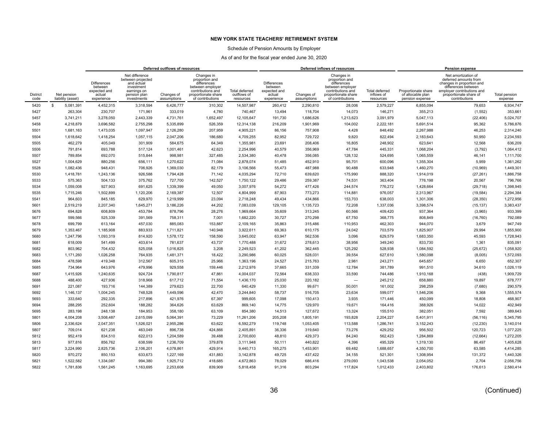#### Schedule of Pension Amounts by Employer

|                         |                                  |                                                                       |                                                                                                               | Deferred outflows of resources |                                                                                                                                 |                                            |                                                                |                           | Deferred inflows of resources                                                                                                   |                                           |                                                             | <b>Pension expense</b>                                                                                                                                                    |                          |
|-------------------------|----------------------------------|-----------------------------------------------------------------------|---------------------------------------------------------------------------------------------------------------|--------------------------------|---------------------------------------------------------------------------------------------------------------------------------|--------------------------------------------|----------------------------------------------------------------|---------------------------|---------------------------------------------------------------------------------------------------------------------------------|-------------------------------------------|-------------------------------------------------------------|---------------------------------------------------------------------------------------------------------------------------------------------------------------------------|--------------------------|
| <b>District</b><br>code | Net pension<br>liability (asset) | <b>Differences</b><br>between<br>expected and<br>actual<br>experience | Net difference<br>between projected<br>and actual<br>investment<br>earnings on<br>pension plan<br>investments | Changes of<br>assumptions      | Changes in<br>proportion and<br>differences<br>between employer<br>contributions and<br>proportionate share<br>of contributions | Total deferred<br>outflows of<br>resources | Differences<br>between<br>expected and<br>actual<br>experience | Changes of<br>assumptions | Changes in<br>proportion and<br>differences<br>between employer<br>contributions and<br>proportionate share<br>of contributions | Total deferred<br>inflows of<br>resources | Proportionate share<br>of allocable plan<br>pension expense | Net amortization of<br>deferred amounts from<br>changes in proportion and<br>differences between<br>employer contributions and<br>proportionate share of<br>contributions | Total pension<br>expense |
| 5420                    | s<br>5,081,391                   | 4,452,315                                                             | 3,318,594                                                                                                     | 6,426,777                      | 310,302                                                                                                                         | 14,507,987                                 | 260,412                                                        | 2,290,810                 | 28,006                                                                                                                          | 2,579,227                                 | 6,855,094                                                   | 79,653                                                                                                                                                                    | 6,934,747                |
| 5427                    | 263.304                          | 230,707                                                               | 171,961                                                                                                       | 333.019                        | 4,780                                                                                                                           | 740.467                                    | 13,494                                                         | 118,704                   | 14.073                                                                                                                          | 146.271                                   | 355,213                                                     | (1, 552)                                                                                                                                                                  | 353,661                  |
| 5457                    | 3,741,211                        | 3,278,050                                                             | 2,443,339                                                                                                     | 4,731,761                      | 1,652,497                                                                                                                       | 12,105,647                                 | 191,730                                                        | 1,686,626                 | 1,213,623                                                                                                                       | 3,091,979                                 | 5,047,113                                                   | (22, 406)                                                                                                                                                                 | 5,024,707                |
| 5458                    | 4.218.879                        | 3.696.582                                                             | 2.755.298                                                                                                     | 5.335.899                      | 526.359                                                                                                                         | 12.314.138                                 | 216,209                                                        | 1,901,969                 | 104.002                                                                                                                         | 2.222.181                                 | 5.691.514                                                   | 95.362                                                                                                                                                                    | 5,786,876                |
| 5501                    | 1,681,163                        | 1,473,035                                                             | 1,097,947                                                                                                     | 2,126,280                      | 207,959                                                                                                                         | 4,905,221                                  | 86,156                                                         | 757,908                   | 4,428                                                                                                                           | 848,492                                   | 2,267,988                                                   | 46,253                                                                                                                                                                    | 2,314,240                |
| 5504                    | 1.618.642                        | 1,418,254                                                             | 1.057.115                                                                                                     | 2.047.206                      | 186.680                                                                                                                         | 4.709.255                                  | 82,952                                                         | 729.722                   | 9.820                                                                                                                           | 822.494                                   | 2,183,643                                                   | 50,950                                                                                                                                                                    | 2,234,593                |
| 5505                    | 462,279                          | 405,049                                                               | 301,909                                                                                                       | 584,675                        | 64,349                                                                                                                          | 1,355,981                                  | 23,691                                                         | 208,406                   | 16,805                                                                                                                          | 248,902                                   | 623,641                                                     | 12,568                                                                                                                                                                    | 636,209                  |
| 5506                    | 791,814                          | 693,788                                                               | 517,124                                                                                                       | 1,001,461                      | 42,623                                                                                                                          | 2,254,996                                  | 40,579                                                         | 356,969                   | 47,784                                                                                                                          | 445,331                                   | 1,068,204                                                   | (3,792)                                                                                                                                                                   | 1,064,412                |
| 5507                    | 789,854                          | 692,070                                                               | 515,844                                                                                                       | 998,981                        | 327,485                                                                                                                         | 2,534,380                                  | 40,478                                                         | 356,085                   | 128,132                                                                                                                         | 524,695                                   | 1,065,559                                                   | 46,141                                                                                                                                                                    | 1,111,700                |
| 5527                    | 1,004,629                        | 880,256                                                               | 656,111                                                                                                       | 1,270,622                      | 71,084                                                                                                                          | 2,878,074                                  | 51,485                                                         | 452,910                   | 95,701                                                                                                                          | 600,096                                   | 1,355,304                                                   | 5,959                                                                                                                                                                     | 1,361,262                |
| 5528                    | 1,082,436                        | 948,431                                                               | 706,926                                                                                                       | 1,369,030                      | 82,179                                                                                                                          | 3,106,566                                  | 55,473                                                         | 487,988                   | 90,488                                                                                                                          | 633,948                                   | 1,460,270                                                   | (10, 969)                                                                                                                                                                 | 1,449,301                |
| 5530                    | 1,418,781                        | 1,243,136                                                             | 926,588                                                                                                       | 1,794,428                      | 71,142                                                                                                                          | 4,035,294                                  | 72,710                                                         | 639,620                   | 175,990                                                                                                                         | 888,320                                   | 1,914,019                                                   | (27, 261)                                                                                                                                                                 | 1,886,758                |
| 5533                    | 575,363                          | 504,133                                                               | 375,762                                                                                                       | 727,700                        | 142,527                                                                                                                         | 1,750,122                                  | 29,486                                                         | 259,387                   | 74,531                                                                                                                          | 363,404                                   | 776,198                                                     | 20,567                                                                                                                                                                    | 796,766                  |
| 5534                    | 1,059,008                        | 927,903                                                               | 691,625                                                                                                       | 1,339,399                      | 49,050                                                                                                                          | 3,007,976                                  | 54,272                                                         | 477,426                   | 244,574                                                                                                                         | 776,272                                   | 1,428,664                                                   | (29, 718)                                                                                                                                                                 | 1,398,945                |
| 5535                    | 1,715,246                        | 1,502,899                                                             | 1,120,206                                                                                                     | 2,169,387                      | 12,507                                                                                                                          | 4,804,999                                  | 87,903                                                         | 773,273                   | 114,881                                                                                                                         | 976,057                                   | 2,313,967                                                   | (19, 584)                                                                                                                                                                 | 2,294,384                |
| 5541                    | 964,603                          | 845,185                                                               | 629,970                                                                                                       | 1,219,999                      | 23,094                                                                                                                          | 2,718,248                                  | 49,434                                                         | 434,866                   | 153,703                                                                                                                         | 638,003                                   | 1,301,306                                                   | (28, 350)                                                                                                                                                                 | 1,272,956                |
| 5601                    | 2,519,219                        | 2,207,340                                                             | 1,645,271                                                                                                     | 3,186,226                      | 44,202                                                                                                                          | 7,083,039                                  | 129,105                                                        | 1,135,723                 | 72,208                                                                                                                          | 1,337,036                                 | 3,398,574                                                   | (15, 137)                                                                                                                                                                 | 3,383,437                |
| 5676                    | 694,828                          | 608,809                                                               | 453,784                                                                                                       | 878,796                        | 28,276                                                                                                                          | 1,969,664                                  | 35,609                                                         | 313,245                   | 60,566                                                                                                                          | 409,420                                   | 937,364                                                     | (3,965)                                                                                                                                                                   | 933,399                  |
| 5677                    | 599,566                          | 525,339                                                               | 391,569                                                                                                       | 758,311                        | 7,001                                                                                                                           | 1,682,220                                  | 30,727                                                         | 270,298                   | 67,750                                                                                                                          | 368,775                                   | 808,849                                                     | (16, 760)                                                                                                                                                                 | 792,089                  |
| 5678                    | 699.799                          | 613,164                                                               | 457.030                                                                                                       | 885.083                        | 153,887                                                                                                                         | 2,109,165                                  | 35,863                                                         | 315,486                   | 110,953                                                                                                                         | 462,303                                   | 944,070                                                     | 3,679                                                                                                                                                                     | 947.749                  |
| 5679                    | 1,353,467                        | 1,185,908                                                             | 883,933                                                                                                       | 1,711,821                      | 140,948                                                                                                                         | 3,922,611                                  | 69,363                                                         | 610,175                   | 24,042                                                                                                                          | 703,579                                   | 1,825,907                                                   | 29,994                                                                                                                                                                    | 1,855,900                |
| 5680                    | 1,247,796                        | 1,093,319                                                             | 814,920                                                                                                       | 1,578,172                      | 158,590                                                                                                                         | 3,645,002                                  | 63,947                                                         | 562,536                   | 3,096                                                                                                                           | 629,579                                   | 1,683,350                                                   | 45,593                                                                                                                                                                    | 1,728,943                |
| 5681                    | 618,009                          | 541,499                                                               | 403,614                                                                                                       | 781,637                        | 43,737                                                                                                                          | 1,770,488                                  | 31,672                                                         | 278,613                   | 38,956                                                                                                                          | 349,240                                   | 833,730                                                     | 1,361                                                                                                                                                                     | 835,091                  |
| 5682                    | 803,962                          | 704,432                                                               | 525,058                                                                                                       | 1,016,825                      | 3,208                                                                                                                           | 2,249,523                                  | 41,202                                                         | 362,445                   | 125,292                                                                                                                         | 528,938                                   | 1,084,592                                                   | (25, 672)                                                                                                                                                                 | 1,058,920                |
| 5683                    | 1,171,260                        | 1,026,258                                                             | 764,935                                                                                                       | 1,481,371                      | 18,422                                                                                                                          | 3,290,986                                  | 60,025                                                         | 528,031                   | 39,554                                                                                                                          | 627,610                                   | 1,580,098                                                   | (8,005)                                                                                                                                                                   | 1,572,093                |
| 5684                    | 478,598                          | 419,348                                                               | 312,567                                                                                                       | 605,315                        | 25,966                                                                                                                          | 1,363,196                                  | 24,527                                                         | 215,763                   | 2,981                                                                                                                           | 243,271                                   | 645,657                                                     | 6,650                                                                                                                                                                     | 652,307                  |
| 5685                    | 734,964                          | 643,976                                                               | 479,996                                                                                                       | 929,558                        | 159,446                                                                                                                         | 2,212,976                                  | 37,665                                                         | 331,339                   | 12,784                                                                                                                          | 381,789                                   | 991,510                                                     | 34,610                                                                                                                                                                    | 1,026,119                |
| 5687                    | 1,415,926                        | 1,240,635                                                             | 924,724                                                                                                       | 1,790,817                      | 47,861                                                                                                                          | 4,004,037                                  | 72,564                                                         | 638,333                   | 33,590                                                                                                                          | 744,486                                   | 1,910,168                                                   | (438)                                                                                                                                                                     | 1,909,729                |
| 5688                    | 488,400                          | 427,936                                                               | 318,968                                                                                                       | 617,712                        | 71,554                                                                                                                          | 1,436,170                                  | 25,030                                                         | 220,182                   | $\overline{\phantom{0}}$                                                                                                        | 245,212                                   | 658,880                                                     | 19,897                                                                                                                                                                    | 678,777                  |
| 5691                    | 221,087                          | 193,716                                                               | 144,389                                                                                                       | 279,623                        | 22,700                                                                                                                          | 640,429                                    | 11,330                                                         | 99,671                    | 50,001                                                                                                                          | 161,002                                   | 298,259                                                     | (7,680)                                                                                                                                                                   | 290,579                  |
| 5692                    | 1,146,137                        | 1,004,245                                                             | 748,528                                                                                                       | 1,449,596                      | 42,470                                                                                                                          | 3,244,840                                  | 58,737                                                         | 516,705                   | 23,634                                                                                                                          | 599,077                                   | 1,546,206                                                   | 9,368                                                                                                                                                                     | 1,555,574                |
| 5693                    | 333,640                          | 292,335                                                               | 217,896                                                                                                       | 421,976                        | 67,397                                                                                                                          | 999,605                                    | 17,098                                                         | 150,413                   | 3,935                                                                                                                           | 171,446                                   | 450,099                                                     | 18,808                                                                                                                                                                    | 468,907                  |
| 5694                    | 288,295                          | 252,604                                                               | 188,282                                                                                                       | 364,626                        | 63,629                                                                                                                          | 869,140                                    | 14,775                                                         | 129,970                   | 19,671                                                                                                                          | 164,416                                   | 388,926                                                     | 14,022                                                                                                                                                                    | 402,949                  |
| 5695                    | 283,198                          | 248,138                                                               | 184,953                                                                                                       | 358,180                        | 63,109                                                                                                                          | 854,380                                    | 14,513                                                         | 127,672                   | 13,324                                                                                                                          | 155,510                                   | 382,051                                                     | 7,592                                                                                                                                                                     | 389,643                  |
| 5801                    | 4,004,208                        | 3,508,487                                                             | 2,615,099                                                                                                     | 5,064,391                      | 73,229                                                                                                                          | 11,261,206                                 | 205,208                                                        | 1,805,191                 | 193,828                                                                                                                         | 2,204,227                                 | 5,401,911                                                   | (56, 116)                                                                                                                                                                 | 5,345,795                |
| 5806                    | 2,336,624                        | 2,047,351                                                             | 1,526,021                                                                                                     | 2,955,286                      | 63,622                                                                                                                          | 6,592,279                                  | 119,748                                                        | 1,053,405                 | 113,588                                                                                                                         | 1,286,741                                 | 3,152,243                                                   | (12, 230)                                                                                                                                                                 | 3,140,014                |
| 5807                    | 709,014                          | 621,238                                                               | 463,049                                                                                                       | 896,738                        | 424,866                                                                                                                         | 2,405,891                                  | 36,336                                                         | 319,640                   | 73,276                                                                                                                          | 429,252                                   | 956,502                                                     | 120,723                                                                                                                                                                   | 1,077,225                |
| 5812                    | 952,419                          | 834,510                                                               | 622,013                                                                                                       | 1,204,589                      | 39,488                                                                                                                          | 2,700,600                                  | 48,810                                                         | 429,373                   | 84,240                                                                                                                          | 562,423                                   | 1,284,869                                                   | (12, 664)                                                                                                                                                                 | 1,272,205                |
| 5813                    | 977,816                          | 856,762                                                               | 638,599                                                                                                       | 1,236,709                      | 379,878                                                                                                                         | 3,111,948                                  | 50,111                                                         | 440,822                   | 4,396                                                                                                                           | 495,329                                   | 1,319,130                                                   | 86,497                                                                                                                                                                    | 1,405,628                |
| 5817                    | 3,224,990                        | 2,825,736                                                             | 2,106,201                                                                                                     | 4,078,861                      | 429,914                                                                                                                         | 9,440,713                                  | 165,275                                                        | 1,453,901                 | 69,482                                                                                                                          | 1,688,657                                 | 4,350,700                                                   | 63,585                                                                                                                                                                    | 4,414,285                |
| 5820                    | 970,272                          | 850,153                                                               | 633,673                                                                                                       | 1,227,169                      | 431,883                                                                                                                         | 3,142,878                                  | 49,725                                                         | 437,422                   | 34,155                                                                                                                          | 521,301                                   | 1,308,954                                                   | 131,372                                                                                                                                                                   | 1,440,326                |
| 5821                    | 1,522,582                        | 1,334,087                                                             | 994,380                                                                                                       | 1,925,712                      | 418,685                                                                                                                         | 4,672,863                                  | 78,029                                                         | 686,416                   | 279,093                                                                                                                         | 1,043,538                                 | 2,054,052                                                   | 2,704                                                                                                                                                                     | 2,056,756                |
| 5822                    | 1,781,836                        | 1,561,245                                                             | 1,163,695                                                                                                     | 2,253,608                      | 839,909                                                                                                                         | 5,818,458                                  | 91,316                                                         | 803,294                   | 117,824                                                                                                                         | 1,012,433                                 | 2,403,802                                                   | 176,613                                                                                                                                                                   | 2,580,414                |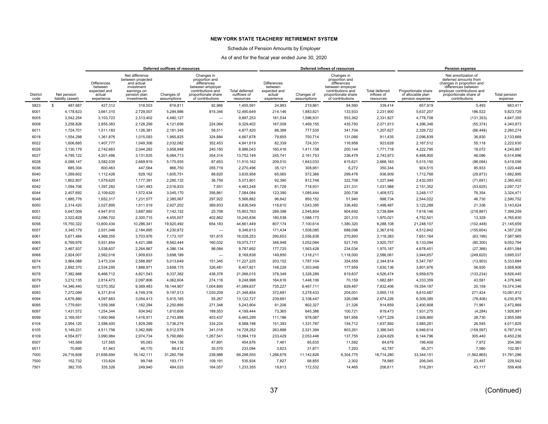#### Schedule of Pension Amounts by Employer

|                         |                                  | Deferred outflows of resources                                        |                                                                                                               |                           |                                                                                                                                 | Deferred inflows of resources                     |                                                                       |                           |                                                                                                                                 | <b>Pension expense</b>                    |                                                             |                                                                                                                                                                           |                          |
|-------------------------|----------------------------------|-----------------------------------------------------------------------|---------------------------------------------------------------------------------------------------------------|---------------------------|---------------------------------------------------------------------------------------------------------------------------------|---------------------------------------------------|-----------------------------------------------------------------------|---------------------------|---------------------------------------------------------------------------------------------------------------------------------|-------------------------------------------|-------------------------------------------------------------|---------------------------------------------------------------------------------------------------------------------------------------------------------------------------|--------------------------|
| <b>District</b><br>code | Net pension<br>liability (asset) | <b>Differences</b><br>between<br>expected and<br>actual<br>experience | Net difference<br>between projected<br>and actual<br>investment<br>earnings on<br>pension plan<br>investments | Changes of<br>assumptions | Changes in<br>proportion and<br>differences<br>between employer<br>contributions and<br>proportionate share<br>of contributions | <b>Total deferred</b><br>outflows of<br>resources | <b>Differences</b><br>between<br>expected and<br>actual<br>experience | Changes of<br>assumptions | Changes in<br>proportion and<br>differences<br>between employer<br>contributions and<br>proportionate share<br>of contributions | Total deferred<br>inflows of<br>resources | Proportionate share<br>of allocable plan<br>pension expense | Net amortization of<br>deferred amounts from<br>changes in proportion and<br>differences between<br>employer contributions and<br>proportionate share of<br>contributions | Total pension<br>expense |
| 5823                    | s<br>487.687                     | 427.312                                                               | 318,503                                                                                                       | 616.811                   | 92.966                                                                                                                          | 1,455,591                                         | 24.993                                                                | 219.861                   | 94.560                                                                                                                          | 339.414                                   | 657.919                                                     | 5,493                                                                                                                                                                     | 663,411                  |
| 6001                    | 4,178,623                        | 3,661,310                                                             | 2,729,007                                                                                                     | 5,284,986                 | 815,346                                                                                                                         | 12,490,649                                        | 214,146                                                               | 1,883,821                 | 133,933                                                                                                                         | 2,231,900                                 | 5,637,207                                                   | 186,522                                                                                                                                                                   | 5,823,729                |
| 6005                    | 3,542,254                        | 3,103,723                                                             | 2,313,402                                                                                                     | 4,480,127                 | $\overline{\phantom{a}}$                                                                                                        | 9,897,253                                         | 181,534                                                               | 1,596,931                 | 553,362                                                                                                                         | 2,331,827                                 | 4,778,708                                                   | (131, 353)                                                                                                                                                                | 4,647,355                |
| 6008                    | 3,258,826                        | 2,855,383                                                             | 2,128,299                                                                                                     | 4,121,656                 | 224,064                                                                                                                         | 9,329,402                                         | 167,009                                                               | 1,469,155                 | 435,750                                                                                                                         | 2,071,913                                 | 4,396,346                                                   | (55, 374)                                                                                                                                                                 | 4,340,973                |
| 6011                    | 1,724,701                        | 1,511,183                                                             | 1,126,381                                                                                                     | 2,181,345                 | 58,511                                                                                                                          | 4,877,420                                         | 88,388                                                                | 777,535                   | 341,704                                                                                                                         | 1,207,627                                 | 2,326,722                                                   | (66, 448)                                                                                                                                                                 | 2,260,274                |
| 6018                    | 1,554,298                        | 1,361,876                                                             | 1,015,093                                                                                                     | 1,965,825                 | 324,884                                                                                                                         | 4.667.678                                         | 79,655                                                                | 700.714                   | 131.066                                                                                                                         | 911,435                                   | 2,096,839                                                   | 36,830                                                                                                                                                                    | 2,133,669                |
| 6022                    | 1,606,685                        | 1,407,777                                                             | 1,049,306                                                                                                     | 2,032,082                 | 352,453                                                                                                                         | 4,841,619                                         | 82,339                                                                | 724,331                   | 116,958                                                                                                                         | 923,628                                   | 2,167,512                                                   | 55,118                                                                                                                                                                    | 2,222,630                |
| 6026                    | 3.130.179                        | 2.742.663                                                             | 2.044.282                                                                                                     | 3.958.948                 | 240.150                                                                                                                         | 8.986.043                                         | 160,416                                                               | 1,411,158                 | 200.144                                                                                                                         | 1,771,718                                 | 4.222.795                                                   | 18.072                                                                                                                                                                    | 4,240,867                |
| 6027                    | 4,795,122                        | 4,201,486                                                             | 3,131,635                                                                                                     | 6,064,713                 | 354,314                                                                                                                         | 13,752,149                                        | 245,741                                                               | 2,161,753                 | 336,479                                                                                                                         | 2,743,973                                 | 6,468,900                                                   | 46,096                                                                                                                                                                    | 6,514,996                |
| 6028                    | 4.088.147                        | 3,582,035                                                             | 2.669.919                                                                                                     | 5,170,555                 | 87,653                                                                                                                          | 11.510.162                                        | 209,510                                                               | 1,843,033                 | 615,621                                                                                                                         | 2,668,163                                 | 5,515,150                                                   | (96,094)                                                                                                                                                                  | 5,419,056                |
| 6036                    | 685,304                          | 600,463                                                               | 447,564                                                                                                       | 866,750                   | 355,719                                                                                                                         | 2,270,496                                         | 35,121                                                                | 308,951                   | 6,272                                                                                                                           | 350,344                                   | 924,515                                                     | 95,933                                                                                                                                                                    | 1,020,448                |
| 6040                    | 1,269,602                        | 1,112,426                                                             | 829,162                                                                                                       | 1,605,751                 | 88,620                                                                                                                          | 3,635,958                                         | 65,065                                                                | 572,366                   | 299,478                                                                                                                         | 936,909                                   | 1,712,768                                                   | (29, 873)                                                                                                                                                                 | 1,682,895                |
| 6041                    | 1,802,807                        | 1,579,620                                                             | 1,177,391                                                                                                     | 2,280,132                 | 36,759                                                                                                                          | 5,073,901                                         | 92,390                                                                | 812,748                   | 322,708                                                                                                                         | 1,227,846                                 | 2,432,093                                                   | (71, 691)                                                                                                                                                                 | 2,360,402                |
| 6042                    | 1,594,706                        | 1,397,282                                                             | 1,041,483                                                                                                     | 2,016,933                 | 7,551                                                                                                                           | 4,463,248                                         | 81,726                                                                | 718,931                   | 231,331                                                                                                                         | 1,031,988                                 | 2,151,352                                                   | (53, 625)                                                                                                                                                                 | 2,097,727                |
| 6044                    | 2,407,692                        | 2,109,620                                                             | 1,572,434                                                                                                     | 3,045,170                 | 356,861                                                                                                                         | 7,084,084                                         | 123,390                                                               | 1,085,444                 | 200,738                                                                                                                         | 1,409,572                                 | 3,248,117                                                   | 76,354                                                                                                                                                                    | 3,324,471                |
| 6048                    | 1,885,776                        | 1,652,317                                                             | 1.231.577                                                                                                     | 2,385,067                 | 297,922                                                                                                                         | 5.566.882                                         | 96.642                                                                | 850,152                   | 51,940                                                                                                                          | 998.734                                   | 2,544,022                                                   | 46,730                                                                                                                                                                    | 2,590,752                |
| 6050                    | 2,314,420                        | 2,027,895                                                             | 1,511,519                                                                                                     | 2,927,202                 | 369,933                                                                                                                         | 6,836,549                                         | 118,610                                                               | 1,043,395                 | 336,482                                                                                                                         | 1,498,487                                 | 3,122,288                                                   | 21,336                                                                                                                                                                    | 3,143,624                |
| 6051                    | 5,647,009                        | 4,947,910                                                             | 3,687,992                                                                                                     | 7,142,152                 | 25,708                                                                                                                          | 15,803,763                                        | 289,398                                                               | 2,545,804                 | 904,692                                                                                                                         | 3,739,894                                 | 7,618,146                                                   | (218, 887)                                                                                                                                                                | 7,399,259                |
| 6052                    | 3,522,828                        | 3,086,702                                                             | 2,300,715                                                                                                     | 4,455,557                 | 402,862                                                                                                                         | 10,245,836                                        | 180,538                                                               | 1,588,173                 | 201,310                                                                                                                         | 1,970,021                                 | 4,752,501                                                   | 13,329                                                                                                                                                                    | 4,765,830                |
| 6056                    | 15,750,322                       | 13,800,434                                                            | 10,286,341                                                                                                    | 19,920,492                | 654,183                                                                                                                         | 44,661,449                                        | 807,174                                                               | 7,100,614                 | 1,380,320                                                                                                                       | 9,288,108                                 | 21,248,107                                                  | (102, 448)                                                                                                                                                                | 21,145,659               |
| 6057                    | 3,345,179                        | 2,931,046                                                             | 2,184,695                                                                                                     | 4,230,872                 | $\overline{\phantom{0}}$                                                                                                        | 9,346,613                                         | 171,434                                                               | 1,508,085                 | 688,098                                                                                                                         | 2,367,616                                 | 4,512,842                                                   | (155, 604)                                                                                                                                                                | 4,357,238                |
| 6061                    | 5,671,484                        | 4,969,355                                                             | 3,703,976                                                                                                     | 7,173,107                 | 181,815                                                                                                                         | 16,028,253                                        | 290.653                                                               | 2,556,838                 | 270,893                                                                                                                         | 3,118,383                                 | 7,651,164                                                   | (63, 199)                                                                                                                                                                 | 7,587,965                |
| 6065                    | 6,769,976                        | 5,931,854                                                             | 4,421,388                                                                                                     | 8,562,444                 | 160,032                                                                                                                         | 19,075,717                                        | 346,948                                                               | 3,052,064                 | 521,745                                                                                                                         | 3,920,757                                 | 9,133,094                                                   | (80, 300)                                                                                                                                                                 | 9,052,794                |
| 6067                    | 3,467,937                        | 3,038,607                                                             | 2.264.867                                                                                                     | 4,386,134                 | 98.084                                                                                                                          | 9,787,692                                         | 177,725                                                               | 1,563,428                 | 234.034                                                                                                                         | 1,975,187                                 | 4,678,451                                                   | (27, 366)                                                                                                                                                                 | 4,651,084                |
| 6068                    | 2,924,007                        | 2,562,016                                                             | 1,909,633                                                                                                     | 3,698,189                 | $\overline{\phantom{0}}$                                                                                                        | 8,169,838                                         | 149,850                                                               | 1,318,211                 | 1,118,000                                                                                                                       | 2,586,061                                 | 3,944,657                                                   | (249, 620)                                                                                                                                                                | 3,695,037                |
| 6074                    | 3,964,088                        | 3,473,334                                                             | 2.588.897                                                                                                     | 5,013,649                 | 151,345                                                                                                                         | 11,227,225                                        | 203,152                                                               | 1,787,104                 | 354,559                                                                                                                         | 2,344,814                                 | 5,347,787                                                   | (13,903)                                                                                                                                                                  | 5,333,884                |
| 6075                    | 2,892,370                        | 2,534,295                                                             | 1,888,971                                                                                                     | 3,658,175                 | 326,481                                                                                                                         | 8,407,921                                         | 148,228                                                               | 1,303,948                 | 177,959                                                                                                                         | 1,630,136                                 | 3,901,976                                                   | 56,930                                                                                                                                                                    | 3,958,906                |
| 6078                    | 7,382,688                        | 6,468,712                                                             | 4,821,543                                                                                                     | 9,337,382                 | 438,378                                                                                                                         | 21,066,015                                        | 378,349                                                               | 3,328,289                 | 819,837                                                                                                                         | 4,526,474                                 | 9,959,679                                                   | (133, 234)                                                                                                                                                                | 9,826,445                |
| 6079                    | 3,212,135                        | 2,814,473                                                             | 2,097,806                                                                                                     | 4,062,604                 | 274,116                                                                                                                         | 9,248,998                                         | 164,616                                                               | 1,448,106                 | 70,159                                                                                                                          | 1,682,881                                 | 4,333,359                                                   | 43,581                                                                                                                                                                    | 4,376,940                |
| 6091                    | 14,346,440                       | 12,570,352                                                            | 9,369,483                                                                                                     | 18,144,907                | 1,004,895                                                                                                                       | 41,089,637                                        | 735,227                                                               | 6,467,711                 | 629,467                                                                                                                         | 7,832,406                                 | 19,354,187                                                  | 20,159                                                                                                                                                                    | 19,374,346               |
| 6093                    | 7,272,099                        | 6,371,814                                                             | 4,749,318                                                                                                     | 9,197,513                 | 1,030,209                                                                                                                       | 21,348,854                                        | 372,681                                                               | 3,278,433                 | 204,001                                                                                                                         | 3,855,115                                 | 9,810,487                                                   | 271,424                                                                                                                                                                   | 10,081,912               |
| 6094                    | 4,676,880                        | 4,097,883                                                             | 3,054,413                                                                                                     | 5,915,165                 | 55,267                                                                                                                          | 13, 122, 727                                      | 239,681                                                               | 2,108,447                 | 326,098                                                                                                                         | 2,674,226                                 | 6,309,385                                                   | (78, 406)                                                                                                                                                                 | 6,230,979                |
| 6095                    | 1,779,691                        | 1,559,366                                                             | 1,162,294                                                                                                     | 2,250,895                 | 271,348                                                                                                                         | 5,243,904                                         | 91,206                                                                | 802,327<br>645,386        | 21,326                                                                                                                          | 914,859                                   | 2,400,908                                                   | 71,961                                                                                                                                                                    | 2,472,869                |
| 6097<br>6099            | 1,431,572                        | 1,254,344<br>1,900,966                                                | 934,942                                                                                                       | 1,810,606                 | 189,553                                                                                                                         | 4,189,444<br>6,465,299                            | 73,365                                                                | 978,087                   | 100,721<br>581,956                                                                                                              | 819,473                                   | 1,931,275                                                   | (4, 284)                                                                                                                                                                  | 1,926,991<br>2,955,589   |
| 6104                    | 2,169,557<br>2,954,120           | 2,588,400                                                             | 1,416,911<br>1,929,299                                                                                        | 2,743,985<br>3,736,274    | 403,437<br>334,224                                                                                                              | 8,588,198                                         | 111,186<br>151,393                                                    | 1,331,787                 | 154,712                                                                                                                         | 1,671,229<br>1,637,892                    | 2,926,860<br>3,985,281                                      | 28,730<br>26,545                                                                                                                                                          | 4,011,825                |
| 6105                    | 5,149,231                        | 4,511,756                                                             | 3,362,899                                                                                                     | 6,512,578                 | 341,018                                                                                                                         | 14,728,252                                        | 263,888                                                               | 2,321,394                 | 803,261                                                                                                                         | 3,388,543                                 | 6,946,614                                                   | (159, 597)                                                                                                                                                                | 6,787,016                |
| 6109                    | 4,554,877                        | 3,990,984                                                             | 2,974,734                                                                                                     | 5,760,860                 | 1,267,541                                                                                                                       | 13,994,119                                        | 233,429                                                               | 2,053,446                 | 137,755                                                                                                                         | 2,424,629                                 | 6,144,796                                                   | 305,440                                                                                                                                                                   | 6,450,236                |
| 6507                    | 145,589                          |                                                                       | 95,083                                                                                                        |                           |                                                                                                                                 |                                                   | 7,461                                                                 | 65,635                    | 11,582                                                                                                                          |                                           |                                                             | 7,972                                                                                                                                                                     |                          |
| 6511                    | 70.695                           | 127,565<br>61.943                                                     | 46.170                                                                                                        | 184,136<br>89.412         | 47,891<br>35.570                                                                                                                | 454,676<br>233.094                                | 3.623                                                                 | 31.871                    | 7.293                                                                                                                           | 84,678<br>42.787                          | 196,408<br>95,371                                           | 7.580                                                                                                                                                                     | 204,380<br>102,951       |
| 7000                    | 24,716,608                       | 21,656,694                                                            | 16, 142, 111                                                                                                  | 31,260,756                | 238,988                                                                                                                         | 69,298,550                                        | 1,266,679                                                             | 11,142,826                | 6,304,775                                                                                                                       | 18,714,280                                | 33,344,151                                                  | (1,562,865)                                                                                                                                                               | 31,781,286               |
| 7500                    | 152.732                          | 133,824                                                               | 99,748                                                                                                        | 193,171                   | 109.191                                                                                                                         | 535.934                                           | 7,827                                                                 | 68,855                    | 2.302                                                                                                                           | 78,985                                    | 206,045                                                     | 23,497                                                                                                                                                                    | 229,542                  |
| 7501                    | 382,705                          | 335,326                                                               | 249,940                                                                                                       | 484,033                   | 164,057                                                                                                                         | 1,233,355                                         | 19,613                                                                | 172,532                   | 14,465                                                                                                                          | 206,611                                   | 516,291                                                     | 43.117                                                                                                                                                                    | 559,408                  |
|                         |                                  |                                                                       |                                                                                                               |                           |                                                                                                                                 |                                                   |                                                                       |                           |                                                                                                                                 |                                           |                                                             |                                                                                                                                                                           |                          |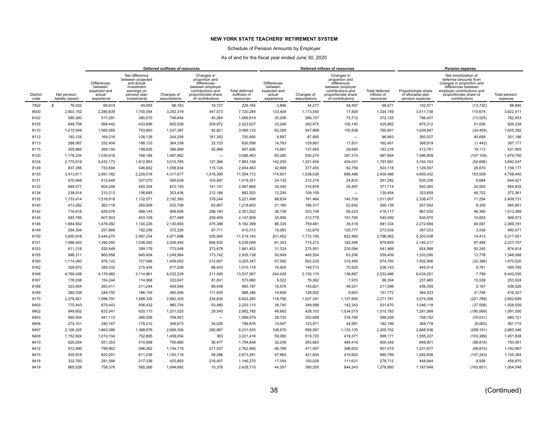#### Schedule of Pension Amounts by Employer

|                         |                                  | Deferred outflows of resources                                        |                                                                                                               |                           | Deferred inflows of resources                                                                                                   |                                            |                                                                       |                           | <b>Pension expense</b>                                                                                                          |                                                  |                                                             |                                                                                                                                                                           |                          |
|-------------------------|----------------------------------|-----------------------------------------------------------------------|---------------------------------------------------------------------------------------------------------------|---------------------------|---------------------------------------------------------------------------------------------------------------------------------|--------------------------------------------|-----------------------------------------------------------------------|---------------------------|---------------------------------------------------------------------------------------------------------------------------------|--------------------------------------------------|-------------------------------------------------------------|---------------------------------------------------------------------------------------------------------------------------------------------------------------------------|--------------------------|
| <b>District</b><br>code | Net pension<br>liability (asset) | <b>Differences</b><br>between<br>expected and<br>actual<br>experience | Net difference<br>between projected<br>and actual<br>investment<br>earnings on<br>pension plan<br>investments | Changes of<br>assumptions | Changes in<br>proportion and<br>differences<br>between employer<br>contributions and<br>proportionate share<br>of contributions | Total deferred<br>outflows of<br>resources | <b>Differences</b><br>between<br>expected and<br>actual<br>experience | Changes of<br>assumptions | Changes in<br>proportion and<br>differences<br>between employer<br>contributions and<br>proportionate share<br>of contributions | <b>Total deferred</b><br>inflows of<br>resources | Proportionate share<br>of allocable plan<br>pension expense | Net amortization of<br>deferred amounts from<br>changes in proportion and<br>differences between<br>employer contributions and<br>proportionate share of<br>contributions | Total pension<br>expense |
| 7502                    | s<br>76,032                      | 66,619                                                                | 49,655                                                                                                        | 96,163                    | 16,727                                                                                                                          | 229,165                                    | 3,896                                                                 | 34,277                    | 58,497                                                                                                                          | 96,671                                           | 102,571                                                     | (13, 732)                                                                                                                                                                 | 88,840                   |
| 8000                    | 2.603.102                        | 2,280,839                                                             | 1,700,054                                                                                                     | 3.292.319                 | 447.073                                                                                                                         | 7.720.284                                  | 133,404                                                               | 1,173,540                 | 17.805                                                                                                                          | 1,324,749                                        | 3,511,738                                                   | 110,674                                                                                                                                                                   | 3,622,411                |
| 8102                    | 590,380                          | 517,291                                                               | 385,570                                                                                                       | 746,694                   | 40,264                                                                                                                          | 1,689,819                                  | 30,256                                                                | 266,157                   | 75,712                                                                                                                          | 372,125                                          | 796,457                                                     | (13, 525)                                                                                                                                                                 | 782,933                  |
| 8105                    | 648.758                          | 568.442                                                               | 423.696                                                                                                       | 820.528                   | 209.972                                                                                                                         | 2.022.637                                  | 33.248                                                                | 292.475                   | 100.140                                                                                                                         | 425.862                                          | 875.212                                                     | 51.026                                                                                                                                                                    | 926.238                  |
| 8110                    | 1,215,549                        | 1,065,065                                                             | 793,860                                                                                                       | 1,537,387                 | 92,821                                                                                                                          | 3,489,133                                  | 62,295                                                                | 547,998                   | 150,508                                                                                                                         | 760,801                                          | 1,639,847                                                   | (34, 455)                                                                                                                                                                 | 1,605,392                |
| 8112                    | 193.125                          | 169.216                                                               | 126.128                                                                                                       | 244.258                   | 161,352                                                                                                                         | 700.955                                    | 9,897                                                                 | 87.065                    | $\overbrace{\phantom{1232211}}$                                                                                                 | 96.963                                           | 260,537                                                     | 40,658                                                                                                                                                                    | 301,196                  |
| 8113                    | 288,067                          | 252,404                                                               | 188,133                                                                                                       | 364,338                   | 25,723                                                                                                                          | 830,599                                    | 14,763                                                                | 129,867                   | 17,831                                                                                                                          | 162,461                                          | 388,619                                                     | (1, 442)                                                                                                                                                                  | 387,177                  |
| 8115                    | 305,985                          | 268,104                                                               | 199,835                                                                                                       | 386,999                   | 92,988                                                                                                                          | 947,926                                    | 15,681                                                                | 137,945                   | 29,690                                                                                                                          | 183,316                                          | 412,791                                                     | 19,113                                                                                                                                                                    | 431,905                  |
| 8120                    | 1,176,234                        | 1,030,616                                                             | 768,184                                                                                                       | 1,487,662                 | $\overline{\phantom{0}}$                                                                                                        | 3,286,463                                  | 60,280                                                                | 530,274                   | 397,310                                                                                                                         | 987,864                                          | 1,586,809                                                   | (107, 109)                                                                                                                                                                | 1,479,700                |
| 8124                    | 2,775,819                        | 2,432,173                                                             | 1,812,853                                                                                                     | 3,510,765                 | 127,366                                                                                                                         | 7,883,158                                  | 142,255                                                               | 1,251,404                 | 404,031                                                                                                                         | 1,797,691                                        | 3,744,743                                                   | (52, 696)                                                                                                                                                                 | 3,692,047                |
| 8129                    | 837,256                          | 733,604                                                               | 546,802                                                                                                       | 1,058,934                 | 115,124                                                                                                                         | 2,454,463                                  | 42,908                                                                | 377,455                   | 82,756                                                                                                                          | 503,118                                          | 1,129,507                                                   | 26,670                                                                                                                                                                    | 1,156,177                |
| 8130                    | 3,413,811                        | 2,991,182                                                             | 2,229,518                                                                                                     | 4,317,677                 | 1,516,395                                                                                                                       | 11,054,772                                 | 174,951                                                               | 1,539,026                 | 686,488                                                                                                                         | 2,400,466                                        | 4,605,432                                                   | 153,009                                                                                                                                                                   | 4,758,440                |
| 8131                    | 470,948                          | 412,645                                                               | 307,570                                                                                                       | 595,639                   | 103,497                                                                                                                         | 1,419,351                                  | 24,135                                                                | 212,314                   | 24,833                                                                                                                          | 261,282                                          | 635,336                                                     | 8,684                                                                                                                                                                     | 644,021                  |
| 8133                    | 689,577                          | 604,208                                                               | 450,354                                                                                                       | 872,155                   | 141,151                                                                                                                         | 2,067,868                                  | 35,340                                                                | 310,878                   | 25,497                                                                                                                          | 371,714                                          | 930,280                                                     | 24,555                                                                                                                                                                    | 954,835                  |
| 8134                    | 239,914                          | 210,213                                                               | 156,685                                                                                                       | 303,436                   | 212,186                                                                                                                         | 882,520                                    | 12,295                                                                | 108,159                   | $\overline{\phantom{m}}$                                                                                                        | 120,454                                          | 323,659                                                     | 48,702                                                                                                                                                                    | 372,361                  |
| 8135                    | 1,733,414                        | 1,518,818                                                             | 1,132,071                                                                                                     | 2,192,365                 | 378,244                                                                                                                         | 5,221,498                                  | 88,834                                                                | 781,464                   | 140,709                                                                                                                         | 1,011,007                                        | 2,338,477                                                   | 71,254                                                                                                                                                                    | 2,409,731                |
| 8140                    | 413,282                          | 362,118                                                               | 269,909                                                                                                       | 522,706                   | 63,867                                                                                                                          | 1,218,600                                  | 21,180                                                                | 186,317                   | 52,642                                                                                                                          | 260,139                                          | 557,542                                                     | 8,359                                                                                                                                                                     | 565,901                  |
| 8142                    | 716,818                          | 628,076                                                               | 468,145                                                                                                       | 906,608                   | 298,193                                                                                                                         | 2,301,022                                  | 36,736                                                                | 323,158                   | 58,223                                                                                                                          | 418,117                                          | 967,030                                                     | 46,360                                                                                                                                                                    | 1,013,389                |
| 8145                    | 693,795                          | 607,903                                                               | 453,109                                                                                                       | 877,489                   | 209,409                                                                                                                         | 2,147,909                                  | 35,556                                                                | 312,779                   | 191,765                                                                                                                         | 540,099                                          | 935,970                                                     | 10,603                                                                                                                                                                    | 946,573                  |
| 8146                    | 1,684,652                        | 1,476,092                                                             | 1,100,226                                                                                                     | 2,130,693                 | 475,388                                                                                                                         | 5,182,399                                  | 86,335                                                                | 759,481                   | 35,518                                                                                                                          | 881,334                                          | 2,272,694                                                   | 94,087                                                                                                                                                                    | 2,366,781                |
| 8149                    | 294,304                          | 257,869                                                               | 192,206                                                                                                       | 372,226                   | 87,711                                                                                                                          | 910,013                                    | 15,083                                                                | 132,679                   | 125,777                                                                                                                         | 273,539                                          | 397,033                                                     | 3,538                                                                                                                                                                     | 400,571                  |
| 8150                    | 3,930,918                        | 3,444,270                                                             | 2,567,234                                                                                                     | 4,971,696                 | 535,945                                                                                                                         | 11,519,145                                 | 201,452                                                               | 1,772,150                 | 822,460                                                                                                                         | 2,796,062                                        | 5,303,038                                                   | 14,413                                                                                                                                                                    | 5,317,451                |
| 8151                    | 1,586,453                        | 1,390,050                                                             | 1,036,093                                                                                                     | 2,006,493                 | 606,932                                                                                                                         | 5,039,568                                  | 81,303                                                                | 715,210                   | 183,346                                                                                                                         | 979,859                                          | 2,140,217                                                   | 87,489                                                                                                                                                                    | 2,227,707                |
| 8153                    | 611,218                          | 535,549                                                               | 399,179                                                                                                       | 773,048                   | 273,678                                                                                                                         | 1,981,453                                  | 31,324                                                                | 275,551                   | 235,094                                                                                                                         | 541,969                                          | 824,568                                                     | 50,245                                                                                                                                                                    | 874,814                  |
| 8155                    | 988,311                          | 865,958                                                               | 645,454                                                                                                       | 1,249,984                 | 173,742                                                                                                                         | 2,935,138                                  | 50,649                                                                | 445,554                   | 63,206                                                                                                                          | 559,409                                          | 1,333,290                                                   | 12,778                                                                                                                                                                    | 1,346,068                |
| 8160                    | 1,114,040                        | 976,122                                                               | 727,566                                                                                                       | 1,409,002                 | 212,657                                                                                                                         | 3,325,347                                  | 57,092                                                                | 502,235                   | 315,455                                                                                                                         | 874,783                                          | 1,502,906                                                   | (32, 386)                                                                                                                                                                 | 1,470,520                |
| 8162<br>8166            | 329,870                          | 289,032                                                               | 215,434                                                                                                       | 417,209                   | 88,443                                                                                                                          | 1,010,118                                  | 16,905                                                                | 148,713                   | 70,525                                                                                                                          | 236,143                                          | 445,014                                                     | 5,781                                                                                                                                                                     | 450,795                  |
|                         | 4,769,438<br>176,038             | 4,178,982                                                             | 3,114,861<br>114,968                                                                                          | 6,032,229<br>222,647      | 211,495                                                                                                                         | 13,537,567<br>573,690                      | 244,425                                                               | 2,150,174<br>79,362       | 138,867<br>7,970                                                                                                                | 2,533,466                                        | 6,434,251                                                   | 7,799                                                                                                                                                                     | 6,442,050<br>253,024     |
| 8167<br>8168            | 323,454                          | 154,244<br>283,411                                                    | 211,244                                                                                                       | 409,094                   | 81,831<br>89,448                                                                                                                | 993,197                                    | 9,022<br>16,576                                                       | 145,821                   | 49,201                                                                                                                          | 96,354<br>211,598                                | 237,485<br>436,359                                          | 15,539<br>2,167                                                                                                                                                           | 438,526                  |
| 8169                    | 285,038                          | 249,750                                                               | 186,155                                                                                                       | 360,506                   | 171,935                                                                                                                         | 968,346                                    | 14,608                                                                | 128,502                   | 8,663                                                                                                                           | 151,772                                          | 384,533                                                     | 31,795                                                                                                                                                                    | 416,327                  |
| 8170                    | 2,278,921                        | 1,996,791                                                             | 1,488,335                                                                                                     | 2,882,305                 | 234,830                                                                                                                         | 6,602,260                                  | 116,790                                                               | 1,027,391                 | 1,127,600                                                                                                                       | 2,271,781                                        | 3,074,398                                                   | (221, 789)                                                                                                                                                                | 2,852,609                |
| 8400                    | 775,443                          | 679,443                                                               | 506,432                                                                                                       | 980,754                   | 53,480                                                                                                                          | 2,220,110                                  | 39,740                                                                | 349,588                   | 142,343                                                                                                                         | 531,670                                          | 1,046,118                                                   | (37, 558)                                                                                                                                                                 | 1,008,559                |
| 8402                    | 949,602                          | 832,041                                                               | 620,173                                                                                                       | 1,201,025                 | 29,545                                                                                                                          | 2,682,785                                  | 48,665                                                                | 428,103                   | 1,034,015                                                                                                                       | 1,510,783                                        | 1,281,069                                                   | (190,069)                                                                                                                                                                 | 1,091,000                |
| 8403                    | 560,504                          | 491,113                                                               | 366,058                                                                                                       | 708,907                   | $\overline{\phantom{0}}$                                                                                                        | 1,566,079                                  | 28,725                                                                | 252,688                   | 316,795                                                                                                                         | 598,208                                          | 756,152                                                     | (76, 031)                                                                                                                                                                 | 680,121                  |
| 8406                    | 274,101                          | 240,167                                                               | 179,012                                                                                                       | 346,673                   | 34,026                                                                                                                          | 799.878                                    | 14,047                                                                | 123,571                   | 44,581                                                                                                                          | 182,199                                          | 369,778                                                     | (8,063)                                                                                                                                                                   | 361,715                  |
| 8407                    | 2,126,325                        | 1,863,086                                                             | 1,388,676                                                                                                     | 2,689,306                 | 290,867                                                                                                                         | 6,231,935                                  | 108,970                                                               | 958,597                   | 1,133,135                                                                                                                       | 2,200,702                                        | 2,868,536                                                   | (208, 191)                                                                                                                                                                | 2,660,346                |
| 8409                    | 1,152,824                        | 1,010,104                                                             | 752,895                                                                                                       | 1,458,054                 | 363                                                                                                                             | 3,221,416                                  | 59,080                                                                | 519,720                   | 419,371                                                                                                                         | 998,171                                          | 1,555,227                                                   | (103, 389)                                                                                                                                                                | 1,451,838                |
| 8410                    | 629,254                          | 551,353                                                               | 410,958                                                                                                       | 795,860                   | 36,477                                                                                                                          | 1,794,648                                  | 32,248                                                                | 283,683                   | 484,419                                                                                                                         | 800,349                                          | 848,901                                                     | (98, 819)                                                                                                                                                                 | 750,081                  |
| 8412                    | 912,990                          | 799,962                                                               | 596,262                                                                                                       | 1,154,719                 | 211,537                                                                                                                         | 2,762,480                                  | 46,789                                                                | 411,597                   | 398,633                                                                                                                         | 857,019                                          | 1,231,677                                                   | (48, 810)                                                                                                                                                                 | 1,182,867                |
| 8415                    | 935,918                          | 820,051                                                               | 611,236                                                                                                       | 1,183,718                 | 58,286                                                                                                                          | 2,673,291                                  | 47,964                                                                | 421,934                   | 410,902                                                                                                                         | 880,799                                          | 1,262,608                                                   | (107, 243)                                                                                                                                                                | 1,155,364                |
| 8416                    | 332,783                          | 291,584                                                               | 217,336                                                                                                       | 420,893                   | 216,457                                                                                                                         | 1,146,270                                  | 17,054                                                                | 150,026                   | 111,631                                                                                                                         | 278,712                                          | 448,944                                                     | 9,926                                                                                                                                                                     | 458,870                  |
| 8419                    | 865,528                          | 758,376                                                               | 565,266                                                                                                       | 1,094,692                 | 10,376                                                                                                                          | 2,428,710                                  | 44,357                                                                | 390,200                   | 844,243                                                                                                                         | 1,278,800                                        | 1,167,648                                                   | (163, 601)                                                                                                                                                                | 1,004,048                |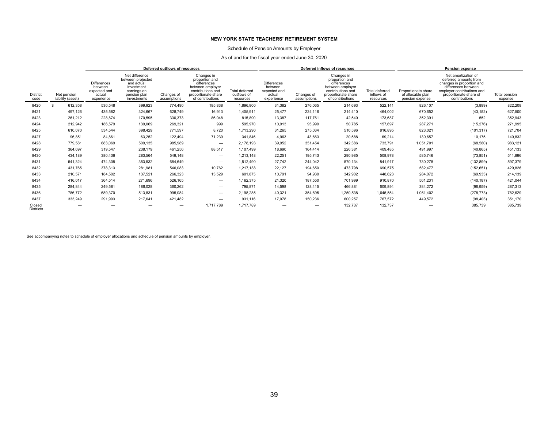#### Schedule of Pension Amounts by Employer

#### As of and for the fiscal year ended June 30, 2020

|                            |                                  |                                                                       | Deferred outflows of resources                                                                                |                           |                                                                                                                                 | Deferred inflows of resources              |                                                                       |                           |                                                                                                                                 | <b>Pension expense</b>                           |                                                             |                                                                                                                                                                           |                          |
|----------------------------|----------------------------------|-----------------------------------------------------------------------|---------------------------------------------------------------------------------------------------------------|---------------------------|---------------------------------------------------------------------------------------------------------------------------------|--------------------------------------------|-----------------------------------------------------------------------|---------------------------|---------------------------------------------------------------------------------------------------------------------------------|--------------------------------------------------|-------------------------------------------------------------|---------------------------------------------------------------------------------------------------------------------------------------------------------------------------|--------------------------|
| <b>District</b><br>code    | Net pension<br>liability (asset) | <b>Differences</b><br>between<br>expected and<br>actual<br>experience | Net difference<br>between projected<br>and actual<br>investment<br>earnings on<br>pension plan<br>investments | Changes of<br>assumptions | Changes in<br>proportion and<br>differences<br>between employer<br>contributions and<br>proportionate share<br>of contributions | Total deferred<br>outflows of<br>resources | <b>Differences</b><br>between<br>expected and<br>actual<br>experience | Changes of<br>assumptions | Changes in<br>proportion and<br>differences<br>between employer<br>contributions and<br>proportionate share<br>of contributions | <b>Total deferred</b><br>inflows of<br>resources | Proportionate share<br>of allocable plan<br>pension expense | Net amortization of<br>deferred amounts from<br>changes in proportion and<br>differences between<br>emplover contributions and<br>proportionate share of<br>contributions | Total pension<br>expense |
| 8420                       | 612,358                          | 536,548                                                               | 399,923                                                                                                       | 774.490                   | 185,838                                                                                                                         | 1,896,800                                  | 31,382                                                                | 276,065                   | 214,693                                                                                                                         | 522,141                                          | 826,107                                                     | (3,899)                                                                                                                                                                   | 822,208                  |
| 8421                       | 497,126                          | 435,582                                                               | 324,667                                                                                                       | 628,749                   | 16,913                                                                                                                          | 1,405,911                                  | 25,477                                                                | 224,116                   | 214,410                                                                                                                         | 464,002                                          | 670,652                                                     | (43, 152)                                                                                                                                                                 | 627,500                  |
| 8423                       | 261,212                          | 228,874                                                               | 170,595                                                                                                       | 330,373                   | 86,048                                                                                                                          | 815,890                                    | 13,387                                                                | 117,761                   | 42,540                                                                                                                          | 173,687                                          | 352,391                                                     | 552                                                                                                                                                                       | 352,943                  |
| 8424                       | 212,942                          | 186,579                                                               | 139,069                                                                                                       | 269,321                   | 999                                                                                                                             | 595,970                                    | 10,913                                                                | 95,999                    | 50,785                                                                                                                          | 157,697                                          | 287,271                                                     | (15, 276)                                                                                                                                                                 | 271,995                  |
| 8425                       | 610,070                          | 534,544                                                               | 398,429                                                                                                       | 771.597                   | 8,720                                                                                                                           | 1,713,290                                  | 31,265                                                                | 275,034                   | 510,596                                                                                                                         | 816,895                                          | 823,021                                                     | (101, 317)                                                                                                                                                                | 721,704                  |
| 8427                       | 96,851                           | 84,861                                                                | 63,252                                                                                                        | 122,494                   | 71.239                                                                                                                          | 341.846                                    | 4,963                                                                 | 43,663                    | 20,588                                                                                                                          | 69,214                                           | 130,657                                                     | 10,175                                                                                                                                                                    | 140,832                  |
| 8428                       | 779,581                          | 683,069                                                               | 509,135                                                                                                       | 985,989                   | $\overline{\phantom{0}}$                                                                                                        | 2,178,193                                  | 39,952                                                                | 351.454                   | 342,386                                                                                                                         | 733,791                                          | 1,051,701                                                   | (68, 580)                                                                                                                                                                 | 983,121                  |
| 8429                       | 364,697                          | 319,547                                                               | 238,179                                                                                                       | 461.256                   | 88,517                                                                                                                          | 1,107,499                                  | 18,690                                                                | 164.414                   | 226,381                                                                                                                         | 409,485                                          | 491,997                                                     | (40, 865)                                                                                                                                                                 | 451,133                  |
| 8430                       | 434,189                          | 380,436                                                               | 283,564                                                                                                       | 549,148                   | $\overline{\phantom{0}}$                                                                                                        | 1,213,148                                  | 22,251                                                                | 195,743                   | 290,985                                                                                                                         | 508,978                                          | 585,746                                                     | (73, 851)                                                                                                                                                                 | 511,896                  |
| 8431                       | 541,324                          | 474,308                                                               | 353,532                                                                                                       | 684.649                   |                                                                                                                                 | 1,512,490                                  | 27,742                                                                | 244,042                   | 570,134                                                                                                                         | 841,917                                          | 730,278                                                     | (132, 899)                                                                                                                                                                | 597,379                  |
| 8432                       | 431,765                          | 378,313                                                               | 281.981                                                                                                       | 546,083                   | 10,762                                                                                                                          | 1.217.138                                  | 22,127                                                                | 194,650                   | 473,798                                                                                                                         | 690,575                                          | 582,477                                                     | (152, 651)                                                                                                                                                                | 429,826                  |
| 8433                       | 210,571                          | 184,502                                                               | 137,521                                                                                                       | 266,323                   | 13,529                                                                                                                          | 601.875                                    | 10,791                                                                | 94,930                    | 342,902                                                                                                                         | 448,623                                          | 284,072                                                     | (69, 933)                                                                                                                                                                 | 214,139                  |
| 8434                       | 416,017                          | 364.514                                                               | 271,696                                                                                                       | 526,165                   | $\overline{\phantom{0}}$                                                                                                        | ,162,375                                   | 21.320                                                                | 187,550                   | 701.999                                                                                                                         | 910,870                                          | 561,231                                                     | (140, 187)                                                                                                                                                                | 421,044                  |
| 8435                       | 284,844                          | 249,581                                                               | 186,028                                                                                                       | 360,262                   | $\overline{\phantom{0}}$                                                                                                        | 795,871                                    | 14,598                                                                | 128,415                   | 466,881                                                                                                                         | 609,894                                          | 384,272                                                     | (96, 959)                                                                                                                                                                 | 287,313                  |
| 8436                       | 786,772                          | 689,370                                                               | 513,831                                                                                                       | 995,084                   | $\overline{\phantom{a}}$                                                                                                        | 2,198,285                                  | 40,321                                                                | 354,695                   | 1,250,538                                                                                                                       | 1,645,554                                        | 1,061,402                                                   | (278, 773)                                                                                                                                                                | 782,629                  |
| 8437                       | 333.249                          | 291,993                                                               | 217,641                                                                                                       | 421.482                   | $\overline{\phantom{0}}$                                                                                                        | 931,116                                    | 17,078                                                                | 150,236                   | 600.257                                                                                                                         | 767,572                                          | 449,572                                                     | (98, 403)                                                                                                                                                                 | 351,170                  |
| Closed<br><b>Districts</b> |                                  |                                                                       |                                                                                                               |                           | 1,717,789                                                                                                                       | 1.717.789                                  |                                                                       |                           | 132.737                                                                                                                         | 132,737                                          |                                                             | 385,739                                                                                                                                                                   | 385,739                  |

See accompanying notes to schedule of employer allocations and schedule of pension amounts by employer.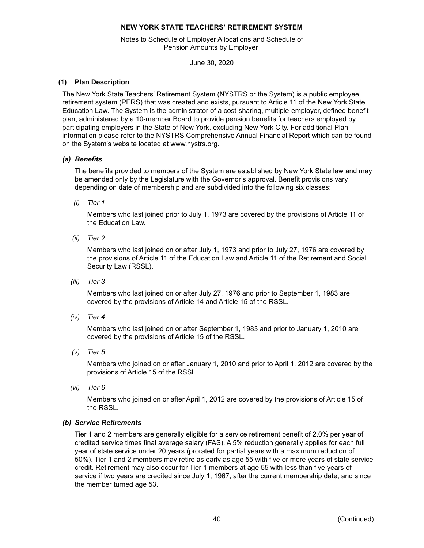Notes to Schedule of Employer Allocations and Schedule of Pension Amounts by Employer

June 30, 2020

## <span id="page-41-0"></span>**(1) Plan Description**

The New York State Teachers' Retirement System (NYSTRS or the System) is a public employee retirement system (PERS) that was created and exists, pursuant to Article 11 of the New York State Education Law. The System is the administrator of a cost-sharing, multiple-employer, defined benefit plan, administered by a 10-member Board to provide pension benefits for teachers employed by participating employers in the State of New York, excluding New York City. For additional Plan information please refer to the NYSTRS Comprehensive Annual Financial Report which can be found on the System's website located at www.nystrs.org.

## *(a) Benefits*

The benefits provided to members of the System are established by New York State law and may be amended only by the Legislature with the Governor's approval. Benefit provisions vary depending on date of membership and are subdivided into the following six classes:

*(i) Tier 1*

Members who last joined prior to July 1, 1973 are covered by the provisions of Article 11 of the Education Law.

*(ii) Tier 2*

Members who last joined on or after July 1, 1973 and prior to July 27, 1976 are covered by the provisions of Article 11 of the Education Law and Article 11 of the Retirement and Social Security Law (RSSL).

*(iii) Tier 3*

Members who last joined on or after July 27, 1976 and prior to September 1, 1983 are covered by the provisions of Article 14 and Article 15 of the RSSL.

*(iv) Tier 4*

Members who last joined on or after September 1, 1983 and prior to January 1, 2010 are covered by the provisions of Article 15 of the RSSL.

*(v) Tier 5*

Members who joined on or after January 1, 2010 and prior to April 1, 2012 are covered by the provisions of Article 15 of the RSSL.

*(vi) Tier 6*

Members who joined on or after April 1, 2012 are covered by the provisions of Article 15 of the RSSL.

### *(b) Service Retirements*

Tier 1 and 2 members are generally eligible for a service retirement benefit of 2.0% per year of credited service times final average salary (FAS). A 5% reduction generally applies for each full year of state service under 20 years (prorated for partial years with a maximum reduction of 50%). Tier 1 and 2 members may retire as early as age 55 with five or more years of state service credit. Retirement may also occur for Tier 1 members at age 55 with less than five years of service if two years are credited since July 1, 1967, after the current membership date, and since the member turned age 53.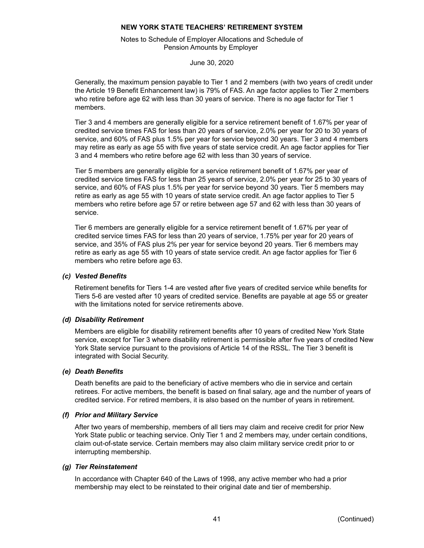Notes to Schedule of Employer Allocations and Schedule of Pension Amounts by Employer

June 30, 2020

Generally, the maximum pension payable to Tier 1 and 2 members (with two years of credit under the Article 19 Benefit Enhancement law) is 79% of FAS. An age factor applies to Tier 2 members who retire before age 62 with less than 30 years of service. There is no age factor for Tier 1 members.

Tier 3 and 4 members are generally eligible for a service retirement benefit of 1.67% per year of credited service times FAS for less than 20 years of service, 2.0% per year for 20 to 30 years of service, and 60% of FAS plus 1.5% per year for service beyond 30 years. Tier 3 and 4 members may retire as early as age 55 with five years of state service credit. An age factor applies for Tier 3 and 4 members who retire before age 62 with less than 30 years of service.

Tier 5 members are generally eligible for a service retirement benefit of 1.67% per year of credited service times FAS for less than 25 years of service, 2.0% per year for 25 to 30 years of service, and 60% of FAS plus 1.5% per year for service beyond 30 years. Tier 5 members may retire as early as age 55 with 10 years of state service credit. An age factor applies to Tier 5 members who retire before age 57 or retire between age 57 and 62 with less than 30 years of service.

Tier 6 members are generally eligible for a service retirement benefit of 1.67% per year of credited service times FAS for less than 20 years of service, 1.75% per year for 20 years of service, and 35% of FAS plus 2% per year for service beyond 20 years. Tier 6 members may retire as early as age 55 with 10 years of state service credit. An age factor applies for Tier 6 members who retire before age 63.

### *(c) Vested Benefits*

Retirement benefits for Tiers 1-4 are vested after five years of credited service while benefits for Tiers 5-6 are vested after 10 years of credited service. Benefits are payable at age 55 or greater with the limitations noted for service retirements above.

### *(d) Disability Retirement*

Members are eligible for disability retirement benefits after 10 years of credited New York State service, except for Tier 3 where disability retirement is permissible after five years of credited New York State service pursuant to the provisions of Article 14 of the RSSL. The Tier 3 benefit is integrated with Social Security.

### *(e) Death Benefits*

Death benefits are paid to the beneficiary of active members who die in service and certain retirees. For active members, the benefit is based on final salary, age and the number of years of credited service. For retired members, it is also based on the number of years in retirement.

### *(f) Prior and Military Service*

After two years of membership, members of all tiers may claim and receive credit for prior New York State public or teaching service. Only Tier 1 and 2 members may, under certain conditions, claim out-of-state service. Certain members may also claim military service credit prior to or interrupting membership.

### *(g) Tier Reinstatement*

In accordance with Chapter 640 of the Laws of 1998, any active member who had a prior membership may elect to be reinstated to their original date and tier of membership.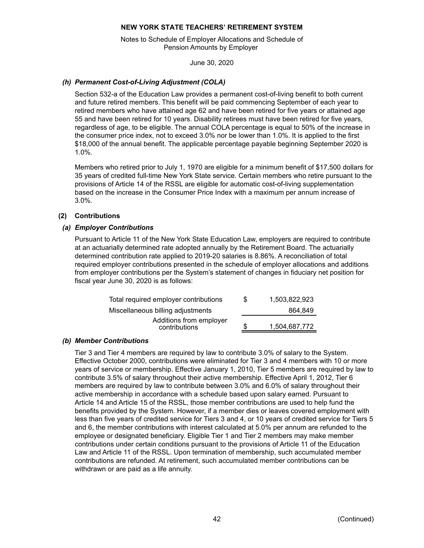Notes to Schedule of Employer Allocations and Schedule of Pension Amounts by Employer

June 30, 2020

## *(h) Permanent Cost-of-Living Adjustment (COLA)*

Section 532-a of the Education Law provides a permanent cost-of-living benefit to both current and future retired members. This benefit will be paid commencing September of each year to retired members who have attained age 62 and have been retired for five years or attained age 55 and have been retired for 10 years. Disability retirees must have been retired for five years, regardless of age, to be eligible. The annual COLA percentage is equal to 50% of the increase in the consumer price index, not to exceed 3.0% nor be lower than 1.0%. It is applied to the first \$18,000 of the annual benefit. The applicable percentage payable beginning September 2020 is 1.0%.

Members who retired prior to July 1, 1970 are eligible for a minimum benefit of \$17,500 dollars for 35 years of credited full-time New York State service. Certain members who retire pursuant to the provisions of Article 14 of the RSSL are eligible for automatic cost-of-living supplementation based on the increase in the Consumer Price Index with a maximum per annum increase of 3.0%.

## **(2) Contributions**

## *(a) Employer Contributions*

Pursuant to Article 11 of the New York State Education Law, employers are required to contribute at an actuarially determined rate adopted annually by the Retirement Board. The actuarially determined contribution rate applied to 2019-20 salaries is 8.86%. A reconciliation of total required employer contributions presented in the schedule of employer allocations and additions from employer contributions per the System's statement of changes in fiduciary net position for fiscal year June 30, 2020 is as follows:

| Total required employer contributions    | S | 1,503,822,923 |
|------------------------------------------|---|---------------|
| Miscellaneous billing adjustments        |   | 864.849       |
| Additions from employer<br>contributions |   | 1,504,687,772 |

## *(b) Member Contributions*

Tier 3 and Tier 4 members are required by law to contribute 3.0% of salary to the System. Effective October 2000, contributions were eliminated for Tier 3 and 4 members with 10 or more years of service or membership. Effective January 1, 2010, Tier 5 members are required by law to contribute 3.5% of salary throughout their active membership. Effective April 1, 2012, Tier 6 members are required by law to contribute between 3.0% and 6.0% of salary throughout their active membership in accordance with a schedule based upon salary earned. Pursuant to Article 14 and Article 15 of the RSSL, those member contributions are used to help fund the benefits provided by the System. However, if a member dies or leaves covered employment with less than five years of credited service for Tiers 3 and 4, or 10 years of credited service for Tiers 5 and 6, the member contributions with interest calculated at 5.0% per annum are refunded to the employee or designated beneficiary. Eligible Tier 1 and Tier 2 members may make member contributions under certain conditions pursuant to the provisions of Article 11 of the Education Law and Article 11 of the RSSL. Upon termination of membership, such accumulated member contributions are refunded. At retirement, such accumulated member contributions can be withdrawn or are paid as a life annuity.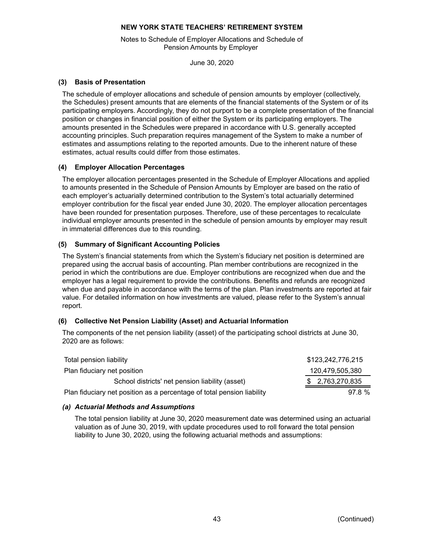Notes to Schedule of Employer Allocations and Schedule of Pension Amounts by Employer

June 30, 2020

## **(3) Basis of Presentation**

The schedule of employer allocations and schedule of pension amounts by employer (collectively, the Schedules) present amounts that are elements of the financial statements of the System or of its participating employers. Accordingly, they do not purport to be a complete presentation of the financial position or changes in financial position of either the System or its participating employers. The amounts presented in the Schedules were prepared in accordance with U.S. generally accepted accounting principles. Such preparation requires management of the System to make a number of estimates and assumptions relating to the reported amounts. Due to the inherent nature of these estimates, actual results could differ from those estimates.

## **(4) Employer Allocation Percentages**

The employer allocation percentages presented in the Schedule of Employer Allocations and applied to amounts presented in the Schedule of Pension Amounts by Employer are based on the ratio of each employer's actuarially determined contribution to the System's total actuarially determined employer contribution for the fiscal year ended June 30, 2020. The employer allocation percentages have been rounded for presentation purposes. Therefore, use of these percentages to recalculate individual employer amounts presented in the schedule of pension amounts by employer may result in immaterial differences due to this rounding.

## **(5) Summary of Significant Accounting Policies**

The System's financial statements from which the System's fiduciary net position is determined are prepared using the accrual basis of accounting. Plan member contributions are recognized in the period in which the contributions are due. Employer contributions are recognized when due and the employer has a legal requirement to provide the contributions. Benefits and refunds are recognized when due and payable in accordance with the terms of the plan. Plan investments are reported at fair value. For detailed information on how investments are valued, please refer to the System's annual report.

### **(6) Collective Net Pension Liability (Asset) and Actuarial Information**

The components of the net pension liability (asset) of the participating school districts at June 30, 2020 are as follows:

| Total pension liability                                                | \$123,242,776,215 |
|------------------------------------------------------------------------|-------------------|
| Plan fiduciary net position                                            | 120,479,505,380   |
| School districts' net pension liability (asset)                        | \$ 2,763,270,835  |
| Plan fiduciary net position as a percentage of total pension liability | 97.8%             |

## *(a) Actuarial Methods and Assumptions*

The total pension liability at June 30, 2020 measurement date was determined using an actuarial valuation as of June 30, 2019, with update procedures used to roll forward the total pension liability to June 30, 2020, using the following actuarial methods and assumptions: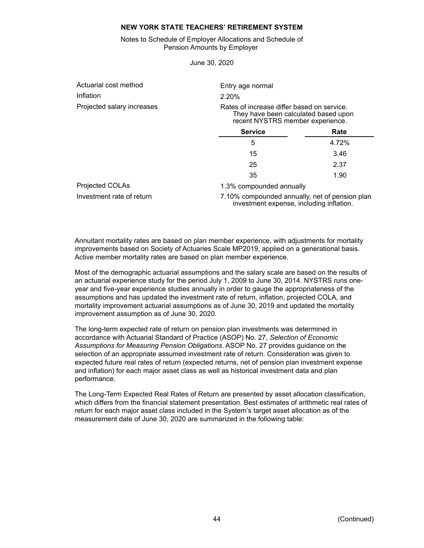Notes to Schedule of Employer Allocations and Schedule of Pension Amounts by Employer

June 30, 2020

| Actuarial cost method<br>Inflation | Entry age normal<br>2.20%                                                                                              |                                                                                            |  |  |  |  |  |
|------------------------------------|------------------------------------------------------------------------------------------------------------------------|--------------------------------------------------------------------------------------------|--|--|--|--|--|
| Projected salary increases         | Rates of increase differ based on service.<br>They have been calculated based upon<br>recent NYSTRS member experience. |                                                                                            |  |  |  |  |  |
|                                    | <b>Service</b>                                                                                                         | Rate                                                                                       |  |  |  |  |  |
|                                    | 5                                                                                                                      | 4.72%                                                                                      |  |  |  |  |  |
|                                    | 15                                                                                                                     | 3.46                                                                                       |  |  |  |  |  |
|                                    | 25                                                                                                                     | 2.37                                                                                       |  |  |  |  |  |
|                                    | 35                                                                                                                     | 1.90                                                                                       |  |  |  |  |  |
| <b>Projected COLAs</b>             | 1.3% compounded annually                                                                                               |                                                                                            |  |  |  |  |  |
| Investment rate of return          |                                                                                                                        | 7.10% compounded annually, net of pension plan<br>investment expense, including inflation. |  |  |  |  |  |

Annuitant mortality rates are based on plan member experience, with adjustments for mortality improvements based on Society of Actuaries Scale MP2019, applied on a generational basis. Active member mortality rates are based on plan member experience.

Most of the demographic actuarial assumptions and the salary scale are based on the results of an actuarial experience study for the period July 1, 2009 to June 30, 2014. NYSTRS runs oneyear and five-year experience studies annually in order to gauge the appropriateness of the assumptions and has updated the investment rate of return, inflation, projected COLA, and mortality improvement actuarial assumptions as of June 30, 2019 and updated the mortality improvement assumption as of June 30, 2020.

The long-term expected rate of return on pension plan investments was determined in accordance with Actuarial Standard of Practice (ASOP) No. 27, *Selection of Economic Assumptions for Measuring Pension Obligations*. ASOP No. 27 provides guidance on the selection of an appropriate assumed investment rate of return. Consideration was given to expected future real rates of return (expected returns, net of pension plan investment expense and inflation) for each major asset class as well as historical investment data and plan performance.

The Long-Term Expected Real Rates of Return are presented by asset allocation classification, which differs from the financial statement presentation. Best estimates of arithmetic real rates of return for each major asset class included in the System's target asset allocation as of the measurement date of June 30, 2020 are summarized in the following table: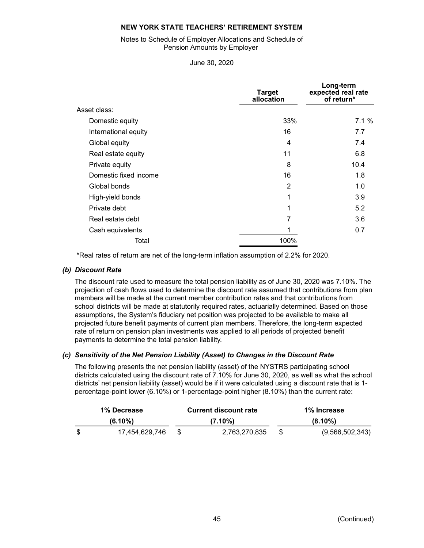### Notes to Schedule of Employer Allocations and Schedule of Pension Amounts by Employer

June 30, 2020

|                       | <b>Target</b><br>allocation | Long-term<br>expected real rate<br>of return* |
|-----------------------|-----------------------------|-----------------------------------------------|
| Asset class:          |                             |                                               |
| Domestic equity       | 33%                         | $7.1 \%$                                      |
| International equity  | 16                          | 7.7                                           |
| Global equity         | 4                           | 7.4                                           |
| Real estate equity    | 11                          | 6.8                                           |
| Private equity        | 8                           | 10.4                                          |
| Domestic fixed income | 16                          | 1.8                                           |
| Global bonds          | $\overline{2}$              | 1.0                                           |
| High-yield bonds      | 1                           | 3.9                                           |
| Private debt          | 1                           | 5.2                                           |
| Real estate debt      | 7                           | 3.6                                           |
| Cash equivalents      | 1                           | 0.7                                           |
| Total                 | 100%                        |                                               |

\*Real rates of return are net of the long-term inflation assumption of 2.2% for 2020.

## *(b) Discount Rate*

The discount rate used to measure the total pension liability as of June 30, 2020 was 7.10%. The projection of cash flows used to determine the discount rate assumed that contributions from plan members will be made at the current member contribution rates and that contributions from school districts will be made at statutorily required rates, actuarially determined. Based on those assumptions, the System's fiduciary net position was projected to be available to make all projected future benefit payments of current plan members. Therefore, the long-term expected rate of return on pension plan investments was applied to all periods of projected benefit payments to determine the total pension liability.

## *(c) Sensitivity of the Net Pension Liability (Asset) to Changes in the Discount Rate*

The following presents the net pension liability (asset) of the NYSTRS participating school districts calculated using the discount rate of 7.10% for June 30, 2020, as well as what the school districts' net pension liability (asset) would be if it were calculated using a discount rate that is 1 percentage-point lower (6.10%) or 1-percentage-point higher (8.10%) than the current rate:

| 1% Decrease    | <b>Current discount rate</b> | 1% Increase |                 |  |  |  |
|----------------|------------------------------|-------------|-----------------|--|--|--|
| $(6.10\%)$     | $(7.10\%)$                   | $(8.10\%)$  |                 |  |  |  |
| 17.454.629.746 | 2.763.270.835                |             | (9,566,502,343) |  |  |  |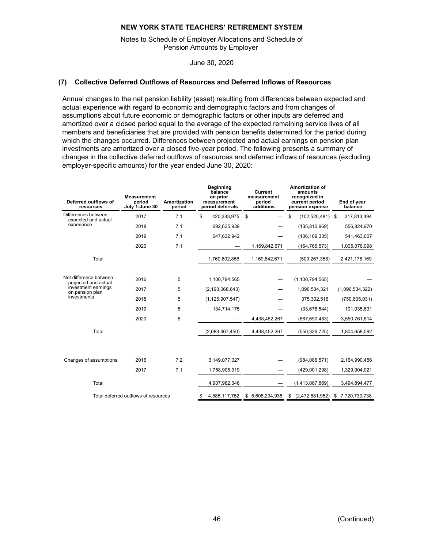Notes to Schedule of Employer Allocations and Schedule of Pension Amounts by Employer

June 30, 2020

### **(7) Collective Deferred Outflows of Resources and Deferred Inflows of Resources**

Annual changes to the net pension liability (asset) resulting from differences between expected and actual experience with regard to economic and demographic factors and from changes of assumptions about future economic or demographic factors or other inputs are deferred and amortized over a closed period equal to the average of the expected remaining service lives of all members and beneficiaries that are provided with pension benefits determined for the period during which the changes occurred. Differences between projected and actual earnings on pension plan investments are amortized over a closed five-year period. The following presents a summary of changes in the collective deferred outflows of resources and deferred inflows of resources (excluding employer-specific amounts) for the year ended June 30, 2020:

| Deferred outflows of<br>resources              | <b>Measurement</b><br>period<br>July 1-June 30 | <b>Amortization</b><br>period | <b>Beginning</b><br>balance<br>on prior<br>measurement<br>period deferrals | Current<br>measurement<br>period<br>additions | <b>Amortization of</b><br>amounts<br>recognized in<br>current period<br>pension expense | End of year<br>balance |
|------------------------------------------------|------------------------------------------------|-------------------------------|----------------------------------------------------------------------------|-----------------------------------------------|-----------------------------------------------------------------------------------------|------------------------|
| Differences between<br>expected and actual     | 2017                                           | 7.1                           | \$<br>420,333,975                                                          | \$                                            | \$<br>(102, 520, 481)                                                                   | \$<br>317,813,494      |
| experience                                     | 2018                                           | 7.1                           | 692,635,939                                                                |                                               | (135, 810, 969)                                                                         | 556,824,970            |
|                                                | 2019                                           | 7.1                           | 647,632,942                                                                |                                               | (106, 169, 335)                                                                         | 541,463,607            |
|                                                | 2020                                           | 7.1                           |                                                                            | 1,169,842,671                                 | (164, 766, 573)                                                                         | 1,005,076,098          |
| Total                                          |                                                |                               | 1,760,602,856                                                              | 1,169,842,671                                 | (509, 267, 358)                                                                         | 2,421,178,169          |
| Net difference between<br>projected and actual | 2016                                           | 5                             | 1,100,794,565                                                              |                                               | (1, 100, 794, 565)                                                                      |                        |
| investment earnings<br>on pension plan         | 2017                                           | 5                             | (2, 193, 068, 643)                                                         |                                               | 1,096,534,321                                                                           | (1,096,534,322)        |
| investments                                    | 2018                                           | 5                             | (1, 125, 907, 547)                                                         |                                               | 375,302,516                                                                             | (750, 605, 031)        |
|                                                | 2019                                           | 5                             | 134,714,175                                                                |                                               | (33,678,544)                                                                            | 101,035,631            |
|                                                | 2020                                           | 5                             |                                                                            | 4,438,452,267                                 | (887, 690, 453)                                                                         | 3,550,761,814          |
| Total                                          |                                                |                               | (2,083,467,450)                                                            | 4,438,452,267                                 | (550, 326, 725)                                                                         | 1,804,658,092          |
|                                                |                                                |                               |                                                                            |                                               |                                                                                         |                        |
| Changes of assumptions                         | 2016                                           | 7.2                           | 3,149,077,027                                                              |                                               | (984, 086, 571)                                                                         | 2,164,990,456          |
|                                                | 2017                                           | 7.1                           | 1,758,905,319                                                              |                                               | (429,001,298)                                                                           | 1,329,904,021          |
| Total                                          |                                                |                               | 4,907,982,346                                                              |                                               | (1,413,087,869)                                                                         | 3,494,894,477          |
|                                                | Total deferred outflows of resources           |                               | \$<br>4,585,117,752                                                        | \$5,608,294,938                               | \$<br>(2,472,681,952)                                                                   | \$<br>7,720,730,738    |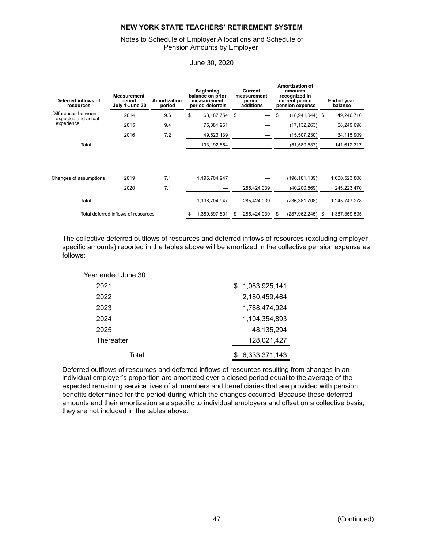## Notes to Schedule of Employer Allocations and Schedule of Pension Amounts by Employer

| Deferred inflows of<br>resources           | <b>Measurement</b><br>period<br>July 1-June 30 | <b>Amortization</b><br>period | <b>Beginning</b><br>balance on prior<br>measurement<br>period deferrals | Current<br>measurement<br>period<br>additions | <b>Amortization of</b><br>amounts<br>recognized in<br>current period<br>pension expense | End of year<br>balance |
|--------------------------------------------|------------------------------------------------|-------------------------------|-------------------------------------------------------------------------|-----------------------------------------------|-----------------------------------------------------------------------------------------|------------------------|
| Differences between<br>expected and actual | 2014                                           | 9.6                           | \$<br>68,187,754                                                        | -\$                                           | \$<br>$(18,941,044)$ \$                                                                 | 49,246,710             |
| experience                                 | 2015                                           | 9.4                           | 75,381,961                                                              |                                               | (17, 132, 263)                                                                          | 58,249,698             |
|                                            | 2016                                           | 7.2                           | 49,623,139                                                              |                                               | (15, 507, 230)                                                                          | 34,115,909             |
| Total                                      |                                                |                               | 193,192,854                                                             |                                               | (51, 580, 537)                                                                          | 141,612,317            |
|                                            |                                                |                               |                                                                         |                                               |                                                                                         |                        |
| Changes of assumptions                     | 2019                                           | 7.1                           | 1,196,704,947                                                           |                                               | (196, 181, 139)                                                                         | 1,000,523,808          |
|                                            | 2020                                           | 7.1                           |                                                                         | 285,424,039                                   | (40, 200, 569)                                                                          | 245,223,470            |
| Total                                      |                                                |                               | 1.196.704.947                                                           | 285.424.039                                   | (236, 381, 708)                                                                         | 1,245,747,278          |
| Total deferred inflows of resources        |                                                |                               | 1,389,897,801                                                           | S<br>285,424,039                              | \$<br>$(287,962,245)$ \$                                                                | 1,387,359,595          |

### June 30, 2020

The collective deferred outflows of resources and deferred inflows of resources (excluding employerspecific amounts) reported in the tables above will be amortized in the collective pension expense as follows:

| Year ended June 30: |                 |
|---------------------|-----------------|
| 2021                | \$1,083,925,141 |
| 2022                | 2,180,459,464   |
| 2023                | 1,788,474,924   |
| 2024                | 1,104,354,893   |
| 2025                | 48,135,294      |
| Thereafter          | 128,021,427     |
| Total               | 6,333,371,143   |

Deferred outflows of resources and deferred inflows of resources resulting from changes in an individual employer's proportion are amortized over a closed period equal to the average of the expected remaining service lives of all members and beneficiaries that are provided with pension benefits determined for the period during which the changes occurred. Because these deferred amounts and their amortization are specific to individual employers and offset on a collective basis, they are not included in the tables above.